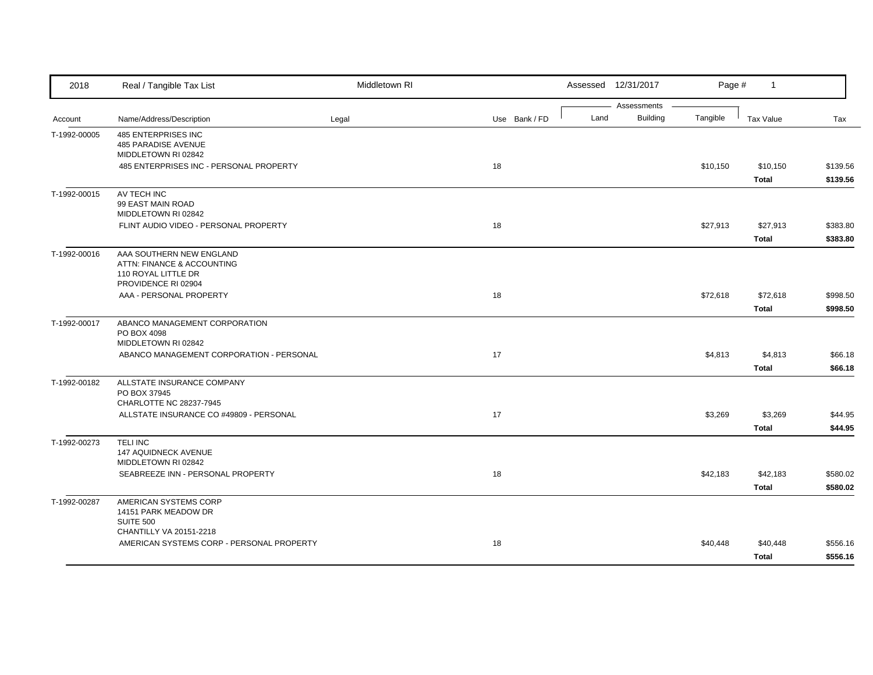| 2018         | Real / Tangible Tax List                                                                             | Middletown RI |               |      | Assessed 12/31/2017            | Page #   | $\mathbf{1}$             |                      |
|--------------|------------------------------------------------------------------------------------------------------|---------------|---------------|------|--------------------------------|----------|--------------------------|----------------------|
| Account      | Name/Address/Description                                                                             | Legal         | Use Bank / FD | Land | Assessments<br><b>Building</b> | Tangible | <b>Tax Value</b>         | Tax                  |
| T-1992-00005 | 485 ENTERPRISES INC<br>485 PARADISE AVENUE<br>MIDDLETOWN RI 02842                                    |               |               |      |                                |          |                          |                      |
|              | 485 ENTERPRISES INC - PERSONAL PROPERTY                                                              |               | 18            |      |                                | \$10,150 | \$10,150<br><b>Total</b> | \$139.56<br>\$139.56 |
| T-1992-00015 | AV TECH INC<br>99 EAST MAIN ROAD<br>MIDDLETOWN RI 02842                                              |               |               |      |                                |          |                          |                      |
|              | FLINT AUDIO VIDEO - PERSONAL PROPERTY                                                                |               | 18            |      |                                | \$27,913 | \$27,913<br><b>Total</b> | \$383.80<br>\$383.80 |
| T-1992-00016 | AAA SOUTHERN NEW ENGLAND<br>ATTN: FINANCE & ACCOUNTING<br>110 ROYAL LITTLE DR<br>PROVIDENCE RI 02904 |               |               |      |                                |          |                          |                      |
|              | AAA - PERSONAL PROPERTY                                                                              |               | 18            |      |                                | \$72,618 | \$72,618<br><b>Total</b> | \$998.50<br>\$998.50 |
| T-1992-00017 | ABANCO MANAGEMENT CORPORATION<br>PO BOX 4098<br>MIDDLETOWN RI 02842                                  |               |               |      |                                |          |                          |                      |
|              | ABANCO MANAGEMENT CORPORATION - PERSONAL                                                             |               | 17            |      |                                | \$4,813  | \$4,813<br><b>Total</b>  | \$66.18<br>\$66.18   |
| T-1992-00182 | ALLSTATE INSURANCE COMPANY<br>PO BOX 37945<br>CHARLOTTE NC 28237-7945                                |               |               |      |                                |          |                          |                      |
|              | ALLSTATE INSURANCE CO #49809 - PERSONAL                                                              |               | 17            |      |                                | \$3,269  | \$3,269<br><b>Total</b>  | \$44.95<br>\$44.95   |
| T-1992-00273 | <b>TELINC</b><br><b>147 AQUIDNECK AVENUE</b><br>MIDDLETOWN RI 02842                                  |               |               |      |                                |          |                          |                      |
|              | SEABREEZE INN - PERSONAL PROPERTY                                                                    |               | 18            |      |                                | \$42,183 | \$42,183<br><b>Total</b> | \$580.02<br>\$580.02 |
| T-1992-00287 | AMERICAN SYSTEMS CORP<br>14151 PARK MEADOW DR<br><b>SUITE 500</b>                                    |               |               |      |                                |          |                          |                      |
|              | CHANTILLY VA 20151-2218<br>AMERICAN SYSTEMS CORP - PERSONAL PROPERTY                                 |               | 18            |      |                                | \$40,448 | \$40,448<br>Total        | \$556.16<br>\$556.16 |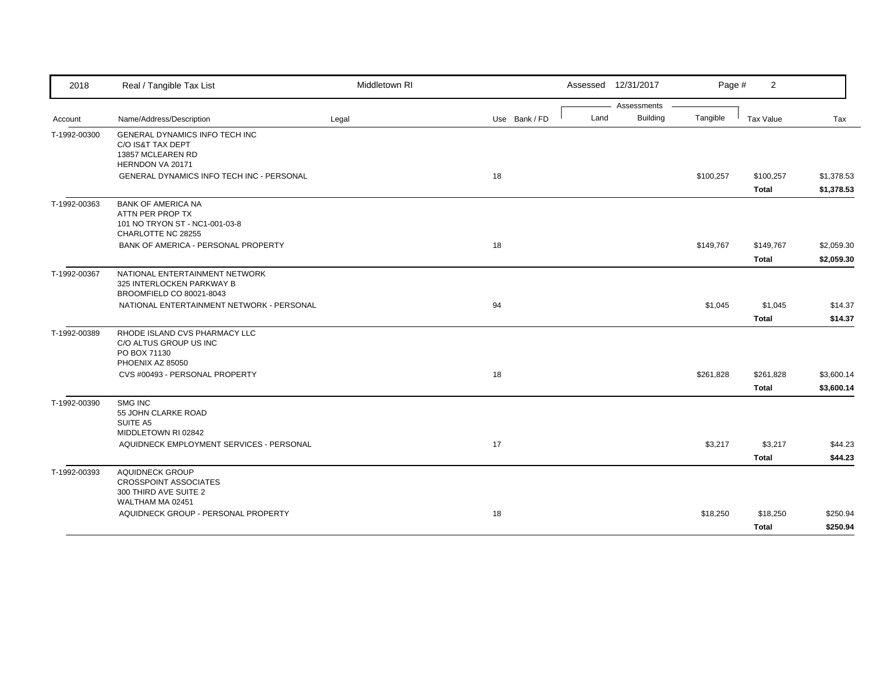| 2018         | Real / Tangible Tax List                                              | Middletown RI |               |      | Assessed 12/31/2017 | Page #    | $\overline{2}$ |            |
|--------------|-----------------------------------------------------------------------|---------------|---------------|------|---------------------|-----------|----------------|------------|
|              |                                                                       |               |               |      | Assessments         |           |                |            |
| Account      | Name/Address/Description                                              | Legal         | Use Bank / FD | Land | <b>Building</b>     | Tangible  | Tax Value      | Tax        |
| T-1992-00300 | GENERAL DYNAMICS INFO TECH INC<br>C/O IS&T TAX DEPT                   |               |               |      |                     |           |                |            |
|              | 13857 MCLEAREN RD                                                     |               |               |      |                     |           |                |            |
|              | HERNDON VA 20171                                                      |               |               |      |                     |           |                |            |
|              | <b>GENERAL DYNAMICS INFO TECH INC - PERSONAL</b>                      |               | 18            |      |                     | \$100,257 | \$100,257      | \$1,378.53 |
|              |                                                                       |               |               |      |                     |           | Total          | \$1,378.53 |
| T-1992-00363 | <b>BANK OF AMERICA NA</b>                                             |               |               |      |                     |           |                |            |
|              | ATTN PER PROP TX<br>101 NO TRYON ST - NC1-001-03-8                    |               |               |      |                     |           |                |            |
|              | CHARLOTTE NC 28255                                                    |               |               |      |                     |           |                |            |
|              | BANK OF AMERICA - PERSONAL PROPERTY                                   |               | 18            |      |                     | \$149,767 | \$149,767      | \$2,059.30 |
|              |                                                                       |               |               |      |                     |           | <b>Total</b>   | \$2,059.30 |
| T-1992-00367 | NATIONAL ENTERTAINMENT NETWORK                                        |               |               |      |                     |           |                |            |
|              | 325 INTERLOCKEN PARKWAY B                                             |               |               |      |                     |           |                |            |
|              | BROOMFIELD CO 80021-8043<br>NATIONAL ENTERTAINMENT NETWORK - PERSONAL |               | 94            |      |                     | \$1,045   |                |            |
|              |                                                                       |               |               |      |                     |           | \$1,045        | \$14.37    |
|              |                                                                       |               |               |      |                     |           | <b>Total</b>   | \$14.37    |
| T-1992-00389 | RHODE ISLAND CVS PHARMACY LLC<br>C/O ALTUS GROUP US INC               |               |               |      |                     |           |                |            |
|              | PO BOX 71130                                                          |               |               |      |                     |           |                |            |
|              | PHOENIX AZ 85050                                                      |               |               |      |                     |           |                |            |
|              | CVS #00493 - PERSONAL PROPERTY                                        |               | 18            |      |                     | \$261,828 | \$261,828      | \$3,600.14 |
|              |                                                                       |               |               |      |                     |           | <b>Total</b>   | \$3,600.14 |
| T-1992-00390 | <b>SMG INC</b>                                                        |               |               |      |                     |           |                |            |
|              | 55 JOHN CLARKE ROAD<br>SUITE A5                                       |               |               |      |                     |           |                |            |
|              | MIDDLETOWN RI 02842                                                   |               |               |      |                     |           |                |            |
|              | AQUIDNECK EMPLOYMENT SERVICES - PERSONAL                              |               | 17            |      |                     | \$3,217   | \$3,217        | \$44.23    |
|              |                                                                       |               |               |      |                     |           | Total          | \$44.23    |
| T-1992-00393 | <b>AQUIDNECK GROUP</b>                                                |               |               |      |                     |           |                |            |
|              | <b>CROSSPOINT ASSOCIATES</b>                                          |               |               |      |                     |           |                |            |
|              | 300 THIRD AVE SUITE 2<br>WALTHAM MA 02451                             |               |               |      |                     |           |                |            |
|              | AQUIDNECK GROUP - PERSONAL PROPERTY                                   |               | 18            |      |                     | \$18,250  | \$18,250       | \$250.94   |
|              |                                                                       |               |               |      |                     |           | <b>Total</b>   | \$250.94   |
|              |                                                                       |               |               |      |                     |           |                |            |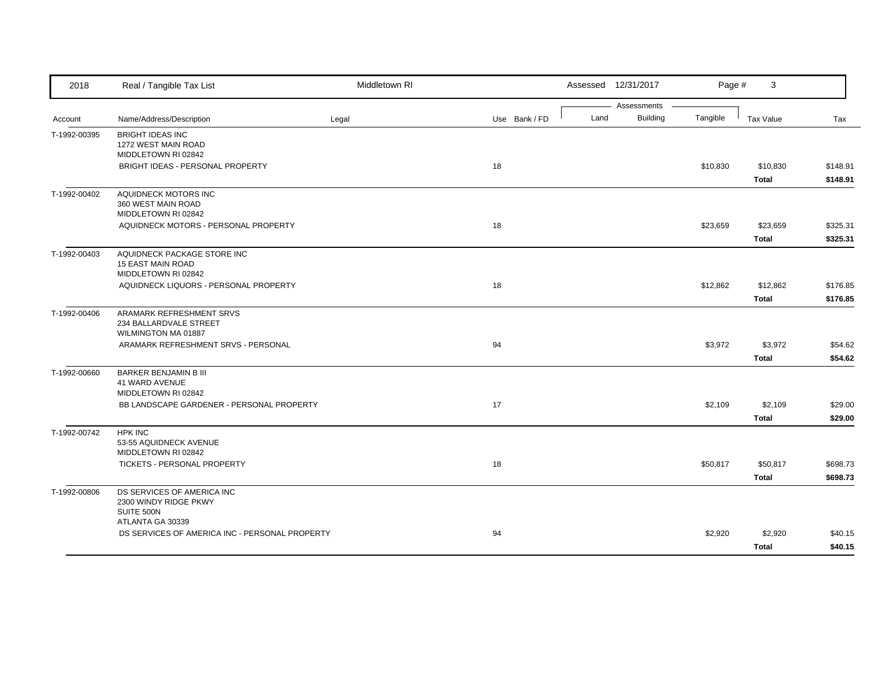| 2018         | Real / Tangible Tax List                        | Middletown RI |               |      | Assessed 12/31/2017 | Page #   | 3            |          |
|--------------|-------------------------------------------------|---------------|---------------|------|---------------------|----------|--------------|----------|
|              |                                                 |               |               |      | Assessments         |          |              |          |
| Account      | Name/Address/Description                        | Legal         | Use Bank / FD | Land | <b>Building</b>     | Tangible | Tax Value    | Tax      |
| T-1992-00395 | <b>BRIGHT IDEAS INC</b>                         |               |               |      |                     |          |              |          |
|              | 1272 WEST MAIN ROAD<br>MIDDLETOWN RI 02842      |               |               |      |                     |          |              |          |
|              | BRIGHT IDEAS - PERSONAL PROPERTY                |               | 18            |      |                     | \$10,830 | \$10,830     | \$148.91 |
|              |                                                 |               |               |      |                     |          | <b>Total</b> | \$148.91 |
| T-1992-00402 | AQUIDNECK MOTORS INC                            |               |               |      |                     |          |              |          |
|              | 360 WEST MAIN ROAD                              |               |               |      |                     |          |              |          |
|              | MIDDLETOWN RI 02842                             |               |               |      |                     |          |              |          |
|              | AQUIDNECK MOTORS - PERSONAL PROPERTY            |               | 18            |      |                     | \$23,659 | \$23,659     | \$325.31 |
|              |                                                 |               |               |      |                     |          | <b>Total</b> | \$325.31 |
| T-1992-00403 | AQUIDNECK PACKAGE STORE INC                     |               |               |      |                     |          |              |          |
|              | <b>15 EAST MAIN ROAD</b><br>MIDDLETOWN RI 02842 |               |               |      |                     |          |              |          |
|              | AQUIDNECK LIQUORS - PERSONAL PROPERTY           |               | 18            |      |                     | \$12,862 | \$12,862     | \$176.85 |
|              |                                                 |               |               |      |                     |          | <b>Total</b> | \$176.85 |
| T-1992-00406 | ARAMARK REFRESHMENT SRVS                        |               |               |      |                     |          |              |          |
|              | 234 BALLARDVALE STREET                          |               |               |      |                     |          |              |          |
|              | WILMINGTON MA 01887                             |               |               |      |                     |          |              |          |
|              | ARAMARK REFRESHMENT SRVS - PERSONAL             |               | 94            |      |                     | \$3,972  | \$3,972      | \$54.62  |
|              |                                                 |               |               |      |                     |          | <b>Total</b> | \$54.62  |
| T-1992-00660 | <b>BARKER BENJAMIN B III</b>                    |               |               |      |                     |          |              |          |
|              | 41 WARD AVENUE<br>MIDDLETOWN RI 02842           |               |               |      |                     |          |              |          |
|              | BB LANDSCAPE GARDENER - PERSONAL PROPERTY       |               | 17            |      |                     | \$2,109  | \$2,109      | \$29.00  |
|              |                                                 |               |               |      |                     |          | <b>Total</b> | \$29.00  |
| T-1992-00742 | <b>HPK INC</b>                                  |               |               |      |                     |          |              |          |
|              | 53-55 AQUIDNECK AVENUE                          |               |               |      |                     |          |              |          |
|              | MIDDLETOWN RI 02842                             |               |               |      |                     |          |              |          |
|              | TICKETS - PERSONAL PROPERTY                     |               | 18            |      |                     | \$50,817 | \$50,817     | \$698.73 |
|              |                                                 |               |               |      |                     |          | <b>Total</b> | \$698.73 |
| T-1992-00806 | DS SERVICES OF AMERICA INC                      |               |               |      |                     |          |              |          |
|              | 2300 WINDY RIDGE PKWY                           |               |               |      |                     |          |              |          |
|              | SUITE 500N<br>ATLANTA GA 30339                  |               |               |      |                     |          |              |          |
|              | DS SERVICES OF AMERICA INC - PERSONAL PROPERTY  |               | 94            |      |                     | \$2,920  | \$2,920      | \$40.15  |
|              |                                                 |               |               |      |                     |          | <b>Total</b> | \$40.15  |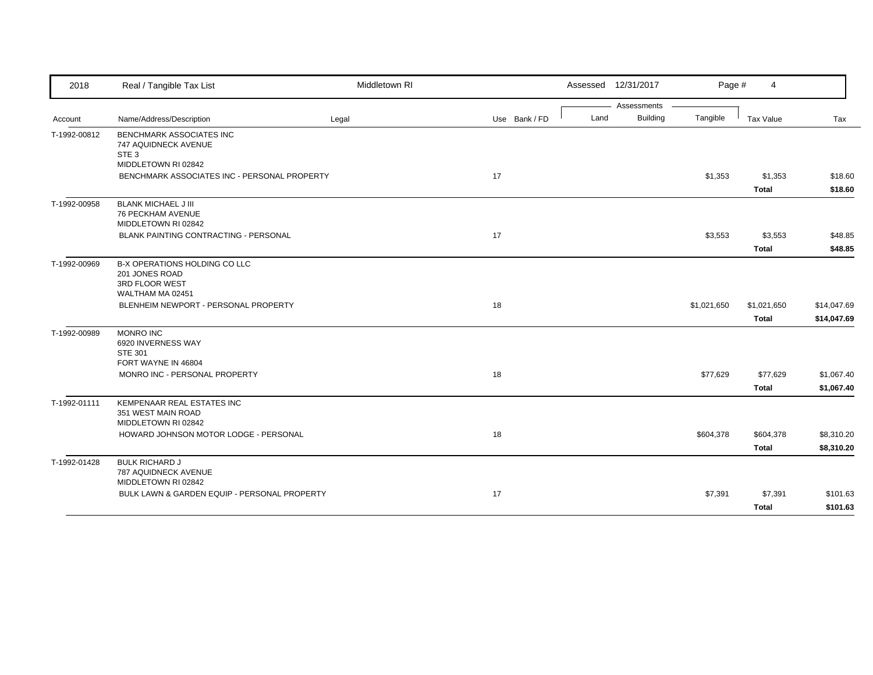| 2018         | Real / Tangible Tax List                                                                                         | Middletown RI |               |      | Assessed 12/31/2017 | Page #      | $\overline{4}$           |                          |
|--------------|------------------------------------------------------------------------------------------------------------------|---------------|---------------|------|---------------------|-------------|--------------------------|--------------------------|
|              |                                                                                                                  |               |               |      | Assessments         |             |                          |                          |
| Account      | Name/Address/Description                                                                                         | Legal         | Use Bank / FD | Land | <b>Building</b>     | Tangible    | Tax Value                | Tax                      |
| T-1992-00812 | <b>BENCHMARK ASSOCIATES INC</b><br>747 AQUIDNECK AVENUE<br>STE <sub>3</sub>                                      |               |               |      |                     |             |                          |                          |
|              | MIDDLETOWN RI 02842                                                                                              |               |               |      |                     |             |                          |                          |
|              | BENCHMARK ASSOCIATES INC - PERSONAL PROPERTY                                                                     |               | 17            |      |                     | \$1,353     | \$1,353                  | \$18.60                  |
|              |                                                                                                                  |               |               |      |                     |             | <b>Total</b>             | \$18.60                  |
| T-1992-00958 | <b>BLANK MICHAEL J III</b><br>76 PECKHAM AVENUE<br>MIDDLETOWN RI 02842                                           |               |               |      |                     |             |                          |                          |
|              | <b>BLANK PAINTING CONTRACTING - PERSONAL</b>                                                                     |               | 17            |      |                     | \$3,553     | \$3,553                  | \$48.85                  |
|              |                                                                                                                  |               |               |      |                     |             | <b>Total</b>             | \$48.85                  |
| T-1992-00969 | B-X OPERATIONS HOLDING CO LLC<br>201 JONES ROAD<br>3RD FLOOR WEST<br>WALTHAM MA 02451                            |               |               |      |                     |             |                          |                          |
|              | BLENHEIM NEWPORT - PERSONAL PROPERTY                                                                             |               | 18            |      |                     | \$1,021,650 | \$1,021,650              | \$14,047.69              |
|              |                                                                                                                  |               |               |      |                     |             | <b>Total</b>             | \$14,047.69              |
| T-1992-00989 | <b>MONRO INC</b><br>6920 INVERNESS WAY<br><b>STE 301</b><br>FORT WAYNE IN 46804<br>MONRO INC - PERSONAL PROPERTY |               | 18            |      |                     | \$77,629    | \$77,629<br><b>Total</b> | \$1,067.40<br>\$1,067.40 |
| T-1992-01111 | KEMPENAAR REAL ESTATES INC<br>351 WEST MAIN ROAD<br>MIDDLETOWN RI 02842                                          |               |               |      |                     |             |                          |                          |
|              | HOWARD JOHNSON MOTOR LODGE - PERSONAL                                                                            |               | 18            |      |                     | \$604,378   | \$604,378                | \$8,310.20               |
|              |                                                                                                                  |               |               |      |                     |             | <b>Total</b>             | \$8,310.20               |
| T-1992-01428 | <b>BULK RICHARD J</b><br>787 AQUIDNECK AVENUE<br>MIDDLETOWN RI 02842                                             |               |               |      |                     |             |                          |                          |
|              | BULK LAWN & GARDEN EQUIP - PERSONAL PROPERTY                                                                     |               | 17            |      |                     | \$7,391     | \$7,391                  | \$101.63                 |
|              |                                                                                                                  |               |               |      |                     |             | <b>Total</b>             | \$101.63                 |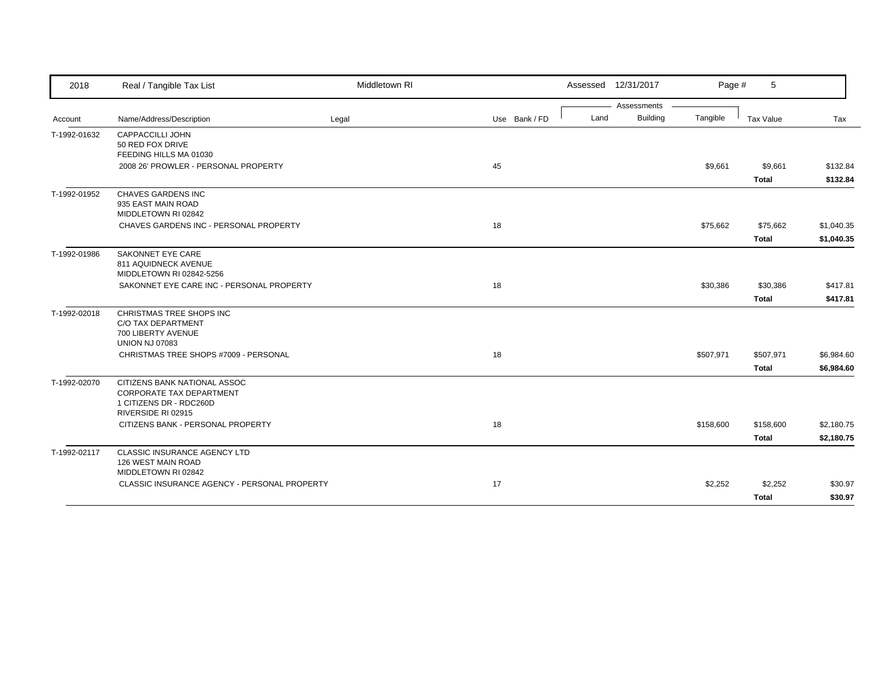| 2018         | Real / Tangible Tax List                     | Middletown RI |               |      | Assessed 12/31/2017 | Page #    | 5            |            |
|--------------|----------------------------------------------|---------------|---------------|------|---------------------|-----------|--------------|------------|
|              |                                              |               |               |      | Assessments         |           |              |            |
| Account      | Name/Address/Description                     | Legal         | Use Bank / FD | Land | <b>Building</b>     | Tangible  | Tax Value    | Tax        |
| T-1992-01632 | CAPPACCILLI JOHN                             |               |               |      |                     |           |              |            |
|              | 50 RED FOX DRIVE                             |               |               |      |                     |           |              |            |
|              | FEEDING HILLS MA 01030                       |               |               |      |                     |           |              |            |
|              | 2008 26' PROWLER - PERSONAL PROPERTY         |               | 45            |      |                     | \$9,661   | \$9,661      | \$132.84   |
|              |                                              |               |               |      |                     |           | <b>Total</b> | \$132.84   |
| T-1992-01952 | CHAVES GARDENS INC                           |               |               |      |                     |           |              |            |
|              | 935 EAST MAIN ROAD                           |               |               |      |                     |           |              |            |
|              | MIDDLETOWN RI 02842                          |               |               |      |                     |           |              |            |
|              | CHAVES GARDENS INC - PERSONAL PROPERTY       |               | 18            |      |                     | \$75,662  | \$75,662     | \$1,040.35 |
|              |                                              |               |               |      |                     |           | <b>Total</b> | \$1,040.35 |
| T-1992-01986 | <b>SAKONNET EYE CARE</b>                     |               |               |      |                     |           |              |            |
|              | 811 AQUIDNECK AVENUE                         |               |               |      |                     |           |              |            |
|              | MIDDLETOWN RI 02842-5256                     |               |               |      |                     |           |              |            |
|              | SAKONNET EYE CARE INC - PERSONAL PROPERTY    |               | 18            |      |                     | \$30,386  | \$30,386     | \$417.81   |
|              |                                              |               |               |      |                     |           | <b>Total</b> | \$417.81   |
| T-1992-02018 | CHRISTMAS TREE SHOPS INC                     |               |               |      |                     |           |              |            |
|              | C/O TAX DEPARTMENT                           |               |               |      |                     |           |              |            |
|              | 700 LIBERTY AVENUE                           |               |               |      |                     |           |              |            |
|              | <b>UNION NJ 07083</b>                        |               |               |      |                     |           |              |            |
|              | CHRISTMAS TREE SHOPS #7009 - PERSONAL        |               | 18            |      |                     | \$507,971 | \$507,971    | \$6,984.60 |
|              |                                              |               |               |      |                     |           | <b>Total</b> | \$6,984.60 |
| T-1992-02070 | CITIZENS BANK NATIONAL ASSOC                 |               |               |      |                     |           |              |            |
|              | <b>CORPORATE TAX DEPARTMENT</b>              |               |               |      |                     |           |              |            |
|              | 1 CITIZENS DR - RDC260D                      |               |               |      |                     |           |              |            |
|              | RIVERSIDE RI 02915                           |               |               |      |                     |           |              |            |
|              | CITIZENS BANK - PERSONAL PROPERTY            |               | 18            |      |                     | \$158,600 | \$158,600    | \$2,180.75 |
|              |                                              |               |               |      |                     |           | <b>Total</b> | \$2,180.75 |
| T-1992-02117 | <b>CLASSIC INSURANCE AGENCY LTD</b>          |               |               |      |                     |           |              |            |
|              | 126 WEST MAIN ROAD                           |               |               |      |                     |           |              |            |
|              | MIDDLETOWN RI 02842                          |               |               |      |                     |           |              |            |
|              | CLASSIC INSURANCE AGENCY - PERSONAL PROPERTY |               | 17            |      |                     | \$2,252   | \$2,252      | \$30.97    |
|              |                                              |               |               |      |                     |           | <b>Total</b> | \$30.97    |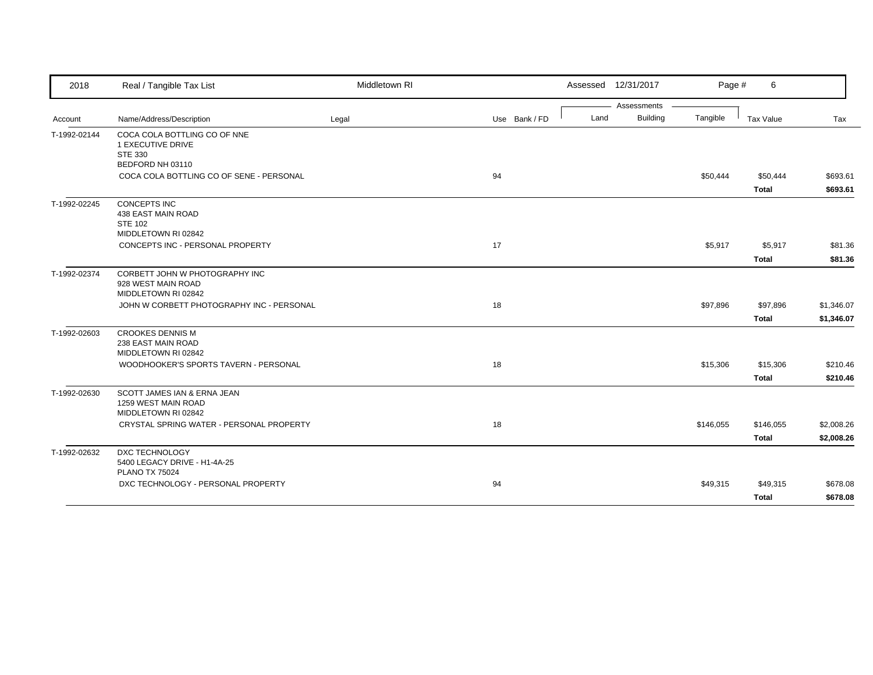| 2018         | Real / Tangible Tax List                                                                                      | Middletown RI |               | Assessed 12/31/2017     | Page #    | 6                         |                          |
|--------------|---------------------------------------------------------------------------------------------------------------|---------------|---------------|-------------------------|-----------|---------------------------|--------------------------|
|              |                                                                                                               |               |               | Assessments             |           |                           |                          |
| Account      | Name/Address/Description                                                                                      | Legal         | Use Bank / FD | <b>Building</b><br>Land | Tangible  | Tax Value                 | Tax                      |
| T-1992-02144 | COCA COLA BOTTLING CO OF NNE<br>1 EXECUTIVE DRIVE<br><b>STE 330</b><br>BEDFORD NH 03110                       |               |               |                         |           |                           |                          |
|              | COCA COLA BOTTLING CO OF SENE - PERSONAL                                                                      |               | 94            |                         | \$50,444  | \$50,444<br><b>Total</b>  | \$693.61<br>\$693.61     |
| T-1992-02245 | <b>CONCEPTS INC</b><br>438 EAST MAIN ROAD<br><b>STE 102</b><br>MIDDLETOWN RI 02842                            |               |               |                         |           |                           |                          |
|              | CONCEPTS INC - PERSONAL PROPERTY                                                                              |               | 17            |                         | \$5,917   | \$5,917<br><b>Total</b>   | \$81.36<br>\$81.36       |
| T-1992-02374 | CORBETT JOHN W PHOTOGRAPHY INC<br>928 WEST MAIN ROAD<br>MIDDLETOWN RI 02842                                   |               |               |                         |           |                           |                          |
|              | JOHN W CORBETT PHOTOGRAPHY INC - PERSONAL                                                                     |               | 18            |                         | \$97,896  | \$97,896<br><b>Total</b>  | \$1,346.07<br>\$1,346.07 |
| T-1992-02603 | <b>CROOKES DENNIS M</b><br>238 EAST MAIN ROAD<br>MIDDLETOWN RI 02842<br>WOODHOOKER'S SPORTS TAVERN - PERSONAL |               | 18            |                         | \$15,306  | \$15,306                  | \$210.46                 |
| T-1992-02630 | SCOTT JAMES IAN & ERNA JEAN<br>1259 WEST MAIN ROAD                                                            |               |               |                         |           | <b>Total</b>              | \$210.46                 |
|              | MIDDLETOWN RI 02842<br>CRYSTAL SPRING WATER - PERSONAL PROPERTY                                               |               | 18            |                         | \$146,055 | \$146,055<br><b>Total</b> | \$2,008.26<br>\$2,008.26 |
| T-1992-02632 | <b>DXC TECHNOLOGY</b><br>5400 LEGACY DRIVE - H1-4A-25<br><b>PLANO TX 75024</b>                                |               |               |                         |           |                           |                          |
|              | DXC TECHNOLOGY - PERSONAL PROPERTY                                                                            |               | 94            |                         | \$49,315  | \$49,315<br>Total         | \$678.08<br>\$678.08     |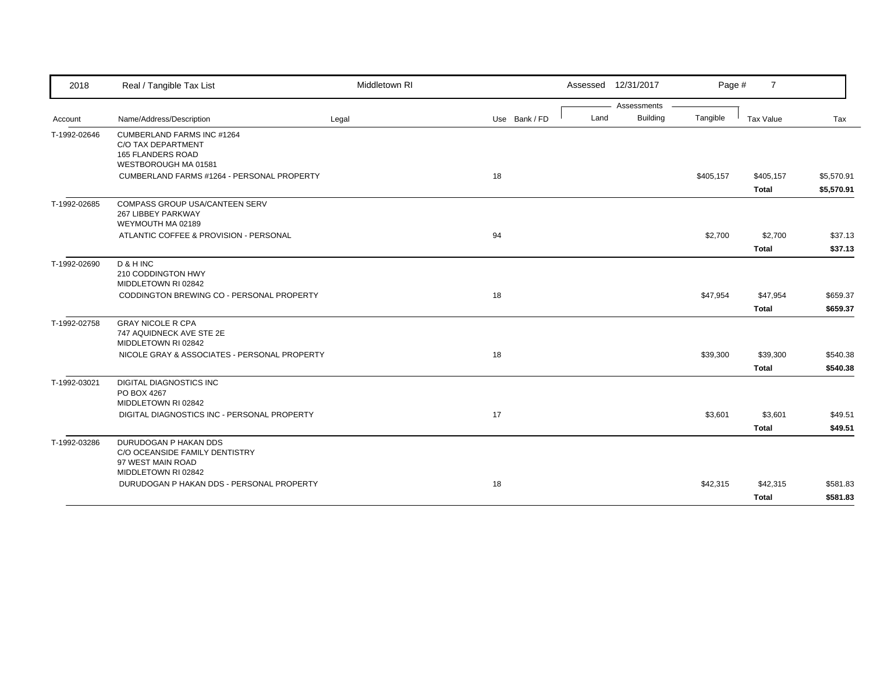| Assessments<br><b>Building</b><br>Land<br>Tangible<br>Name/Address/Description<br>Use Bank / FD<br>Tax Value<br>Legal<br>Tax<br>Account<br><b>CUMBERLAND FARMS INC #1264</b><br>C/O TAX DEPARTMENT<br><b>165 FLANDERS ROAD</b><br>WESTBOROUGH MA 01581<br>CUMBERLAND FARMS #1264 - PERSONAL PROPERTY<br>18<br>\$405,157<br>\$405,157<br>Total<br>COMPASS GROUP USA/CANTEEN SERV<br>267 LIBBEY PARKWAY<br>WEYMOUTH MA 02189<br>94<br>\$2,700<br>ATLANTIC COFFEE & PROVISION - PERSONAL<br>\$2,700<br><b>Total</b><br>D & H INC<br>210 CODDINGTON HWY<br>MIDDLETOWN RI 02842<br>CODDINGTON BREWING CO - PERSONAL PROPERTY<br>18<br>\$47,954<br>\$47,954<br><b>Total</b><br><b>GRAY NICOLE R CPA</b><br>747 AQUIDNECK AVE STE 2E<br>MIDDLETOWN RI 02842<br>18<br>NICOLE GRAY & ASSOCIATES - PERSONAL PROPERTY<br>\$39,300<br>\$39,300<br><b>Total</b><br><b>DIGITAL DIAGNOSTICS INC</b><br>PO BOX 4267<br>MIDDLETOWN RI 02842<br>DIGITAL DIAGNOSTICS INC - PERSONAL PROPERTY<br>17<br>\$3,601<br>\$3,601<br><b>Total</b><br>DURUDOGAN P HAKAN DDS<br>C/O OCEANSIDE FAMILY DENTISTRY<br>97 WEST MAIN ROAD<br>MIDDLETOWN RI 02842<br>DURUDOGAN P HAKAN DDS - PERSONAL PROPERTY<br>18<br>\$42,315<br>\$42,315<br>Total | 2018         | Real / Tangible Tax List | Middletown RI |  | Assessed 12/31/2017 | Page # | $\overline{7}$ |            |
|------------------------------------------------------------------------------------------------------------------------------------------------------------------------------------------------------------------------------------------------------------------------------------------------------------------------------------------------------------------------------------------------------------------------------------------------------------------------------------------------------------------------------------------------------------------------------------------------------------------------------------------------------------------------------------------------------------------------------------------------------------------------------------------------------------------------------------------------------------------------------------------------------------------------------------------------------------------------------------------------------------------------------------------------------------------------------------------------------------------------------------------------------------------------------------------------------------------|--------------|--------------------------|---------------|--|---------------------|--------|----------------|------------|
|                                                                                                                                                                                                                                                                                                                                                                                                                                                                                                                                                                                                                                                                                                                                                                                                                                                                                                                                                                                                                                                                                                                                                                                                                  |              |                          |               |  |                     |        |                |            |
|                                                                                                                                                                                                                                                                                                                                                                                                                                                                                                                                                                                                                                                                                                                                                                                                                                                                                                                                                                                                                                                                                                                                                                                                                  |              |                          |               |  |                     |        |                |            |
| \$5,570.91                                                                                                                                                                                                                                                                                                                                                                                                                                                                                                                                                                                                                                                                                                                                                                                                                                                                                                                                                                                                                                                                                                                                                                                                       | T-1992-02646 |                          |               |  |                     |        |                |            |
|                                                                                                                                                                                                                                                                                                                                                                                                                                                                                                                                                                                                                                                                                                                                                                                                                                                                                                                                                                                                                                                                                                                                                                                                                  |              |                          |               |  |                     |        |                |            |
| \$49.51<br>\$49.51                                                                                                                                                                                                                                                                                                                                                                                                                                                                                                                                                                                                                                                                                                                                                                                                                                                                                                                                                                                                                                                                                                                                                                                               |              |                          |               |  |                     |        |                | \$5,570.91 |
| \$37.13<br>\$37.13<br>\$659.37<br>\$659.37<br>\$540.38<br>\$540.38<br>\$581.83<br>\$581.83                                                                                                                                                                                                                                                                                                                                                                                                                                                                                                                                                                                                                                                                                                                                                                                                                                                                                                                                                                                                                                                                                                                       | T-1992-02685 |                          |               |  |                     |        |                |            |
|                                                                                                                                                                                                                                                                                                                                                                                                                                                                                                                                                                                                                                                                                                                                                                                                                                                                                                                                                                                                                                                                                                                                                                                                                  |              |                          |               |  |                     |        |                |            |
|                                                                                                                                                                                                                                                                                                                                                                                                                                                                                                                                                                                                                                                                                                                                                                                                                                                                                                                                                                                                                                                                                                                                                                                                                  |              |                          |               |  |                     |        |                |            |
|                                                                                                                                                                                                                                                                                                                                                                                                                                                                                                                                                                                                                                                                                                                                                                                                                                                                                                                                                                                                                                                                                                                                                                                                                  | T-1992-02690 |                          |               |  |                     |        |                |            |
|                                                                                                                                                                                                                                                                                                                                                                                                                                                                                                                                                                                                                                                                                                                                                                                                                                                                                                                                                                                                                                                                                                                                                                                                                  |              |                          |               |  |                     |        |                |            |
|                                                                                                                                                                                                                                                                                                                                                                                                                                                                                                                                                                                                                                                                                                                                                                                                                                                                                                                                                                                                                                                                                                                                                                                                                  |              |                          |               |  |                     |        |                |            |
|                                                                                                                                                                                                                                                                                                                                                                                                                                                                                                                                                                                                                                                                                                                                                                                                                                                                                                                                                                                                                                                                                                                                                                                                                  | T-1992-02758 |                          |               |  |                     |        |                |            |
|                                                                                                                                                                                                                                                                                                                                                                                                                                                                                                                                                                                                                                                                                                                                                                                                                                                                                                                                                                                                                                                                                                                                                                                                                  |              |                          |               |  |                     |        |                |            |
|                                                                                                                                                                                                                                                                                                                                                                                                                                                                                                                                                                                                                                                                                                                                                                                                                                                                                                                                                                                                                                                                                                                                                                                                                  |              |                          |               |  |                     |        |                |            |
|                                                                                                                                                                                                                                                                                                                                                                                                                                                                                                                                                                                                                                                                                                                                                                                                                                                                                                                                                                                                                                                                                                                                                                                                                  | T-1992-03021 |                          |               |  |                     |        |                |            |
|                                                                                                                                                                                                                                                                                                                                                                                                                                                                                                                                                                                                                                                                                                                                                                                                                                                                                                                                                                                                                                                                                                                                                                                                                  |              |                          |               |  |                     |        |                |            |
|                                                                                                                                                                                                                                                                                                                                                                                                                                                                                                                                                                                                                                                                                                                                                                                                                                                                                                                                                                                                                                                                                                                                                                                                                  |              |                          |               |  |                     |        |                |            |
|                                                                                                                                                                                                                                                                                                                                                                                                                                                                                                                                                                                                                                                                                                                                                                                                                                                                                                                                                                                                                                                                                                                                                                                                                  | T-1992-03286 |                          |               |  |                     |        |                |            |
|                                                                                                                                                                                                                                                                                                                                                                                                                                                                                                                                                                                                                                                                                                                                                                                                                                                                                                                                                                                                                                                                                                                                                                                                                  |              |                          |               |  |                     |        |                |            |
|                                                                                                                                                                                                                                                                                                                                                                                                                                                                                                                                                                                                                                                                                                                                                                                                                                                                                                                                                                                                                                                                                                                                                                                                                  |              |                          |               |  |                     |        |                |            |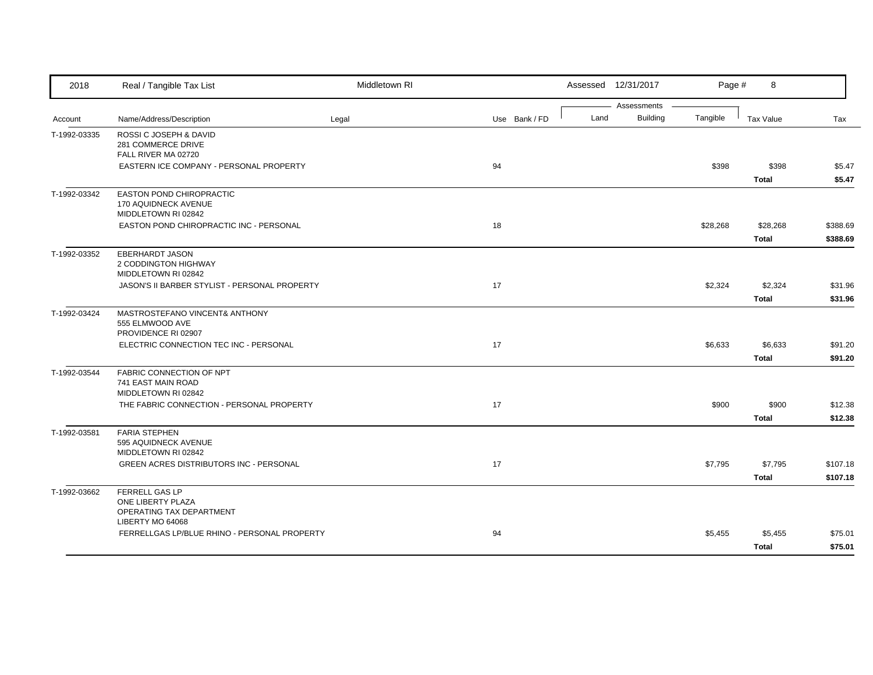| 2018         | Real / Tangible Tax List                                         | Middletown RI |               |      | Assessed 12/31/2017            | Page #   | 8                |          |
|--------------|------------------------------------------------------------------|---------------|---------------|------|--------------------------------|----------|------------------|----------|
|              | Name/Address/Description                                         |               |               | Land | Assessments<br><b>Building</b> | Tangible | <b>Tax Value</b> | Tax      |
| Account      |                                                                  | Legal         | Use Bank / FD |      |                                |          |                  |          |
| T-1992-03335 | ROSSI C JOSEPH & DAVID<br>281 COMMERCE DRIVE                     |               |               |      |                                |          |                  |          |
|              | FALL RIVER MA 02720                                              |               |               |      |                                |          |                  |          |
|              | EASTERN ICE COMPANY - PERSONAL PROPERTY                          |               | 94            |      |                                | \$398    | \$398            | \$5.47   |
|              |                                                                  |               |               |      |                                |          | <b>Total</b>     | \$5.47   |
| T-1992-03342 | EASTON POND CHIROPRACTIC                                         |               |               |      |                                |          |                  |          |
|              | 170 AQUIDNECK AVENUE<br>MIDDLETOWN RI 02842                      |               |               |      |                                |          |                  |          |
|              | EASTON POND CHIROPRACTIC INC - PERSONAL                          |               | 18            |      |                                | \$28,268 | \$28,268         | \$388.69 |
|              |                                                                  |               |               |      |                                |          | <b>Total</b>     | \$388.69 |
| T-1992-03352 | EBERHARDT JASON                                                  |               |               |      |                                |          |                  |          |
|              | 2 CODDINGTON HIGHWAY                                             |               |               |      |                                |          |                  |          |
|              | MIDDLETOWN RI 02842                                              |               |               |      |                                |          |                  |          |
|              | JASON'S II BARBER STYLIST - PERSONAL PROPERTY                    |               | 17            |      |                                | \$2,324  | \$2,324          | \$31.96  |
|              |                                                                  |               |               |      |                                |          | <b>Total</b>     | \$31.96  |
| T-1992-03424 | MASTROSTEFANO VINCENT& ANTHONY                                   |               |               |      |                                |          |                  |          |
|              | 555 ELMWOOD AVE<br>PROVIDENCE RI 02907                           |               |               |      |                                |          |                  |          |
|              | ELECTRIC CONNECTION TEC INC - PERSONAL                           |               | 17            |      |                                | \$6,633  | \$6,633          | \$91.20  |
|              |                                                                  |               |               |      |                                |          | <b>Total</b>     | \$91.20  |
| T-1992-03544 | FABRIC CONNECTION OF NPT                                         |               |               |      |                                |          |                  |          |
|              | 741 EAST MAIN ROAD                                               |               |               |      |                                |          |                  |          |
|              | MIDDLETOWN RI 02842<br>THE FABRIC CONNECTION - PERSONAL PROPERTY |               | 17            |      |                                | \$900    | \$900            | \$12.38  |
|              |                                                                  |               |               |      |                                |          | <b>Total</b>     | \$12.38  |
| T-1992-03581 | <b>FARIA STEPHEN</b>                                             |               |               |      |                                |          |                  |          |
|              | 595 AQUIDNECK AVENUE                                             |               |               |      |                                |          |                  |          |
|              | MIDDLETOWN RI 02842                                              |               |               |      |                                |          |                  |          |
|              | GREEN ACRES DISTRIBUTORS INC - PERSONAL                          |               | 17            |      |                                | \$7,795  | \$7,795          | \$107.18 |
|              |                                                                  |               |               |      |                                |          | <b>Total</b>     | \$107.18 |
| T-1992-03662 | FERRELL GAS LP                                                   |               |               |      |                                |          |                  |          |
|              | ONE LIBERTY PLAZA<br>OPERATING TAX DEPARTMENT                    |               |               |      |                                |          |                  |          |
|              | LIBERTY MO 64068                                                 |               |               |      |                                |          |                  |          |
|              | FERRELLGAS LP/BLUE RHINO - PERSONAL PROPERTY                     |               | 94            |      |                                | \$5,455  | \$5,455          | \$75.01  |
|              |                                                                  |               |               |      |                                |          | <b>Total</b>     | \$75.01  |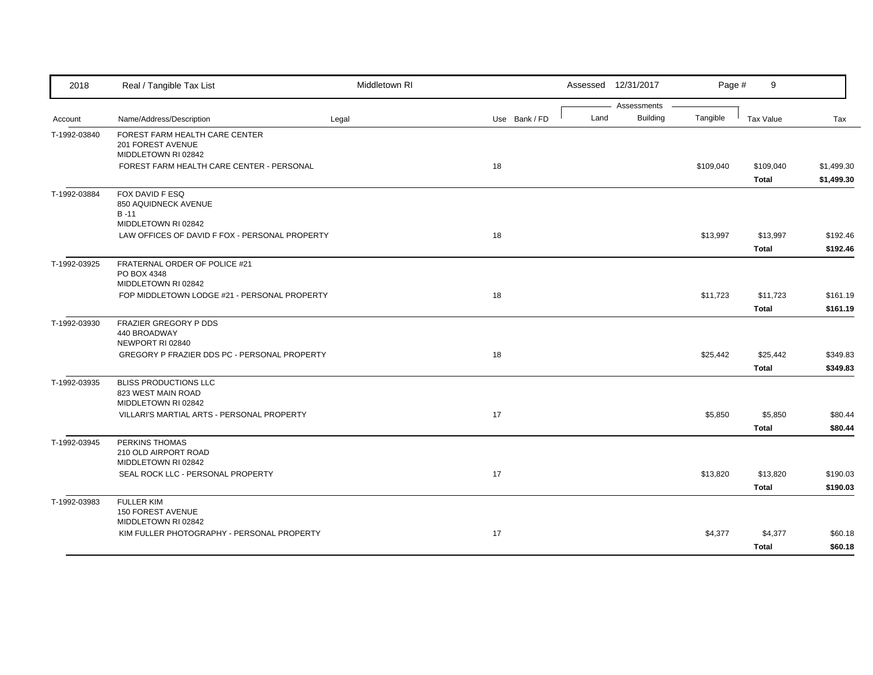| 2018         | Real / Tangible Tax List                                              | Middletown RI |    |               |      | Assessed 12/31/2017            | Page #    | 9                |            |
|--------------|-----------------------------------------------------------------------|---------------|----|---------------|------|--------------------------------|-----------|------------------|------------|
|              |                                                                       |               |    |               | Land | Assessments<br><b>Building</b> | Tangible  |                  | Tax        |
| Account      | Name/Address/Description                                              | Legal         |    | Use Bank / FD |      |                                |           | <b>Tax Value</b> |            |
| T-1992-03840 | FOREST FARM HEALTH CARE CENTER<br>201 FOREST AVENUE                   |               |    |               |      |                                |           |                  |            |
|              | MIDDLETOWN RI 02842                                                   |               |    |               |      |                                |           |                  |            |
|              | FOREST FARM HEALTH CARE CENTER - PERSONAL                             |               | 18 |               |      |                                | \$109,040 | \$109,040        | \$1,499.30 |
|              |                                                                       |               |    |               |      |                                |           | <b>Total</b>     | \$1,499.30 |
| T-1992-03884 | FOX DAVID F ESQ                                                       |               |    |               |      |                                |           |                  |            |
|              | 850 AQUIDNECK AVENUE                                                  |               |    |               |      |                                |           |                  |            |
|              | $B - 11$                                                              |               |    |               |      |                                |           |                  |            |
|              | MIDDLETOWN RI 02842<br>LAW OFFICES OF DAVID F FOX - PERSONAL PROPERTY |               | 18 |               |      |                                | \$13,997  | \$13,997         | \$192.46   |
|              |                                                                       |               |    |               |      |                                |           |                  |            |
|              |                                                                       |               |    |               |      |                                |           | <b>Total</b>     | \$192.46   |
| T-1992-03925 | FRATERNAL ORDER OF POLICE #21<br>PO BOX 4348                          |               |    |               |      |                                |           |                  |            |
|              | MIDDLETOWN RI 02842                                                   |               |    |               |      |                                |           |                  |            |
|              | FOP MIDDLETOWN LODGE #21 - PERSONAL PROPERTY                          |               | 18 |               |      |                                | \$11,723  | \$11,723         | \$161.19   |
|              |                                                                       |               |    |               |      |                                |           | <b>Total</b>     | \$161.19   |
| T-1992-03930 | FRAZIER GREGORY P DDS                                                 |               |    |               |      |                                |           |                  |            |
|              | 440 BROADWAY                                                          |               |    |               |      |                                |           |                  |            |
|              | NEWPORT RI 02840                                                      |               |    |               |      |                                |           |                  |            |
|              | GREGORY P FRAZIER DDS PC - PERSONAL PROPERTY                          |               | 18 |               |      |                                | \$25,442  | \$25,442         | \$349.83   |
|              |                                                                       |               |    |               |      |                                |           | <b>Total</b>     | \$349.83   |
| T-1992-03935 | <b>BLISS PRODUCTIONS LLC</b>                                          |               |    |               |      |                                |           |                  |            |
|              | 823 WEST MAIN ROAD                                                    |               |    |               |      |                                |           |                  |            |
|              | MIDDLETOWN RI 02842                                                   |               | 17 |               |      |                                |           |                  |            |
|              | VILLARI'S MARTIAL ARTS - PERSONAL PROPERTY                            |               |    |               |      |                                | \$5,850   | \$5,850          | \$80.44    |
|              |                                                                       |               |    |               |      |                                |           | <b>Total</b>     | \$80.44    |
| T-1992-03945 | PERKINS THOMAS<br>210 OLD AIRPORT ROAD                                |               |    |               |      |                                |           |                  |            |
|              | MIDDLETOWN RI 02842                                                   |               |    |               |      |                                |           |                  |            |
|              | SEAL ROCK LLC - PERSONAL PROPERTY                                     |               | 17 |               |      |                                | \$13,820  | \$13,820         | \$190.03   |
|              |                                                                       |               |    |               |      |                                |           | <b>Total</b>     | \$190.03   |
| T-1992-03983 | <b>FULLER KIM</b>                                                     |               |    |               |      |                                |           |                  |            |
|              | <b>150 FOREST AVENUE</b>                                              |               |    |               |      |                                |           |                  |            |
|              | MIDDLETOWN RI 02842                                                   |               |    |               |      |                                |           |                  |            |
|              | KIM FULLER PHOTOGRAPHY - PERSONAL PROPERTY                            |               | 17 |               |      |                                | \$4,377   | \$4,377          | \$60.18    |
|              |                                                                       |               |    |               |      |                                |           | <b>Total</b>     | \$60.18    |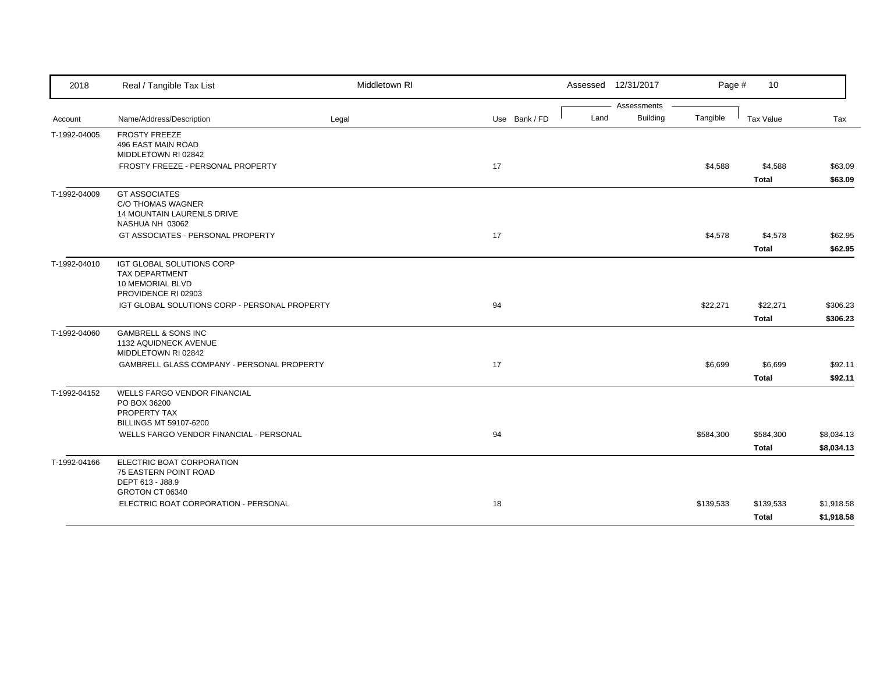| 2018         | Real / Tangible Tax List                                          | Middletown RI |               |      | Assessed 12/31/2017            | Page #    | 10           |            |
|--------------|-------------------------------------------------------------------|---------------|---------------|------|--------------------------------|-----------|--------------|------------|
| Account      | Name/Address/Description                                          | Legal         | Use Bank / FD | Land | Assessments<br><b>Building</b> | Tangible  | Tax Value    | Tax        |
|              |                                                                   |               |               |      |                                |           |              |            |
| T-1992-04005 | <b>FROSTY FREEZE</b><br>496 EAST MAIN ROAD                        |               |               |      |                                |           |              |            |
|              | MIDDLETOWN RI 02842                                               |               |               |      |                                |           |              |            |
|              | FROSTY FREEZE - PERSONAL PROPERTY                                 |               | 17            |      |                                | \$4,588   | \$4,588      | \$63.09    |
|              |                                                                   |               |               |      |                                |           | <b>Total</b> | \$63.09    |
| T-1992-04009 | <b>GT ASSOCIATES</b>                                              |               |               |      |                                |           |              |            |
|              | C/O THOMAS WAGNER                                                 |               |               |      |                                |           |              |            |
|              | 14 MOUNTAIN LAURENLS DRIVE<br>NASHUA NH 03062                     |               |               |      |                                |           |              |            |
|              | GT ASSOCIATES - PERSONAL PROPERTY                                 |               | 17            |      |                                | \$4,578   | \$4,578      | \$62.95    |
|              |                                                                   |               |               |      |                                |           | <b>Total</b> | \$62.95    |
| T-1992-04010 | IGT GLOBAL SOLUTIONS CORP                                         |               |               |      |                                |           |              |            |
|              | <b>TAX DEPARTMENT</b>                                             |               |               |      |                                |           |              |            |
|              | 10 MEMORIAL BLVD                                                  |               |               |      |                                |           |              |            |
|              | PROVIDENCE RI 02903                                               |               |               |      |                                |           |              |            |
|              | IGT GLOBAL SOLUTIONS CORP - PERSONAL PROPERTY                     |               | 94            |      |                                | \$22,271  | \$22,271     | \$306.23   |
|              |                                                                   |               |               |      |                                |           | <b>Total</b> | \$306.23   |
| T-1992-04060 | <b>GAMBRELL &amp; SONS INC</b>                                    |               |               |      |                                |           |              |            |
|              | 1132 AQUIDNECK AVENUE<br>MIDDLETOWN RI 02842                      |               |               |      |                                |           |              |            |
|              | GAMBRELL GLASS COMPANY - PERSONAL PROPERTY                        |               | 17            |      |                                | \$6,699   | \$6,699      | \$92.11    |
|              |                                                                   |               |               |      |                                |           | <b>Total</b> | \$92.11    |
| T-1992-04152 | WELLS FARGO VENDOR FINANCIAL                                      |               |               |      |                                |           |              |            |
|              | PO BOX 36200                                                      |               |               |      |                                |           |              |            |
|              | PROPERTY TAX                                                      |               |               |      |                                |           |              |            |
|              | BILLINGS MT 59107-6200<br>WELLS FARGO VENDOR FINANCIAL - PERSONAL |               | 94            |      |                                | \$584,300 | \$584,300    | \$8,034.13 |
|              |                                                                   |               |               |      |                                |           |              |            |
|              |                                                                   |               |               |      |                                |           | <b>Total</b> | \$8,034.13 |
| T-1992-04166 | ELECTRIC BOAT CORPORATION<br>75 EASTERN POINT ROAD                |               |               |      |                                |           |              |            |
|              | DEPT 613 - J88.9                                                  |               |               |      |                                |           |              |            |
|              | GROTON CT 06340                                                   |               |               |      |                                |           |              |            |
|              | ELECTRIC BOAT CORPORATION - PERSONAL                              |               | 18            |      |                                | \$139,533 | \$139,533    | \$1,918.58 |
|              |                                                                   |               |               |      |                                |           | <b>Total</b> | \$1,918.58 |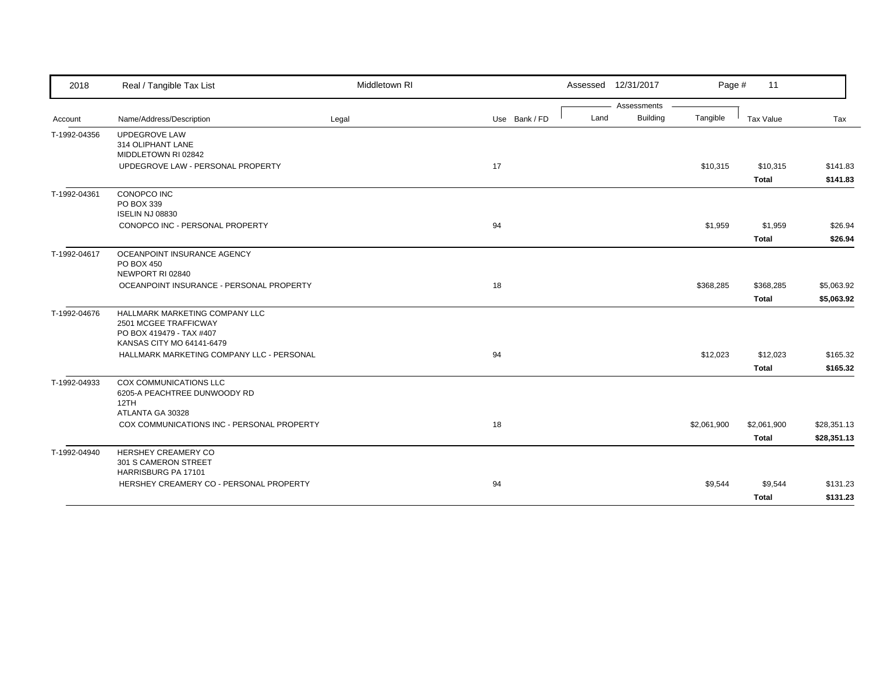| 2018         | Real / Tangible Tax List                                                                                         | Middletown RI |               | Assessed 12/31/2017 |                 | Page #      | 11                       |                      |
|--------------|------------------------------------------------------------------------------------------------------------------|---------------|---------------|---------------------|-----------------|-------------|--------------------------|----------------------|
|              |                                                                                                                  |               |               |                     | Assessments     |             |                          |                      |
| Account      | Name/Address/Description                                                                                         | Legal         | Use Bank / FD | Land                | <b>Building</b> | Tangible    | Tax Value                | Tax                  |
| T-1992-04356 | <b>UPDEGROVE LAW</b><br>314 OLIPHANT LANE<br>MIDDLETOWN RI 02842                                                 |               |               |                     |                 |             |                          |                      |
|              | UPDEGROVE LAW - PERSONAL PROPERTY                                                                                |               | 17            |                     |                 | \$10,315    | \$10,315<br><b>Total</b> | \$141.83<br>\$141.83 |
| T-1992-04361 | CONOPCO INC<br>PO BOX 339<br><b>ISELIN NJ 08830</b>                                                              |               |               |                     |                 |             |                          |                      |
|              | CONOPCO INC - PERSONAL PROPERTY                                                                                  |               | 94            |                     |                 | \$1,959     | \$1,959<br><b>Total</b>  | \$26.94<br>\$26.94   |
| T-1992-04617 | OCEANPOINT INSURANCE AGENCY<br><b>PO BOX 450</b><br>NEWPORT RI 02840                                             |               |               |                     |                 |             |                          |                      |
|              | OCEANPOINT INSURANCE - PERSONAL PROPERTY                                                                         |               | 18            |                     |                 | \$368,285   | \$368,285                | \$5,063.92           |
|              |                                                                                                                  |               |               |                     |                 |             | Total                    | \$5,063.92           |
| T-1992-04676 | HALLMARK MARKETING COMPANY LLC<br>2501 MCGEE TRAFFICWAY<br>PO BOX 419479 - TAX #407<br>KANSAS CITY MO 64141-6479 |               |               |                     |                 |             |                          |                      |
|              | HALLMARK MARKETING COMPANY LLC - PERSONAL                                                                        |               | 94            |                     |                 | \$12,023    | \$12,023<br><b>Total</b> | \$165.32<br>\$165.32 |
| T-1992-04933 | <b>COX COMMUNICATIONS LLC</b><br>6205-A PEACHTREE DUNWOODY RD<br>12TH<br>ATLANTA GA 30328                        |               |               |                     |                 |             |                          |                      |
|              | COX COMMUNICATIONS INC - PERSONAL PROPERTY                                                                       |               | 18            |                     |                 | \$2,061,900 | \$2,061,900              | \$28,351.13          |
|              |                                                                                                                  |               |               |                     |                 |             | <b>Total</b>             | \$28,351.13          |
| T-1992-04940 | HERSHEY CREAMERY CO<br>301 S CAMERON STREET<br>HARRISBURG PA 17101                                               |               |               |                     |                 |             |                          |                      |
|              | HERSHEY CREAMERY CO - PERSONAL PROPERTY                                                                          |               | 94            |                     |                 | \$9,544     | \$9,544                  | \$131.23             |
|              |                                                                                                                  |               |               |                     |                 |             | Total                    | \$131.23             |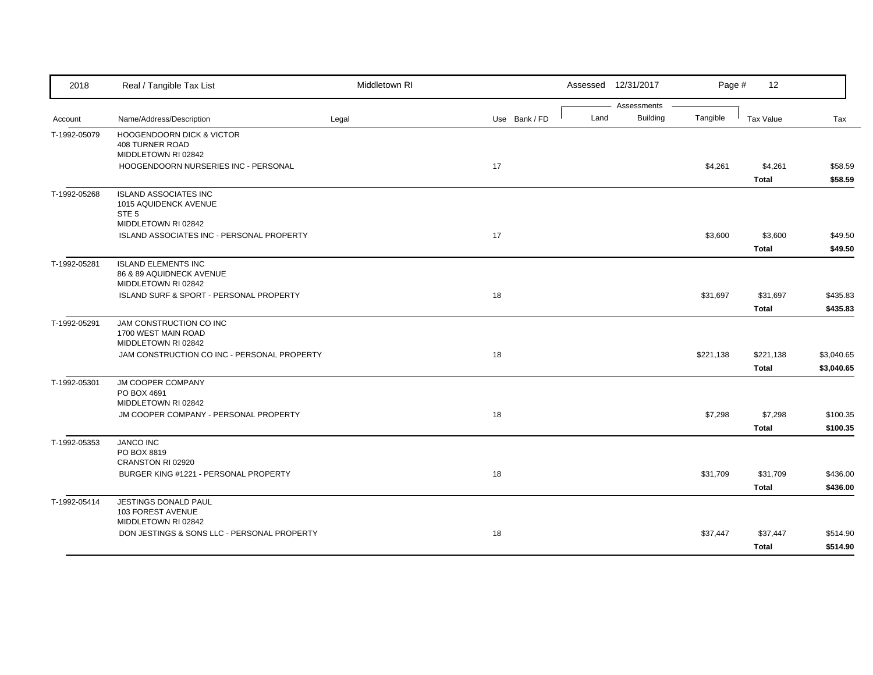| 2018         | Real / Tangible Tax List                                                      | Middletown RI |               |      | Assessed 12/31/2017     | Page #    | 12                      |                    |
|--------------|-------------------------------------------------------------------------------|---------------|---------------|------|-------------------------|-----------|-------------------------|--------------------|
| Account      | Name/Address/Description                                                      | Legal         | Use Bank / FD | Land | Assessments<br>Building | Tangible  | Tax Value               | Tax                |
| T-1992-05079 | <b>HOOGENDOORN DICK &amp; VICTOR</b>                                          |               |               |      |                         |           |                         |                    |
|              | <b>408 TURNER ROAD</b><br>MIDDLETOWN RI 02842                                 |               |               |      |                         |           |                         |                    |
|              | HOOGENDOORN NURSERIES INC - PERSONAL                                          |               | 17            |      |                         | \$4,261   | \$4,261<br><b>Total</b> | \$58.59<br>\$58.59 |
| T-1992-05268 | <b>ISLAND ASSOCIATES INC</b><br>1015 AQUIDENCK AVENUE<br>STE <sub>5</sub>     |               |               |      |                         |           |                         |                    |
|              | MIDDLETOWN RI 02842                                                           |               |               |      |                         |           |                         |                    |
|              | ISLAND ASSOCIATES INC - PERSONAL PROPERTY                                     |               | 17            |      |                         | \$3,600   | \$3,600                 | \$49.50            |
|              |                                                                               |               |               |      |                         |           | <b>Total</b>            | \$49.50            |
| T-1992-05281 | <b>ISLAND ELEMENTS INC</b><br>86 & 89 AQUIDNECK AVENUE<br>MIDDLETOWN RI 02842 |               |               |      |                         |           |                         |                    |
|              | ISLAND SURF & SPORT - PERSONAL PROPERTY                                       |               | 18            |      |                         | \$31,697  | \$31,697                | \$435.83           |
|              |                                                                               |               |               |      |                         |           | <b>Total</b>            | \$435.83           |
| T-1992-05291 | JAM CONSTRUCTION CO INC<br>1700 WEST MAIN ROAD<br>MIDDLETOWN RI 02842         |               |               |      |                         |           |                         |                    |
|              | JAM CONSTRUCTION CO INC - PERSONAL PROPERTY                                   |               | 18            |      |                         | \$221,138 | \$221,138               | \$3,040.65         |
|              |                                                                               |               |               |      |                         |           | <b>Total</b>            | \$3,040.65         |
| T-1992-05301 | <b>JM COOPER COMPANY</b><br>PO BOX 4691                                       |               |               |      |                         |           |                         |                    |
|              | MIDDLETOWN RI 02842<br>JM COOPER COMPANY - PERSONAL PROPERTY                  |               | 18            |      |                         | \$7,298   | \$7,298                 | \$100.35           |
|              |                                                                               |               |               |      |                         |           | <b>Total</b>            | \$100.35           |
| T-1992-05353 | <b>JANCO INC</b>                                                              |               |               |      |                         |           |                         |                    |
|              | PO BOX 8819                                                                   |               |               |      |                         |           |                         |                    |
|              | CRANSTON RI 02920                                                             |               |               |      |                         |           |                         |                    |
|              | BURGER KING #1221 - PERSONAL PROPERTY                                         |               | 18            |      |                         | \$31,709  | \$31,709                | \$436.00           |
|              |                                                                               |               |               |      |                         |           | <b>Total</b>            | \$436.00           |
| T-1992-05414 | JESTINGS DONALD PAUL<br>103 FOREST AVENUE<br>MIDDLETOWN RI 02842              |               |               |      |                         |           |                         |                    |
|              | DON JESTINGS & SONS LLC - PERSONAL PROPERTY                                   |               | 18            |      |                         | \$37,447  | \$37,447                | \$514.90           |
|              |                                                                               |               |               |      |                         |           | <b>Total</b>            | \$514.90           |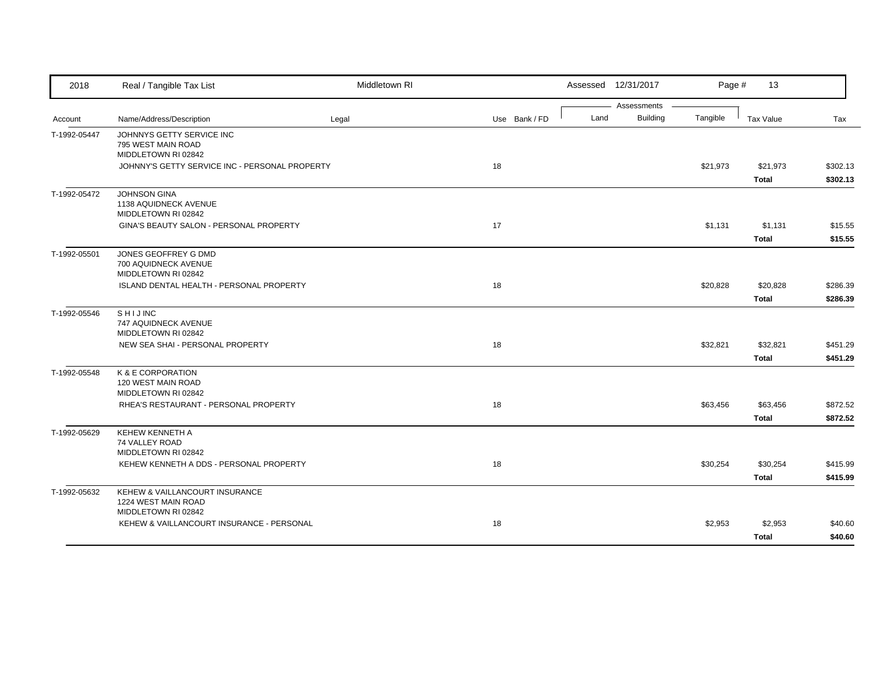| 2018         | Real / Tangible Tax List                                        | Middletown RI |               |      | Assessed 12/31/2017 | Page #   | 13               |          |
|--------------|-----------------------------------------------------------------|---------------|---------------|------|---------------------|----------|------------------|----------|
|              |                                                                 |               |               |      | Assessments         |          |                  |          |
| Account      | Name/Address/Description                                        | Legal         | Use Bank / FD | Land | <b>Building</b>     | Tangible | <b>Tax Value</b> | Tax      |
| T-1992-05447 | JOHNNYS GETTY SERVICE INC<br>795 WEST MAIN ROAD                 |               |               |      |                     |          |                  |          |
|              | MIDDLETOWN RI 02842                                             |               |               |      |                     |          |                  |          |
|              | JOHNNY'S GETTY SERVICE INC - PERSONAL PROPERTY                  |               | 18            |      |                     | \$21,973 | \$21,973         | \$302.13 |
|              |                                                                 |               |               |      |                     |          | <b>Total</b>     | \$302.13 |
| T-1992-05472 | <b>JOHNSON GINA</b>                                             |               |               |      |                     |          |                  |          |
|              | 1138 AQUIDNECK AVENUE<br>MIDDLETOWN RI 02842                    |               |               |      |                     |          |                  |          |
|              | GINA'S BEAUTY SALON - PERSONAL PROPERTY                         |               | 17            |      |                     | \$1,131  | \$1,131          | \$15.55  |
|              |                                                                 |               |               |      |                     |          | <b>Total</b>     | \$15.55  |
| T-1992-05501 | JONES GEOFFREY G DMD                                            |               |               |      |                     |          |                  |          |
|              | 700 AQUIDNECK AVENUE                                            |               |               |      |                     |          |                  |          |
|              | MIDDLETOWN RI 02842<br>ISLAND DENTAL HEALTH - PERSONAL PROPERTY |               | 18            |      |                     | \$20,828 | \$20,828         | \$286.39 |
|              |                                                                 |               |               |      |                     |          | <b>Total</b>     | \$286.39 |
| T-1992-05546 | <b>SHIJINC</b>                                                  |               |               |      |                     |          |                  |          |
|              | 747 AQUIDNECK AVENUE<br>MIDDLETOWN RI 02842                     |               |               |      |                     |          |                  |          |
|              | NEW SEA SHAI - PERSONAL PROPERTY                                |               | 18            |      |                     | \$32,821 | \$32,821         | \$451.29 |
|              |                                                                 |               |               |      |                     |          | <b>Total</b>     | \$451.29 |
| T-1992-05548 | K & E CORPORATION                                               |               |               |      |                     |          |                  |          |
|              | 120 WEST MAIN ROAD<br>MIDDLETOWN RI 02842                       |               |               |      |                     |          |                  |          |
|              | RHEA'S RESTAURANT - PERSONAL PROPERTY                           |               | 18            |      |                     | \$63,456 | \$63,456         | \$872.52 |
|              |                                                                 |               |               |      |                     |          | <b>Total</b>     | \$872.52 |
| T-1992-05629 | <b>KEHEW KENNETH A</b>                                          |               |               |      |                     |          |                  |          |
|              | 74 VALLEY ROAD<br>MIDDLETOWN RI 02842                           |               |               |      |                     |          |                  |          |
|              | KEHEW KENNETH A DDS - PERSONAL PROPERTY                         |               | 18            |      |                     | \$30,254 | \$30,254         | \$415.99 |
|              |                                                                 |               |               |      |                     |          | <b>Total</b>     | \$415.99 |
| T-1992-05632 | KEHEW & VAILLANCOURT INSURANCE                                  |               |               |      |                     |          |                  |          |
|              | 1224 WEST MAIN ROAD                                             |               |               |      |                     |          |                  |          |
|              | MIDDLETOWN RI 02842                                             |               |               |      |                     |          |                  |          |
|              | KEHEW & VAILLANCOURT INSURANCE - PERSONAL                       |               | 18            |      |                     | \$2,953  | \$2,953          | \$40.60  |
|              |                                                                 |               |               |      |                     |          | <b>Total</b>     | \$40.60  |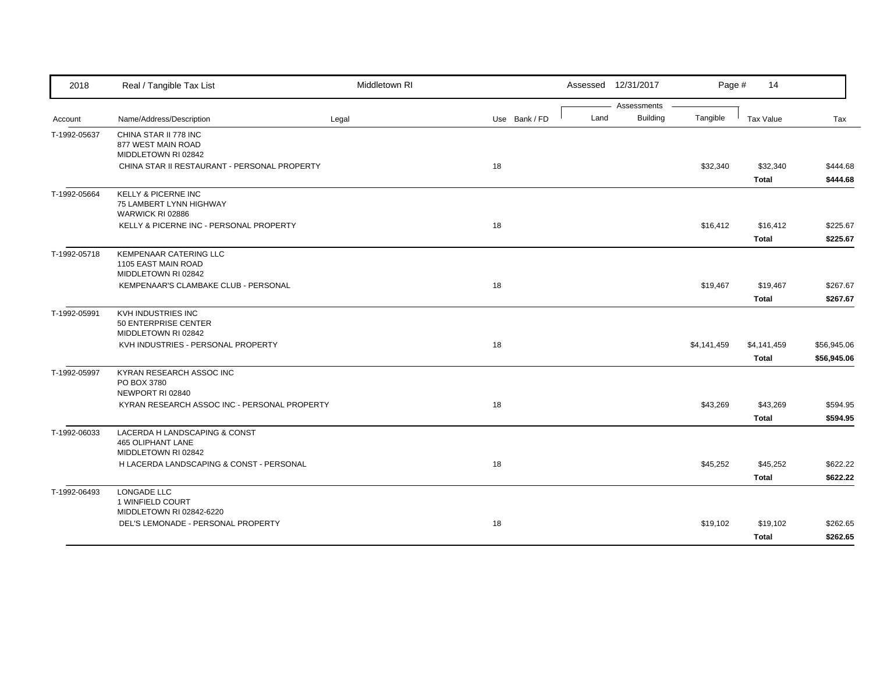| 2018         | Real / Tangible Tax List                                        | Middletown RI |               |      | Assessed 12/31/2017            | Page #      | 14                       |             |
|--------------|-----------------------------------------------------------------|---------------|---------------|------|--------------------------------|-------------|--------------------------|-------------|
|              |                                                                 |               |               |      | Assessments<br><b>Building</b> | Tangible    |                          |             |
| Account      | Name/Address/Description                                        | Legal         | Use Bank / FD | Land |                                |             | Tax Value                | Tax         |
| T-1992-05637 | CHINA STAR II 778 INC<br>877 WEST MAIN ROAD                     |               |               |      |                                |             |                          |             |
|              | MIDDLETOWN RI 02842                                             |               |               |      |                                |             |                          |             |
|              | CHINA STAR II RESTAURANT - PERSONAL PROPERTY                    |               | 18            |      |                                | \$32,340    | \$32,340                 | \$444.68    |
|              |                                                                 |               |               |      |                                |             | <b>Total</b>             | \$444.68    |
| T-1992-05664 | <b>KELLY &amp; PICERNE INC</b>                                  |               |               |      |                                |             |                          |             |
|              | 75 LAMBERT LYNN HIGHWAY<br>WARWICK RI 02886                     |               |               |      |                                |             |                          |             |
|              | KELLY & PICERNE INC - PERSONAL PROPERTY                         |               | 18            |      |                                | \$16,412    | \$16,412                 | \$225.67    |
|              |                                                                 |               |               |      |                                |             | <b>Total</b>             | \$225.67    |
| T-1992-05718 | KEMPENAAR CATERING LLC                                          |               |               |      |                                |             |                          |             |
|              | 1105 EAST MAIN ROAD                                             |               |               |      |                                |             |                          |             |
|              | MIDDLETOWN RI 02842<br>KEMPENAAR'S CLAMBAKE CLUB - PERSONAL     |               | 18            |      |                                |             |                          | \$267.67    |
|              |                                                                 |               |               |      |                                | \$19,467    | \$19,467<br><b>Total</b> | \$267.67    |
| T-1992-05991 | KVH INDUSTRIES INC                                              |               |               |      |                                |             |                          |             |
|              | 50 ENTERPRISE CENTER                                            |               |               |      |                                |             |                          |             |
|              | MIDDLETOWN RI 02842                                             |               |               |      |                                |             |                          |             |
|              | KVH INDUSTRIES - PERSONAL PROPERTY                              |               | 18            |      |                                | \$4,141,459 | \$4,141,459              | \$56,945.06 |
|              |                                                                 |               |               |      |                                |             | <b>Total</b>             | \$56,945.06 |
| T-1992-05997 | KYRAN RESEARCH ASSOC INC<br>PO BOX 3780                         |               |               |      |                                |             |                          |             |
|              | NEWPORT RI 02840                                                |               |               |      |                                |             |                          |             |
|              | KYRAN RESEARCH ASSOC INC - PERSONAL PROPERTY                    |               | 18            |      |                                | \$43,269    | \$43,269                 | \$594.95    |
|              |                                                                 |               |               |      |                                |             | <b>Total</b>             | \$594.95    |
| T-1992-06033 | LACERDA H LANDSCAPING & CONST                                   |               |               |      |                                |             |                          |             |
|              | <b>465 OLIPHANT LANE</b>                                        |               |               |      |                                |             |                          |             |
|              | MIDDLETOWN RI 02842<br>H LACERDA LANDSCAPING & CONST - PERSONAL |               | 18            |      |                                | \$45,252    | \$45,252                 | \$622.22    |
|              |                                                                 |               |               |      |                                |             | <b>Total</b>             | \$622.22    |
| T-1992-06493 | LONGADE LLC                                                     |               |               |      |                                |             |                          |             |
|              | 1 WINFIELD COURT                                                |               |               |      |                                |             |                          |             |
|              | MIDDLETOWN RI 02842-6220                                        |               |               |      |                                |             |                          |             |
|              | DEL'S LEMONADE - PERSONAL PROPERTY                              |               | 18            |      |                                | \$19,102    | \$19,102                 | \$262.65    |
|              |                                                                 |               |               |      |                                |             | <b>Total</b>             | \$262.65    |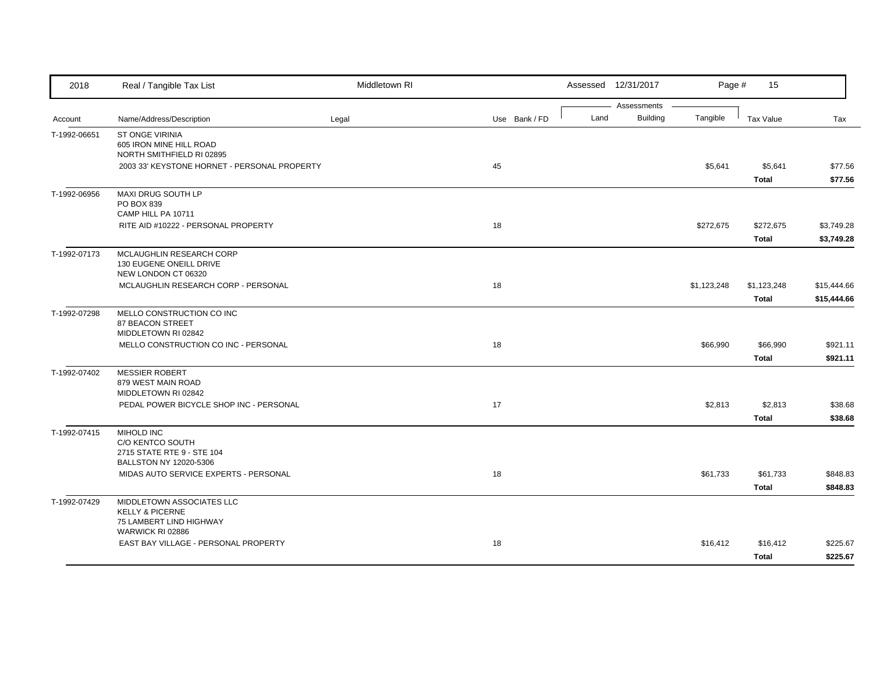| 2018                    | Real / Tangible Tax List                                                                      | Middletown RI |               |      | Assessed 12/31/2017            | Page #      | 15                          |                            |
|-------------------------|-----------------------------------------------------------------------------------------------|---------------|---------------|------|--------------------------------|-------------|-----------------------------|----------------------------|
|                         | Name/Address/Description                                                                      |               | Use Bank / FD | Land | Assessments<br><b>Building</b> | Tangible    | <b>Tax Value</b>            |                            |
| Account<br>T-1992-06651 | ST ONGE VIRINIA<br>605 IRON MINE HILL ROAD<br>NORTH SMITHFIELD RI 02895                       | Legal         |               |      |                                |             |                             | Tax                        |
|                         | 2003 33' KEYSTONE HORNET - PERSONAL PROPERTY                                                  |               | 45            |      |                                | \$5,641     | \$5,641<br><b>Total</b>     | \$77.56<br>\$77.56         |
| T-1992-06956            | MAXI DRUG SOUTH LP<br>PO BOX 839<br>CAMP HILL PA 10711                                        |               |               |      |                                |             |                             |                            |
|                         | RITE AID #10222 - PERSONAL PROPERTY                                                           |               | 18            |      |                                | \$272,675   | \$272,675<br><b>Total</b>   | \$3,749.28<br>\$3,749.28   |
| T-1992-07173            | MCLAUGHLIN RESEARCH CORP<br>130 EUGENE ONEILL DRIVE<br>NEW LONDON CT 06320                    |               |               |      |                                |             |                             |                            |
|                         | MCLAUGHLIN RESEARCH CORP - PERSONAL                                                           |               | 18            |      |                                | \$1,123,248 | \$1,123,248<br><b>Total</b> | \$15,444.66<br>\$15,444.66 |
| T-1992-07298            | MELLO CONSTRUCTION CO INC<br>87 BEACON STREET<br>MIDDLETOWN RI 02842                          |               |               |      |                                |             |                             |                            |
|                         | MELLO CONSTRUCTION CO INC - PERSONAL                                                          |               | 18            |      |                                | \$66,990    | \$66,990<br><b>Total</b>    | \$921.11<br>\$921.11       |
| T-1992-07402            | <b>MESSIER ROBERT</b><br>879 WEST MAIN ROAD<br>MIDDLETOWN RI 02842                            |               |               |      |                                |             |                             |                            |
|                         | PEDAL POWER BICYCLE SHOP INC - PERSONAL                                                       |               | 17            |      |                                | \$2,813     | \$2,813<br><b>Total</b>     | \$38.68<br>\$38.68         |
| T-1992-07415            | <b>MIHOLD INC</b><br>C/O KENTCO SOUTH<br>2715 STATE RTE 9 - STE 104<br>BALLSTON NY 12020-5306 |               |               |      |                                |             |                             |                            |
|                         | MIDAS AUTO SERVICE EXPERTS - PERSONAL                                                         |               | 18            |      |                                | \$61,733    | \$61,733<br><b>Total</b>    | \$848.83<br>\$848.83       |
| T-1992-07429            | MIDDLETOWN ASSOCIATES LLC<br><b>KELLY &amp; PICERNE</b><br>75 LAMBERT LIND HIGHWAY            |               |               |      |                                |             |                             |                            |
|                         | WARWICK RI 02886<br>EAST BAY VILLAGE - PERSONAL PROPERTY                                      |               | 18            |      |                                | \$16,412    | \$16,412<br>Total           | \$225.67<br>\$225.67       |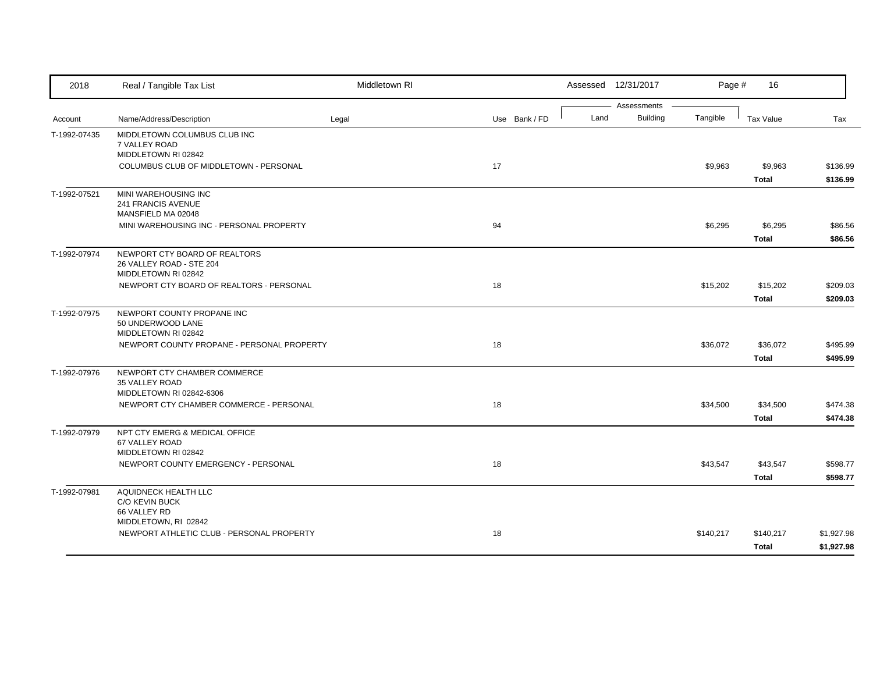| 2018         | Real / Tangible Tax List                                  | Middletown RI |               |      | Assessed 12/31/2017 | Page #    | 16               |            |
|--------------|-----------------------------------------------------------|---------------|---------------|------|---------------------|-----------|------------------|------------|
|              |                                                           |               |               |      | Assessments         |           |                  |            |
| Account      | Name/Address/Description                                  | Legal         | Use Bank / FD | Land | <b>Building</b>     | Tangible  | <b>Tax Value</b> | Tax        |
| T-1992-07435 | MIDDLETOWN COLUMBUS CLUB INC                              |               |               |      |                     |           |                  |            |
|              | 7 VALLEY ROAD<br>MIDDLETOWN RI 02842                      |               |               |      |                     |           |                  |            |
|              | COLUMBUS CLUB OF MIDDLETOWN - PERSONAL                    |               | 17            |      |                     | \$9,963   | \$9,963          | \$136.99   |
|              |                                                           |               |               |      |                     |           | <b>Total</b>     | \$136.99   |
| T-1992-07521 | MINI WAREHOUSING INC                                      |               |               |      |                     |           |                  |            |
|              | 241 FRANCIS AVENUE                                        |               |               |      |                     |           |                  |            |
|              | MANSFIELD MA 02048                                        |               |               |      |                     |           |                  |            |
|              | MINI WAREHOUSING INC - PERSONAL PROPERTY                  |               | 94            |      |                     | \$6,295   | \$6,295          | \$86.56    |
|              |                                                           |               |               |      |                     |           | <b>Total</b>     | \$86.56    |
| T-1992-07974 | NEWPORT CTY BOARD OF REALTORS<br>26 VALLEY ROAD - STE 204 |               |               |      |                     |           |                  |            |
|              | MIDDLETOWN RI 02842                                       |               |               |      |                     |           |                  |            |
|              | NEWPORT CTY BOARD OF REALTORS - PERSONAL                  |               | 18            |      |                     | \$15,202  | \$15,202         | \$209.03   |
|              |                                                           |               |               |      |                     |           | <b>Total</b>     | \$209.03   |
| T-1992-07975 | NEWPORT COUNTY PROPANE INC                                |               |               |      |                     |           |                  |            |
|              | 50 UNDERWOOD LANE                                         |               |               |      |                     |           |                  |            |
|              | MIDDLETOWN RI 02842                                       |               |               |      |                     |           |                  |            |
|              | NEWPORT COUNTY PROPANE - PERSONAL PROPERTY                |               | 18            |      |                     | \$36,072  | \$36,072         | \$495.99   |
|              |                                                           |               |               |      |                     |           | <b>Total</b>     | \$495.99   |
| T-1992-07976 | NEWPORT CTY CHAMBER COMMERCE<br>35 VALLEY ROAD            |               |               |      |                     |           |                  |            |
|              | MIDDLETOWN RI 02842-6306                                  |               |               |      |                     |           |                  |            |
|              | NEWPORT CTY CHAMBER COMMERCE - PERSONAL                   |               | 18            |      |                     | \$34,500  | \$34,500         | \$474.38   |
|              |                                                           |               |               |      |                     |           | <b>Total</b>     | \$474.38   |
| T-1992-07979 | NPT CTY EMERG & MEDICAL OFFICE                            |               |               |      |                     |           |                  |            |
|              | 67 VALLEY ROAD                                            |               |               |      |                     |           |                  |            |
|              | MIDDLETOWN RI 02842                                       |               |               |      |                     |           |                  |            |
|              | NEWPORT COUNTY EMERGENCY - PERSONAL                       |               | 18            |      |                     | \$43,547  | \$43,547         | \$598.77   |
|              |                                                           |               |               |      |                     |           | <b>Total</b>     | \$598.77   |
| T-1992-07981 | AQUIDNECK HEALTH LLC<br>C/O KEVIN BUCK                    |               |               |      |                     |           |                  |            |
|              | 66 VALLEY RD                                              |               |               |      |                     |           |                  |            |
|              | MIDDLETOWN, RI 02842                                      |               |               |      |                     |           |                  |            |
|              | NEWPORT ATHLETIC CLUB - PERSONAL PROPERTY                 |               | 18            |      |                     | \$140,217 | \$140,217        | \$1,927.98 |
|              |                                                           |               |               |      |                     |           | <b>Total</b>     | \$1,927.98 |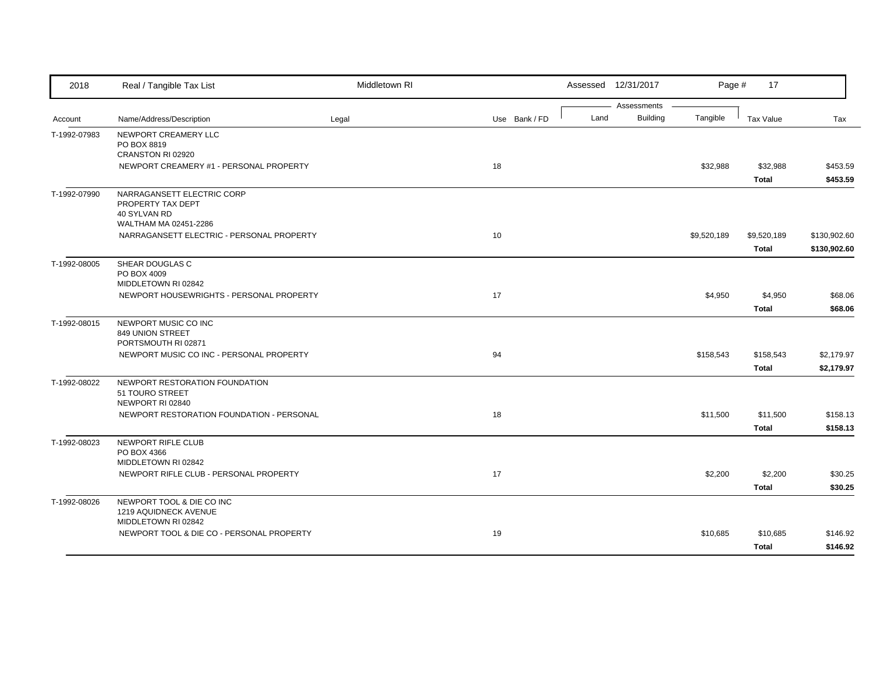| 2018         | Real / Tangible Tax List                        | Middletown RI |               |      | Assessed 12/31/2017 | Page #      | 17           |              |
|--------------|-------------------------------------------------|---------------|---------------|------|---------------------|-------------|--------------|--------------|
|              |                                                 |               |               |      | Assessments         |             |              |              |
| Account      | Name/Address/Description                        | Legal         | Use Bank / FD | Land | <b>Building</b>     | Tangible    | Tax Value    | Tax          |
| T-1992-07983 | NEWPORT CREAMERY LLC                            |               |               |      |                     |             |              |              |
|              | PO BOX 8819<br>CRANSTON RI 02920                |               |               |      |                     |             |              |              |
|              | NEWPORT CREAMERY #1 - PERSONAL PROPERTY         |               | 18            |      |                     | \$32,988    | \$32,988     | \$453.59     |
|              |                                                 |               |               |      |                     |             | <b>Total</b> | \$453.59     |
|              |                                                 |               |               |      |                     |             |              |              |
| T-1992-07990 | NARRAGANSETT ELECTRIC CORP<br>PROPERTY TAX DEPT |               |               |      |                     |             |              |              |
|              | 40 SYLVAN RD                                    |               |               |      |                     |             |              |              |
|              | WALTHAM MA 02451-2286                           |               |               |      |                     |             |              |              |
|              | NARRAGANSETT ELECTRIC - PERSONAL PROPERTY       |               | 10            |      |                     | \$9,520,189 | \$9,520,189  | \$130,902.60 |
|              |                                                 |               |               |      |                     |             | <b>Total</b> | \$130,902.60 |
| T-1992-08005 | SHEAR DOUGLAS C                                 |               |               |      |                     |             |              |              |
|              | PO BOX 4009                                     |               |               |      |                     |             |              |              |
|              | MIDDLETOWN RI 02842                             |               |               |      |                     |             |              |              |
|              | NEWPORT HOUSEWRIGHTS - PERSONAL PROPERTY        |               | 17            |      |                     | \$4,950     | \$4,950      | \$68.06      |
|              |                                                 |               |               |      |                     |             | <b>Total</b> | \$68.06      |
| T-1992-08015 | NEWPORT MUSIC CO INC                            |               |               |      |                     |             |              |              |
|              | 849 UNION STREET                                |               |               |      |                     |             |              |              |
|              | PORTSMOUTH RI 02871                             |               |               |      |                     |             |              |              |
|              | NEWPORT MUSIC CO INC - PERSONAL PROPERTY        |               | 94            |      |                     | \$158,543   | \$158,543    | \$2,179.97   |
|              |                                                 |               |               |      |                     |             | <b>Total</b> | \$2,179.97   |
| T-1992-08022 | NEWPORT RESTORATION FOUNDATION                  |               |               |      |                     |             |              |              |
|              | 51 TOURO STREET                                 |               |               |      |                     |             |              |              |
|              | NEWPORT RI 02840                                |               |               |      |                     |             |              |              |
|              | NEWPORT RESTORATION FOUNDATION - PERSONAL       |               | 18            |      |                     | \$11,500    | \$11,500     | \$158.13     |
|              |                                                 |               |               |      |                     |             | <b>Total</b> | \$158.13     |
| T-1992-08023 | NEWPORT RIFLE CLUB                              |               |               |      |                     |             |              |              |
|              | PO BOX 4366                                     |               |               |      |                     |             |              |              |
|              | MIDDLETOWN RI 02842                             |               |               |      |                     |             |              |              |
|              | NEWPORT RIFLE CLUB - PERSONAL PROPERTY          |               | 17            |      |                     | \$2,200     | \$2,200      | \$30.25      |
|              |                                                 |               |               |      |                     |             | <b>Total</b> | \$30.25      |
| T-1992-08026 | NEWPORT TOOL & DIE CO INC                       |               |               |      |                     |             |              |              |
|              | 1219 AQUIDNECK AVENUE                           |               |               |      |                     |             |              |              |
|              | MIDDLETOWN RI 02842                             |               |               |      |                     |             |              |              |
|              | NEWPORT TOOL & DIE CO - PERSONAL PROPERTY       |               | 19            |      |                     | \$10,685    | \$10,685     | \$146.92     |
|              |                                                 |               |               |      |                     |             | <b>Total</b> | \$146.92     |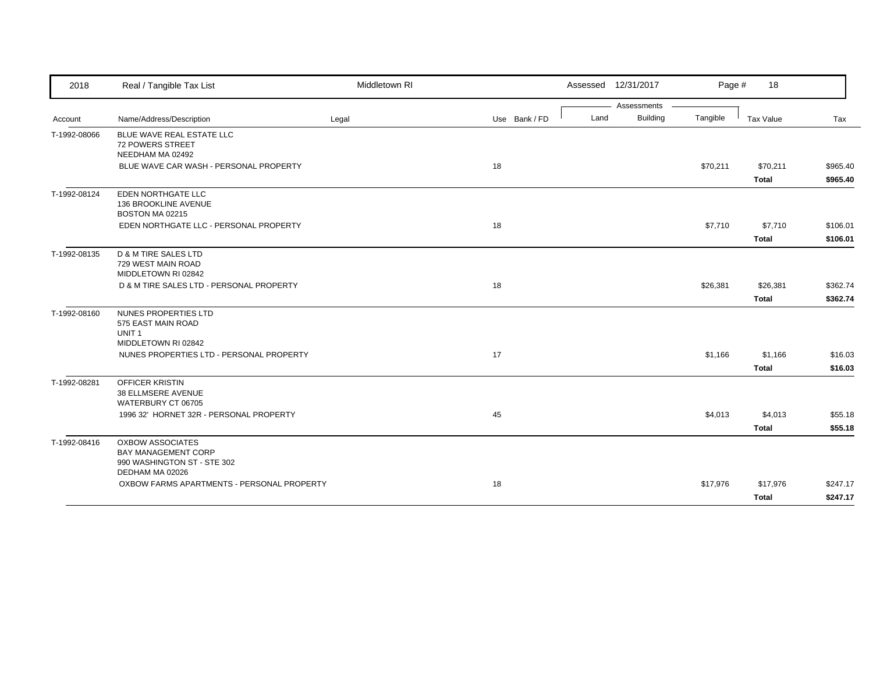| 2018         | Real / Tangible Tax List                                                                                | Middletown RI |               | Assessed 12/31/2017 |             | Page #   | 18           |          |
|--------------|---------------------------------------------------------------------------------------------------------|---------------|---------------|---------------------|-------------|----------|--------------|----------|
|              |                                                                                                         |               |               |                     | Assessments |          |              |          |
| Account      | Name/Address/Description                                                                                | Legal         | Use Bank / FD | Land                | Building    | Tangible | Tax Value    | Tax      |
| T-1992-08066 | BLUE WAVE REAL ESTATE LLC<br>72 POWERS STREET<br>NEEDHAM MA 02492                                       |               |               |                     |             |          |              |          |
|              | BLUE WAVE CAR WASH - PERSONAL PROPERTY                                                                  |               | 18            |                     |             | \$70,211 | \$70,211     | \$965.40 |
|              |                                                                                                         |               |               |                     |             |          | <b>Total</b> | \$965.40 |
| T-1992-08124 | EDEN NORTHGATE LLC<br>136 BROOKLINE AVENUE<br>BOSTON MA 02215                                           |               |               |                     |             |          |              |          |
|              | EDEN NORTHGATE LLC - PERSONAL PROPERTY                                                                  |               | 18            |                     |             | \$7,710  | \$7,710      | \$106.01 |
|              |                                                                                                         |               |               |                     |             |          | <b>Total</b> | \$106.01 |
| T-1992-08135 | D & M TIRE SALES LTD<br>729 WEST MAIN ROAD<br>MIDDLETOWN RI 02842                                       |               |               |                     |             |          |              |          |
|              | D & M TIRE SALES LTD - PERSONAL PROPERTY                                                                |               | 18            |                     |             | \$26,381 | \$26,381     | \$362.74 |
|              |                                                                                                         |               |               |                     |             |          | Total        | \$362.74 |
| T-1992-08160 | NUNES PROPERTIES LTD<br>575 EAST MAIN ROAD<br>UNIT <sub>1</sub><br>MIDDLETOWN RI 02842                  |               |               |                     |             |          |              |          |
|              | NUNES PROPERTIES LTD - PERSONAL PROPERTY                                                                |               | 17            |                     |             | \$1,166  | \$1,166      | \$16.03  |
|              |                                                                                                         |               |               |                     |             |          | <b>Total</b> | \$16.03  |
| T-1992-08281 | <b>OFFICER KRISTIN</b><br>38 ELLMSERE AVENUE<br>WATERBURY CT 06705                                      |               |               |                     |             |          |              |          |
|              | 1996 32' HORNET 32R - PERSONAL PROPERTY                                                                 |               | 45            |                     |             | \$4,013  | \$4,013      | \$55.18  |
|              |                                                                                                         |               |               |                     |             |          | <b>Total</b> | \$55.18  |
| T-1992-08416 | <b>OXBOW ASSOCIATES</b><br><b>BAY MANAGEMENT CORP</b><br>990 WASHINGTON ST - STE 302<br>DEDHAM MA 02026 |               |               |                     |             |          |              |          |
|              | OXBOW FARMS APARTMENTS - PERSONAL PROPERTY                                                              |               | 18            |                     |             | \$17,976 | \$17,976     | \$247.17 |
|              |                                                                                                         |               |               |                     |             |          | Total        | \$247.17 |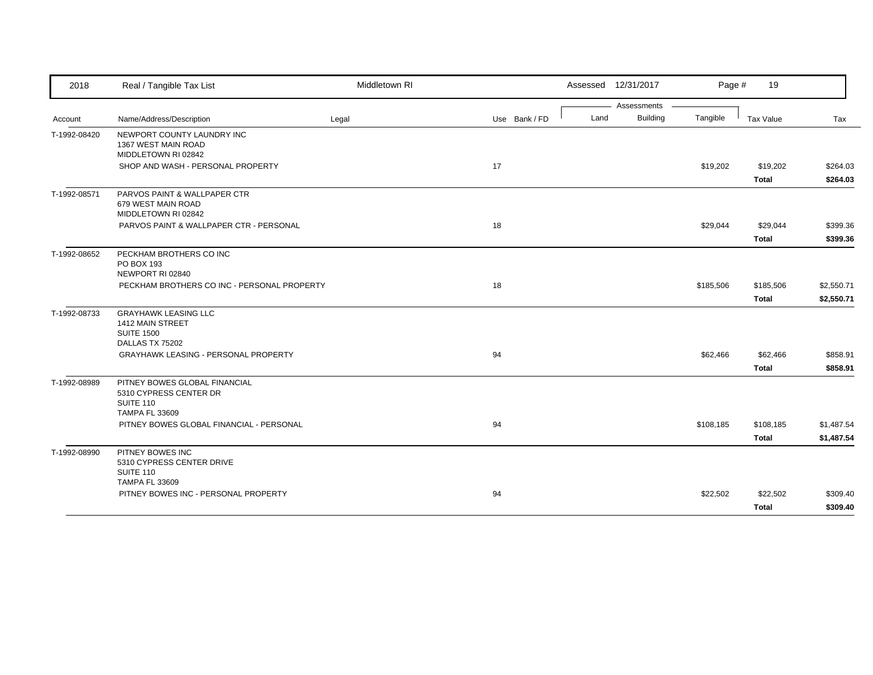| 2018         | Real / Tangible Tax List                                                                      | Middletown RI |               |      | Assessed 12/31/2017            | Page #    | 19                        |                          |
|--------------|-----------------------------------------------------------------------------------------------|---------------|---------------|------|--------------------------------|-----------|---------------------------|--------------------------|
| Account      | Name/Address/Description                                                                      | Legal         | Use Bank / FD | Land | Assessments<br><b>Building</b> | Tangible  | Tax Value                 | Tax                      |
| T-1992-08420 | NEWPORT COUNTY LAUNDRY INC<br>1367 WEST MAIN ROAD<br>MIDDLETOWN RI 02842                      |               |               |      |                                |           |                           |                          |
|              | SHOP AND WASH - PERSONAL PROPERTY                                                             |               | 17            |      |                                | \$19,202  | \$19,202<br><b>Total</b>  | \$264.03<br>\$264.03     |
| T-1992-08571 | PARVOS PAINT & WALLPAPER CTR<br>679 WEST MAIN ROAD<br>MIDDLETOWN RI 02842                     |               |               |      |                                |           |                           |                          |
|              | PARVOS PAINT & WALLPAPER CTR - PERSONAL                                                       |               | 18            |      |                                | \$29,044  | \$29,044<br><b>Total</b>  | \$399.36<br>\$399.36     |
| T-1992-08652 | PECKHAM BROTHERS CO INC<br>PO BOX 193<br>NEWPORT RI 02840                                     |               |               |      |                                |           |                           |                          |
|              | PECKHAM BROTHERS CO INC - PERSONAL PROPERTY                                                   |               | 18            |      |                                | \$185,506 | \$185,506<br><b>Total</b> | \$2,550.71<br>\$2,550.71 |
| T-1992-08733 | <b>GRAYHAWK LEASING LLC</b><br>1412 MAIN STREET<br><b>SUITE 1500</b><br>DALLAS TX 75202       |               |               |      |                                |           |                           |                          |
|              | GRAYHAWK LEASING - PERSONAL PROPERTY                                                          |               | 94            |      |                                | \$62,466  | \$62,466<br><b>Total</b>  | \$858.91<br>\$858.91     |
| T-1992-08989 | PITNEY BOWES GLOBAL FINANCIAL<br>5310 CYPRESS CENTER DR<br>SUITE 110<br><b>TAMPA FL 33609</b> |               |               |      |                                |           |                           |                          |
|              | PITNEY BOWES GLOBAL FINANCIAL - PERSONAL                                                      |               | 94            |      |                                | \$108,185 | \$108,185<br><b>Total</b> | \$1,487.54<br>\$1,487.54 |
| T-1992-08990 | PITNEY BOWES INC<br>5310 CYPRESS CENTER DRIVE<br>SUITE 110<br><b>TAMPA FL 33609</b>           |               |               |      |                                |           |                           |                          |
|              | PITNEY BOWES INC - PERSONAL PROPERTY                                                          |               | 94            |      |                                | \$22,502  | \$22,502<br>Total         | \$309.40<br>\$309.40     |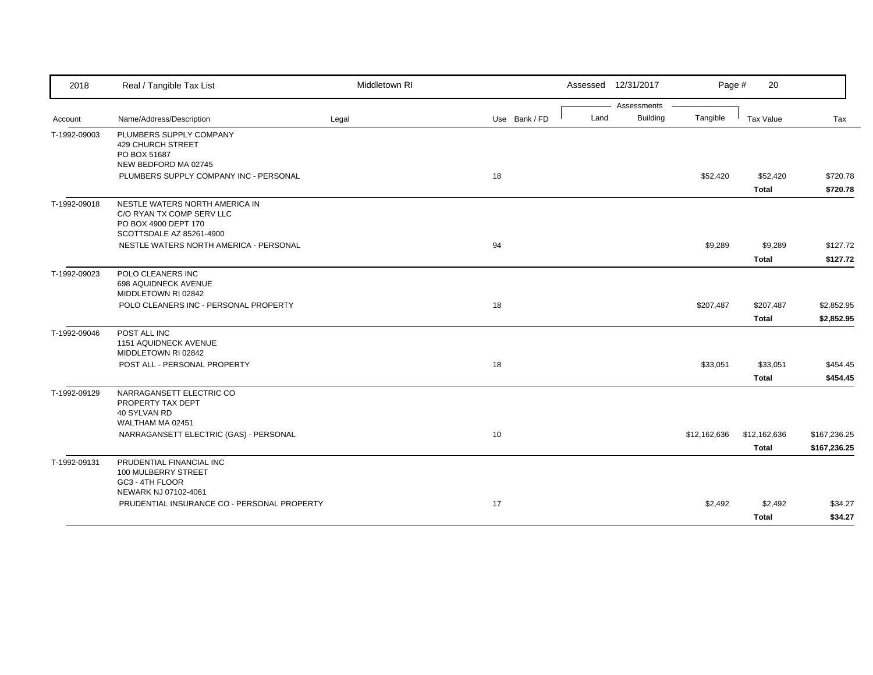| 2018         | Real / Tangible Tax List                                                                                        | Middletown RI |               |      | Assessed 12/31/2017 | Page #       | 20                       |                      |
|--------------|-----------------------------------------------------------------------------------------------------------------|---------------|---------------|------|---------------------|--------------|--------------------------|----------------------|
|              |                                                                                                                 |               |               |      | Assessments         |              |                          |                      |
| Account      | Name/Address/Description                                                                                        | Legal         | Use Bank / FD | Land | <b>Building</b>     | Tangible     | Tax Value                | Tax                  |
| T-1992-09003 | PLUMBERS SUPPLY COMPANY<br><b>429 CHURCH STREET</b><br>PO BOX 51687                                             |               |               |      |                     |              |                          |                      |
|              | NEW BEDFORD MA 02745                                                                                            |               |               |      |                     |              |                          |                      |
|              | PLUMBERS SUPPLY COMPANY INC - PERSONAL                                                                          |               | 18            |      |                     | \$52,420     | \$52,420<br><b>Total</b> | \$720.78<br>\$720.78 |
| T-1992-09018 | NESTLE WATERS NORTH AMERICA IN<br>C/O RYAN TX COMP SERV LLC<br>PO BOX 4900 DEPT 170<br>SCOTTSDALE AZ 85261-4900 |               |               |      |                     |              |                          |                      |
|              | NESTLE WATERS NORTH AMERICA - PERSONAL                                                                          |               | 94            |      |                     | \$9,289      | \$9,289                  | \$127.72             |
|              |                                                                                                                 |               |               |      |                     |              | <b>Total</b>             | \$127.72             |
| T-1992-09023 | POLO CLEANERS INC<br>698 AQUIDNECK AVENUE<br>MIDDLETOWN RI 02842                                                |               |               |      |                     |              |                          |                      |
|              | POLO CLEANERS INC - PERSONAL PROPERTY                                                                           |               | 18            |      |                     | \$207,487    | \$207,487                | \$2,852.95           |
|              |                                                                                                                 |               |               |      |                     |              | Total                    | \$2,852.95           |
| T-1992-09046 | POST ALL INC<br>1151 AQUIDNECK AVENUE<br>MIDDLETOWN RI 02842                                                    |               |               |      |                     |              |                          |                      |
|              | POST ALL - PERSONAL PROPERTY                                                                                    |               | 18            |      |                     | \$33,051     | \$33,051                 | \$454.45             |
|              |                                                                                                                 |               |               |      |                     |              | <b>Total</b>             | \$454.45             |
| T-1992-09129 | NARRAGANSETT ELECTRIC CO<br>PROPERTY TAX DEPT<br>40 SYLVAN RD                                                   |               |               |      |                     |              |                          |                      |
|              | WALTHAM MA 02451                                                                                                |               |               |      |                     |              |                          |                      |
|              | NARRAGANSETT ELECTRIC (GAS) - PERSONAL                                                                          |               | 10            |      |                     | \$12,162,636 | \$12,162,636             | \$167,236.25         |
|              |                                                                                                                 |               |               |      |                     |              | <b>Total</b>             | \$167,236.25         |
| T-1992-09131 | PRUDENTIAL FINANCIAL INC<br>100 MULBERRY STREET<br>GC3 - 4TH FLOOR                                              |               |               |      |                     |              |                          |                      |
|              | NEWARK NJ 07102-4061                                                                                            |               |               |      |                     |              |                          |                      |
|              | PRUDENTIAL INSURANCE CO - PERSONAL PROPERTY                                                                     |               | 17            |      |                     | \$2,492      | \$2,492                  | \$34.27              |
|              |                                                                                                                 |               |               |      |                     |              | <b>Total</b>             | \$34.27              |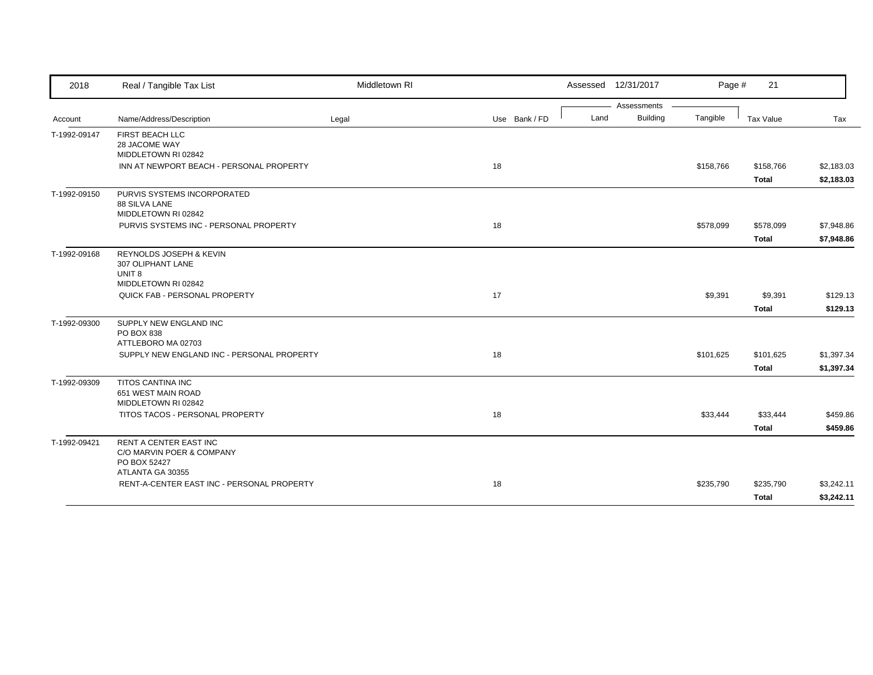| 2018         | Real / Tangible Tax List                                                                       | Middletown RI |               | Assessed 12/31/2017 |             | Page #    | 21                        |                          |
|--------------|------------------------------------------------------------------------------------------------|---------------|---------------|---------------------|-------------|-----------|---------------------------|--------------------------|
|              |                                                                                                |               |               |                     | Assessments |           |                           |                          |
| Account      | Name/Address/Description                                                                       | Legal         | Use Bank / FD | Land                | Building    | Tangible  | Tax Value                 | Tax                      |
| T-1992-09147 | FIRST BEACH LLC<br>28 JACOME WAY                                                               |               |               |                     |             |           |                           |                          |
|              | MIDDLETOWN RI 02842<br>INN AT NEWPORT BEACH - PERSONAL PROPERTY                                |               | 18            |                     |             | \$158,766 | \$158,766                 | \$2,183.03               |
|              |                                                                                                |               |               |                     |             |           | <b>Total</b>              | \$2,183.03               |
| T-1992-09150 | PURVIS SYSTEMS INCORPORATED<br>88 SILVA LANE<br>MIDDLETOWN RI 02842                            |               |               |                     |             |           |                           |                          |
|              | PURVIS SYSTEMS INC - PERSONAL PROPERTY                                                         |               | 18            |                     |             | \$578,099 | \$578,099                 | \$7,948.86               |
|              |                                                                                                |               |               |                     |             |           | <b>Total</b>              | \$7,948.86               |
| T-1992-09168 | REYNOLDS JOSEPH & KEVIN<br>307 OLIPHANT LANE<br>UNIT <sub>8</sub>                              |               |               |                     |             |           |                           |                          |
|              | MIDDLETOWN RI 02842                                                                            |               |               |                     |             |           |                           |                          |
|              | QUICK FAB - PERSONAL PROPERTY                                                                  |               | 17            |                     |             | \$9,391   | \$9,391                   | \$129.13                 |
|              |                                                                                                |               |               |                     |             |           | <b>Total</b>              | \$129.13                 |
| T-1992-09300 | SUPPLY NEW ENGLAND INC<br>PO BOX 838<br>ATTLEBORO MA 02703                                     |               |               |                     |             |           |                           |                          |
|              | SUPPLY NEW ENGLAND INC - PERSONAL PROPERTY                                                     |               | 18            |                     |             | \$101,625 | \$101,625<br><b>Total</b> | \$1,397.34<br>\$1,397.34 |
| T-1992-09309 | <b>TITOS CANTINA INC</b><br>651 WEST MAIN ROAD<br>MIDDLETOWN RI 02842                          |               |               |                     |             |           |                           |                          |
|              | TITOS TACOS - PERSONAL PROPERTY                                                                |               | 18            |                     |             | \$33,444  | \$33,444<br><b>Total</b>  | \$459.86<br>\$459.86     |
| T-1992-09421 | <b>RENT A CENTER EAST INC</b><br>C/O MARVIN POER & COMPANY<br>PO BOX 52427<br>ATLANTA GA 30355 |               |               |                     |             |           |                           |                          |
|              | RENT-A-CENTER EAST INC - PERSONAL PROPERTY                                                     |               | 18            |                     |             | \$235,790 | \$235,790<br><b>Total</b> | \$3,242.11<br>\$3,242.11 |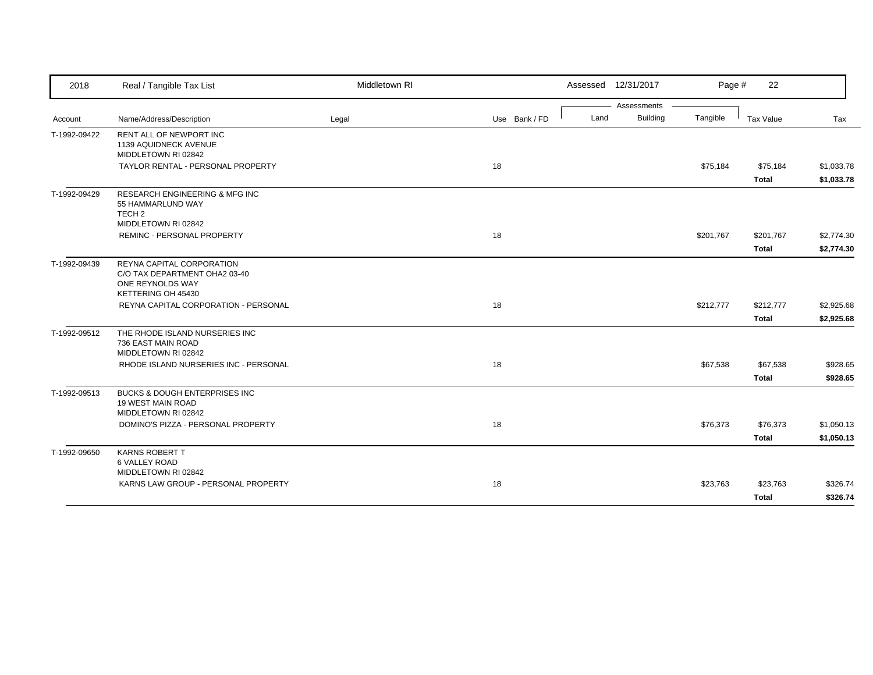| Assessments<br><b>Building</b><br>Tangible<br>Name/Address/Description<br>Use Bank / FD<br>Land<br>Tax Value<br>Tax<br>Legal<br>Account<br>RENT ALL OF NEWPORT INC<br>1139 AQUIDNECK AVENUE<br>MIDDLETOWN RI 02842<br>18<br>TAYLOR RENTAL - PERSONAL PROPERTY<br>\$75,184<br>\$75,184<br>\$1,033.78<br><b>Total</b><br>\$1,033.78<br><b>RESEARCH ENGINEERING &amp; MFG INC</b><br>55 HAMMARLUND WAY<br>TECH <sub>2</sub><br>MIDDLETOWN RI 02842<br><b>REMINC - PERSONAL PROPERTY</b><br>18<br>\$201,767<br>\$2,774.30<br>\$201,767<br><b>Total</b><br>\$2,774.30<br>REYNA CAPITAL CORPORATION<br>C/O TAX DEPARTMENT OHA2 03-40<br>ONE REYNOLDS WAY<br>KETTERING OH 45430<br>18<br>REYNA CAPITAL CORPORATION - PERSONAL<br>\$212,777<br>\$212,777<br>\$2,925.68<br>\$2,925.68<br><b>Total</b><br>THE RHODE ISLAND NURSERIES INC<br>736 EAST MAIN ROAD<br>MIDDLETOWN RI 02842<br>RHODE ISLAND NURSERIES INC - PERSONAL<br>18<br>\$67,538<br>\$67,538<br>\$928.65<br><b>Total</b><br>\$928.65<br>BUCKS & DOUGH ENTERPRISES INC<br><b>19 WEST MAIN ROAD</b><br>MIDDLETOWN RI 02842<br>18<br>DOMINO'S PIZZA - PERSONAL PROPERTY<br>\$76,373<br>\$1,050.13<br>\$76,373<br>\$1,050.13<br><b>Total</b><br><b>KARNS ROBERT T</b><br><b>6 VALLEY ROAD</b><br>MIDDLETOWN RI 02842<br>KARNS LAW GROUP - PERSONAL PROPERTY<br>18<br>\$23,763<br>\$23,763<br>\$326.74 | 2018         | Real / Tangible Tax List | Middletown RI |  | Assessed 12/31/2017 | Page # | 22           |          |
|---------------------------------------------------------------------------------------------------------------------------------------------------------------------------------------------------------------------------------------------------------------------------------------------------------------------------------------------------------------------------------------------------------------------------------------------------------------------------------------------------------------------------------------------------------------------------------------------------------------------------------------------------------------------------------------------------------------------------------------------------------------------------------------------------------------------------------------------------------------------------------------------------------------------------------------------------------------------------------------------------------------------------------------------------------------------------------------------------------------------------------------------------------------------------------------------------------------------------------------------------------------------------------------------------------------------------------------------------------|--------------|--------------------------|---------------|--|---------------------|--------|--------------|----------|
|                                                                                                                                                                                                                                                                                                                                                                                                                                                                                                                                                                                                                                                                                                                                                                                                                                                                                                                                                                                                                                                                                                                                                                                                                                                                                                                                                         |              |                          |               |  |                     |        |              |          |
|                                                                                                                                                                                                                                                                                                                                                                                                                                                                                                                                                                                                                                                                                                                                                                                                                                                                                                                                                                                                                                                                                                                                                                                                                                                                                                                                                         |              |                          |               |  |                     |        |              |          |
|                                                                                                                                                                                                                                                                                                                                                                                                                                                                                                                                                                                                                                                                                                                                                                                                                                                                                                                                                                                                                                                                                                                                                                                                                                                                                                                                                         | T-1992-09422 |                          |               |  |                     |        |              |          |
|                                                                                                                                                                                                                                                                                                                                                                                                                                                                                                                                                                                                                                                                                                                                                                                                                                                                                                                                                                                                                                                                                                                                                                                                                                                                                                                                                         |              |                          |               |  |                     |        |              |          |
|                                                                                                                                                                                                                                                                                                                                                                                                                                                                                                                                                                                                                                                                                                                                                                                                                                                                                                                                                                                                                                                                                                                                                                                                                                                                                                                                                         |              |                          |               |  |                     |        |              |          |
|                                                                                                                                                                                                                                                                                                                                                                                                                                                                                                                                                                                                                                                                                                                                                                                                                                                                                                                                                                                                                                                                                                                                                                                                                                                                                                                                                         | T-1992-09429 |                          |               |  |                     |        |              |          |
|                                                                                                                                                                                                                                                                                                                                                                                                                                                                                                                                                                                                                                                                                                                                                                                                                                                                                                                                                                                                                                                                                                                                                                                                                                                                                                                                                         |              |                          |               |  |                     |        |              |          |
|                                                                                                                                                                                                                                                                                                                                                                                                                                                                                                                                                                                                                                                                                                                                                                                                                                                                                                                                                                                                                                                                                                                                                                                                                                                                                                                                                         |              |                          |               |  |                     |        |              |          |
|                                                                                                                                                                                                                                                                                                                                                                                                                                                                                                                                                                                                                                                                                                                                                                                                                                                                                                                                                                                                                                                                                                                                                                                                                                                                                                                                                         | T-1992-09439 |                          |               |  |                     |        |              |          |
|                                                                                                                                                                                                                                                                                                                                                                                                                                                                                                                                                                                                                                                                                                                                                                                                                                                                                                                                                                                                                                                                                                                                                                                                                                                                                                                                                         |              |                          |               |  |                     |        |              |          |
|                                                                                                                                                                                                                                                                                                                                                                                                                                                                                                                                                                                                                                                                                                                                                                                                                                                                                                                                                                                                                                                                                                                                                                                                                                                                                                                                                         | T-1992-09512 |                          |               |  |                     |        |              |          |
|                                                                                                                                                                                                                                                                                                                                                                                                                                                                                                                                                                                                                                                                                                                                                                                                                                                                                                                                                                                                                                                                                                                                                                                                                                                                                                                                                         |              |                          |               |  |                     |        |              |          |
|                                                                                                                                                                                                                                                                                                                                                                                                                                                                                                                                                                                                                                                                                                                                                                                                                                                                                                                                                                                                                                                                                                                                                                                                                                                                                                                                                         |              |                          |               |  |                     |        |              |          |
|                                                                                                                                                                                                                                                                                                                                                                                                                                                                                                                                                                                                                                                                                                                                                                                                                                                                                                                                                                                                                                                                                                                                                                                                                                                                                                                                                         | T-1992-09513 |                          |               |  |                     |        |              |          |
|                                                                                                                                                                                                                                                                                                                                                                                                                                                                                                                                                                                                                                                                                                                                                                                                                                                                                                                                                                                                                                                                                                                                                                                                                                                                                                                                                         |              |                          |               |  |                     |        |              |          |
|                                                                                                                                                                                                                                                                                                                                                                                                                                                                                                                                                                                                                                                                                                                                                                                                                                                                                                                                                                                                                                                                                                                                                                                                                                                                                                                                                         |              |                          |               |  |                     |        |              |          |
|                                                                                                                                                                                                                                                                                                                                                                                                                                                                                                                                                                                                                                                                                                                                                                                                                                                                                                                                                                                                                                                                                                                                                                                                                                                                                                                                                         | T-1992-09650 |                          |               |  |                     |        |              |          |
|                                                                                                                                                                                                                                                                                                                                                                                                                                                                                                                                                                                                                                                                                                                                                                                                                                                                                                                                                                                                                                                                                                                                                                                                                                                                                                                                                         |              |                          |               |  |                     |        |              |          |
|                                                                                                                                                                                                                                                                                                                                                                                                                                                                                                                                                                                                                                                                                                                                                                                                                                                                                                                                                                                                                                                                                                                                                                                                                                                                                                                                                         |              |                          |               |  |                     |        | <b>Total</b> | \$326.74 |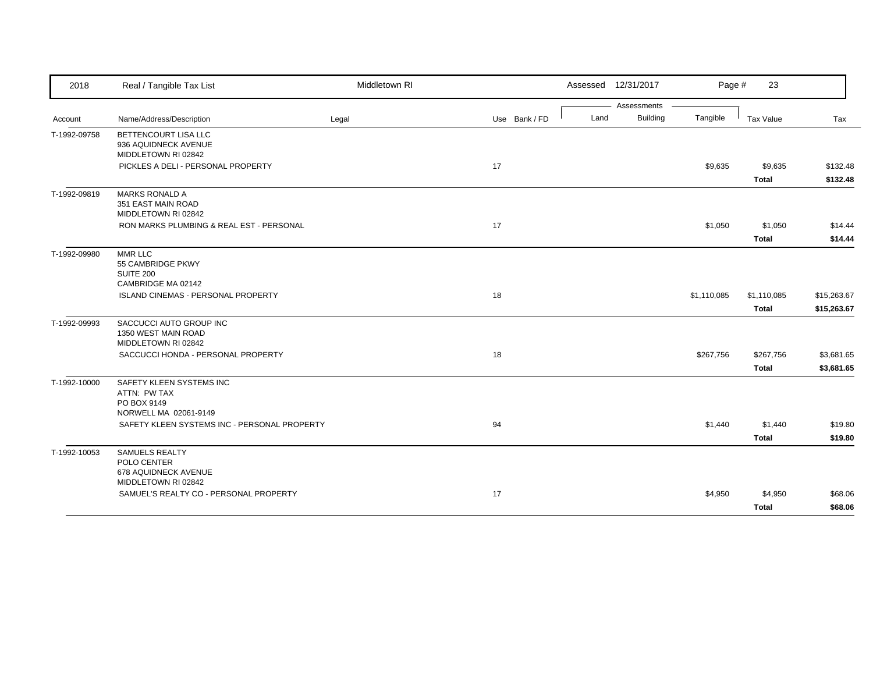| 2018         | Real / Tangible Tax List                     | Middletown RI |               |      | Assessed 12/31/2017            | Page #      | 23           |             |
|--------------|----------------------------------------------|---------------|---------------|------|--------------------------------|-------------|--------------|-------------|
|              | Name/Address/Description                     |               | Use Bank / FD | Land | Assessments<br><b>Building</b> | Tangible    | Tax Value    | Tax         |
| Account      |                                              | Legal         |               |      |                                |             |              |             |
| T-1992-09758 | BETTENCOURT LISA LLC<br>936 AQUIDNECK AVENUE |               |               |      |                                |             |              |             |
|              | MIDDLETOWN RI 02842                          |               |               |      |                                |             |              |             |
|              | PICKLES A DELI - PERSONAL PROPERTY           |               | 17            |      |                                | \$9,635     | \$9,635      | \$132.48    |
|              |                                              |               |               |      |                                |             | Total        | \$132.48    |
| T-1992-09819 | <b>MARKS RONALD A</b>                        |               |               |      |                                |             |              |             |
|              | 351 EAST MAIN ROAD<br>MIDDLETOWN RI 02842    |               |               |      |                                |             |              |             |
|              | RON MARKS PLUMBING & REAL EST - PERSONAL     |               | 17            |      |                                | \$1,050     | \$1,050      | \$14.44     |
|              |                                              |               |               |      |                                |             |              |             |
|              |                                              |               |               |      |                                |             | Total        | \$14.44     |
| T-1992-09980 | MMR LLC                                      |               |               |      |                                |             |              |             |
|              | 55 CAMBRIDGE PKWY<br><b>SUITE 200</b>        |               |               |      |                                |             |              |             |
|              | CAMBRIDGE MA 02142                           |               |               |      |                                |             |              |             |
|              | ISLAND CINEMAS - PERSONAL PROPERTY           |               | 18            |      |                                | \$1,110,085 | \$1,110,085  | \$15,263.67 |
|              |                                              |               |               |      |                                |             | Total        | \$15,263.67 |
| T-1992-09993 | SACCUCCI AUTO GROUP INC                      |               |               |      |                                |             |              |             |
|              | 1350 WEST MAIN ROAD                          |               |               |      |                                |             |              |             |
|              | MIDDLETOWN RI 02842                          |               |               |      |                                |             |              |             |
|              | SACCUCCI HONDA - PERSONAL PROPERTY           |               | 18            |      |                                | \$267,756   | \$267,756    | \$3,681.65  |
|              |                                              |               |               |      |                                |             | <b>Total</b> | \$3,681.65  |
| T-1992-10000 | SAFETY KLEEN SYSTEMS INC                     |               |               |      |                                |             |              |             |
|              | ATTN: PW TAX                                 |               |               |      |                                |             |              |             |
|              | PO BOX 9149                                  |               |               |      |                                |             |              |             |
|              | NORWELL MA 02061-9149                        |               |               |      |                                |             |              |             |
|              | SAFETY KLEEN SYSTEMS INC - PERSONAL PROPERTY |               | 94            |      |                                | \$1,440     | \$1,440      | \$19.80     |
|              |                                              |               |               |      |                                |             | <b>Total</b> | \$19.80     |
| T-1992-10053 | SAMUELS REALTY                               |               |               |      |                                |             |              |             |
|              | POLO CENTER                                  |               |               |      |                                |             |              |             |
|              | 678 AQUIDNECK AVENUE<br>MIDDLETOWN RI 02842  |               |               |      |                                |             |              |             |
|              | SAMUEL'S REALTY CO - PERSONAL PROPERTY       |               | 17            |      |                                | \$4,950     | \$4,950      | \$68.06     |
|              |                                              |               |               |      |                                |             | <b>Total</b> | \$68.06     |
|              |                                              |               |               |      |                                |             |              |             |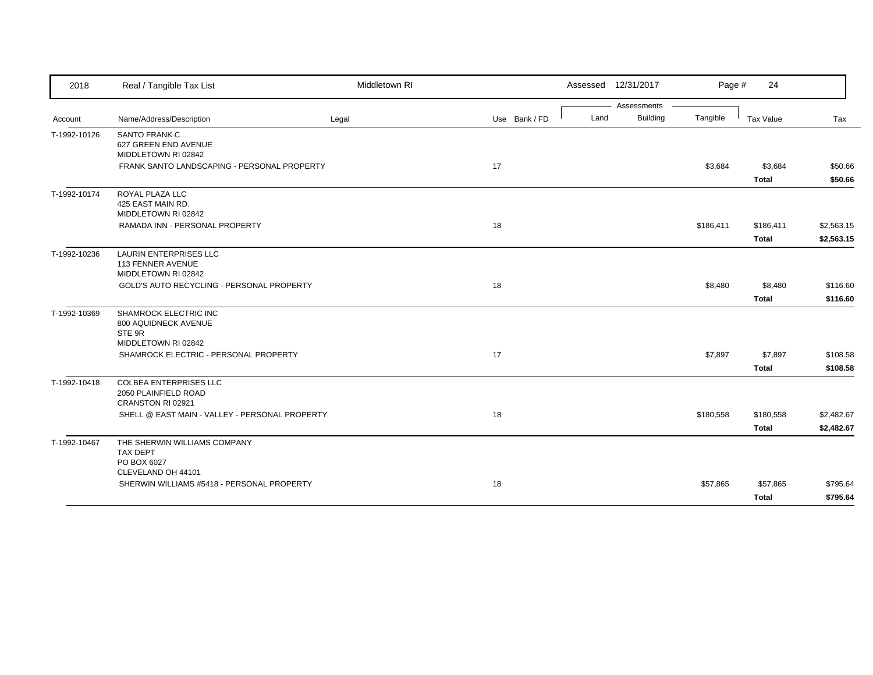| 2018         | Real / Tangible Tax List                                                       | Middletown RI |               | Assessed 12/31/2017 |                 | Page #    | 24                      |                    |
|--------------|--------------------------------------------------------------------------------|---------------|---------------|---------------------|-----------------|-----------|-------------------------|--------------------|
|              |                                                                                |               |               |                     | Assessments     |           |                         |                    |
| Account      | Name/Address/Description                                                       | Legal         | Use Bank / FD | Land                | <b>Building</b> | Tangible  | Tax Value               | Tax                |
| T-1992-10126 | <b>SANTO FRANK C</b><br>627 GREEN END AVENUE<br>MIDDLETOWN RI 02842            |               |               |                     |                 |           |                         |                    |
|              | FRANK SANTO LANDSCAPING - PERSONAL PROPERTY                                    |               | 17            |                     |                 | \$3,684   | \$3,684<br><b>Total</b> | \$50.66<br>\$50.66 |
| T-1992-10174 | ROYAL PLAZA LLC<br>425 EAST MAIN RD.<br>MIDDLETOWN RI 02842                    |               |               |                     |                 |           |                         |                    |
|              | RAMADA INN - PERSONAL PROPERTY                                                 |               | 18            |                     |                 | \$186,411 | \$186,411               | \$2,563.15         |
|              |                                                                                |               |               |                     |                 |           | <b>Total</b>            | \$2,563.15         |
| T-1992-10236 | <b>LAURIN ENTERPRISES LLC</b><br>113 FENNER AVENUE<br>MIDDLETOWN RI 02842      |               |               |                     |                 |           |                         |                    |
|              | GOLD'S AUTO RECYCLING - PERSONAL PROPERTY                                      |               | 18            |                     |                 | \$8,480   | \$8,480                 | \$116.60           |
|              |                                                                                |               |               |                     |                 |           | <b>Total</b>            | \$116.60           |
| T-1992-10369 | SHAMROCK ELECTRIC INC<br>800 AQUIDNECK AVENUE<br>STE 9R<br>MIDDLETOWN RI 02842 |               |               |                     |                 |           |                         |                    |
|              | SHAMROCK ELECTRIC - PERSONAL PROPERTY                                          |               | 17            |                     |                 | \$7,897   | \$7,897                 | \$108.58           |
|              |                                                                                |               |               |                     |                 |           | <b>Total</b>            | \$108.58           |
| T-1992-10418 | <b>COLBEA ENTERPRISES LLC</b><br>2050 PLAINFIELD ROAD<br>CRANSTON RI 02921     |               |               |                     |                 |           |                         |                    |
|              | SHELL @ EAST MAIN - VALLEY - PERSONAL PROPERTY                                 |               | 18            |                     |                 | \$180,558 | \$180,558               | \$2,482.67         |
|              |                                                                                |               |               |                     |                 |           | <b>Total</b>            | \$2,482.67         |
| T-1992-10467 | THE SHERWIN WILLIAMS COMPANY<br><b>TAX DEPT</b><br>PO BOX 6027                 |               |               |                     |                 |           |                         |                    |
|              | CLEVELAND OH 44101<br>SHERWIN WILLIAMS #5418 - PERSONAL PROPERTY               |               | 18            |                     |                 | \$57,865  | \$57,865                | \$795.64           |
|              |                                                                                |               |               |                     |                 |           | <b>Total</b>            | \$795.64           |
|              |                                                                                |               |               |                     |                 |           |                         |                    |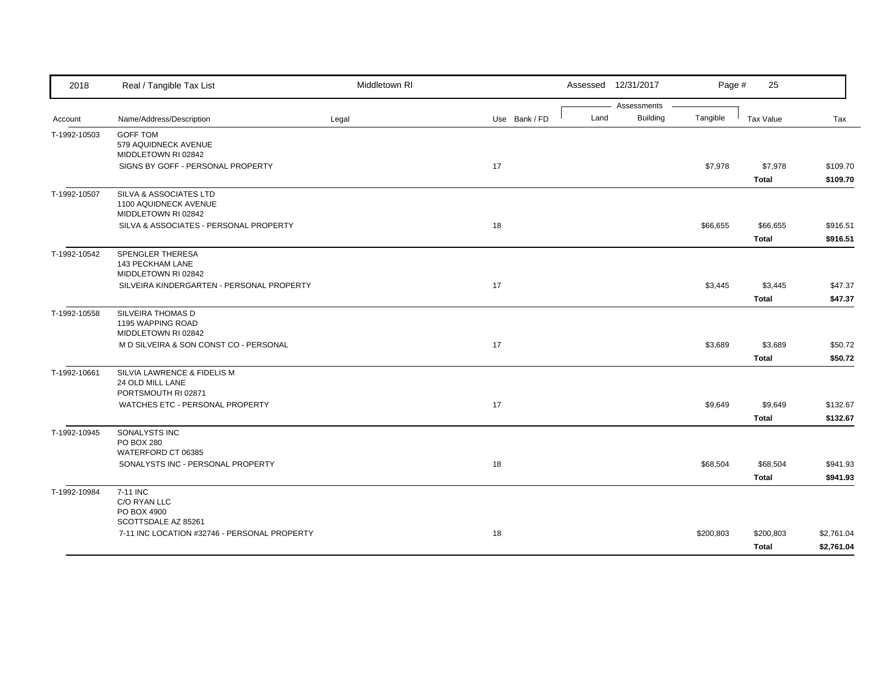| 2018         | Real / Tangible Tax List                                               | Middletown RI |               |      | Assessed 12/31/2017            | Page #    | 25               |            |
|--------------|------------------------------------------------------------------------|---------------|---------------|------|--------------------------------|-----------|------------------|------------|
| Account      | Name/Address/Description                                               | Legal         | Use Bank / FD | Land | Assessments<br><b>Building</b> | Tangible  | <b>Tax Value</b> | Tax        |
| T-1992-10503 | <b>GOFF TOM</b>                                                        |               |               |      |                                |           |                  |            |
|              | 579 AQUIDNECK AVENUE                                                   |               |               |      |                                |           |                  |            |
|              | MIDDLETOWN RI 02842                                                    |               |               |      |                                |           |                  |            |
|              | SIGNS BY GOFF - PERSONAL PROPERTY                                      |               | 17            |      |                                | \$7,978   | \$7,978          | \$109.70   |
|              |                                                                        |               |               |      |                                |           | <b>Total</b>     | \$109.70   |
| T-1992-10507 | SILVA & ASSOCIATES LTD<br>1100 AQUIDNECK AVENUE<br>MIDDLETOWN RI 02842 |               |               |      |                                |           |                  |            |
|              | SILVA & ASSOCIATES - PERSONAL PROPERTY                                 |               | 18            |      |                                | \$66,655  | \$66,655         | \$916.51   |
|              |                                                                        |               |               |      |                                |           | <b>Total</b>     | \$916.51   |
| T-1992-10542 | SPENGLER THERESA                                                       |               |               |      |                                |           |                  |            |
|              | 143 PECKHAM LANE                                                       |               |               |      |                                |           |                  |            |
|              | MIDDLETOWN RI 02842                                                    |               |               |      |                                |           |                  |            |
|              | SILVEIRA KINDERGARTEN - PERSONAL PROPERTY                              |               | 17            |      |                                | \$3,445   | \$3,445          | \$47.37    |
|              |                                                                        |               |               |      |                                |           | <b>Total</b>     | \$47.37    |
| T-1992-10558 | SILVEIRA THOMAS D                                                      |               |               |      |                                |           |                  |            |
|              | 1195 WAPPING ROAD                                                      |               |               |      |                                |           |                  |            |
|              | MIDDLETOWN RI 02842                                                    |               |               |      |                                |           |                  |            |
|              | M D SILVEIRA & SON CONST CO - PERSONAL                                 |               | 17            |      |                                | \$3,689   | \$3,689          | \$50.72    |
|              |                                                                        |               |               |      |                                |           | <b>Total</b>     | \$50.72    |
| T-1992-10661 | SILVIA LAWRENCE & FIDELIS M                                            |               |               |      |                                |           |                  |            |
|              | 24 OLD MILL LANE<br>PORTSMOUTH RI 02871                                |               |               |      |                                |           |                  |            |
|              | WATCHES ETC - PERSONAL PROPERTY                                        |               | 17            |      |                                | \$9,649   | \$9,649          | \$132.67   |
|              |                                                                        |               |               |      |                                |           | Total            | \$132.67   |
| T-1992-10945 | SONALYSTS INC                                                          |               |               |      |                                |           |                  |            |
|              | PO BOX 280                                                             |               |               |      |                                |           |                  |            |
|              | WATERFORD CT 06385                                                     |               |               |      |                                |           |                  |            |
|              | SONALYSTS INC - PERSONAL PROPERTY                                      |               | 18            |      |                                | \$68,504  | \$68,504         | \$941.93   |
|              |                                                                        |               |               |      |                                |           | <b>Total</b>     | \$941.93   |
| T-1992-10984 | 7-11 INC                                                               |               |               |      |                                |           |                  |            |
|              | C/O RYAN LLC                                                           |               |               |      |                                |           |                  |            |
|              | PO BOX 4900                                                            |               |               |      |                                |           |                  |            |
|              | SCOTTSDALE AZ 85261<br>7-11 INC LOCATION #32746 - PERSONAL PROPERTY    |               | 18            |      |                                | \$200,803 | \$200,803        | \$2,761.04 |
|              |                                                                        |               |               |      |                                |           |                  |            |
|              |                                                                        |               |               |      |                                |           | <b>Total</b>     | \$2,761.04 |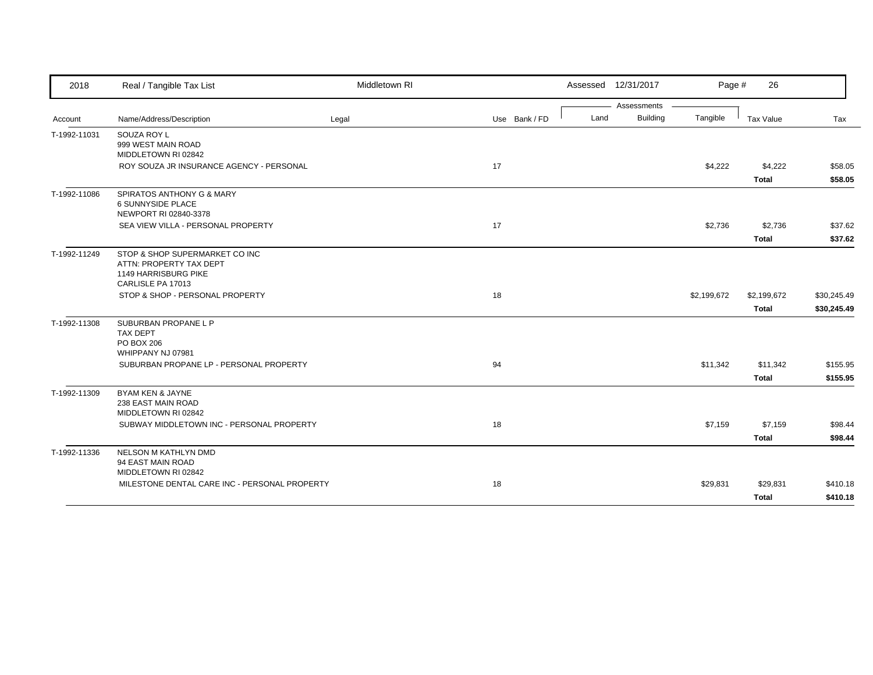| 2018         | Real / Tangible Tax List                                                          | Middletown RI |               | Assessed 12/31/2017 |                 | Page #      | 26           |             |
|--------------|-----------------------------------------------------------------------------------|---------------|---------------|---------------------|-----------------|-------------|--------------|-------------|
|              |                                                                                   |               |               |                     | Assessments     |             |              |             |
| Account      | Name/Address/Description                                                          | Legal         | Use Bank / FD | Land                | <b>Building</b> | Tangible    | Tax Value    | Tax         |
| T-1992-11031 | SOUZA ROY L<br>999 WEST MAIN ROAD<br>MIDDLETOWN RI 02842                          |               |               |                     |                 |             |              |             |
|              | ROY SOUZA JR INSURANCE AGENCY - PERSONAL                                          |               | 17            |                     |                 | \$4,222     | \$4,222      | \$58.05     |
|              |                                                                                   |               |               |                     |                 |             | <b>Total</b> | \$58.05     |
| T-1992-11086 | SPIRATOS ANTHONY G & MARY<br><b>6 SUNNYSIDE PLACE</b><br>NEWPORT RI 02840-3378    |               |               |                     |                 |             |              |             |
|              | SEA VIEW VILLA - PERSONAL PROPERTY                                                |               | 17            |                     |                 | \$2,736     | \$2,736      | \$37.62     |
|              |                                                                                   |               |               |                     |                 |             | <b>Total</b> | \$37.62     |
| T-1992-11249 | STOP & SHOP SUPERMARKET CO INC<br>ATTN: PROPERTY TAX DEPT<br>1149 HARRISBURG PIKE |               |               |                     |                 |             |              |             |
|              | CARLISLE PA 17013<br>STOP & SHOP - PERSONAL PROPERTY                              |               | 18            |                     |                 | \$2,199,672 | \$2,199,672  | \$30,245.49 |
|              |                                                                                   |               |               |                     |                 |             | <b>Total</b> | \$30,245.49 |
| T-1992-11308 | SUBURBAN PROPANE L P                                                              |               |               |                     |                 |             |              |             |
|              | TAX DEPT<br>PO BOX 206<br>WHIPPANY NJ 07981                                       |               |               |                     |                 |             |              |             |
|              | SUBURBAN PROPANE LP - PERSONAL PROPERTY                                           |               | 94            |                     |                 | \$11,342    | \$11,342     | \$155.95    |
|              |                                                                                   |               |               |                     |                 |             | <b>Total</b> | \$155.95    |
| T-1992-11309 | BYAM KEN & JAYNE<br>238 EAST MAIN ROAD<br>MIDDLETOWN RI 02842                     |               |               |                     |                 |             |              |             |
|              | SUBWAY MIDDLETOWN INC - PERSONAL PROPERTY                                         |               | 18            |                     |                 | \$7,159     | \$7,159      | \$98.44     |
|              |                                                                                   |               |               |                     |                 |             | <b>Total</b> | \$98.44     |
| T-1992-11336 | NELSON M KATHLYN DMD<br>94 EAST MAIN ROAD<br>MIDDLETOWN RI 02842                  |               |               |                     |                 |             |              |             |
|              | MILESTONE DENTAL CARE INC - PERSONAL PROPERTY                                     |               | 18            |                     |                 | \$29,831    | \$29,831     | \$410.18    |
|              |                                                                                   |               |               |                     |                 |             | Total        | \$410.18    |
|              |                                                                                   |               |               |                     |                 |             |              |             |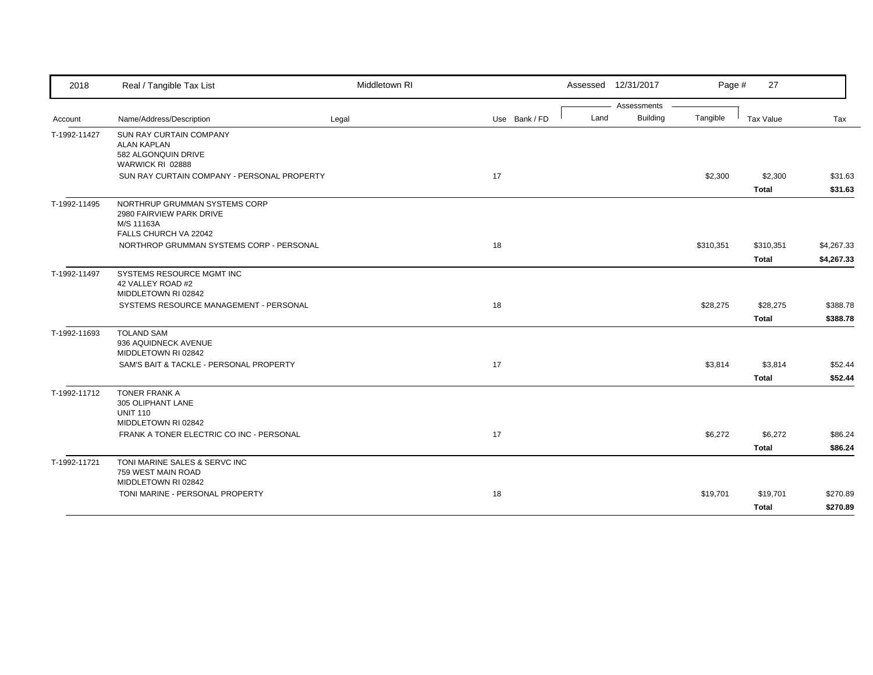| 2018         | Real / Tangible Tax List                             | Middletown RI |               |      | Assessed 12/31/2017            | Page #    | 27           |            |
|--------------|------------------------------------------------------|---------------|---------------|------|--------------------------------|-----------|--------------|------------|
|              |                                                      |               |               | Land | Assessments<br><b>Building</b> | Tangible  |              |            |
| Account      | Name/Address/Description                             | Legal         | Use Bank / FD |      |                                |           | Tax Value    | Tax        |
| T-1992-11427 | <b>SUN RAY CURTAIN COMPANY</b><br><b>ALAN KAPLAN</b> |               |               |      |                                |           |              |            |
|              | 582 ALGONQUIN DRIVE                                  |               |               |      |                                |           |              |            |
|              | WARWICK RI 02888                                     |               |               |      |                                |           |              |            |
|              | SUN RAY CURTAIN COMPANY - PERSONAL PROPERTY          |               | 17            |      |                                | \$2,300   | \$2,300      | \$31.63    |
|              |                                                      |               |               |      |                                |           | <b>Total</b> | \$31.63    |
| T-1992-11495 | NORTHRUP GRUMMAN SYSTEMS CORP                        |               |               |      |                                |           |              |            |
|              | 2980 FAIRVIEW PARK DRIVE                             |               |               |      |                                |           |              |            |
|              | M/S 11163A<br>FALLS CHURCH VA 22042                  |               |               |      |                                |           |              |            |
|              | NORTHROP GRUMMAN SYSTEMS CORP - PERSONAL             |               | 18            |      |                                | \$310,351 | \$310,351    | \$4,267.33 |
|              |                                                      |               |               |      |                                |           | <b>Total</b> | \$4,267.33 |
| T-1992-11497 | SYSTEMS RESOURCE MGMT INC                            |               |               |      |                                |           |              |            |
|              | 42 VALLEY ROAD #2                                    |               |               |      |                                |           |              |            |
|              | MIDDLETOWN RI 02842                                  |               |               |      |                                |           |              |            |
|              | SYSTEMS RESOURCE MANAGEMENT - PERSONAL               |               | 18            |      |                                | \$28,275  | \$28,275     | \$388.78   |
|              |                                                      |               |               |      |                                |           | <b>Total</b> | \$388.78   |
| T-1992-11693 | <b>TOLAND SAM</b><br>936 AQUIDNECK AVENUE            |               |               |      |                                |           |              |            |
|              | MIDDLETOWN RI 02842                                  |               |               |      |                                |           |              |            |
|              | SAM'S BAIT & TACKLE - PERSONAL PROPERTY              |               | 17            |      |                                | \$3,814   | \$3,814      | \$52.44    |
|              |                                                      |               |               |      |                                |           | <b>Total</b> | \$52.44    |
| T-1992-11712 | <b>TONER FRANK A</b>                                 |               |               |      |                                |           |              |            |
|              | 305 OLIPHANT LANE                                    |               |               |      |                                |           |              |            |
|              | <b>UNIT 110</b><br>MIDDLETOWN RI 02842               |               |               |      |                                |           |              |            |
|              | FRANK A TONER ELECTRIC CO INC - PERSONAL             |               | 17            |      |                                | \$6,272   | \$6,272      | \$86.24    |
|              |                                                      |               |               |      |                                |           | <b>Total</b> | \$86.24    |
| T-1992-11721 | TONI MARINE SALES & SERVC INC                        |               |               |      |                                |           |              |            |
|              | 759 WEST MAIN ROAD                                   |               |               |      |                                |           |              |            |
|              | MIDDLETOWN RI 02842                                  |               |               |      |                                |           |              |            |
|              | TONI MARINE - PERSONAL PROPERTY                      |               | 18            |      |                                | \$19,701  | \$19,701     | \$270.89   |
|              |                                                      |               |               |      |                                |           | Total        | \$270.89   |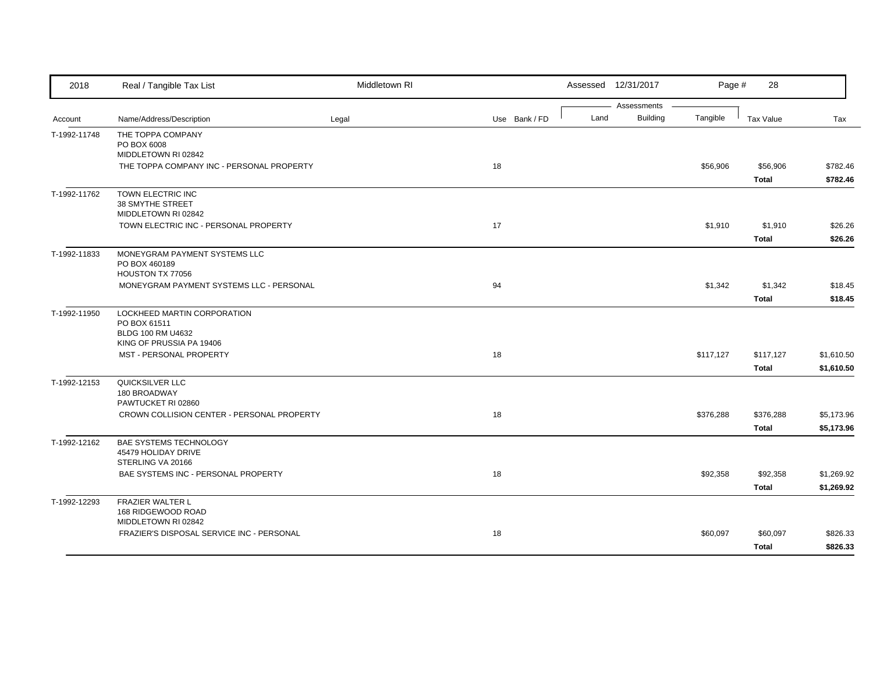| 2018         | Real / Tangible Tax List                   | Middletown RI |               |      | Assessed 12/31/2017            | Page #    | 28           |            |
|--------------|--------------------------------------------|---------------|---------------|------|--------------------------------|-----------|--------------|------------|
|              | Name/Address/Description                   | Legal         | Use Bank / FD | Land | Assessments<br><b>Building</b> | Tangible  | Tax Value    | Tax        |
| Account      |                                            |               |               |      |                                |           |              |            |
| T-1992-11748 | THE TOPPA COMPANY<br>PO BOX 6008           |               |               |      |                                |           |              |            |
|              | MIDDLETOWN RI 02842                        |               |               |      |                                |           |              |            |
|              | THE TOPPA COMPANY INC - PERSONAL PROPERTY  |               | 18            |      |                                | \$56,906  | \$56,906     | \$782.46   |
|              |                                            |               |               |      |                                |           | <b>Total</b> | \$782.46   |
| T-1992-11762 | TOWN ELECTRIC INC                          |               |               |      |                                |           |              |            |
|              | 38 SMYTHE STREET                           |               |               |      |                                |           |              |            |
|              | MIDDLETOWN RI 02842                        |               |               |      |                                |           |              |            |
|              | TOWN ELECTRIC INC - PERSONAL PROPERTY      |               | 17            |      |                                | \$1,910   | \$1,910      | \$26.26    |
|              |                                            |               |               |      |                                |           | <b>Total</b> | \$26.26    |
| T-1992-11833 | MONEYGRAM PAYMENT SYSTEMS LLC              |               |               |      |                                |           |              |            |
|              | PO BOX 460189                              |               |               |      |                                |           |              |            |
|              | HOUSTON TX 77056                           |               |               |      |                                |           |              |            |
|              | MONEYGRAM PAYMENT SYSTEMS LLC - PERSONAL   |               | 94            |      |                                | \$1,342   | \$1,342      | \$18.45    |
|              |                                            |               |               |      |                                |           | <b>Total</b> | \$18.45    |
| T-1992-11950 | LOCKHEED MARTIN CORPORATION                |               |               |      |                                |           |              |            |
|              | PO BOX 61511<br>BLDG 100 RM U4632          |               |               |      |                                |           |              |            |
|              | KING OF PRUSSIA PA 19406                   |               |               |      |                                |           |              |            |
|              | MST - PERSONAL PROPERTY                    |               | 18            |      |                                | \$117,127 | \$117,127    | \$1,610.50 |
|              |                                            |               |               |      |                                |           | <b>Total</b> | \$1,610.50 |
| T-1992-12153 | QUICKSILVER LLC                            |               |               |      |                                |           |              |            |
|              | 180 BROADWAY                               |               |               |      |                                |           |              |            |
|              | PAWTUCKET RI 02860                         |               |               |      |                                |           |              |            |
|              | CROWN COLLISION CENTER - PERSONAL PROPERTY |               | 18            |      |                                | \$376,288 | \$376,288    | \$5,173.96 |
|              |                                            |               |               |      |                                |           | <b>Total</b> | \$5,173.96 |
| T-1992-12162 | BAE SYSTEMS TECHNOLOGY                     |               |               |      |                                |           |              |            |
|              | 45479 HOLIDAY DRIVE                        |               |               |      |                                |           |              |            |
|              | STERLING VA 20166                          |               |               |      |                                |           |              |            |
|              | BAE SYSTEMS INC - PERSONAL PROPERTY        |               | 18            |      |                                | \$92,358  | \$92,358     | \$1,269.92 |
|              |                                            |               |               |      |                                |           | <b>Total</b> | \$1,269.92 |
| T-1992-12293 | FRAZIER WALTER L                           |               |               |      |                                |           |              |            |
|              | 168 RIDGEWOOD ROAD<br>MIDDLETOWN RI 02842  |               |               |      |                                |           |              |            |
|              | FRAZIER'S DISPOSAL SERVICE INC - PERSONAL  |               | 18            |      |                                | \$60,097  | \$60,097     | \$826.33   |
|              |                                            |               |               |      |                                |           | <b>Total</b> | \$826.33   |
|              |                                            |               |               |      |                                |           |              |            |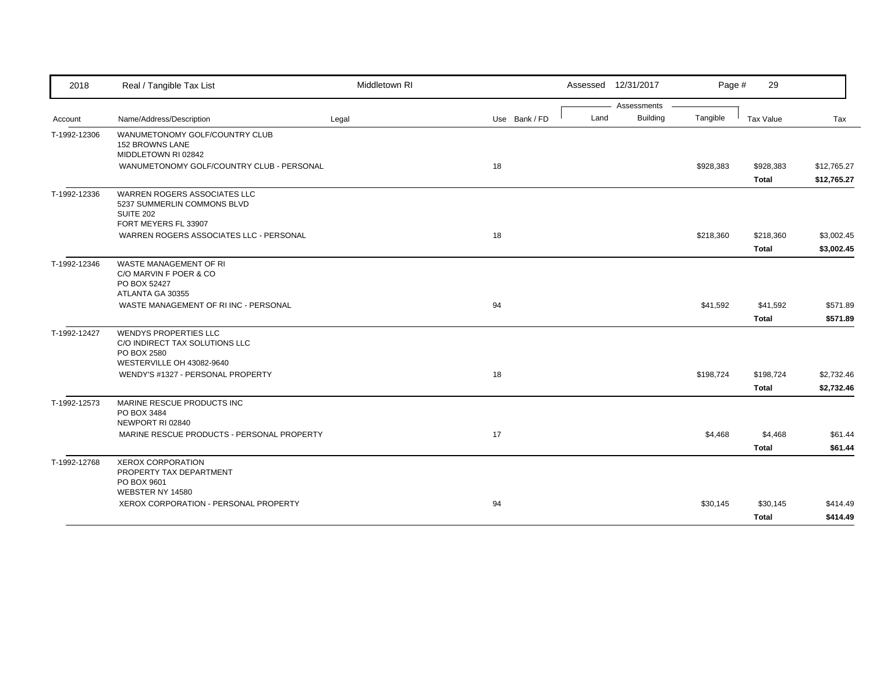| 2018         | Real / Tangible Tax List                                                                                   | Middletown RI |               |      | Assessed 12/31/2017 | Page #    | 29           |             |
|--------------|------------------------------------------------------------------------------------------------------------|---------------|---------------|------|---------------------|-----------|--------------|-------------|
|              |                                                                                                            |               |               |      | Assessments         |           |              |             |
| Account      | Name/Address/Description                                                                                   | Legal         | Use Bank / FD | Land | <b>Building</b>     | Tangible  | Tax Value    | Tax         |
| T-1992-12306 | WANUMETONOMY GOLF/COUNTRY CLUB<br><b>152 BROWNS LANE</b><br>MIDDLETOWN RI 02842                            |               |               |      |                     |           |              |             |
|              | WANUMETONOMY GOLF/COUNTRY CLUB - PERSONAL                                                                  |               | 18            |      |                     | \$928,383 | \$928,383    | \$12,765.27 |
|              |                                                                                                            |               |               |      |                     |           | <b>Total</b> | \$12,765.27 |
| T-1992-12336 | <b>WARREN ROGERS ASSOCIATES LLC</b><br>5237 SUMMERLIN COMMONS BLVD<br><b>SUITE 202</b>                     |               |               |      |                     |           |              |             |
|              | FORT MEYERS FL 33907                                                                                       |               |               |      |                     |           |              |             |
|              | WARREN ROGERS ASSOCIATES LLC - PERSONAL                                                                    |               | 18            |      |                     | \$218,360 | \$218,360    | \$3,002.45  |
|              |                                                                                                            |               |               |      |                     |           | <b>Total</b> | \$3,002.45  |
| T-1992-12346 | <b>WASTE MANAGEMENT OF RI</b><br>C/O MARVIN F POER & CO<br>PO BOX 52427                                    |               |               |      |                     |           |              |             |
|              | ATLANTA GA 30355                                                                                           |               |               |      |                     |           |              |             |
|              | WASTE MANAGEMENT OF RI INC - PERSONAL                                                                      |               | 94            |      |                     | \$41,592  | \$41,592     | \$571.89    |
|              |                                                                                                            |               |               |      |                     |           | <b>Total</b> | \$571.89    |
| T-1992-12427 | <b>WENDYS PROPERTIES LLC</b><br>C/O INDIRECT TAX SOLUTIONS LLC<br>PO BOX 2580<br>WESTERVILLE OH 43082-9640 |               |               |      |                     |           |              |             |
|              | WENDY'S #1327 - PERSONAL PROPERTY                                                                          |               | 18            |      |                     | \$198,724 | \$198,724    | \$2,732.46  |
|              |                                                                                                            |               |               |      |                     |           | <b>Total</b> | \$2,732.46  |
| T-1992-12573 | MARINE RESCUE PRODUCTS INC<br>PO BOX 3484<br>NEWPORT RI 02840                                              |               |               |      |                     |           |              |             |
|              | MARINE RESCUE PRODUCTS - PERSONAL PROPERTY                                                                 |               | 17            |      |                     | \$4,468   | \$4,468      | \$61.44     |
|              |                                                                                                            |               |               |      |                     |           | <b>Total</b> | \$61.44     |
| T-1992-12768 | <b>XEROX CORPORATION</b><br>PROPERTY TAX DEPARTMENT<br>PO BOX 9601                                         |               |               |      |                     |           |              |             |
|              | WEBSTER NY 14580                                                                                           |               |               |      |                     |           |              |             |
|              | XEROX CORPORATION - PERSONAL PROPERTY                                                                      |               | 94            |      |                     | \$30,145  | \$30,145     | \$414.49    |
|              |                                                                                                            |               |               |      |                     |           | <b>Total</b> | \$414.49    |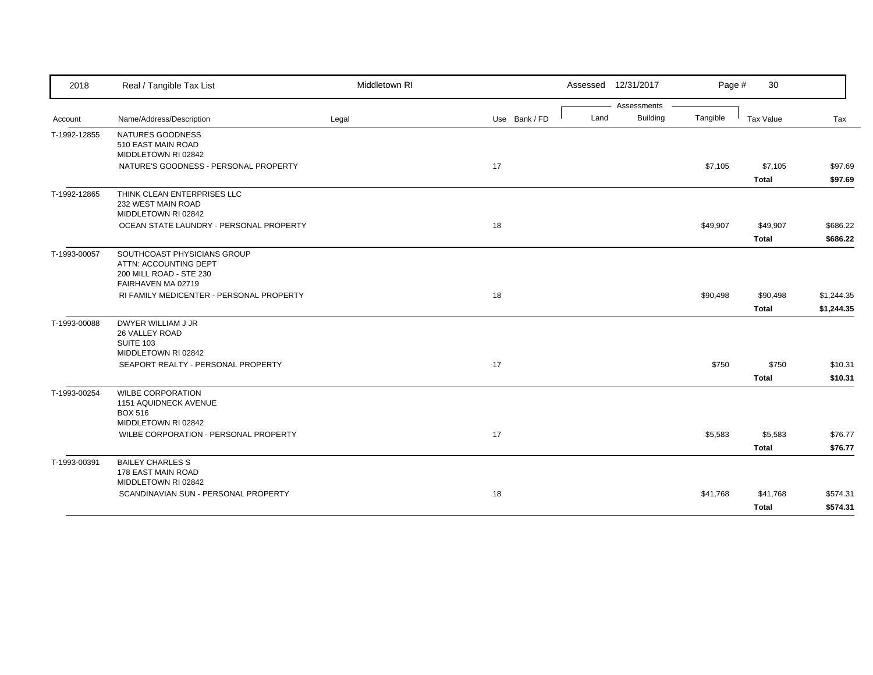| 2018         | Real / Tangible Tax List                                                                              | Middletown RI |               |      | Assessed 12/31/2017 | Page #   | 30           |            |
|--------------|-------------------------------------------------------------------------------------------------------|---------------|---------------|------|---------------------|----------|--------------|------------|
|              |                                                                                                       |               |               |      | Assessments         |          |              |            |
| Account      | Name/Address/Description                                                                              | Legal         | Use Bank / FD | Land | <b>Building</b>     | Tangible | Tax Value    | Tax        |
| T-1992-12855 | NATURES GOODNESS<br>510 EAST MAIN ROAD<br>MIDDLETOWN RI 02842                                         |               |               |      |                     |          |              |            |
|              | NATURE'S GOODNESS - PERSONAL PROPERTY                                                                 |               | 17            |      |                     | \$7,105  | \$7,105      | \$97.69    |
|              |                                                                                                       |               |               |      |                     |          | <b>Total</b> | \$97.69    |
| T-1992-12865 | THINK CLEAN ENTERPRISES LLC<br>232 WEST MAIN ROAD<br>MIDDLETOWN RI 02842                              |               |               |      |                     |          |              |            |
|              | OCEAN STATE LAUNDRY - PERSONAL PROPERTY                                                               |               | 18            |      |                     | \$49,907 | \$49,907     | \$686.22   |
|              |                                                                                                       |               |               |      |                     |          | <b>Total</b> | \$686.22   |
| T-1993-00057 | SOUTHCOAST PHYSICIANS GROUP<br>ATTN: ACCOUNTING DEPT<br>200 MILL ROAD - STE 230<br>FAIRHAVEN MA 02719 |               |               |      |                     |          |              |            |
|              | RI FAMILY MEDICENTER - PERSONAL PROPERTY                                                              |               | 18            |      |                     | \$90,498 | \$90,498     | \$1,244.35 |
|              |                                                                                                       |               |               |      |                     |          | <b>Total</b> | \$1,244.35 |
| T-1993-00088 | DWYER WILLIAM J JR<br>26 VALLEY ROAD<br>SUITE 103<br>MIDDLETOWN RI 02842                              |               |               |      |                     |          |              |            |
|              | SEAPORT REALTY - PERSONAL PROPERTY                                                                    |               | 17            |      |                     | \$750    | \$750        | \$10.31    |
|              |                                                                                                       |               |               |      |                     |          | <b>Total</b> | \$10.31    |
| T-1993-00254 | <b>WILBE CORPORATION</b><br>1151 AQUIDNECK AVENUE<br><b>BOX 516</b><br>MIDDLETOWN RI 02842            |               |               |      |                     |          |              |            |
|              | WILBE CORPORATION - PERSONAL PROPERTY                                                                 |               | 17            |      |                     | \$5,583  | \$5,583      | \$76.77    |
|              |                                                                                                       |               |               |      |                     |          | <b>Total</b> | \$76.77    |
| T-1993-00391 | <b>BAILEY CHARLES S</b><br>178 EAST MAIN ROAD<br>MIDDLETOWN RI 02842                                  |               |               |      |                     |          |              |            |
|              | SCANDINAVIAN SUN - PERSONAL PROPERTY                                                                  |               | 18            |      |                     | \$41,768 | \$41,768     | \$574.31   |
|              |                                                                                                       |               |               |      |                     |          | <b>Total</b> | \$574.31   |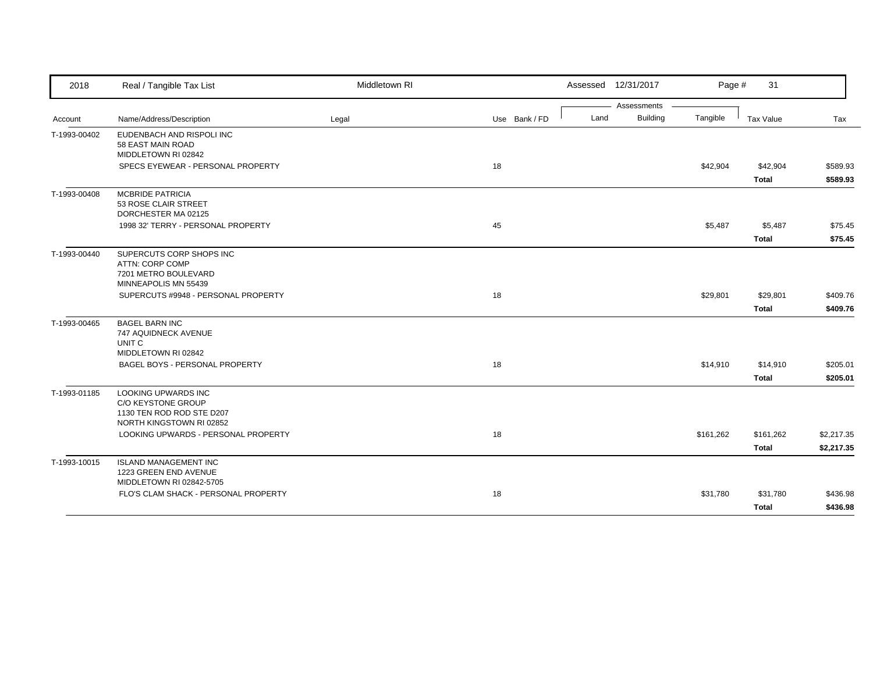| 2018         | Real / Tangible Tax List                                                                           | Middletown RI |               | Assessed 12/31/2017     | Page #    | 31           |            |
|--------------|----------------------------------------------------------------------------------------------------|---------------|---------------|-------------------------|-----------|--------------|------------|
|              |                                                                                                    |               |               | Assessments             |           |              |            |
| Account      | Name/Address/Description                                                                           | Legal         | Use Bank / FD | <b>Building</b><br>Land | Tangible  | Tax Value    | Tax        |
| T-1993-00402 | EUDENBACH AND RISPOLI INC<br>58 EAST MAIN ROAD<br>MIDDLETOWN RI 02842                              |               |               |                         |           |              |            |
|              | SPECS EYEWEAR - PERSONAL PROPERTY                                                                  |               | 18            |                         | \$42,904  | \$42,904     | \$589.93   |
|              |                                                                                                    |               |               |                         |           | <b>Total</b> | \$589.93   |
| T-1993-00408 | <b>MCBRIDE PATRICIA</b><br>53 ROSE CLAIR STREET<br>DORCHESTER MA 02125                             |               |               |                         |           |              |            |
|              | 1998 32' TERRY - PERSONAL PROPERTY                                                                 |               | 45            |                         | \$5,487   | \$5,487      | \$75.45    |
|              |                                                                                                    |               |               |                         |           | <b>Total</b> | \$75.45    |
| T-1993-00440 | SUPERCUTS CORP SHOPS INC<br>ATTN: CORP COMP<br>7201 METRO BOULEVARD<br>MINNEAPOLIS MN 55439        |               |               |                         |           |              |            |
|              | SUPERCUTS #9948 - PERSONAL PROPERTY                                                                |               | 18            |                         | \$29,801  | \$29,801     | \$409.76   |
|              |                                                                                                    |               |               |                         |           | <b>Total</b> | \$409.76   |
| T-1993-00465 | <b>BAGEL BARN INC</b><br>747 AQUIDNECK AVENUE<br>UNIT C<br>MIDDLETOWN RI 02842                     |               |               |                         |           |              |            |
|              | BAGEL BOYS - PERSONAL PROPERTY                                                                     |               | 18            |                         | \$14,910  | \$14,910     | \$205.01   |
|              |                                                                                                    |               |               |                         |           | <b>Total</b> | \$205.01   |
| T-1993-01185 | LOOKING UPWARDS INC<br>C/O KEYSTONE GROUP<br>1130 TEN ROD ROD STE D207<br>NORTH KINGSTOWN RI 02852 |               |               |                         |           |              |            |
|              | LOOKING UPWARDS - PERSONAL PROPERTY                                                                |               | 18            |                         | \$161,262 | \$161,262    | \$2,217.35 |
|              |                                                                                                    |               |               |                         |           | <b>Total</b> | \$2,217.35 |
| T-1993-10015 | <b>ISLAND MANAGEMENT INC</b><br>1223 GREEN END AVENUE<br>MIDDLETOWN RI 02842-5705                  |               |               |                         |           |              |            |
|              | FLO'S CLAM SHACK - PERSONAL PROPERTY                                                               |               | 18            |                         | \$31,780  | \$31,780     | \$436.98   |
|              |                                                                                                    |               |               |                         |           | <b>Total</b> | \$436.98   |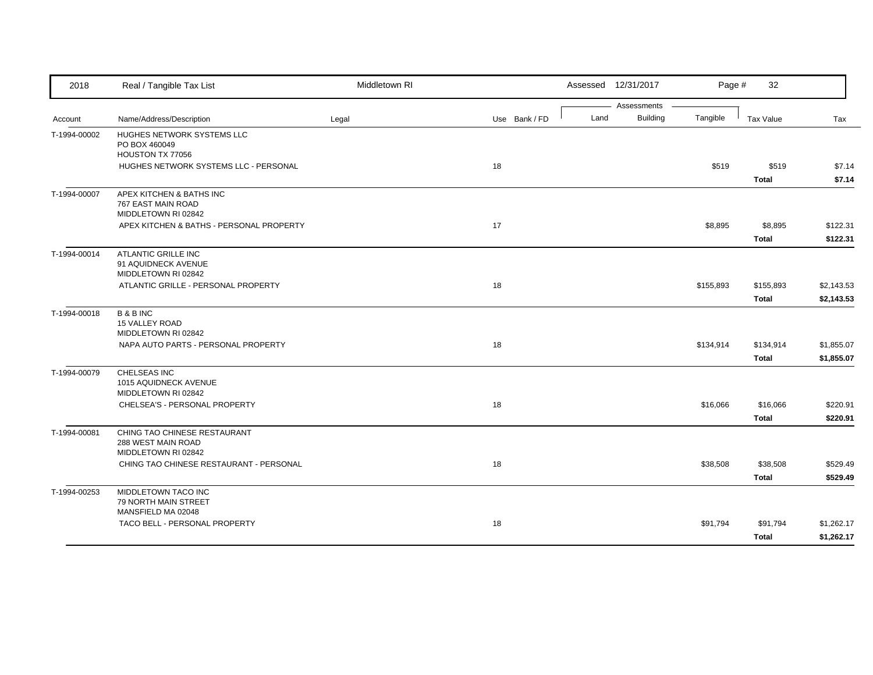| 2018         | Real / Tangible Tax List                                                                                          | Middletown RI |               |      | Assessed 12/31/2017     | Page #    | 32                        |                          |
|--------------|-------------------------------------------------------------------------------------------------------------------|---------------|---------------|------|-------------------------|-----------|---------------------------|--------------------------|
| Account      | Name/Address/Description                                                                                          | Legal         | Use Bank / FD | Land | Assessments<br>Building | Tangible  | Tax Value                 | Tax                      |
| T-1994-00002 | HUGHES NETWORK SYSTEMS LLC<br>PO BOX 460049<br>HOUSTON TX 77056<br>HUGHES NETWORK SYSTEMS LLC - PERSONAL          |               | 18            |      |                         | \$519     | \$519<br><b>Total</b>     | \$7.14<br>\$7.14         |
| T-1994-00007 | APEX KITCHEN & BATHS INC<br>767 EAST MAIN ROAD<br>MIDDLETOWN RI 02842<br>APEX KITCHEN & BATHS - PERSONAL PROPERTY |               | 17            |      |                         | \$8,895   | \$8,895                   | \$122.31                 |
| T-1994-00014 | ATLANTIC GRILLE INC                                                                                               |               |               |      |                         |           | <b>Total</b>              | \$122.31                 |
|              | 91 AQUIDNECK AVENUE<br>MIDDLETOWN RI 02842<br>ATLANTIC GRILLE - PERSONAL PROPERTY                                 |               | 18            |      |                         | \$155,893 | \$155,893<br><b>Total</b> | \$2,143.53<br>\$2,143.53 |
| T-1994-00018 | <b>B&amp;BINC</b><br>15 VALLEY ROAD<br>MIDDLETOWN RI 02842                                                        |               |               |      |                         |           |                           |                          |
|              | NAPA AUTO PARTS - PERSONAL PROPERTY                                                                               |               | 18            |      |                         | \$134,914 | \$134,914<br><b>Total</b> | \$1,855.07<br>\$1,855.07 |
| T-1994-00079 | CHELSEAS INC<br>1015 AQUIDNECK AVENUE<br>MIDDLETOWN RI 02842                                                      |               |               |      |                         |           |                           |                          |
|              | CHELSEA'S - PERSONAL PROPERTY                                                                                     |               | 18            |      |                         | \$16,066  | \$16,066<br><b>Total</b>  | \$220.91<br>\$220.91     |
| T-1994-00081 | CHING TAO CHINESE RESTAURANT<br>288 WEST MAIN ROAD<br>MIDDLETOWN RI 02842                                         |               |               |      |                         |           |                           |                          |
|              | CHING TAO CHINESE RESTAURANT - PERSONAL                                                                           |               | 18            |      |                         | \$38,508  | \$38,508<br><b>Total</b>  | \$529.49<br>\$529.49     |
| T-1994-00253 | MIDDLETOWN TACO INC<br>79 NORTH MAIN STREET<br>MANSFIELD MA 02048                                                 |               |               |      |                         |           |                           |                          |
|              | TACO BELL - PERSONAL PROPERTY                                                                                     |               | 18            |      |                         | \$91,794  | \$91,794<br>Total         | \$1,262.17<br>\$1,262.17 |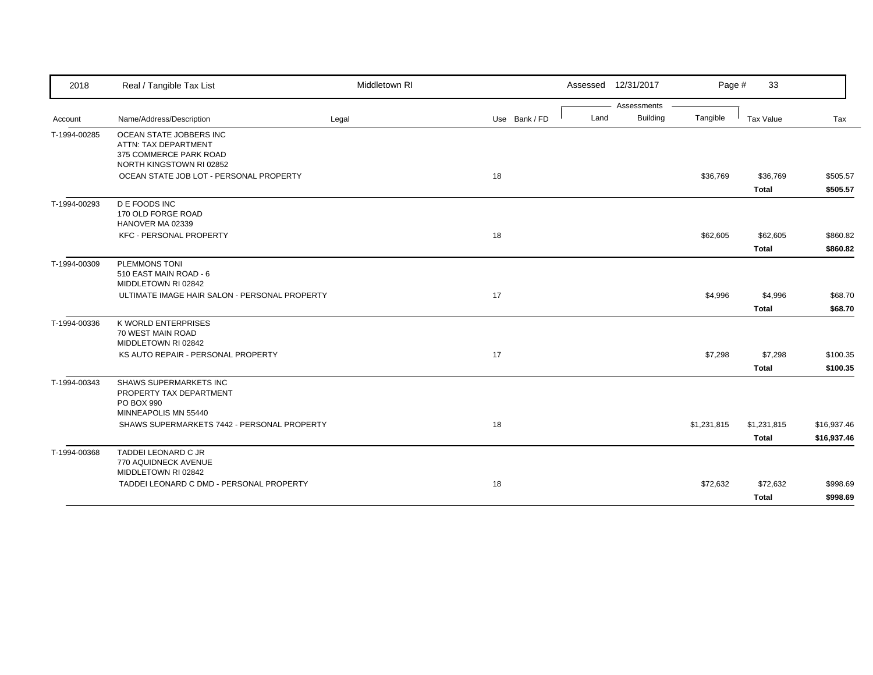| 2018         | Real / Tangible Tax List                           | Middletown RI |               |  | Assessed 12/31/2017 | Page #      | 33           |             |
|--------------|----------------------------------------------------|---------------|---------------|--|---------------------|-------------|--------------|-------------|
|              |                                                    |               |               |  | Assessments         |             |              |             |
| Account      | Name/Address/Description                           | Legal         | Use Bank / FD |  | Building<br>Land    | Tangible    | Tax Value    | Tax         |
| T-1994-00285 | OCEAN STATE JOBBERS INC                            |               |               |  |                     |             |              |             |
|              | ATTN: TAX DEPARTMENT                               |               |               |  |                     |             |              |             |
|              | 375 COMMERCE PARK ROAD<br>NORTH KINGSTOWN RI 02852 |               |               |  |                     |             |              |             |
|              | OCEAN STATE JOB LOT - PERSONAL PROPERTY            |               | 18            |  |                     | \$36,769    | \$36,769     | \$505.57    |
|              |                                                    |               |               |  |                     |             | <b>Total</b> | \$505.57    |
| T-1994-00293 | <b>D E FOODS INC</b>                               |               |               |  |                     |             |              |             |
|              | 170 OLD FORGE ROAD                                 |               |               |  |                     |             |              |             |
|              | HANOVER MA 02339                                   |               |               |  |                     |             |              |             |
|              | KFC - PERSONAL PROPERTY                            |               | 18            |  |                     | \$62,605    | \$62,605     | \$860.82    |
|              |                                                    |               |               |  |                     |             | <b>Total</b> | \$860.82    |
| T-1994-00309 | <b>PLEMMONS TONI</b>                               |               |               |  |                     |             |              |             |
|              | 510 EAST MAIN ROAD - 6                             |               |               |  |                     |             |              |             |
|              | MIDDLETOWN RI 02842                                |               |               |  |                     |             |              |             |
|              | ULTIMATE IMAGE HAIR SALON - PERSONAL PROPERTY      |               | 17            |  |                     | \$4,996     | \$4,996      | \$68.70     |
|              |                                                    |               |               |  |                     |             | <b>Total</b> | \$68.70     |
| T-1994-00336 | K WORLD ENTERPRISES                                |               |               |  |                     |             |              |             |
|              | 70 WEST MAIN ROAD                                  |               |               |  |                     |             |              |             |
|              | MIDDLETOWN RI 02842                                |               |               |  |                     |             |              |             |
|              | KS AUTO REPAIR - PERSONAL PROPERTY                 |               | 17            |  |                     | \$7,298     | \$7,298      | \$100.35    |
|              |                                                    |               |               |  |                     |             | <b>Total</b> | \$100.35    |
| T-1994-00343 | SHAWS SUPERMARKETS INC                             |               |               |  |                     |             |              |             |
|              | PROPERTY TAX DEPARTMENT                            |               |               |  |                     |             |              |             |
|              | PO BOX 990<br>MINNEAPOLIS MN 55440                 |               |               |  |                     |             |              |             |
|              |                                                    |               |               |  |                     |             |              |             |
|              | SHAWS SUPERMARKETS 7442 - PERSONAL PROPERTY        |               | 18            |  |                     | \$1,231,815 | \$1,231,815  | \$16,937.46 |
|              |                                                    |               |               |  |                     |             | <b>Total</b> | \$16,937.46 |
| T-1994-00368 | TADDEI LEONARD C JR                                |               |               |  |                     |             |              |             |
|              | 770 AQUIDNECK AVENUE                               |               |               |  |                     |             |              |             |
|              | MIDDLETOWN RI 02842                                |               |               |  |                     |             |              |             |
|              | TADDEI LEONARD C DMD - PERSONAL PROPERTY           |               | 18            |  |                     | \$72,632    | \$72,632     | \$998.69    |
|              |                                                    |               |               |  |                     |             | <b>Total</b> | \$998.69    |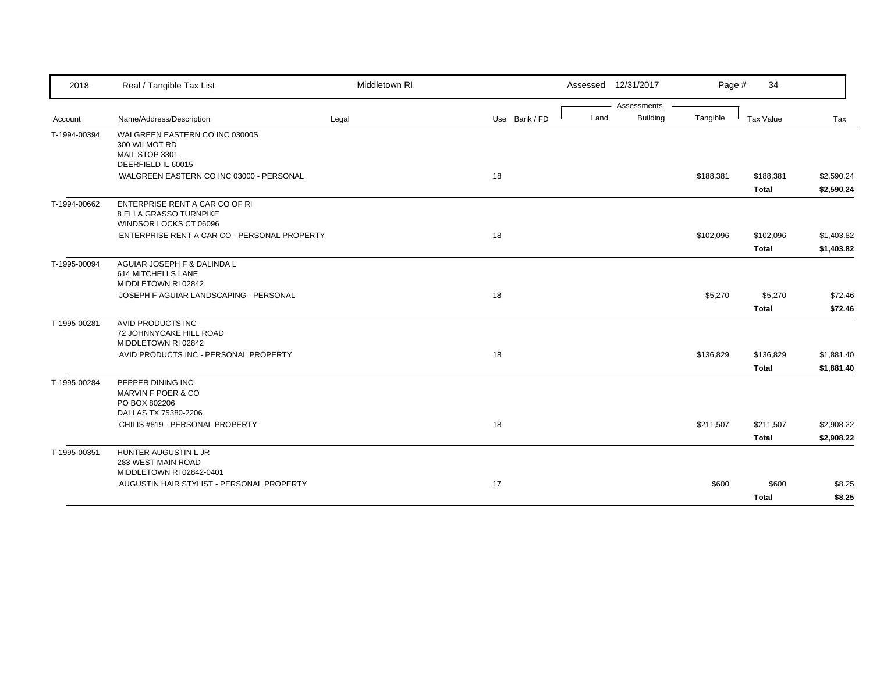| 2018         | Real / Tangible Tax List                                                           | Middletown RI |               | Assessed 12/31/2017 |                 | Page #    | 34           |                          |
|--------------|------------------------------------------------------------------------------------|---------------|---------------|---------------------|-----------------|-----------|--------------|--------------------------|
|              |                                                                                    |               |               |                     | Assessments     |           |              |                          |
| Account      | Name/Address/Description                                                           | Legal         | Use Bank / FD | Land                | <b>Building</b> | Tangible  | Tax Value    | Tax                      |
| T-1994-00394 | WALGREEN EASTERN CO INC 03000S<br>300 WILMOT RD<br>MAIL STOP 3301                  |               |               |                     |                 |           |              |                          |
|              | DEERFIELD IL 60015<br>WALGREEN EASTERN CO INC 03000 - PERSONAL                     |               | 18            |                     |                 | \$188,381 | \$188,381    |                          |
|              |                                                                                    |               |               |                     |                 |           | <b>Total</b> | \$2,590.24<br>\$2,590.24 |
| T-1994-00662 | ENTERPRISE RENT A CAR CO OF RI<br>8 ELLA GRASSO TURNPIKE<br>WINDSOR LOCKS CT 06096 |               |               |                     |                 |           |              |                          |
|              | ENTERPRISE RENT A CAR CO - PERSONAL PROPERTY                                       |               | 18            |                     |                 | \$102,096 | \$102,096    | \$1,403.82               |
|              |                                                                                    |               |               |                     |                 |           | <b>Total</b> | \$1,403.82               |
| T-1995-00094 | AGUIAR JOSEPH F & DALINDA L<br>614 MITCHELLS LANE<br>MIDDLETOWN RI 02842           |               |               |                     |                 |           |              |                          |
|              | JOSEPH F AGUIAR LANDSCAPING - PERSONAL                                             |               | 18            |                     |                 | \$5,270   | \$5,270      | \$72.46                  |
|              |                                                                                    |               |               |                     |                 |           | <b>Total</b> | \$72.46                  |
| T-1995-00281 | AVID PRODUCTS INC<br>72 JOHNNYCAKE HILL ROAD<br>MIDDLETOWN RI 02842                |               |               |                     |                 |           |              |                          |
|              | AVID PRODUCTS INC - PERSONAL PROPERTY                                              |               | 18            |                     |                 | \$136,829 | \$136,829    | \$1,881.40               |
|              |                                                                                    |               |               |                     |                 |           | <b>Total</b> | \$1,881.40               |
| T-1995-00284 | PEPPER DINING INC<br>MARVIN F POER & CO<br>PO BOX 802206                           |               |               |                     |                 |           |              |                          |
|              | DALLAS TX 75380-2206<br>CHILIS #819 - PERSONAL PROPERTY                            |               | 18            |                     |                 | \$211,507 | \$211,507    | \$2,908.22               |
|              |                                                                                    |               |               |                     |                 |           | <b>Total</b> | \$2,908.22               |
| T-1995-00351 | HUNTER AUGUSTIN L JR                                                               |               |               |                     |                 |           |              |                          |
|              | 283 WEST MAIN ROAD<br>MIDDLETOWN RI 02842-0401                                     |               |               |                     |                 |           |              |                          |
|              | AUGUSTIN HAIR STYLIST - PERSONAL PROPERTY                                          |               | 17            |                     |                 | \$600     | \$600        | \$8.25                   |
|              |                                                                                    |               |               |                     |                 |           | <b>Total</b> | \$8.25                   |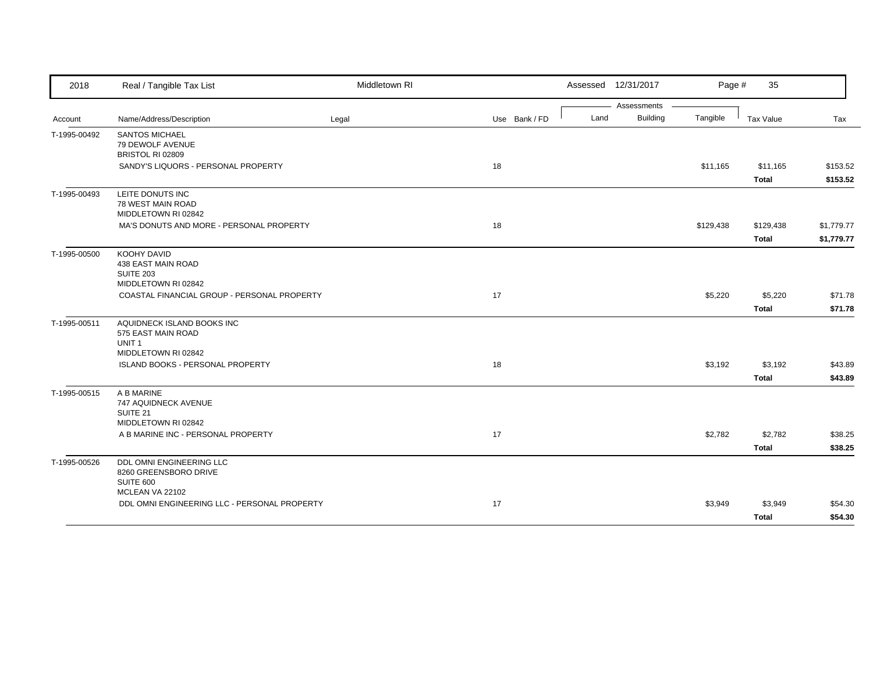| 2018         | Real / Tangible Tax List                                  | Middletown RI |               |      | Assessed 12/31/2017            | Page #    | 35           |            |
|--------------|-----------------------------------------------------------|---------------|---------------|------|--------------------------------|-----------|--------------|------------|
| Account      | Name/Address/Description                                  | Legal         | Use Bank / FD | Land | Assessments<br><b>Building</b> | Tangible  | Tax Value    | Tax        |
|              | <b>SANTOS MICHAEL</b>                                     |               |               |      |                                |           |              |            |
| T-1995-00492 | 79 DEWOLF AVENUE                                          |               |               |      |                                |           |              |            |
|              | BRISTOL RI 02809                                          |               |               |      |                                |           |              |            |
|              | SANDY'S LIQUORS - PERSONAL PROPERTY                       |               | 18            |      |                                | \$11,165  | \$11,165     | \$153.52   |
|              |                                                           |               |               |      |                                |           | <b>Total</b> | \$153.52   |
| T-1995-00493 | LEITE DONUTS INC                                          |               |               |      |                                |           |              |            |
|              | 78 WEST MAIN ROAD<br>MIDDLETOWN RI 02842                  |               |               |      |                                |           |              |            |
|              | MA'S DONUTS AND MORE - PERSONAL PROPERTY                  |               | 18            |      |                                | \$129,438 | \$129,438    | \$1,779.77 |
|              |                                                           |               |               |      |                                |           | <b>Total</b> | \$1,779.77 |
|              |                                                           |               |               |      |                                |           |              |            |
| T-1995-00500 | KOOHY DAVID<br>438 EAST MAIN ROAD                         |               |               |      |                                |           |              |            |
|              | <b>SUITE 203</b>                                          |               |               |      |                                |           |              |            |
|              | MIDDLETOWN RI 02842                                       |               |               |      |                                |           |              |            |
|              | COASTAL FINANCIAL GROUP - PERSONAL PROPERTY               |               | 17            |      |                                | \$5,220   | \$5,220      | \$71.78    |
|              |                                                           |               |               |      |                                |           | <b>Total</b> | \$71.78    |
| T-1995-00511 | AQUIDNECK ISLAND BOOKS INC                                |               |               |      |                                |           |              |            |
|              | 575 EAST MAIN ROAD<br>UNIT <sub>1</sub>                   |               |               |      |                                |           |              |            |
|              | MIDDLETOWN RI 02842                                       |               |               |      |                                |           |              |            |
|              | ISLAND BOOKS - PERSONAL PROPERTY                          |               | 18            |      |                                | \$3,192   | \$3,192      | \$43.89    |
|              |                                                           |               |               |      |                                |           | <b>Total</b> | \$43.89    |
| T-1995-00515 | A B MARINE                                                |               |               |      |                                |           |              |            |
|              | 747 AQUIDNECK AVENUE                                      |               |               |      |                                |           |              |            |
|              | SUITE 21                                                  |               |               |      |                                |           |              |            |
|              | MIDDLETOWN RI 02842<br>A B MARINE INC - PERSONAL PROPERTY |               | 17            |      |                                | \$2,782   | \$2,782      | \$38.25    |
|              |                                                           |               |               |      |                                |           |              |            |
|              |                                                           |               |               |      |                                |           | <b>Total</b> | \$38.25    |
| T-1995-00526 | DDL OMNI ENGINEERING LLC<br>8260 GREENSBORO DRIVE         |               |               |      |                                |           |              |            |
|              | SUITE 600                                                 |               |               |      |                                |           |              |            |
|              | MCLEAN VA 22102                                           |               |               |      |                                |           |              |            |
|              | DDL OMNI ENGINEERING LLC - PERSONAL PROPERTY              |               | 17            |      |                                | \$3,949   | \$3,949      | \$54.30    |
|              |                                                           |               |               |      |                                |           | <b>Total</b> | \$54.30    |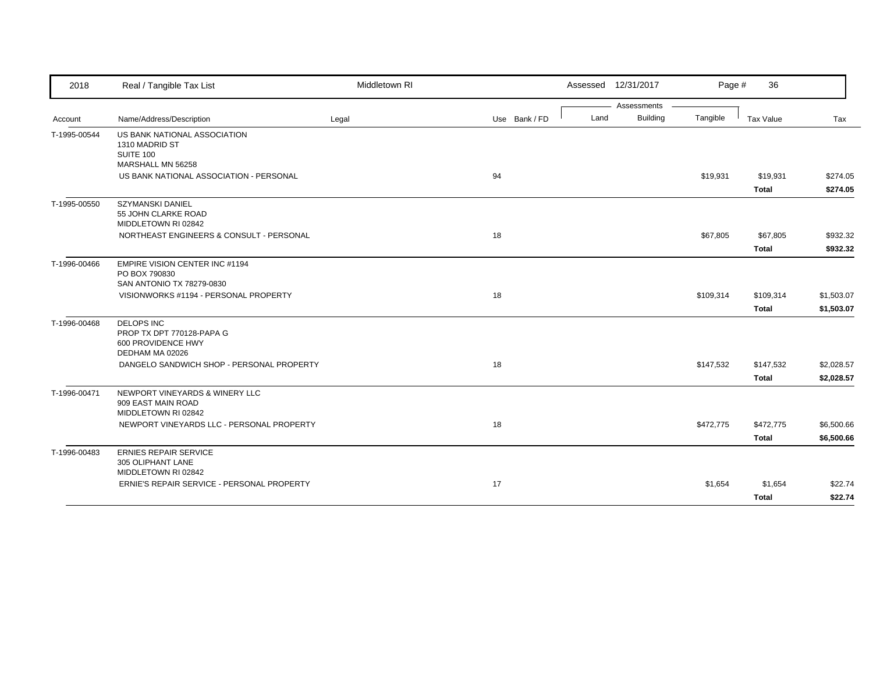| 2018         | Real / Tangible Tax List                                                            | Middletown RI |               | Assessed 12/31/2017 | Page #    | 36           |            |
|--------------|-------------------------------------------------------------------------------------|---------------|---------------|---------------------|-----------|--------------|------------|
|              |                                                                                     |               |               | Assessments         |           |              |            |
| Account      | Name/Address/Description                                                            | Legal         | Use Bank / FD | Building<br>Land    | Tangible  | Tax Value    | Tax        |
| T-1995-00544 | US BANK NATIONAL ASSOCIATION<br>1310 MADRID ST<br><b>SUITE 100</b>                  |               |               |                     |           |              |            |
|              | MARSHALL MN 56258                                                                   |               |               |                     |           |              |            |
|              | US BANK NATIONAL ASSOCIATION - PERSONAL                                             |               | 94            |                     | \$19,931  | \$19,931     | \$274.05   |
|              |                                                                                     |               |               |                     |           | Total        | \$274.05   |
| T-1995-00550 | <b>SZYMANSKI DANIEL</b><br>55 JOHN CLARKE ROAD<br>MIDDLETOWN RI 02842               |               |               |                     |           |              |            |
|              | NORTHEAST ENGINEERS & CONSULT - PERSONAL                                            |               | 18            |                     | \$67,805  | \$67,805     | \$932.32   |
|              |                                                                                     |               |               |                     |           | <b>Total</b> | \$932.32   |
| T-1996-00466 | <b>EMPIRE VISION CENTER INC #1194</b><br>PO BOX 790830<br>SAN ANTONIO TX 78279-0830 |               |               |                     |           |              |            |
|              | VISIONWORKS #1194 - PERSONAL PROPERTY                                               |               | 18            |                     | \$109,314 | \$109,314    | \$1,503.07 |
|              |                                                                                     |               |               |                     |           | <b>Total</b> | \$1,503.07 |
| T-1996-00468 | <b>DELOPS INC</b>                                                                   |               |               |                     |           |              |            |
|              | PROP TX DPT 770128-PAPA G<br>600 PROVIDENCE HWY<br>DEDHAM MA 02026                  |               |               |                     |           |              |            |
|              | DANGELO SANDWICH SHOP - PERSONAL PROPERTY                                           |               | 18            |                     | \$147,532 | \$147,532    | \$2,028.57 |
|              |                                                                                     |               |               |                     |           | <b>Total</b> | \$2,028.57 |
| T-1996-00471 | NEWPORT VINEYARDS & WINERY LLC<br>909 EAST MAIN ROAD<br>MIDDLETOWN RI 02842         |               |               |                     |           |              |            |
|              | NEWPORT VINEYARDS LLC - PERSONAL PROPERTY                                           |               | 18            |                     | \$472,775 | \$472,775    | \$6,500.66 |
|              |                                                                                     |               |               |                     |           | Total        | \$6,500.66 |
| T-1996-00483 | <b>ERNIES REPAIR SERVICE</b><br>305 OLIPHANT LANE                                   |               |               |                     |           |              |            |
|              | MIDDLETOWN RI 02842<br>ERNIE'S REPAIR SERVICE - PERSONAL PROPERTY                   |               | 17            |                     | \$1,654   | \$1,654      | \$22.74    |
|              |                                                                                     |               |               |                     |           | <b>Total</b> | \$22.74    |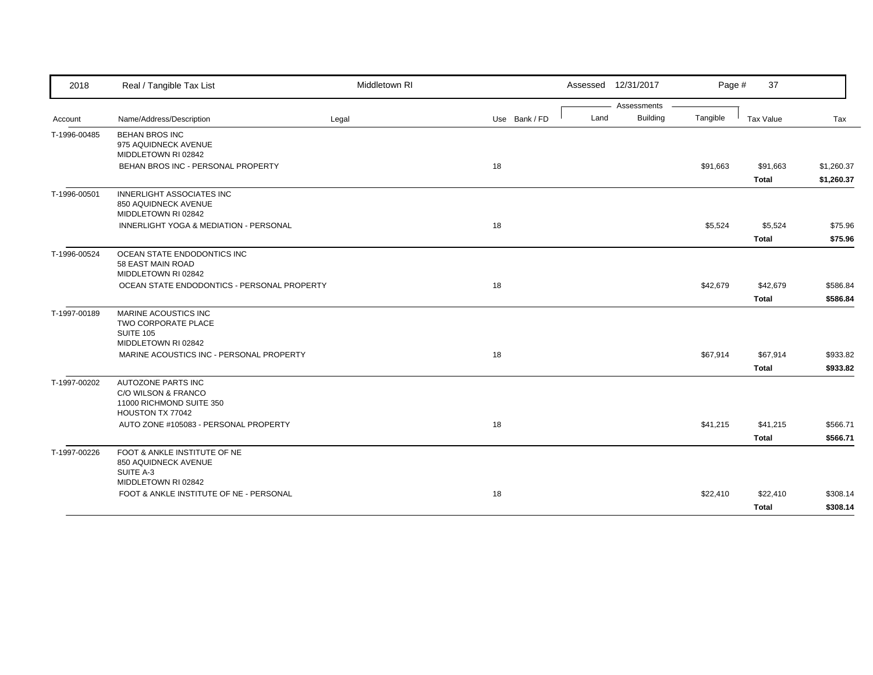| 2018         | Real / Tangible Tax List                                      | Middletown RI |               |      | Assessed 12/31/2017            | Page #   | 37           |            |
|--------------|---------------------------------------------------------------|---------------|---------------|------|--------------------------------|----------|--------------|------------|
|              | Name/Address/Description                                      |               |               | Land | Assessments<br><b>Building</b> | Tangible | Tax Value    |            |
| Account      |                                                               | Legal         | Use Bank / FD |      |                                |          |              | Tax        |
| T-1996-00485 | <b>BEHAN BROS INC</b><br>975 AQUIDNECK AVENUE                 |               |               |      |                                |          |              |            |
|              | MIDDLETOWN RI 02842                                           |               |               |      |                                |          |              |            |
|              | BEHAN BROS INC - PERSONAL PROPERTY                            |               | 18            |      |                                | \$91,663 | \$91,663     | \$1,260.37 |
|              |                                                               |               |               |      |                                |          | <b>Total</b> | \$1,260.37 |
| T-1996-00501 | <b>INNERLIGHT ASSOCIATES INC</b>                              |               |               |      |                                |          |              |            |
|              | 850 AQUIDNECK AVENUE                                          |               |               |      |                                |          |              |            |
|              | MIDDLETOWN RI 02842<br>INNERLIGHT YOGA & MEDIATION - PERSONAL |               | 18            |      |                                | \$5,524  | \$5,524      | \$75.96    |
|              |                                                               |               |               |      |                                |          |              |            |
|              |                                                               |               |               |      |                                |          | <b>Total</b> | \$75.96    |
| T-1996-00524 | OCEAN STATE ENDODONTICS INC                                   |               |               |      |                                |          |              |            |
|              | 58 EAST MAIN ROAD<br>MIDDLETOWN RI 02842                      |               |               |      |                                |          |              |            |
|              | OCEAN STATE ENDODONTICS - PERSONAL PROPERTY                   |               | 18            |      |                                | \$42,679 | \$42,679     | \$586.84   |
|              |                                                               |               |               |      |                                |          | <b>Total</b> | \$586.84   |
| T-1997-00189 | <b>MARINE ACOUSTICS INC</b>                                   |               |               |      |                                |          |              |            |
|              | TWO CORPORATE PLACE                                           |               |               |      |                                |          |              |            |
|              | <b>SUITE 105</b>                                              |               |               |      |                                |          |              |            |
|              | MIDDLETOWN RI 02842                                           |               |               |      |                                |          |              |            |
|              | MARINE ACOUSTICS INC - PERSONAL PROPERTY                      |               | 18            |      |                                | \$67,914 | \$67,914     | \$933.82   |
|              |                                                               |               |               |      |                                |          | <b>Total</b> | \$933.82   |
| T-1997-00202 | <b>AUTOZONE PARTS INC</b>                                     |               |               |      |                                |          |              |            |
|              | C/O WILSON & FRANCO<br>11000 RICHMOND SUITE 350               |               |               |      |                                |          |              |            |
|              | HOUSTON TX 77042                                              |               |               |      |                                |          |              |            |
|              | AUTO ZONE #105083 - PERSONAL PROPERTY                         |               | 18            |      |                                | \$41,215 | \$41,215     | \$566.71   |
|              |                                                               |               |               |      |                                |          | Total        | \$566.71   |
| T-1997-00226 | FOOT & ANKLE INSTITUTE OF NE                                  |               |               |      |                                |          |              |            |
|              | 850 AQUIDNECK AVENUE                                          |               |               |      |                                |          |              |            |
|              | SUITE A-3                                                     |               |               |      |                                |          |              |            |
|              | MIDDLETOWN RI 02842                                           |               |               |      |                                |          |              |            |
|              | FOOT & ANKLE INSTITUTE OF NE - PERSONAL                       |               | 18            |      |                                | \$22,410 | \$22,410     | \$308.14   |
|              |                                                               |               |               |      |                                |          | Total        | \$308.14   |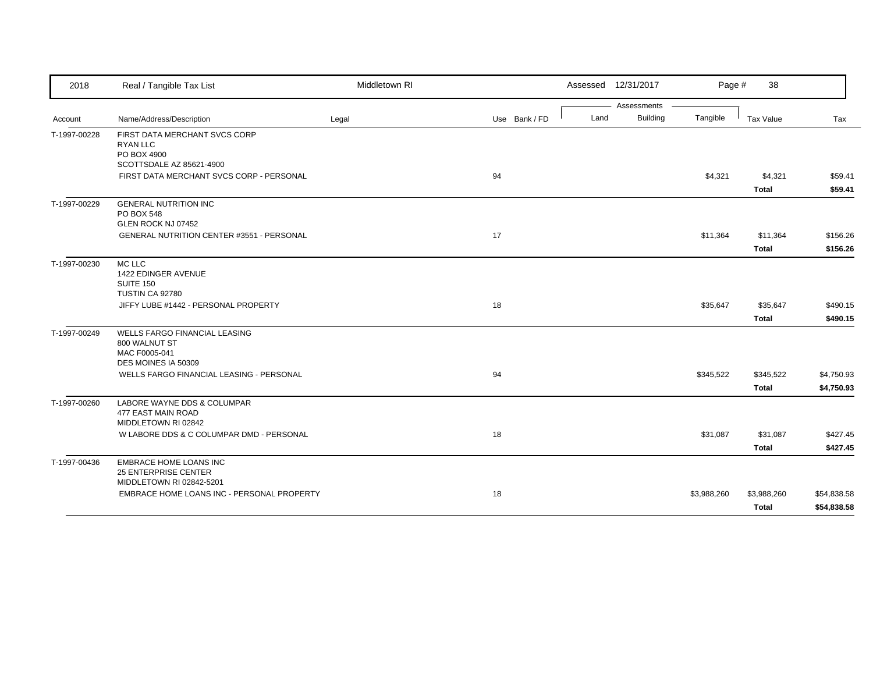| 2018         | Real / Tangible Tax List                                                                                                                  | Middletown RI |               | Assessed 12/31/2017 |                             | Page #<br>38 |             |
|--------------|-------------------------------------------------------------------------------------------------------------------------------------------|---------------|---------------|---------------------|-----------------------------|--------------|-------------|
|              |                                                                                                                                           |               |               |                     | Assessments                 |              |             |
| Account      | Name/Address/Description                                                                                                                  | Legal         | Use Bank / FD | Land                | <b>Building</b><br>Tangible | Tax Value    | Tax         |
| T-1997-00228 | FIRST DATA MERCHANT SVCS CORP<br><b>RYAN LLC</b><br>PO BOX 4900                                                                           |               |               |                     |                             |              |             |
|              | SCOTTSDALE AZ 85621-4900                                                                                                                  |               |               |                     |                             |              |             |
|              | FIRST DATA MERCHANT SVCS CORP - PERSONAL                                                                                                  |               | 94            |                     | \$4,321                     | \$4,321      | \$59.41     |
|              |                                                                                                                                           |               |               |                     |                             | <b>Total</b> | \$59.41     |
| T-1997-00229 | <b>GENERAL NUTRITION INC</b><br>PO BOX 548<br>GLEN ROCK NJ 07452                                                                          |               |               |                     |                             |              |             |
|              | <b>GENERAL NUTRITION CENTER #3551 - PERSONAL</b>                                                                                          |               | 17            |                     | \$11,364                    | \$11,364     | \$156.26    |
|              |                                                                                                                                           |               |               |                     |                             | <b>Total</b> | \$156.26    |
| T-1997-00230 | MC LLC<br>1422 EDINGER AVENUE<br>SUITE 150<br>TUSTIN CA 92780                                                                             |               |               |                     |                             |              |             |
|              | JIFFY LUBE #1442 - PERSONAL PROPERTY                                                                                                      |               | 18            |                     | \$35,647                    | \$35,647     | \$490.15    |
|              |                                                                                                                                           |               |               |                     |                             | <b>Total</b> | \$490.15    |
| T-1997-00249 | <b>WELLS FARGO FINANCIAL LEASING</b><br>800 WALNUT ST<br>MAC F0005-041<br>DES MOINES IA 50309<br>WELLS FARGO FINANCIAL LEASING - PERSONAL |               | 94            |                     | \$345,522                   | \$345,522    | \$4,750.93  |
|              |                                                                                                                                           |               |               |                     |                             | <b>Total</b> | \$4,750.93  |
| T-1997-00260 | LABORE WAYNE DDS & COLUMPAR<br>477 EAST MAIN ROAD<br>MIDDLETOWN RI 02842                                                                  |               |               |                     |                             |              |             |
|              | W LABORE DDS & C COLUMPAR DMD - PERSONAL                                                                                                  |               | 18            |                     | \$31,087                    | \$31,087     | \$427.45    |
|              |                                                                                                                                           |               |               |                     |                             | <b>Total</b> | \$427.45    |
| T-1997-00436 | <b>EMBRACE HOME LOANS INC</b><br>25 ENTERPRISE CENTER<br>MIDDLETOWN RI 02842-5201                                                         |               |               |                     |                             |              |             |
|              | EMBRACE HOME LOANS INC - PERSONAL PROPERTY                                                                                                |               | 18            |                     | \$3,988,260                 | \$3,988,260  | \$54,838.58 |
|              |                                                                                                                                           |               |               |                     |                             | <b>Total</b> | \$54,838.58 |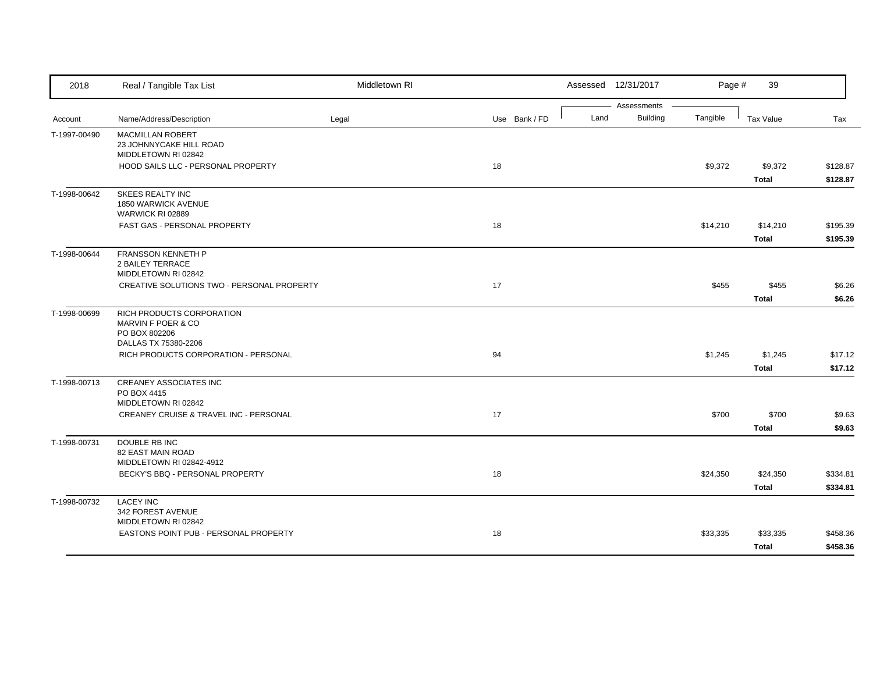| 2018         | Real / Tangible Tax List                                                                 | Middletown RI |               | Assessed 12/31/2017                    | Page #   | 39                       |                      |
|--------------|------------------------------------------------------------------------------------------|---------------|---------------|----------------------------------------|----------|--------------------------|----------------------|
| Account      | Name/Address/Description                                                                 | Legal         | Use Bank / FD | Assessments<br><b>Building</b><br>Land | Tangible | <b>Tax Value</b>         | Tax                  |
| T-1997-00490 | <b>MACMILLAN ROBERT</b><br>23 JOHNNYCAKE HILL ROAD<br>MIDDLETOWN RI 02842                |               |               |                                        |          |                          |                      |
|              | HOOD SAILS LLC - PERSONAL PROPERTY                                                       |               | 18            |                                        | \$9,372  | \$9,372<br><b>Total</b>  | \$128.87<br>\$128.87 |
| T-1998-00642 | SKEES REALTY INC<br>1850 WARWICK AVENUE<br>WARWICK RI 02889                              |               |               |                                        |          |                          |                      |
|              | FAST GAS - PERSONAL PROPERTY                                                             |               | 18            |                                        | \$14,210 | \$14,210<br>Total        | \$195.39<br>\$195.39 |
| T-1998-00644 | FRANSSON KENNETH P<br><b>2 BAILEY TERRACE</b><br>MIDDLETOWN RI 02842                     |               |               |                                        |          |                          |                      |
|              | CREATIVE SOLUTIONS TWO - PERSONAL PROPERTY                                               |               | 17            |                                        | \$455    | \$455<br><b>Total</b>    | \$6.26<br>\$6.26     |
| T-1998-00699 | RICH PRODUCTS CORPORATION<br>MARVIN F POER & CO<br>PO BOX 802206<br>DALLAS TX 75380-2206 |               |               |                                        |          |                          |                      |
|              | RICH PRODUCTS CORPORATION - PERSONAL                                                     |               | 94            |                                        | \$1,245  | \$1,245<br>Total         | \$17.12<br>\$17.12   |
| T-1998-00713 | <b>CREANEY ASSOCIATES INC</b><br>PO BOX 4415<br>MIDDLETOWN RI 02842                      |               |               |                                        |          |                          |                      |
|              | CREANEY CRUISE & TRAVEL INC - PERSONAL                                                   |               | 17            |                                        | \$700    | \$700<br><b>Total</b>    | \$9.63<br>\$9.63     |
| T-1998-00731 | DOUBLE RB INC<br>82 EAST MAIN ROAD<br>MIDDLETOWN RI 02842-4912                           |               |               |                                        |          |                          |                      |
|              | BECKY'S BBQ - PERSONAL PROPERTY                                                          |               | 18            |                                        | \$24,350 | \$24,350<br><b>Total</b> | \$334.81<br>\$334.81 |
| T-1998-00732 | <b>LACEY INC</b><br>342 FOREST AVENUE<br>MIDDLETOWN RI 02842                             |               |               |                                        |          |                          |                      |
|              | EASTONS POINT PUB - PERSONAL PROPERTY                                                    |               | 18            |                                        | \$33,335 | \$33,335<br><b>Total</b> | \$458.36<br>\$458.36 |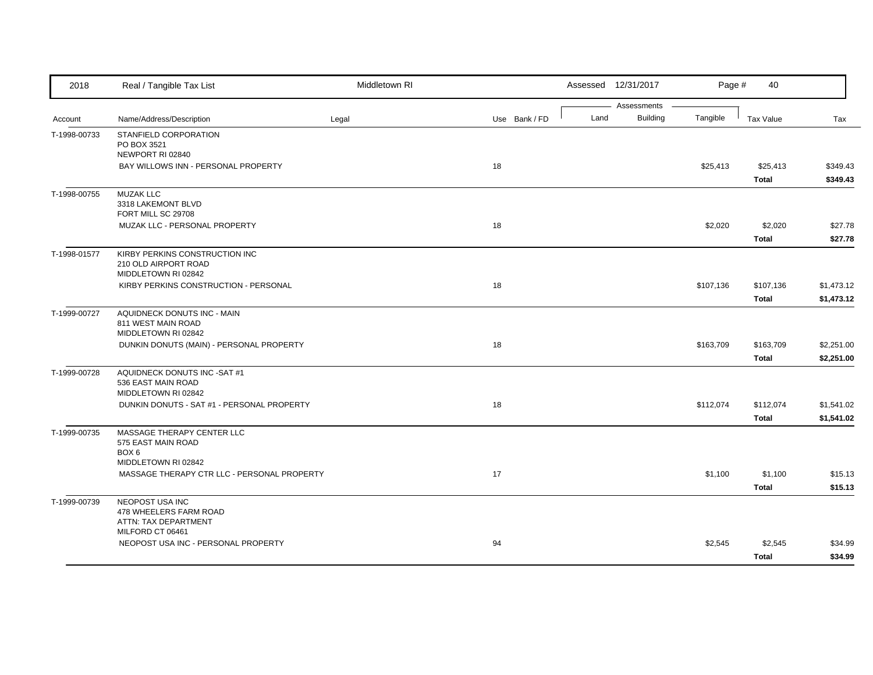| 2018         | Real / Tangible Tax List                          | Middletown RI |               |      | Assessed 12/31/2017            | Page #    | 40               |            |
|--------------|---------------------------------------------------|---------------|---------------|------|--------------------------------|-----------|------------------|------------|
| Account      | Name/Address/Description                          |               | Use Bank / FD | Land | Assessments<br><b>Building</b> | Tangible  | <b>Tax Value</b> | Tax        |
|              |                                                   | Legal         |               |      |                                |           |                  |            |
| T-1998-00733 | STANFIELD CORPORATION<br>PO BOX 3521              |               |               |      |                                |           |                  |            |
|              | NEWPORT RI 02840                                  |               |               |      |                                |           |                  |            |
|              | BAY WILLOWS INN - PERSONAL PROPERTY               |               | 18            |      |                                | \$25,413  | \$25,413         | \$349.43   |
|              |                                                   |               |               |      |                                |           | <b>Total</b>     | \$349.43   |
| T-1998-00755 | <b>MUZAK LLC</b>                                  |               |               |      |                                |           |                  |            |
|              | 3318 LAKEMONT BLVD<br>FORT MILL SC 29708          |               |               |      |                                |           |                  |            |
|              | MUZAK LLC - PERSONAL PROPERTY                     |               | 18            |      |                                | \$2,020   | \$2,020          | \$27.78    |
|              |                                                   |               |               |      |                                |           | <b>Total</b>     | \$27.78    |
| T-1998-01577 | KIRBY PERKINS CONSTRUCTION INC                    |               |               |      |                                |           |                  |            |
|              | 210 OLD AIRPORT ROAD                              |               |               |      |                                |           |                  |            |
|              | MIDDLETOWN RI 02842                               |               |               |      |                                |           |                  |            |
|              | KIRBY PERKINS CONSTRUCTION - PERSONAL             |               | 18            |      |                                | \$107,136 | \$107,136        | \$1,473.12 |
|              |                                                   |               |               |      |                                |           | <b>Total</b>     | \$1,473.12 |
| T-1999-00727 | AQUIDNECK DONUTS INC - MAIN<br>811 WEST MAIN ROAD |               |               |      |                                |           |                  |            |
|              | MIDDLETOWN RI 02842                               |               |               |      |                                |           |                  |            |
|              | DUNKIN DONUTS (MAIN) - PERSONAL PROPERTY          |               | 18            |      |                                | \$163,709 | \$163,709        | \$2,251.00 |
|              |                                                   |               |               |      |                                |           | <b>Total</b>     | \$2,251.00 |
| T-1999-00728 | AQUIDNECK DONUTS INC -SAT #1                      |               |               |      |                                |           |                  |            |
|              | 536 EAST MAIN ROAD<br>MIDDLETOWN RI 02842         |               |               |      |                                |           |                  |            |
|              | DUNKIN DONUTS - SAT #1 - PERSONAL PROPERTY        |               | 18            |      |                                | \$112,074 | \$112,074        | \$1,541.02 |
|              |                                                   |               |               |      |                                |           | <b>Total</b>     | \$1,541.02 |
| T-1999-00735 | MASSAGE THERAPY CENTER LLC                        |               |               |      |                                |           |                  |            |
|              | 575 EAST MAIN ROAD                                |               |               |      |                                |           |                  |            |
|              | BOX 6                                             |               |               |      |                                |           |                  |            |
|              | MIDDLETOWN RI 02842                               |               |               |      |                                |           |                  |            |
|              | MASSAGE THERAPY CTR LLC - PERSONAL PROPERTY       |               | 17            |      |                                | \$1,100   | \$1,100          | \$15.13    |
|              |                                                   |               |               |      |                                |           | <b>Total</b>     | \$15.13    |
| T-1999-00739 | NEOPOST USA INC<br>478 WHEELERS FARM ROAD         |               |               |      |                                |           |                  |            |
|              | ATTN: TAX DEPARTMENT                              |               |               |      |                                |           |                  |            |
|              | MILFORD CT 06461                                  |               |               |      |                                |           |                  |            |
|              | NEOPOST USA INC - PERSONAL PROPERTY               |               | 94            |      |                                | \$2,545   | \$2,545          | \$34.99    |
|              |                                                   |               |               |      |                                |           | <b>Total</b>     | \$34.99    |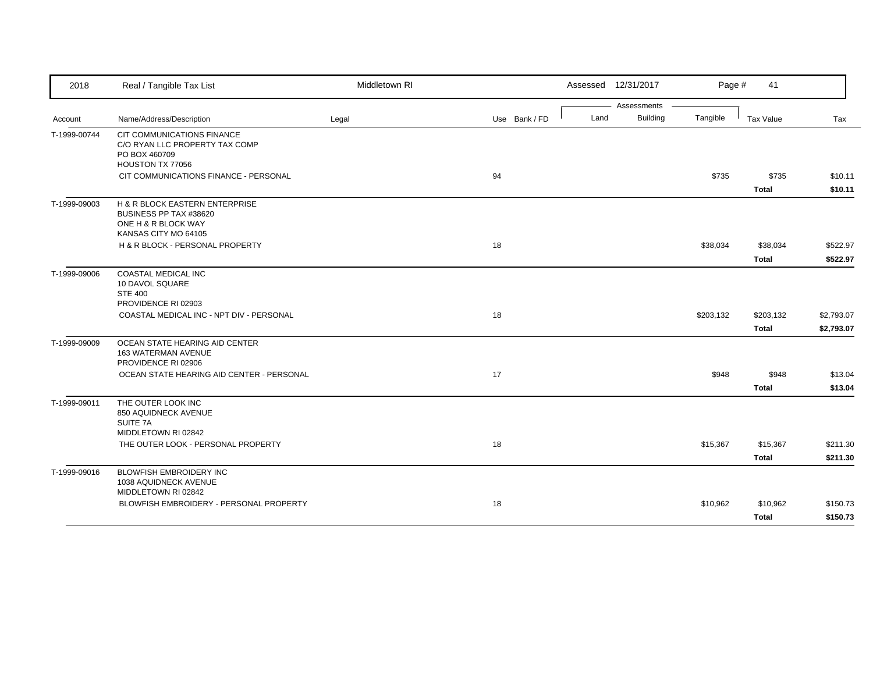| 2018                    | Real / Tangible Tax List                                                                                                      | Middletown RI |               | Assessed 12/31/2017                    | Page #    | 41                        |                          |
|-------------------------|-------------------------------------------------------------------------------------------------------------------------------|---------------|---------------|----------------------------------------|-----------|---------------------------|--------------------------|
|                         |                                                                                                                               |               | Use Bank / FD | Assessments<br><b>Building</b><br>Land | Tangible  | Tax Value                 | Tax                      |
| Account<br>T-1999-00744 | Name/Address/Description<br>CIT COMMUNICATIONS FINANCE<br>C/O RYAN LLC PROPERTY TAX COMP<br>PO BOX 460709<br>HOUSTON TX 77056 | Legal         |               |                                        |           |                           |                          |
|                         | CIT COMMUNICATIONS FINANCE - PERSONAL                                                                                         |               | 94            |                                        | \$735     | \$735<br><b>Total</b>     | \$10.11<br>\$10.11       |
| T-1999-09003            | H & R BLOCK EASTERN ENTERPRISE<br>BUSINESS PP TAX #38620<br>ONE H & R BLOCK WAY<br>KANSAS CITY MO 64105                       |               |               |                                        |           |                           |                          |
|                         | H & R BLOCK - PERSONAL PROPERTY                                                                                               |               | 18            |                                        | \$38,034  | \$38,034<br><b>Total</b>  | \$522.97<br>\$522.97     |
| T-1999-09006            | COASTAL MEDICAL INC<br>10 DAVOL SQUARE<br><b>STE 400</b><br>PROVIDENCE RI 02903                                               |               |               |                                        |           |                           |                          |
|                         | COASTAL MEDICAL INC - NPT DIV - PERSONAL                                                                                      |               | 18            |                                        | \$203,132 | \$203,132<br><b>Total</b> | \$2,793.07<br>\$2,793.07 |
| T-1999-09009            | OCEAN STATE HEARING AID CENTER<br>163 WATERMAN AVENUE<br>PROVIDENCE RI 02906<br>OCEAN STATE HEARING AID CENTER - PERSONAL     |               | 17            |                                        | \$948     | \$948                     | \$13.04                  |
|                         |                                                                                                                               |               |               |                                        |           | <b>Total</b>              | \$13.04                  |
| T-1999-09011            | THE OUTER LOOK INC<br>850 AQUIDNECK AVENUE<br>SUITE 7A<br>MIDDLETOWN RI 02842                                                 |               |               |                                        |           |                           |                          |
|                         | THE OUTER LOOK - PERSONAL PROPERTY                                                                                            |               | 18            |                                        | \$15,367  | \$15,367<br><b>Total</b>  | \$211.30<br>\$211.30     |
| T-1999-09016            | <b>BLOWFISH EMBROIDERY INC</b><br>1038 AQUIDNECK AVENUE<br>MIDDLETOWN RI 02842                                                |               |               |                                        |           |                           |                          |
|                         | BLOWFISH EMBROIDERY - PERSONAL PROPERTY                                                                                       |               | 18            |                                        | \$10,962  | \$10,962<br><b>Total</b>  | \$150.73<br>\$150.73     |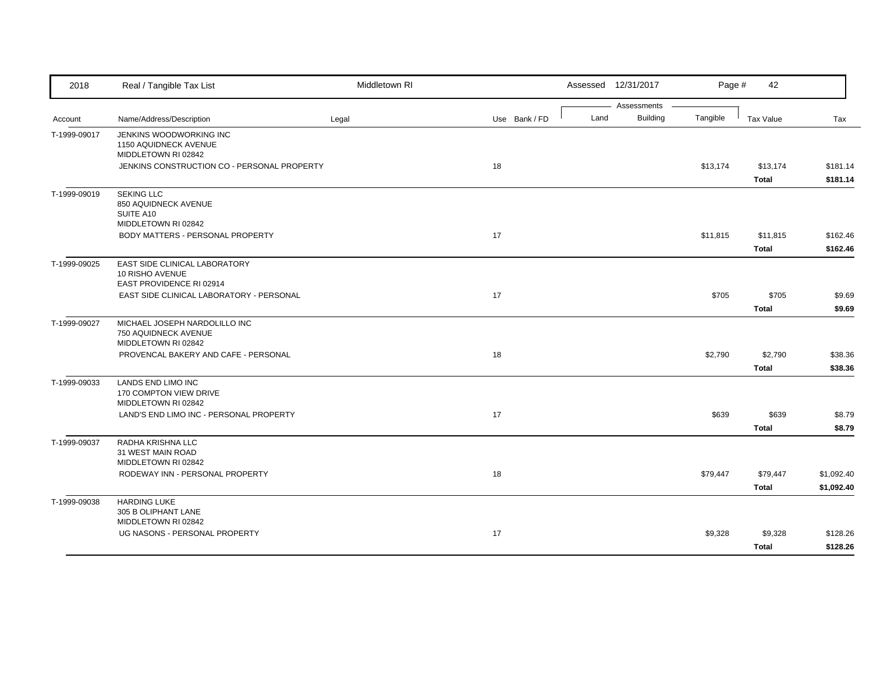| 2018         | Real / Tangible Tax List                             | Middletown RI |               |      | Assessed 12/31/2017            | Page #   | 42           |            |
|--------------|------------------------------------------------------|---------------|---------------|------|--------------------------------|----------|--------------|------------|
|              |                                                      |               |               | Land | Assessments<br><b>Building</b> | Tangible |              |            |
| Account      | Name/Address/Description                             | Legal         | Use Bank / FD |      |                                |          | Tax Value    | Tax        |
| T-1999-09017 | JENKINS WOODWORKING INC<br>1150 AQUIDNECK AVENUE     |               |               |      |                                |          |              |            |
|              | MIDDLETOWN RI 02842                                  |               |               |      |                                |          |              |            |
|              | JENKINS CONSTRUCTION CO - PERSONAL PROPERTY          |               | 18            |      |                                | \$13,174 | \$13,174     | \$181.14   |
|              |                                                      |               |               |      |                                |          | <b>Total</b> | \$181.14   |
| T-1999-09019 | <b>SEKING LLC</b>                                    |               |               |      |                                |          |              |            |
|              | 850 AQUIDNECK AVENUE                                 |               |               |      |                                |          |              |            |
|              | SUITE A10<br>MIDDLETOWN RI 02842                     |               |               |      |                                |          |              |            |
|              | BODY MATTERS - PERSONAL PROPERTY                     |               | 17            |      |                                | \$11,815 | \$11,815     | \$162.46   |
|              |                                                      |               |               |      |                                |          | <b>Total</b> | \$162.46   |
|              |                                                      |               |               |      |                                |          |              |            |
| T-1999-09025 | EAST SIDE CLINICAL LABORATORY<br>10 RISHO AVENUE     |               |               |      |                                |          |              |            |
|              | EAST PROVIDENCE RI 02914                             |               |               |      |                                |          |              |            |
|              | EAST SIDE CLINICAL LABORATORY - PERSONAL             |               | 17            |      |                                | \$705    | \$705        | \$9.69     |
|              |                                                      |               |               |      |                                |          | <b>Total</b> | \$9.69     |
| T-1999-09027 | MICHAEL JOSEPH NARDOLILLO INC                        |               |               |      |                                |          |              |            |
|              | 750 AQUIDNECK AVENUE                                 |               |               |      |                                |          |              |            |
|              | MIDDLETOWN RI 02842                                  |               |               |      |                                |          |              |            |
|              | PROVENCAL BAKERY AND CAFE - PERSONAL                 |               | 18            |      |                                | \$2,790  | \$2,790      | \$38.36    |
|              |                                                      |               |               |      |                                |          | <b>Total</b> | \$38.36    |
| T-1999-09033 | LANDS END LIMO INC                                   |               |               |      |                                |          |              |            |
|              | 170 COMPTON VIEW DRIVE<br>MIDDLETOWN RI 02842        |               |               |      |                                |          |              |            |
|              | LAND'S END LIMO INC - PERSONAL PROPERTY              |               | 17            |      |                                | \$639    | \$639        | \$8.79     |
|              |                                                      |               |               |      |                                |          | <b>Total</b> | \$8.79     |
| T-1999-09037 | RADHA KRISHNA LLC                                    |               |               |      |                                |          |              |            |
|              | 31 WEST MAIN ROAD                                    |               |               |      |                                |          |              |            |
|              | MIDDLETOWN RI 02842                                  |               |               |      |                                |          |              |            |
|              | RODEWAY INN - PERSONAL PROPERTY                      |               | 18            |      |                                | \$79,447 | \$79,447     | \$1,092.40 |
|              |                                                      |               |               |      |                                |          | <b>Total</b> | \$1,092.40 |
| T-1999-09038 | <b>HARDING LUKE</b>                                  |               |               |      |                                |          |              |            |
|              | 305 B OLIPHANT LANE                                  |               |               |      |                                |          |              |            |
|              | MIDDLETOWN RI 02842<br>UG NASONS - PERSONAL PROPERTY |               | 17            |      |                                | \$9,328  |              |            |
|              |                                                      |               |               |      |                                |          | \$9,328      | \$128.26   |
|              |                                                      |               |               |      |                                |          | <b>Total</b> | \$128.26   |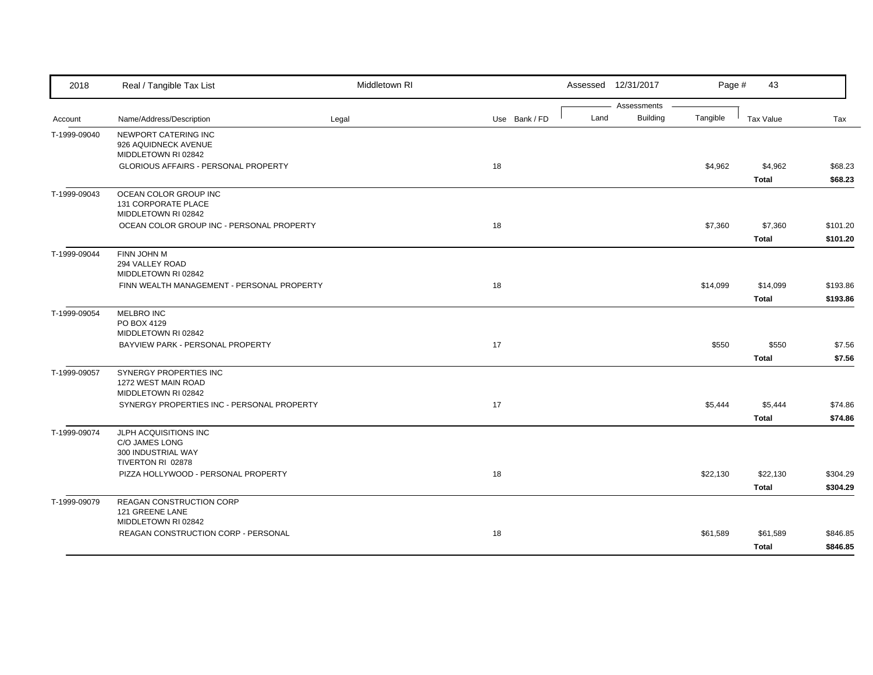| 2018         | Real / Tangible Tax List                                                  | Middletown RI |               |      | Assessed 12/31/2017            | Page #   | 43                       |                      |
|--------------|---------------------------------------------------------------------------|---------------|---------------|------|--------------------------------|----------|--------------------------|----------------------|
| Account      | Name/Address/Description                                                  | Legal         | Use Bank / FD | Land | Assessments<br><b>Building</b> | Tangible | Tax Value                | Tax                  |
| T-1999-09040 | NEWPORT CATERING INC<br>926 AQUIDNECK AVENUE<br>MIDDLETOWN RI 02842       |               |               |      |                                |          |                          |                      |
|              | GLORIOUS AFFAIRS - PERSONAL PROPERTY                                      |               | 18            |      |                                | \$4,962  | \$4,962<br><b>Total</b>  | \$68.23<br>\$68.23   |
| T-1999-09043 | OCEAN COLOR GROUP INC<br>131 CORPORATE PLACE<br>MIDDLETOWN RI 02842       |               |               |      |                                |          |                          |                      |
|              | OCEAN COLOR GROUP INC - PERSONAL PROPERTY                                 |               | 18            |      |                                | \$7,360  | \$7,360<br><b>Total</b>  | \$101.20<br>\$101.20 |
| T-1999-09044 | FINN JOHN M<br>294 VALLEY ROAD<br>MIDDLETOWN RI 02842                     |               |               |      |                                |          |                          |                      |
|              | FINN WEALTH MANAGEMENT - PERSONAL PROPERTY                                |               | 18            |      |                                | \$14,099 | \$14,099<br><b>Total</b> | \$193.86<br>\$193.86 |
| T-1999-09054 | <b>MELBRO INC</b><br>PO BOX 4129<br>MIDDLETOWN RI 02842                   |               |               |      |                                |          |                          |                      |
|              | BAYVIEW PARK - PERSONAL PROPERTY                                          |               | 17            |      |                                | \$550    | \$550<br><b>Total</b>    | \$7.56<br>\$7.56     |
| T-1999-09057 | SYNERGY PROPERTIES INC<br>1272 WEST MAIN ROAD<br>MIDDLETOWN RI 02842      |               |               |      |                                |          |                          |                      |
|              | SYNERGY PROPERTIES INC - PERSONAL PROPERTY                                |               | 17            |      |                                | \$5,444  | \$5,444<br><b>Total</b>  | \$74.86<br>\$74.86   |
| T-1999-09074 | JLPH ACQUISITIONS INC<br>C/O JAMES LONG<br>300 INDUSTRIAL WAY             |               |               |      |                                |          |                          |                      |
|              | TIVERTON RI 02878<br>PIZZA HOLLYWOOD - PERSONAL PROPERTY                  |               | 18            |      |                                | \$22,130 | \$22,130<br><b>Total</b> | \$304.29<br>\$304.29 |
| T-1999-09079 | <b>REAGAN CONSTRUCTION CORP</b><br>121 GREENE LANE<br>MIDDLETOWN RI 02842 |               |               |      |                                |          |                          |                      |
|              | REAGAN CONSTRUCTION CORP - PERSONAL                                       |               | 18            |      |                                | \$61,589 | \$61,589<br><b>Total</b> | \$846.85<br>\$846.85 |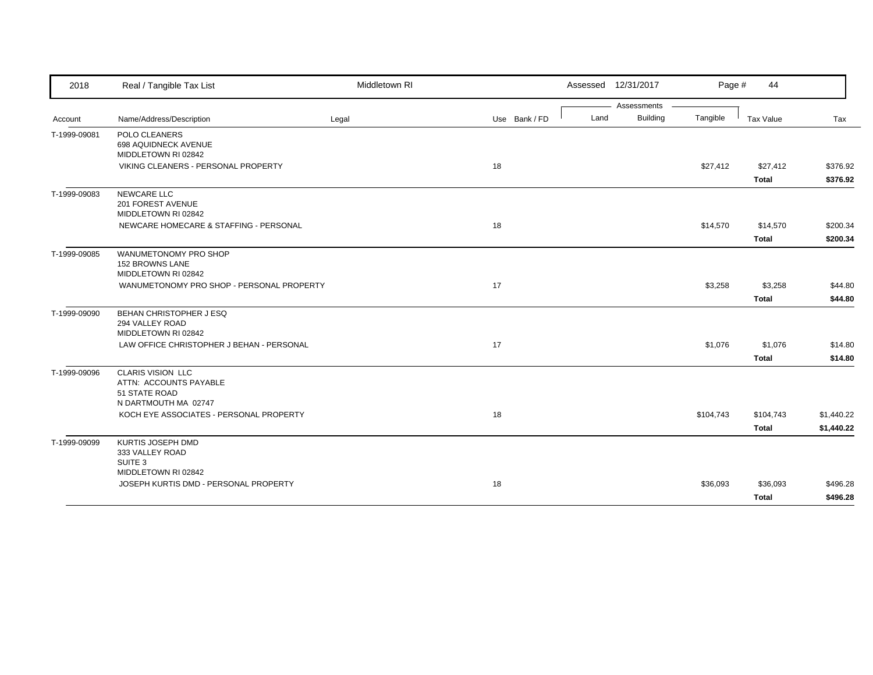| 2018         | Real / Tangible Tax List                                                                    | Middletown RI |               | Assessed 12/31/2017 |             | Page #    | 44                        |                          |
|--------------|---------------------------------------------------------------------------------------------|---------------|---------------|---------------------|-------------|-----------|---------------------------|--------------------------|
|              |                                                                                             |               |               |                     | Assessments |           |                           |                          |
| Account      | Name/Address/Description                                                                    | Legal         | Use Bank / FD | Land                | Building    | Tangible  | Tax Value                 | Tax                      |
| T-1999-09081 | POLO CLEANERS<br>698 AQUIDNECK AVENUE<br>MIDDLETOWN RI 02842                                |               |               |                     |             |           |                           |                          |
|              | VIKING CLEANERS - PERSONAL PROPERTY                                                         |               | 18            |                     |             | \$27,412  | \$27,412<br><b>Total</b>  | \$376.92<br>\$376.92     |
| T-1999-09083 | NEWCARE LLC<br>201 FOREST AVENUE<br>MIDDLETOWN RI 02842                                     |               |               |                     |             |           |                           |                          |
|              | NEWCARE HOMECARE & STAFFING - PERSONAL                                                      |               | 18            |                     |             | \$14,570  | \$14,570<br><b>Total</b>  | \$200.34<br>\$200.34     |
| T-1999-09085 | WANUMETONOMY PRO SHOP<br><b>152 BROWNS LANE</b><br>MIDDLETOWN RI 02842                      |               |               |                     |             |           |                           |                          |
|              | WANUMETONOMY PRO SHOP - PERSONAL PROPERTY                                                   |               | 17            |                     |             | \$3,258   | \$3,258<br><b>Total</b>   | \$44.80<br>\$44.80       |
| T-1999-09090 | BEHAN CHRISTOPHER J ESQ<br>294 VALLEY ROAD<br>MIDDLETOWN RI 02842                           |               |               |                     |             |           |                           |                          |
|              | LAW OFFICE CHRISTOPHER J BEHAN - PERSONAL                                                   |               | 17            |                     |             | \$1,076   | \$1,076<br>Total          | \$14.80<br>\$14.80       |
| T-1999-09096 | <b>CLARIS VISION LLC</b><br>ATTN: ACCOUNTS PAYABLE<br>51 STATE ROAD<br>N DARTMOUTH MA 02747 |               |               |                     |             |           |                           |                          |
|              | KOCH EYE ASSOCIATES - PERSONAL PROPERTY                                                     |               | 18            |                     |             | \$104,743 | \$104,743<br><b>Total</b> | \$1,440.22<br>\$1,440.22 |
| T-1999-09099 | KURTIS JOSEPH DMD<br>333 VALLEY ROAD<br>SUITE 3                                             |               |               |                     |             |           |                           |                          |
|              | MIDDLETOWN RI 02842<br>JOSEPH KURTIS DMD - PERSONAL PROPERTY                                |               | 18            |                     |             | \$36,093  | \$36,093<br>Total         | \$496.28<br>\$496.28     |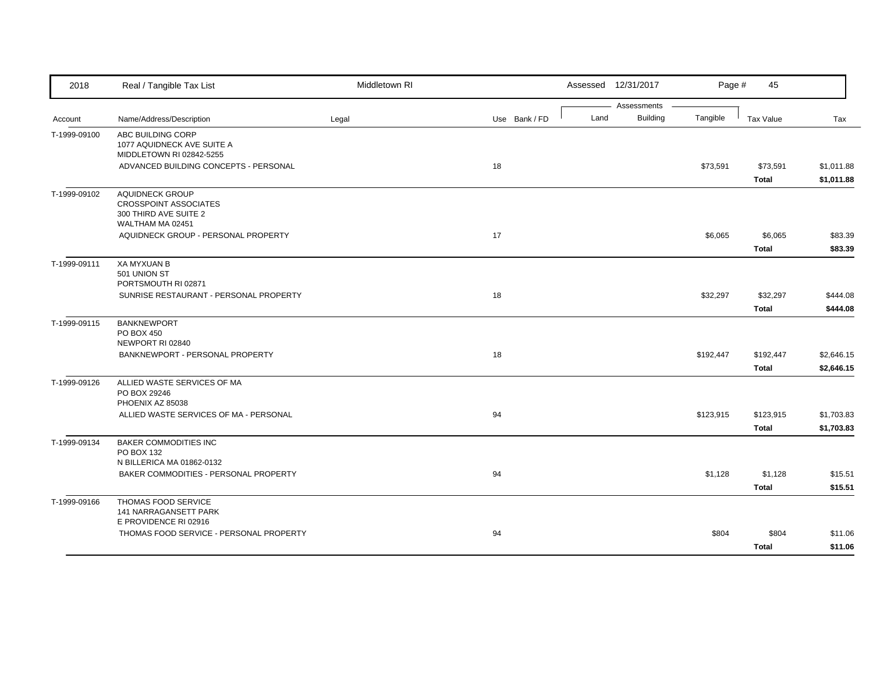| 2018         | Real / Tangible Tax List                                                                     | Middletown RI |               | Assessed 12/31/2017                    | Page #    | 45                        |                          |
|--------------|----------------------------------------------------------------------------------------------|---------------|---------------|----------------------------------------|-----------|---------------------------|--------------------------|
| Account      | Name/Address/Description                                                                     | Legal         | Use Bank / FD | Assessments<br><b>Building</b><br>Land | Tangible  | Tax Value                 | Tax                      |
| T-1999-09100 | ABC BUILDING CORP<br>1077 AQUIDNECK AVE SUITE A<br>MIDDLETOWN RI 02842-5255                  |               |               |                                        |           |                           |                          |
|              | ADVANCED BUILDING CONCEPTS - PERSONAL                                                        |               | 18            |                                        | \$73,591  | \$73,591<br><b>Total</b>  | \$1,011.88<br>\$1,011.88 |
| T-1999-09102 | AQUIDNECK GROUP<br><b>CROSSPOINT ASSOCIATES</b><br>300 THIRD AVE SUITE 2<br>WALTHAM MA 02451 |               |               |                                        |           |                           |                          |
|              | AQUIDNECK GROUP - PERSONAL PROPERTY                                                          |               | 17            |                                        | \$6,065   | \$6,065<br><b>Total</b>   | \$83.39<br>\$83.39       |
| T-1999-09111 | <b>XA MYXUAN B</b><br>501 UNION ST<br>PORTSMOUTH RI 02871                                    |               |               |                                        |           |                           |                          |
|              | SUNRISE RESTAURANT - PERSONAL PROPERTY                                                       |               | 18            |                                        | \$32,297  | \$32,297<br>Total         | \$444.08<br>\$444.08     |
| T-1999-09115 | <b>BANKNEWPORT</b><br>PO BOX 450<br>NEWPORT RI 02840                                         |               |               |                                        |           |                           |                          |
|              | BANKNEWPORT - PERSONAL PROPERTY                                                              |               | 18            |                                        | \$192,447 | \$192,447<br><b>Total</b> | \$2,646.15<br>\$2,646.15 |
| T-1999-09126 | ALLIED WASTE SERVICES OF MA<br>PO BOX 29246<br>PHOENIX AZ 85038                              |               |               |                                        |           |                           |                          |
|              | ALLIED WASTE SERVICES OF MA - PERSONAL                                                       |               | 94            |                                        | \$123,915 | \$123,915<br><b>Total</b> | \$1,703.83<br>\$1,703.83 |
| T-1999-09134 | <b>BAKER COMMODITIES INC</b><br>PO BOX 132<br>N BILLERICA MA 01862-0132                      |               |               |                                        |           |                           |                          |
|              | BAKER COMMODITIES - PERSONAL PROPERTY                                                        |               | 94            |                                        | \$1,128   | \$1,128<br><b>Total</b>   | \$15.51<br>\$15.51       |
| T-1999-09166 | THOMAS FOOD SERVICE<br>141 NARRAGANSETT PARK<br>E PROVIDENCE RI 02916                        |               |               |                                        |           |                           |                          |
|              | THOMAS FOOD SERVICE - PERSONAL PROPERTY                                                      |               | 94            |                                        | \$804     | \$804<br><b>Total</b>     | \$11.06<br>\$11.06       |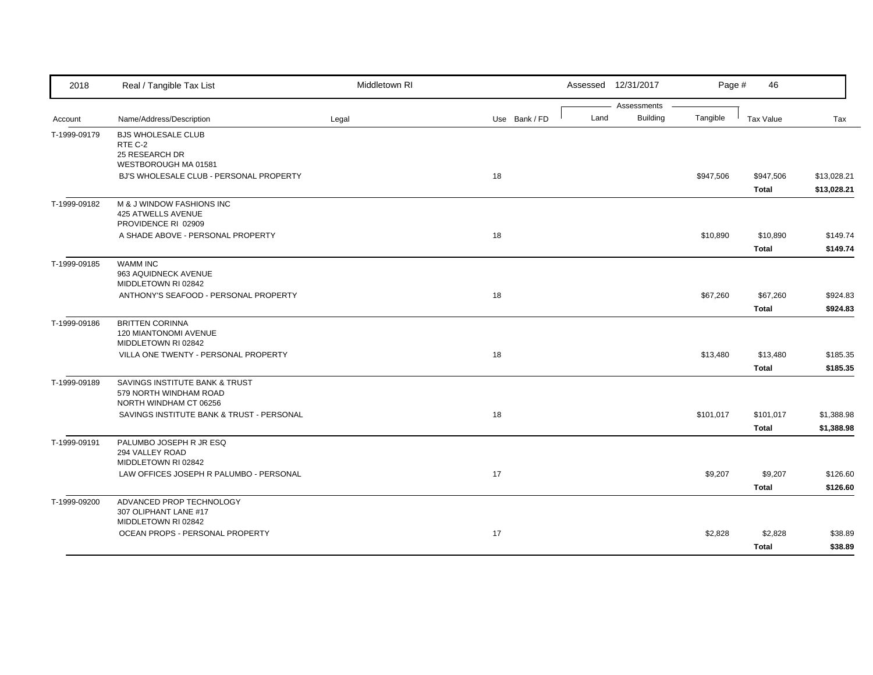| 2018         | Real / Tangible Tax List                                                           | Middletown RI |               |      | Assessed 12/31/2017            | Page #    | 46                        |                            |
|--------------|------------------------------------------------------------------------------------|---------------|---------------|------|--------------------------------|-----------|---------------------------|----------------------------|
| Account      | Name/Address/Description                                                           | Legal         | Use Bank / FD | Land | Assessments<br><b>Building</b> | Tangible  | Tax Value                 | Tax                        |
| T-1999-09179 | <b>BJS WHOLESALE CLUB</b>                                                          |               |               |      |                                |           |                           |                            |
|              | RTE C-2<br>25 RESEARCH DR<br>WESTBOROUGH MA 01581                                  |               |               |      |                                |           |                           |                            |
|              | BJ'S WHOLESALE CLUB - PERSONAL PROPERTY                                            |               | 18            |      |                                | \$947,506 | \$947,506<br><b>Total</b> | \$13,028.21<br>\$13,028.21 |
| T-1999-09182 | M & J WINDOW FASHIONS INC<br>425 ATWELLS AVENUE<br>PROVIDENCE RI 02909             |               |               |      |                                |           |                           |                            |
|              | A SHADE ABOVE - PERSONAL PROPERTY                                                  |               | 18            |      |                                | \$10,890  | \$10,890                  | \$149.74                   |
|              |                                                                                    |               |               |      |                                |           | <b>Total</b>              | \$149.74                   |
| T-1999-09185 | <b>WAMM INC</b><br>963 AQUIDNECK AVENUE<br>MIDDLETOWN RI 02842                     |               |               |      |                                |           |                           |                            |
|              | ANTHONY'S SEAFOOD - PERSONAL PROPERTY                                              |               | 18            |      |                                | \$67,260  | \$67,260                  | \$924.83                   |
|              |                                                                                    |               |               |      |                                |           | <b>Total</b>              | \$924.83                   |
| T-1999-09186 | <b>BRITTEN CORINNA</b><br>120 MIANTONOMI AVENUE<br>MIDDLETOWN RI 02842             |               |               |      |                                |           |                           |                            |
|              | VILLA ONE TWENTY - PERSONAL PROPERTY                                               |               | 18            |      |                                | \$13,480  | \$13,480                  | \$185.35                   |
|              |                                                                                    |               |               |      |                                |           | <b>Total</b>              | \$185.35                   |
| T-1999-09189 | SAVINGS INSTITUTE BANK & TRUST<br>579 NORTH WINDHAM ROAD<br>NORTH WINDHAM CT 06256 |               |               |      |                                |           |                           |                            |
|              | SAVINGS INSTITUTE BANK & TRUST - PERSONAL                                          |               | 18            |      |                                | \$101,017 | \$101,017                 | \$1,388.98                 |
|              |                                                                                    |               |               |      |                                |           | <b>Total</b>              | \$1,388.98                 |
| T-1999-09191 | PALUMBO JOSEPH R JR ESQ<br>294 VALLEY ROAD<br>MIDDLETOWN RI 02842                  |               |               |      |                                |           |                           |                            |
|              | LAW OFFICES JOSEPH R PALUMBO - PERSONAL                                            |               | 17            |      |                                | \$9,207   | \$9,207                   | \$126.60                   |
|              |                                                                                    |               |               |      |                                |           | <b>Total</b>              | \$126.60                   |
| T-1999-09200 | ADVANCED PROP TECHNOLOGY<br>307 OLIPHANT LANE #17<br>MIDDLETOWN RI 02842           |               |               |      |                                |           |                           |                            |
|              | OCEAN PROPS - PERSONAL PROPERTY                                                    |               | 17            |      |                                | \$2,828   | \$2,828<br><b>Total</b>   | \$38.89<br>\$38.89         |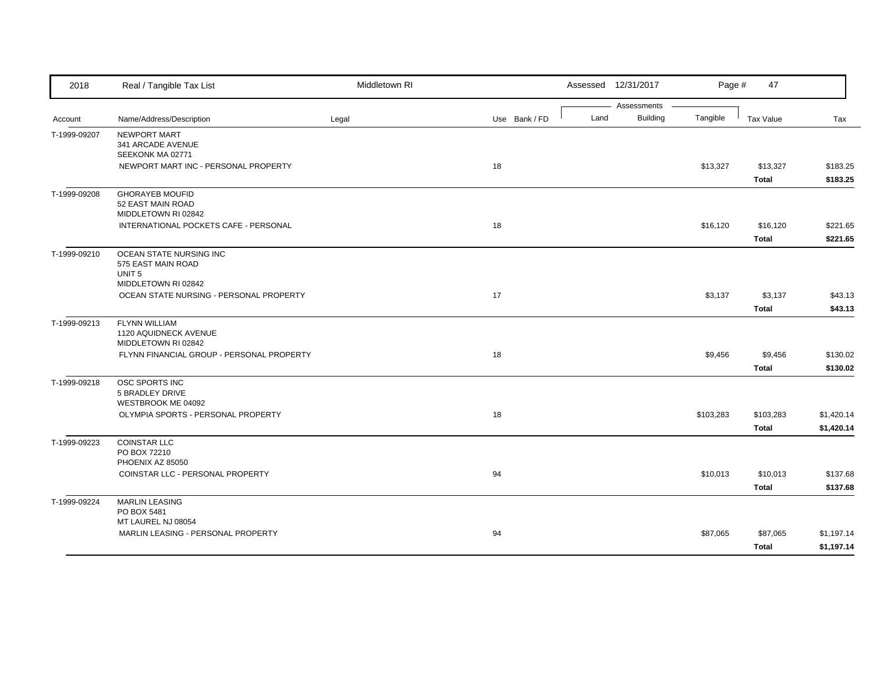| 2018         | Real / Tangible Tax List                      | Middletown RI |               |      | Assessed 12/31/2017 | Page #    | 47               |            |
|--------------|-----------------------------------------------|---------------|---------------|------|---------------------|-----------|------------------|------------|
|              |                                               |               |               |      | Assessments         |           |                  |            |
| Account      | Name/Address/Description                      | Legal         | Use Bank / FD | Land | Building            | Tangible  | <b>Tax Value</b> | Tax        |
| T-1999-09207 | NEWPORT MART                                  |               |               |      |                     |           |                  |            |
|              | 341 ARCADE AVENUE<br>SEEKONK MA 02771         |               |               |      |                     |           |                  |            |
|              | NEWPORT MART INC - PERSONAL PROPERTY          |               | 18            |      |                     | \$13,327  | \$13,327         | \$183.25   |
|              |                                               |               |               |      |                     |           | Total            | \$183.25   |
| T-1999-09208 | <b>GHORAYEB MOUFID</b>                        |               |               |      |                     |           |                  |            |
|              | 52 EAST MAIN ROAD                             |               |               |      |                     |           |                  |            |
|              | MIDDLETOWN RI 02842                           |               |               |      |                     |           |                  |            |
|              | INTERNATIONAL POCKETS CAFE - PERSONAL         |               | 18            |      |                     | \$16,120  | \$16,120         | \$221.65   |
|              |                                               |               |               |      |                     |           | <b>Total</b>     | \$221.65   |
| T-1999-09210 | OCEAN STATE NURSING INC                       |               |               |      |                     |           |                  |            |
|              | 575 EAST MAIN ROAD                            |               |               |      |                     |           |                  |            |
|              | UNIT <sub>5</sub><br>MIDDLETOWN RI 02842      |               |               |      |                     |           |                  |            |
|              | OCEAN STATE NURSING - PERSONAL PROPERTY       |               | 17            |      |                     | \$3,137   | \$3,137          | \$43.13    |
|              |                                               |               |               |      |                     |           |                  |            |
|              |                                               |               |               |      |                     |           | <b>Total</b>     | \$43.13    |
| T-1999-09213 | <b>FLYNN WILLIAM</b><br>1120 AQUIDNECK AVENUE |               |               |      |                     |           |                  |            |
|              | MIDDLETOWN RI 02842                           |               |               |      |                     |           |                  |            |
|              | FLYNN FINANCIAL GROUP - PERSONAL PROPERTY     |               | 18            |      |                     | \$9,456   | \$9,456          | \$130.02   |
|              |                                               |               |               |      |                     |           | <b>Total</b>     | \$130.02   |
| T-1999-09218 | OSC SPORTS INC                                |               |               |      |                     |           |                  |            |
|              | 5 BRADLEY DRIVE                               |               |               |      |                     |           |                  |            |
|              | WESTBROOK ME 04092                            |               |               |      |                     |           |                  |            |
|              | OLYMPIA SPORTS - PERSONAL PROPERTY            |               | 18            |      |                     | \$103,283 | \$103,283        | \$1,420.14 |
|              |                                               |               |               |      |                     |           | <b>Total</b>     | \$1,420.14 |
| T-1999-09223 | <b>COINSTAR LLC</b>                           |               |               |      |                     |           |                  |            |
|              | PO BOX 72210<br>PHOENIX AZ 85050              |               |               |      |                     |           |                  |            |
|              | COINSTAR LLC - PERSONAL PROPERTY              |               | 94            |      |                     | \$10,013  | \$10,013         | \$137.68   |
|              |                                               |               |               |      |                     |           |                  |            |
|              |                                               |               |               |      |                     |           | <b>Total</b>     | \$137.68   |
| T-1999-09224 | <b>MARLIN LEASING</b><br>PO BOX 5481          |               |               |      |                     |           |                  |            |
|              | MT LAUREL NJ 08054                            |               |               |      |                     |           |                  |            |
|              | MARLIN LEASING - PERSONAL PROPERTY            |               | 94            |      |                     | \$87,065  | \$87,065         | \$1,197.14 |
|              |                                               |               |               |      |                     |           | <b>Total</b>     | \$1,197.14 |
|              |                                               |               |               |      |                     |           |                  |            |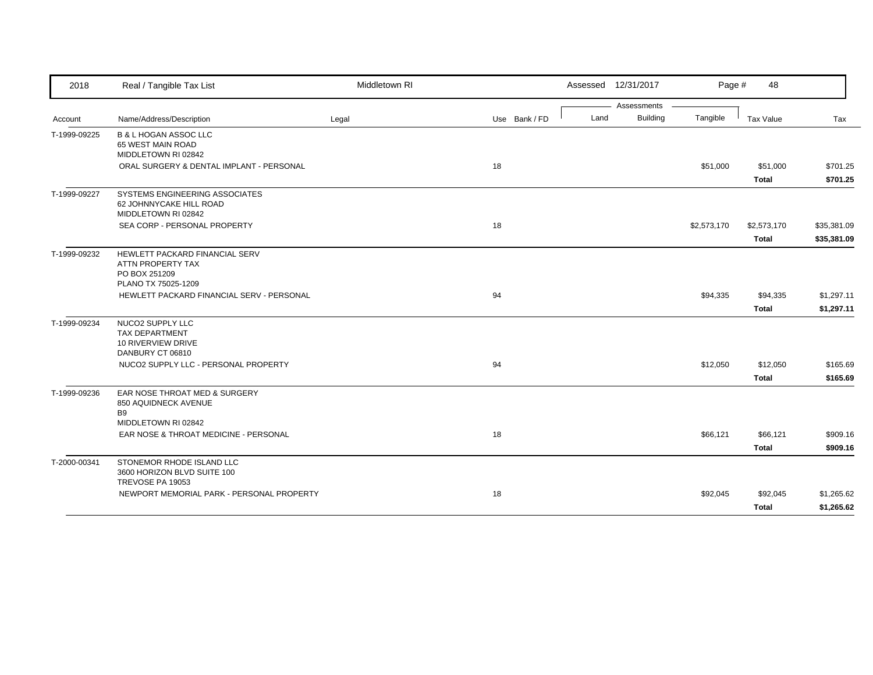| 2018         | Real / Tangible Tax List                                                                    | Middletown RI |               | Assessed 12/31/2017 |                 | Page #      | 48           |             |
|--------------|---------------------------------------------------------------------------------------------|---------------|---------------|---------------------|-----------------|-------------|--------------|-------------|
|              |                                                                                             |               |               |                     | Assessments     |             |              |             |
| Account      | Name/Address/Description                                                                    | Legal         | Use Bank / FD | Land                | <b>Building</b> | Tangible    | Tax Value    | Tax         |
| T-1999-09225 | B & L HOGAN ASSOC LLC<br>65 WEST MAIN ROAD<br>MIDDLETOWN RI 02842                           |               |               |                     |                 |             |              |             |
|              | ORAL SURGERY & DENTAL IMPLANT - PERSONAL                                                    |               | 18            |                     |                 | \$51,000    | \$51,000     | \$701.25    |
|              |                                                                                             |               |               |                     |                 |             | <b>Total</b> | \$701.25    |
| T-1999-09227 | SYSTEMS ENGINEERING ASSOCIATES<br>62 JOHNNYCAKE HILL ROAD<br>MIDDLETOWN RI 02842            |               |               |                     |                 |             |              |             |
|              | SEA CORP - PERSONAL PROPERTY                                                                |               | 18            |                     |                 | \$2,573,170 | \$2,573,170  | \$35,381.09 |
|              |                                                                                             |               |               |                     |                 |             | <b>Total</b> | \$35,381.09 |
| T-1999-09232 | HEWLETT PACKARD FINANCIAL SERV<br>ATTN PROPERTY TAX<br>PO BOX 251209<br>PLANO TX 75025-1209 |               |               |                     |                 |             |              |             |
|              | HEWLETT PACKARD FINANCIAL SERV - PERSONAL                                                   |               | 94            |                     |                 | \$94,335    | \$94,335     | \$1,297.11  |
|              |                                                                                             |               |               |                     |                 |             |              |             |
|              |                                                                                             |               |               |                     |                 |             | <b>Total</b> | \$1,297.11  |
| T-1999-09234 | NUCO2 SUPPLY LLC<br>TAX DEPARTMENT<br>10 RIVERVIEW DRIVE<br>DANBURY CT 06810                |               |               |                     |                 |             |              |             |
|              | NUCO2 SUPPLY LLC - PERSONAL PROPERTY                                                        |               | 94            |                     |                 | \$12,050    | \$12,050     | \$165.69    |
|              |                                                                                             |               |               |                     |                 |             | <b>Total</b> | \$165.69    |
| T-1999-09236 | EAR NOSE THROAT MED & SURGERY<br>850 AQUIDNECK AVENUE<br><b>B9</b>                          |               |               |                     |                 |             |              |             |
|              | MIDDLETOWN RI 02842                                                                         |               |               |                     |                 |             |              |             |
|              | EAR NOSE & THROAT MEDICINE - PERSONAL                                                       |               | 18            |                     |                 | \$66,121    | \$66,121     | \$909.16    |
|              |                                                                                             |               |               |                     |                 |             | <b>Total</b> | \$909.16    |
| T-2000-00341 | STONEMOR RHODE ISLAND LLC<br>3600 HORIZON BLVD SUITE 100<br>TREVOSE PA 19053                |               |               |                     |                 |             |              |             |
|              | NEWPORT MEMORIAL PARK - PERSONAL PROPERTY                                                   |               | 18            |                     |                 | \$92,045    | \$92,045     | \$1,265.62  |
|              |                                                                                             |               |               |                     |                 |             | <b>Total</b> | \$1,265.62  |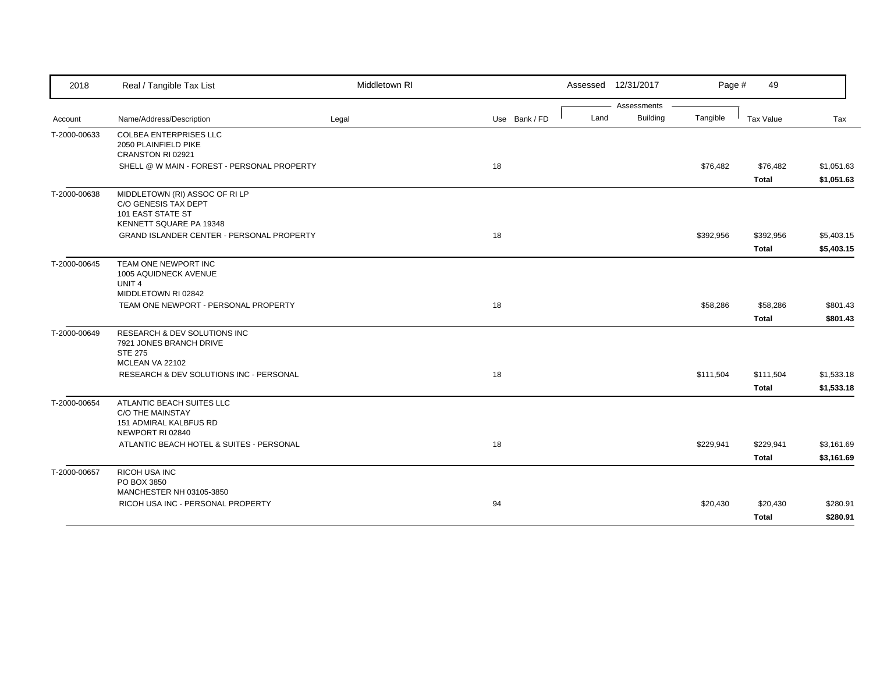| 2018         | Real / Tangible Tax List                                                                               | Middletown RI |               | Assessed 12/31/2017     | Page #    | 49                       |                          |
|--------------|--------------------------------------------------------------------------------------------------------|---------------|---------------|-------------------------|-----------|--------------------------|--------------------------|
|              |                                                                                                        |               |               | Assessments             |           |                          |                          |
| Account      | Name/Address/Description                                                                               | Legal         | Use Bank / FD | <b>Building</b><br>Land | Tangible  | <b>Tax Value</b>         | Tax                      |
| T-2000-00633 | <b>COLBEA ENTERPRISES LLC</b><br>2050 PLAINFIELD PIKE<br>CRANSTON RI 02921                             |               |               |                         |           |                          |                          |
|              | SHELL @ W MAIN - FOREST - PERSONAL PROPERTY                                                            |               | 18            |                         | \$76,482  | \$76,482<br><b>Total</b> | \$1,051.63<br>\$1,051.63 |
| T-2000-00638 | MIDDLETOWN (RI) ASSOC OF RI LP<br>C/O GENESIS TAX DEPT<br>101 EAST STATE ST<br>KENNETT SQUARE PA 19348 |               |               |                         |           |                          |                          |
|              | GRAND ISLANDER CENTER - PERSONAL PROPERTY                                                              |               | 18            |                         | \$392,956 | \$392,956                | \$5,403.15               |
|              |                                                                                                        |               |               |                         |           | <b>Total</b>             | \$5,403.15               |
| T-2000-00645 | TEAM ONE NEWPORT INC<br>1005 AQUIDNECK AVENUE<br>UNIT <sub>4</sub><br>MIDDLETOWN RI 02842              |               |               |                         |           |                          |                          |
|              | TEAM ONE NEWPORT - PERSONAL PROPERTY                                                                   |               | 18            |                         | \$58,286  | \$58,286                 | \$801.43                 |
|              |                                                                                                        |               |               |                         |           | <b>Total</b>             | \$801.43                 |
| T-2000-00649 | RESEARCH & DEV SOLUTIONS INC<br>7921 JONES BRANCH DRIVE<br><b>STE 275</b><br>MCLEAN VA 22102           |               |               |                         |           |                          |                          |
|              | <b>RESEARCH &amp; DEV SOLUTIONS INC - PERSONAL</b>                                                     |               | 18            |                         | \$111,504 | \$111,504                | \$1,533.18               |
|              |                                                                                                        |               |               |                         |           | <b>Total</b>             | \$1,533.18               |
| T-2000-00654 | ATLANTIC BEACH SUITES LLC<br><b>C/O THE MAINSTAY</b><br>151 ADMIRAL KALBFUS RD<br>NEWPORT RI 02840     |               |               |                         |           |                          |                          |
|              | ATLANTIC BEACH HOTEL & SUITES - PERSONAL                                                               |               | 18            |                         | \$229,941 | \$229,941                | \$3,161.69               |
|              |                                                                                                        |               |               |                         |           | <b>Total</b>             | \$3,161.69               |
| T-2000-00657 | RICOH USA INC<br>PO BOX 3850<br>MANCHESTER NH 03105-3850                                               |               |               |                         |           |                          |                          |
|              | RICOH USA INC - PERSONAL PROPERTY                                                                      |               | 94            |                         | \$20,430  | \$20,430                 | \$280.91                 |
|              |                                                                                                        |               |               |                         |           | <b>Total</b>             | \$280.91                 |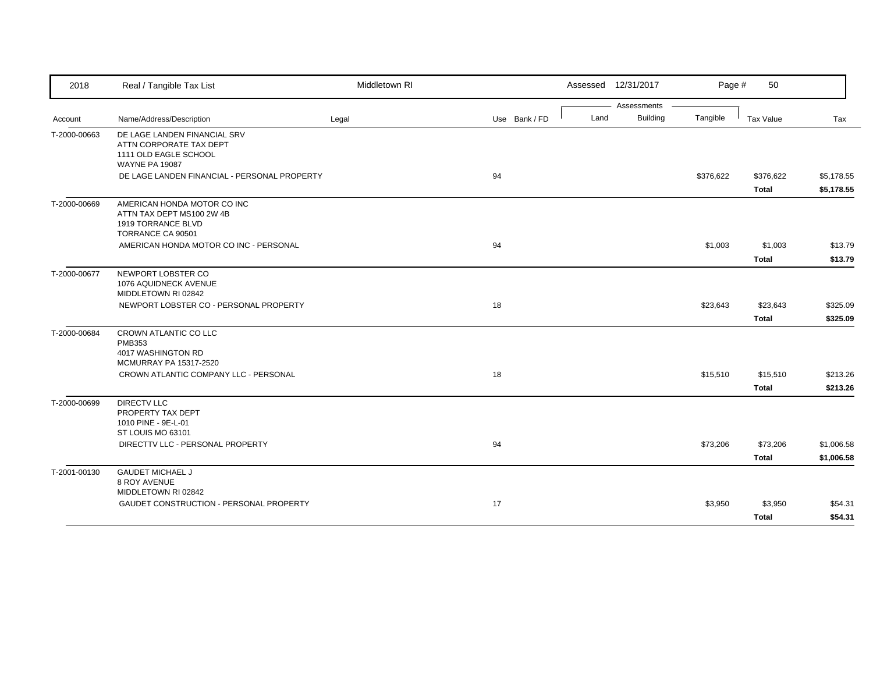| 2018         | Real / Tangible Tax List                                                                                  | Middletown RI |               |      | Assessed 12/31/2017            | Page #    | 50                        |                          |
|--------------|-----------------------------------------------------------------------------------------------------------|---------------|---------------|------|--------------------------------|-----------|---------------------------|--------------------------|
| Account      | Name/Address/Description                                                                                  | Legal         | Use Bank / FD | Land | Assessments<br><b>Building</b> | Tangible  | Tax Value                 | Tax                      |
| T-2000-00663 | DE LAGE LANDEN FINANCIAL SRV<br>ATTN CORPORATE TAX DEPT<br>1111 OLD EAGLE SCHOOL<br><b>WAYNE PA 19087</b> |               |               |      |                                |           |                           |                          |
|              | DE LAGE LANDEN FINANCIAL - PERSONAL PROPERTY                                                              |               | 94            |      |                                | \$376,622 | \$376,622<br><b>Total</b> | \$5,178.55<br>\$5,178.55 |
| T-2000-00669 | AMERICAN HONDA MOTOR CO INC<br>ATTN TAX DEPT MS100 2W 4B<br>1919 TORRANCE BLVD<br>TORRANCE CA 90501       |               |               |      |                                |           |                           |                          |
|              | AMERICAN HONDA MOTOR CO INC - PERSONAL                                                                    |               | 94            |      |                                | \$1,003   | \$1,003<br><b>Total</b>   | \$13.79<br>\$13.79       |
| T-2000-00677 | NEWPORT LOBSTER CO<br>1076 AQUIDNECK AVENUE<br>MIDDLETOWN RI 02842                                        |               |               |      |                                |           |                           |                          |
|              | NEWPORT LOBSTER CO - PERSONAL PROPERTY                                                                    |               | 18            |      |                                | \$23,643  | \$23,643<br><b>Total</b>  | \$325.09<br>\$325.09     |
| T-2000-00684 | CROWN ATLANTIC CO LLC<br><b>PMB353</b><br>4017 WASHINGTON RD<br>MCMURRAY PA 15317-2520                    |               |               |      |                                |           |                           |                          |
|              | CROWN ATLANTIC COMPANY LLC - PERSONAL                                                                     |               | 18            |      |                                | \$15,510  | \$15,510<br><b>Total</b>  | \$213.26<br>\$213.26     |
| T-2000-00699 | <b>DIRECTV LLC</b><br>PROPERTY TAX DEPT<br>1010 PINE - 9E-L-01<br>ST LOUIS MO 63101                       |               |               |      |                                |           |                           |                          |
|              | DIRECTTV LLC - PERSONAL PROPERTY                                                                          |               | 94            |      |                                | \$73,206  | \$73,206<br>Total         | \$1,006.58<br>\$1,006.58 |
| T-2001-00130 | <b>GAUDET MICHAEL J</b><br>8 ROY AVENUE                                                                   |               |               |      |                                |           |                           |                          |
|              | MIDDLETOWN RI 02842<br>GAUDET CONSTRUCTION - PERSONAL PROPERTY                                            |               | 17            |      |                                | \$3,950   | \$3,950<br><b>Total</b>   | \$54.31<br>\$54.31       |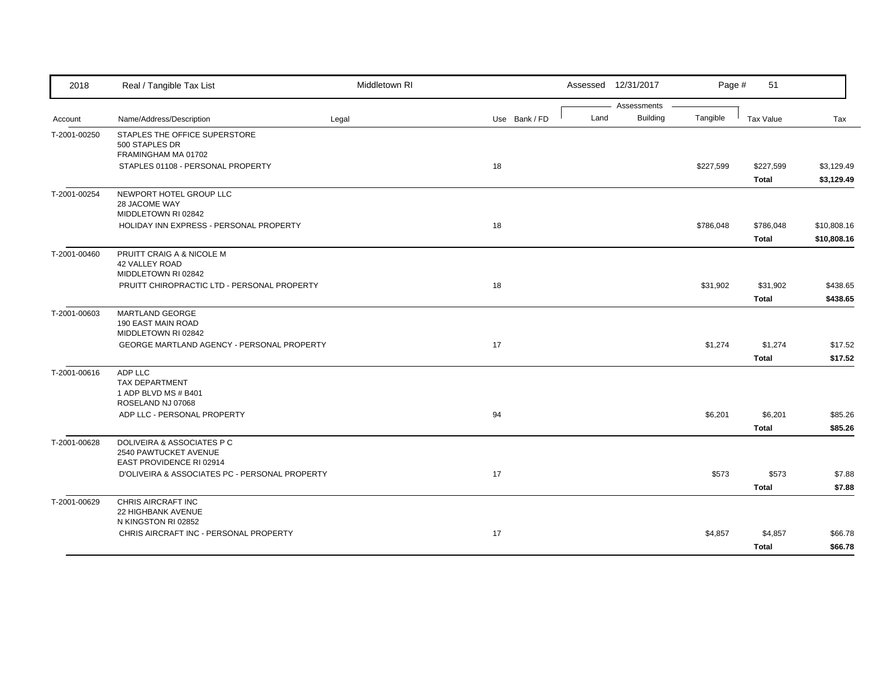| 2018         | Real / Tangible Tax List                                                        | Middletown RI |               |      | Assessed 12/31/2017            | Page #    | 51                        |                            |
|--------------|---------------------------------------------------------------------------------|---------------|---------------|------|--------------------------------|-----------|---------------------------|----------------------------|
| Account      | Name/Address/Description                                                        | Legal         | Use Bank / FD | Land | Assessments<br><b>Building</b> | Tangible  | Tax Value                 | Tax                        |
| T-2001-00250 | STAPLES THE OFFICE SUPERSTORE<br>500 STAPLES DR<br>FRAMINGHAM MA 01702          |               |               |      |                                |           |                           |                            |
|              | STAPLES 01108 - PERSONAL PROPERTY                                               |               | 18            |      |                                | \$227,599 | \$227,599<br><b>Total</b> | \$3,129.49<br>\$3,129.49   |
| T-2001-00254 | NEWPORT HOTEL GROUP LLC<br>28 JACOME WAY<br>MIDDLETOWN RI 02842                 |               |               |      |                                |           |                           |                            |
|              | HOLIDAY INN EXPRESS - PERSONAL PROPERTY                                         |               | 18            |      |                                | \$786,048 | \$786,048<br>Total        | \$10,808.16<br>\$10,808.16 |
| T-2001-00460 | PRUITT CRAIG A & NICOLE M<br><b>42 VALLEY ROAD</b><br>MIDDLETOWN RI 02842       |               |               |      |                                |           |                           |                            |
|              | PRUITT CHIROPRACTIC LTD - PERSONAL PROPERTY                                     |               | 18            |      |                                | \$31,902  | \$31,902<br><b>Total</b>  | \$438.65<br>\$438.65       |
| T-2001-00603 | MARTLAND GEORGE<br>190 EAST MAIN ROAD<br>MIDDLETOWN RI 02842                    |               |               |      |                                |           |                           |                            |
|              | GEORGE MARTLAND AGENCY - PERSONAL PROPERTY                                      |               | 17            |      |                                | \$1,274   | \$1,274<br><b>Total</b>   | \$17.52<br>\$17.52         |
| T-2001-00616 | ADP LLC<br><b>TAX DEPARTMENT</b><br>1 ADP BLVD MS # B401<br>ROSELAND NJ 07068   |               |               |      |                                |           |                           |                            |
|              | ADP LLC - PERSONAL PROPERTY                                                     |               | 94            |      |                                | \$6,201   | \$6,201<br><b>Total</b>   | \$85.26<br>\$85.26         |
| T-2001-00628 | DOLIVEIRA & ASSOCIATES P C<br>2540 PAWTUCKET AVENUE<br>EAST PROVIDENCE RI 02914 |               |               |      |                                |           |                           |                            |
|              | D'OLIVEIRA & ASSOCIATES PC - PERSONAL PROPERTY                                  |               | 17            |      |                                | \$573     | \$573<br><b>Total</b>     | \$7.88<br>\$7.88           |
| T-2001-00629 | CHRIS AIRCRAFT INC<br>22 HIGHBANK AVENUE<br>N KINGSTON RI 02852                 |               |               |      |                                |           |                           |                            |
|              | CHRIS AIRCRAFT INC - PERSONAL PROPERTY                                          |               | 17            |      |                                | \$4,857   | \$4,857<br><b>Total</b>   | \$66.78<br>\$66.78         |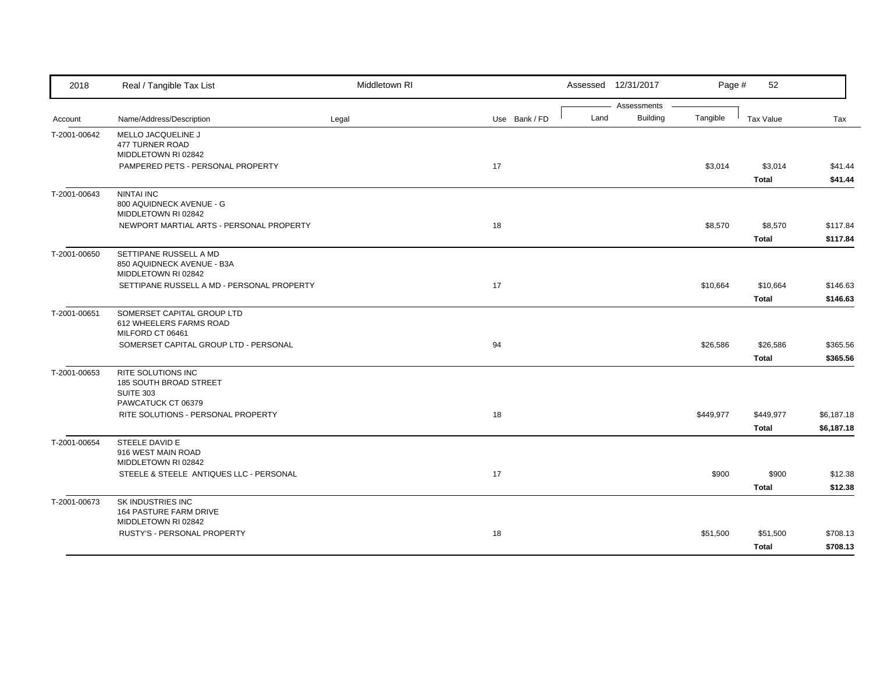| 2018         | Real / Tangible Tax List                                          | Middletown RI |               |      | Assessed 12/31/2017            | Page #    | 52               |            |
|--------------|-------------------------------------------------------------------|---------------|---------------|------|--------------------------------|-----------|------------------|------------|
|              |                                                                   |               |               | Land | Assessments<br><b>Building</b> | Tangible  |                  |            |
| Account      | Name/Address/Description                                          | Legal         | Use Bank / FD |      |                                |           | <b>Tax Value</b> | Tax        |
| T-2001-00642 | MELLO JACQUELINE J<br><b>477 TURNER ROAD</b>                      |               |               |      |                                |           |                  |            |
|              | MIDDLETOWN RI 02842                                               |               |               |      |                                |           |                  |            |
|              | PAMPERED PETS - PERSONAL PROPERTY                                 |               | 17            |      |                                | \$3,014   | \$3,014          | \$41.44    |
|              |                                                                   |               |               |      |                                |           | <b>Total</b>     | \$41.44    |
| T-2001-00643 | <b>NINTAI INC</b>                                                 |               |               |      |                                |           |                  |            |
|              | 800 AQUIDNECK AVENUE - G                                          |               |               |      |                                |           |                  |            |
|              | MIDDLETOWN RI 02842                                               |               |               |      |                                |           |                  |            |
|              | NEWPORT MARTIAL ARTS - PERSONAL PROPERTY                          |               | 18            |      |                                | \$8,570   | \$8,570          | \$117.84   |
|              |                                                                   |               |               |      |                                |           | <b>Total</b>     | \$117.84   |
| T-2001-00650 | SETTIPANE RUSSELL A MD                                            |               |               |      |                                |           |                  |            |
|              | 850 AQUIDNECK AVENUE - B3A                                        |               |               |      |                                |           |                  |            |
|              | MIDDLETOWN RI 02842<br>SETTIPANE RUSSELL A MD - PERSONAL PROPERTY |               | 17            |      |                                |           | \$10,664         | \$146.63   |
|              |                                                                   |               |               |      |                                | \$10,664  |                  |            |
|              |                                                                   |               |               |      |                                |           | <b>Total</b>     | \$146.63   |
| T-2001-00651 | SOMERSET CAPITAL GROUP LTD                                        |               |               |      |                                |           |                  |            |
|              | 612 WHEELERS FARMS ROAD<br>MILFORD CT 06461                       |               |               |      |                                |           |                  |            |
|              | SOMERSET CAPITAL GROUP LTD - PERSONAL                             |               | 94            |      |                                | \$26,586  | \$26,586         | \$365.56   |
|              |                                                                   |               |               |      |                                |           | <b>Total</b>     | \$365.56   |
| T-2001-00653 | <b>RITE SOLUTIONS INC</b>                                         |               |               |      |                                |           |                  |            |
|              | 185 SOUTH BROAD STREET                                            |               |               |      |                                |           |                  |            |
|              | <b>SUITE 303</b>                                                  |               |               |      |                                |           |                  |            |
|              | PAWCATUCK CT 06379                                                |               |               |      |                                |           |                  |            |
|              | RITE SOLUTIONS - PERSONAL PROPERTY                                |               | 18            |      |                                | \$449,977 | \$449,977        | \$6,187.18 |
|              |                                                                   |               |               |      |                                |           | <b>Total</b>     | \$6,187.18 |
| T-2001-00654 | STEELE DAVID E                                                    |               |               |      |                                |           |                  |            |
|              | 916 WEST MAIN ROAD                                                |               |               |      |                                |           |                  |            |
|              | MIDDLETOWN RI 02842<br>STEELE & STEELE ANTIQUES LLC - PERSONAL    |               | 17            |      |                                | \$900     | \$900            | \$12.38    |
|              |                                                                   |               |               |      |                                |           |                  |            |
|              |                                                                   |               |               |      |                                |           | <b>Total</b>     | \$12.38    |
| T-2001-00673 | SK INDUSTRIES INC                                                 |               |               |      |                                |           |                  |            |
|              | 164 PASTURE FARM DRIVE<br>MIDDLETOWN RI 02842                     |               |               |      |                                |           |                  |            |
|              | RUSTY'S - PERSONAL PROPERTY                                       |               | 18            |      |                                | \$51,500  | \$51,500         | \$708.13   |
|              |                                                                   |               |               |      |                                |           | <b>Total</b>     | \$708.13   |
|              |                                                                   |               |               |      |                                |           |                  |            |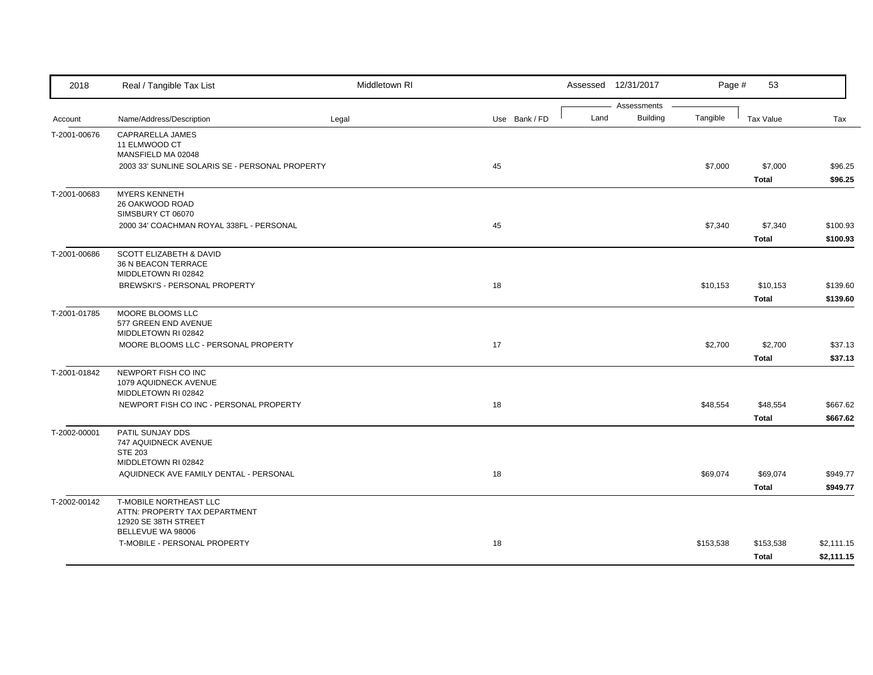| 2018         | Real / Tangible Tax List                                                                                   | Middletown RI |               | Assessed 12/31/2017                    | Page #    | 53                       |                          |
|--------------|------------------------------------------------------------------------------------------------------------|---------------|---------------|----------------------------------------|-----------|--------------------------|--------------------------|
| Account      | Name/Address/Description                                                                                   | Legal         | Use Bank / FD | Assessments<br><b>Building</b><br>Land | Tangible  | <b>Tax Value</b>         | Tax                      |
| T-2001-00676 | CAPRARELLA JAMES<br>11 ELMWOOD CT<br>MANSFIELD MA 02048<br>2003 33' SUNLINE SOLARIS SE - PERSONAL PROPERTY |               | 45            |                                        | \$7,000   | \$7,000                  | \$96.25                  |
|              |                                                                                                            |               |               |                                        |           | <b>Total</b>             | \$96.25                  |
| T-2001-00683 | <b>MYERS KENNETH</b><br>26 OAKWOOD ROAD<br>SIMSBURY CT 06070                                               |               |               |                                        |           |                          |                          |
|              | 2000 34' COACHMAN ROYAL 338FL - PERSONAL                                                                   |               | 45            |                                        | \$7,340   | \$7,340<br><b>Total</b>  | \$100.93<br>\$100.93     |
| T-2001-00686 | SCOTT ELIZABETH & DAVID<br>36 N BEACON TERRACE<br>MIDDLETOWN RI 02842<br>BREWSKI'S - PERSONAL PROPERTY     |               | 18            |                                        | \$10,153  | \$10,153                 | \$139.60                 |
|              |                                                                                                            |               |               |                                        |           | <b>Total</b>             | \$139.60                 |
| T-2001-01785 | MOORE BLOOMS LLC<br>577 GREEN END AVENUE<br>MIDDLETOWN RI 02842                                            |               |               |                                        |           |                          |                          |
|              | MOORE BLOOMS LLC - PERSONAL PROPERTY                                                                       |               | 17            |                                        | \$2,700   | \$2,700<br><b>Total</b>  | \$37.13<br>\$37.13       |
| T-2001-01842 | NEWPORT FISH CO INC<br>1079 AQUIDNECK AVENUE<br>MIDDLETOWN RI 02842                                        |               |               |                                        |           |                          |                          |
|              | NEWPORT FISH CO INC - PERSONAL PROPERTY                                                                    |               | 18            |                                        | \$48,554  | \$48,554<br><b>Total</b> | \$667.62<br>\$667.62     |
| T-2002-00001 | PATIL SUNJAY DDS<br>747 AQUIDNECK AVENUE<br><b>STE 203</b><br>MIDDLETOWN RI 02842                          |               |               |                                        |           |                          |                          |
|              | AQUIDNECK AVE FAMILY DENTAL - PERSONAL                                                                     |               | 18            |                                        | \$69,074  | \$69,074<br><b>Total</b> | \$949.77<br>\$949.77     |
| T-2002-00142 | T-MOBILE NORTHEAST LLC<br>ATTN: PROPERTY TAX DEPARTMENT<br>12920 SE 38TH STREET<br>BELLEVUE WA 98006       |               |               |                                        |           |                          |                          |
|              | T-MOBILE - PERSONAL PROPERTY                                                                               |               | 18            |                                        | \$153,538 | \$153,538<br>Total       | \$2,111.15<br>\$2,111.15 |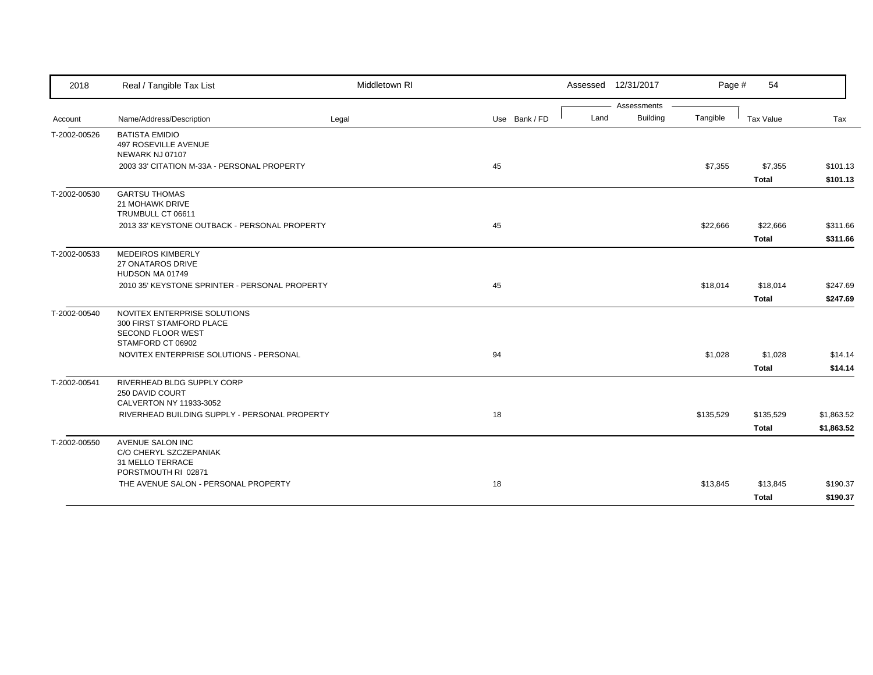| 2018         | Real / Tangible Tax List                                                                                  | Middletown RI |               | Assessed 12/31/2017 |             | Page #    | 54                        |                          |
|--------------|-----------------------------------------------------------------------------------------------------------|---------------|---------------|---------------------|-------------|-----------|---------------------------|--------------------------|
|              |                                                                                                           |               |               |                     | Assessments |           |                           |                          |
| Account      | Name/Address/Description                                                                                  | Legal         | Use Bank / FD | Land                | Building    | Tangible  | Tax Value                 | Tax                      |
| T-2002-00526 | <b>BATISTA EMIDIO</b><br>497 ROSEVILLE AVENUE<br>NEWARK NJ 07107                                          |               |               |                     |             |           |                           |                          |
|              | 2003 33' CITATION M-33A - PERSONAL PROPERTY                                                               |               | 45            |                     |             | \$7,355   | \$7,355<br><b>Total</b>   | \$101.13<br>\$101.13     |
| T-2002-00530 | <b>GARTSU THOMAS</b><br>21 MOHAWK DRIVE<br>TRUMBULL CT 06611                                              |               |               |                     |             |           |                           |                          |
|              | 2013 33' KEYSTONE OUTBACK - PERSONAL PROPERTY                                                             |               | 45            |                     |             | \$22,666  | \$22,666<br><b>Total</b>  | \$311.66<br>\$311.66     |
| T-2002-00533 | <b>MEDEIROS KIMBERLY</b><br>27 ONATAROS DRIVE<br>HUDSON MA 01749                                          |               |               |                     |             |           |                           |                          |
|              | 2010 35' KEYSTONE SPRINTER - PERSONAL PROPERTY                                                            |               | 45            |                     |             | \$18,014  | \$18,014<br><b>Total</b>  | \$247.69<br>\$247.69     |
| T-2002-00540 | NOVITEX ENTERPRISE SOLUTIONS<br>300 FIRST STAMFORD PLACE<br><b>SECOND FLOOR WEST</b><br>STAMFORD CT 06902 |               |               |                     |             |           |                           |                          |
|              | NOVITEX ENTERPRISE SOLUTIONS - PERSONAL                                                                   |               | 94            |                     |             | \$1,028   | \$1,028<br><b>Total</b>   | \$14.14<br>\$14.14       |
| T-2002-00541 | RIVERHEAD BLDG SUPPLY CORP<br>250 DAVID COURT<br>CALVERTON NY 11933-3052                                  |               |               |                     |             |           |                           |                          |
|              | RIVERHEAD BUILDING SUPPLY - PERSONAL PROPERTY                                                             |               | 18            |                     |             | \$135,529 | \$135,529<br><b>Total</b> | \$1,863.52<br>\$1,863.52 |
| T-2002-00550 | <b>AVENUE SALON INC</b><br>C/O CHERYL SZCZEPANIAK<br>31 MELLO TERRACE<br>PORSTMOUTH RI 02871              |               |               |                     |             |           |                           |                          |
|              | THE AVENUE SALON - PERSONAL PROPERTY                                                                      |               | 18            |                     |             | \$13,845  | \$13,845<br><b>Total</b>  | \$190.37<br>\$190.37     |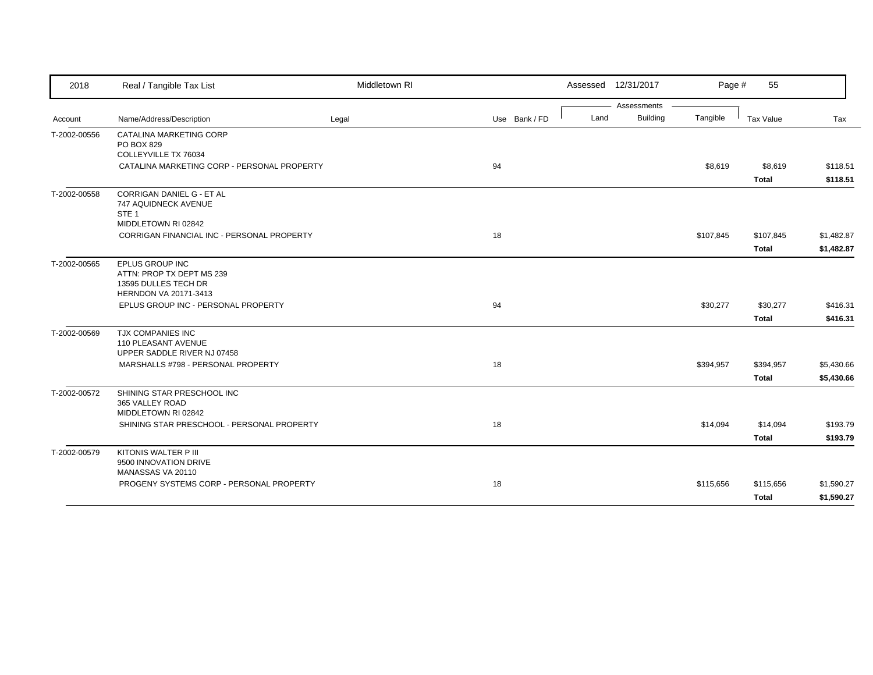| 2018         | Real / Tangible Tax List                                                                            | Middletown RI |               | Assessed 12/31/2017     | Page #    | 55                       |                      |
|--------------|-----------------------------------------------------------------------------------------------------|---------------|---------------|-------------------------|-----------|--------------------------|----------------------|
|              |                                                                                                     |               |               | Assessments             |           |                          |                      |
| Account      | Name/Address/Description                                                                            | Legal         | Use Bank / FD | <b>Building</b><br>Land | Tangible  | Tax Value                | Tax                  |
| T-2002-00556 | CATALINA MARKETING CORP<br>PO BOX 829<br>COLLEYVILLE TX 76034                                       |               |               |                         |           |                          |                      |
|              | CATALINA MARKETING CORP - PERSONAL PROPERTY                                                         |               | 94            |                         | \$8,619   | \$8,619<br><b>Total</b>  | \$118.51<br>\$118.51 |
| T-2002-00558 | <b>CORRIGAN DANIEL G - ET AL</b><br>747 AQUIDNECK AVENUE<br>STE <sub>1</sub><br>MIDDLETOWN RI 02842 |               |               |                         |           |                          |                      |
|              | CORRIGAN FINANCIAL INC - PERSONAL PROPERTY                                                          |               | 18            |                         | \$107,845 | \$107,845                | \$1,482.87           |
|              |                                                                                                     |               |               |                         |           | <b>Total</b>             | \$1,482.87           |
| T-2002-00565 | EPLUS GROUP INC<br>ATTN: PROP TX DEPT MS 239<br>13595 DULLES TECH DR<br>HERNDON VA 20171-3413       |               |               |                         |           |                          |                      |
|              | EPLUS GROUP INC - PERSONAL PROPERTY                                                                 |               | 94            |                         | \$30,277  | \$30,277<br><b>Total</b> | \$416.31<br>\$416.31 |
| T-2002-00569 | TJX COMPANIES INC<br>110 PLEASANT AVENUE<br>UPPER SADDLE RIVER NJ 07458                             |               |               |                         |           |                          |                      |
|              | MARSHALLS #798 - PERSONAL PROPERTY                                                                  |               | 18            |                         | \$394,957 | \$394,957                | \$5,430.66           |
|              |                                                                                                     |               |               |                         |           | Total                    | \$5,430.66           |
| T-2002-00572 | SHINING STAR PRESCHOOL INC<br>365 VALLEY ROAD<br>MIDDLETOWN RI 02842                                |               |               |                         |           |                          |                      |
|              | SHINING STAR PRESCHOOL - PERSONAL PROPERTY                                                          |               | 18            |                         | \$14,094  | \$14,094                 | \$193.79             |
|              |                                                                                                     |               |               |                         |           | <b>Total</b>             | \$193.79             |
| T-2002-00579 | KITONIS WALTER P III<br>9500 INNOVATION DRIVE<br>MANASSAS VA 20110                                  |               |               |                         |           |                          |                      |
|              | PROGENY SYSTEMS CORP - PERSONAL PROPERTY                                                            |               | 18            |                         | \$115,656 | \$115,656                | \$1,590.27           |
|              |                                                                                                     |               |               |                         |           | <b>Total</b>             | \$1,590.27           |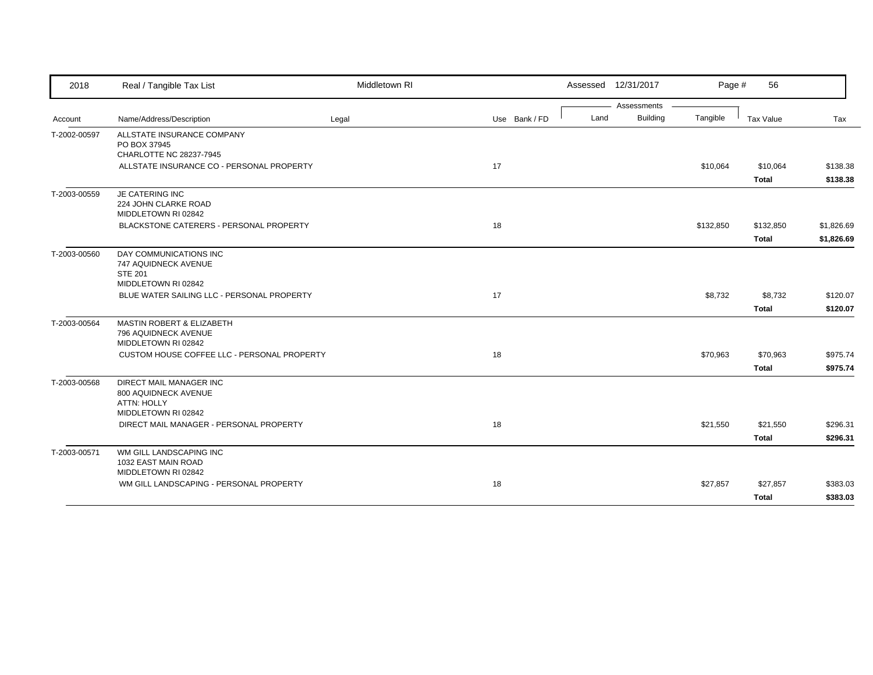| 2018         | Real / Tangible Tax List                                     | Middletown RI |               |      | Assessed 12/31/2017 | Page #    | 56           |            |
|--------------|--------------------------------------------------------------|---------------|---------------|------|---------------------|-----------|--------------|------------|
|              |                                                              |               |               |      | Assessments         |           |              |            |
| Account      | Name/Address/Description                                     | Legal         | Use Bank / FD | Land | <b>Building</b>     | Tangible  | Tax Value    | Tax        |
| T-2002-00597 | ALLSTATE INSURANCE COMPANY                                   |               |               |      |                     |           |              |            |
|              | PO BOX 37945<br>CHARLOTTE NC 28237-7945                      |               |               |      |                     |           |              |            |
|              | ALLSTATE INSURANCE CO - PERSONAL PROPERTY                    |               | 17            |      |                     | \$10,064  | \$10,064     | \$138.38   |
|              |                                                              |               |               |      |                     |           |              |            |
|              |                                                              |               |               |      |                     |           | <b>Total</b> | \$138.38   |
| T-2003-00559 | <b>JE CATERING INC</b>                                       |               |               |      |                     |           |              |            |
|              | 224 JOHN CLARKE ROAD<br>MIDDLETOWN RI 02842                  |               |               |      |                     |           |              |            |
|              | BLACKSTONE CATERERS - PERSONAL PROPERTY                      |               | 18            |      |                     | \$132,850 | \$132,850    | \$1,826.69 |
|              |                                                              |               |               |      |                     |           |              |            |
|              |                                                              |               |               |      |                     |           | <b>Total</b> | \$1,826.69 |
| T-2003-00560 | DAY COMMUNICATIONS INC                                       |               |               |      |                     |           |              |            |
|              | 747 AQUIDNECK AVENUE<br><b>STE 201</b>                       |               |               |      |                     |           |              |            |
|              | MIDDLETOWN RI 02842                                          |               |               |      |                     |           |              |            |
|              | BLUE WATER SAILING LLC - PERSONAL PROPERTY                   |               | 17            |      |                     | \$8,732   | \$8,732      | \$120.07   |
|              |                                                              |               |               |      |                     |           | <b>Total</b> | \$120.07   |
|              |                                                              |               |               |      |                     |           |              |            |
| T-2003-00564 | <b>MASTIN ROBERT &amp; ELIZABETH</b><br>796 AQUIDNECK AVENUE |               |               |      |                     |           |              |            |
|              | MIDDLETOWN RI 02842                                          |               |               |      |                     |           |              |            |
|              | CUSTOM HOUSE COFFEE LLC - PERSONAL PROPERTY                  |               | 18            |      |                     | \$70,963  | \$70,963     | \$975.74   |
|              |                                                              |               |               |      |                     |           | <b>Total</b> | \$975.74   |
| T-2003-00568 | <b>DIRECT MAIL MANAGER INC</b>                               |               |               |      |                     |           |              |            |
|              | 800 AQUIDNECK AVENUE                                         |               |               |      |                     |           |              |            |
|              | <b>ATTN: HOLLY</b>                                           |               |               |      |                     |           |              |            |
|              | MIDDLETOWN RI 02842                                          |               |               |      |                     |           |              |            |
|              | DIRECT MAIL MANAGER - PERSONAL PROPERTY                      |               | 18            |      |                     | \$21,550  | \$21,550     | \$296.31   |
|              |                                                              |               |               |      |                     |           | <b>Total</b> | \$296.31   |
| T-2003-00571 | WM GILL LANDSCAPING INC                                      |               |               |      |                     |           |              |            |
|              | 1032 EAST MAIN ROAD                                          |               |               |      |                     |           |              |            |
|              | MIDDLETOWN RI 02842                                          |               |               |      |                     |           |              |            |
|              | WM GILL LANDSCAPING - PERSONAL PROPERTY                      |               | 18            |      |                     | \$27,857  | \$27,857     | \$383.03   |
|              |                                                              |               |               |      |                     |           | <b>Total</b> | \$383.03   |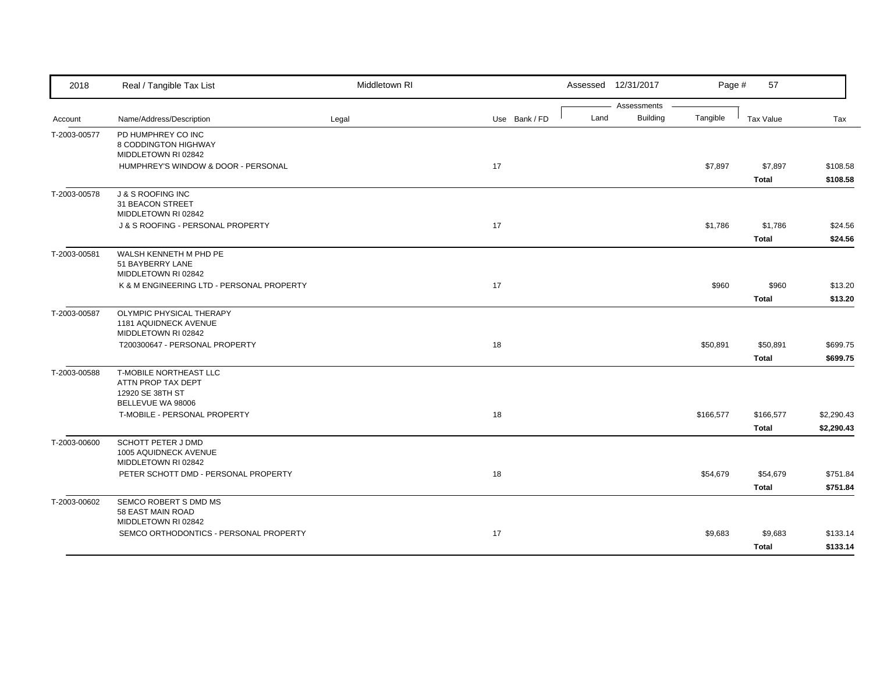| 2018         | Real / Tangible Tax List                                                              | Middletown RI |               |      | Assessed 12/31/2017            | Page #    | 57                        |                          |
|--------------|---------------------------------------------------------------------------------------|---------------|---------------|------|--------------------------------|-----------|---------------------------|--------------------------|
| Account      | Name/Address/Description                                                              | Legal         | Use Bank / FD | Land | Assessments<br><b>Building</b> | Tangible  | <b>Tax Value</b>          | Tax                      |
| T-2003-00577 | PD HUMPHREY CO INC                                                                    |               |               |      |                                |           |                           |                          |
|              | 8 CODDINGTON HIGHWAY<br>MIDDLETOWN RI 02842                                           |               |               |      |                                |           |                           |                          |
|              | HUMPHREY'S WINDOW & DOOR - PERSONAL                                                   |               | 17            |      |                                | \$7,897   | \$7,897                   | \$108.58                 |
| T-2003-00578 | <b>J &amp; S ROOFING INC</b>                                                          |               |               |      |                                |           | <b>Total</b>              | \$108.58                 |
|              | 31 BEACON STREET<br>MIDDLETOWN RI 02842                                               |               |               |      |                                |           |                           |                          |
|              | J & S ROOFING - PERSONAL PROPERTY                                                     |               | 17            |      |                                | \$1,786   | \$1,786<br><b>Total</b>   | \$24.56<br>\$24.56       |
| T-2003-00581 | WALSH KENNETH M PHD PE<br>51 BAYBERRY LANE<br>MIDDLETOWN RI 02842                     |               |               |      |                                |           |                           |                          |
|              | K & M ENGINEERING LTD - PERSONAL PROPERTY                                             |               | 17            |      |                                | \$960     | \$960<br><b>Total</b>     | \$13.20<br>\$13.20       |
| T-2003-00587 | OLYMPIC PHYSICAL THERAPY<br>1181 AQUIDNECK AVENUE<br>MIDDLETOWN RI 02842              |               |               |      |                                |           |                           |                          |
|              | T200300647 - PERSONAL PROPERTY                                                        |               | 18            |      |                                | \$50,891  | \$50,891<br><b>Total</b>  | \$699.75<br>\$699.75     |
| T-2003-00588 | T-MOBILE NORTHEAST LLC<br>ATTN PROP TAX DEPT<br>12920 SE 38TH ST<br>BELLEVUE WA 98006 |               |               |      |                                |           |                           |                          |
|              | T-MOBILE - PERSONAL PROPERTY                                                          |               | 18            |      |                                | \$166,577 | \$166,577<br><b>Total</b> | \$2,290.43<br>\$2,290.43 |
| T-2003-00600 | <b>SCHOTT PETER J DMD</b><br>1005 AQUIDNECK AVENUE<br>MIDDLETOWN RI 02842             |               |               |      |                                |           |                           |                          |
|              | PETER SCHOTT DMD - PERSONAL PROPERTY                                                  |               | 18            |      |                                | \$54,679  | \$54,679<br><b>Total</b>  | \$751.84<br>\$751.84     |
| T-2003-00602 | SEMCO ROBERT S DMD MS<br>58 EAST MAIN ROAD<br>MIDDLETOWN RI 02842                     |               |               |      |                                |           |                           |                          |
|              | SEMCO ORTHODONTICS - PERSONAL PROPERTY                                                |               | 17            |      |                                | \$9,683   | \$9,683<br><b>Total</b>   | \$133.14<br>\$133.14     |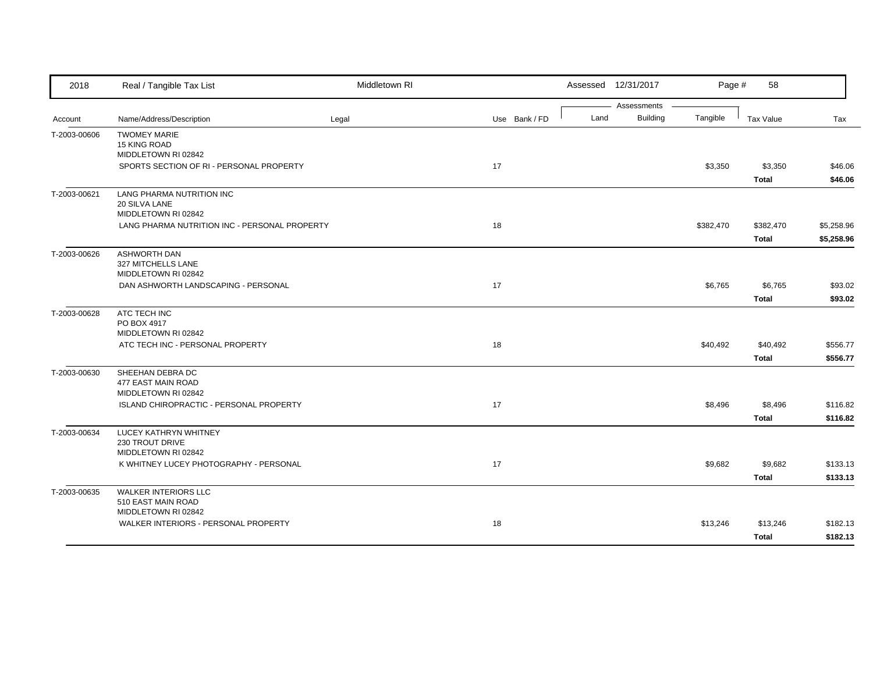| 2018         | Real / Tangible Tax List                                      | Middletown RI |               |      | Assessed 12/31/2017     | Page #    | 58           |            |
|--------------|---------------------------------------------------------------|---------------|---------------|------|-------------------------|-----------|--------------|------------|
|              |                                                               |               |               |      | Assessments<br>Building | Tangible  |              |            |
| Account      | Name/Address/Description                                      | Legal         | Use Bank / FD | Land |                         |           | Tax Value    | Tax        |
| T-2003-00606 | <b>TWOMEY MARIE</b><br>15 KING ROAD                           |               |               |      |                         |           |              |            |
|              | MIDDLETOWN RI 02842                                           |               |               |      |                         |           |              |            |
|              | SPORTS SECTION OF RI - PERSONAL PROPERTY                      |               | 17            |      |                         | \$3,350   | \$3,350      | \$46.06    |
|              |                                                               |               |               |      |                         |           | <b>Total</b> | \$46.06    |
| T-2003-00621 | LANG PHARMA NUTRITION INC                                     |               |               |      |                         |           |              |            |
|              | 20 SILVA LANE<br>MIDDLETOWN RI 02842                          |               |               |      |                         |           |              |            |
|              | LANG PHARMA NUTRITION INC - PERSONAL PROPERTY                 |               | 18            |      |                         | \$382,470 | \$382,470    | \$5,258.96 |
|              |                                                               |               |               |      |                         |           | <b>Total</b> | \$5,258.96 |
| T-2003-00626 | <b>ASHWORTH DAN</b>                                           |               |               |      |                         |           |              |            |
|              | 327 MITCHELLS LANE                                            |               |               |      |                         |           |              |            |
|              | MIDDLETOWN RI 02842<br>DAN ASHWORTH LANDSCAPING - PERSONAL    |               | 17            |      |                         | \$6,765   | \$6,765      | \$93.02    |
|              |                                                               |               |               |      |                         |           | <b>Total</b> | \$93.02    |
| T-2003-00628 | ATC TECH INC                                                  |               |               |      |                         |           |              |            |
|              | PO BOX 4917                                                   |               |               |      |                         |           |              |            |
|              | MIDDLETOWN RI 02842                                           |               |               |      |                         |           |              |            |
|              | ATC TECH INC - PERSONAL PROPERTY                              |               | 18            |      |                         | \$40,492  | \$40,492     | \$556.77   |
|              |                                                               |               |               |      |                         |           | <b>Total</b> | \$556.77   |
| T-2003-00630 | SHEEHAN DEBRA DC<br>477 EAST MAIN ROAD                        |               |               |      |                         |           |              |            |
|              | MIDDLETOWN RI 02842                                           |               |               |      |                         |           |              |            |
|              | ISLAND CHIROPRACTIC - PERSONAL PROPERTY                       |               | 17            |      |                         | \$8,496   | \$8,496      | \$116.82   |
|              |                                                               |               |               |      |                         |           | <b>Total</b> | \$116.82   |
| T-2003-00634 | LUCEY KATHRYN WHITNEY                                         |               |               |      |                         |           |              |            |
|              | 230 TROUT DRIVE                                               |               |               |      |                         |           |              |            |
|              | MIDDLETOWN RI 02842<br>K WHITNEY LUCEY PHOTOGRAPHY - PERSONAL |               | 17            |      |                         | \$9,682   | \$9,682      | \$133.13   |
|              |                                                               |               |               |      |                         |           | <b>Total</b> | \$133.13   |
| T-2003-00635 | <b>WALKER INTERIORS LLC</b>                                   |               |               |      |                         |           |              |            |
|              | 510 EAST MAIN ROAD                                            |               |               |      |                         |           |              |            |
|              | MIDDLETOWN RI 02842                                           |               |               |      |                         |           |              |            |
|              | WALKER INTERIORS - PERSONAL PROPERTY                          |               | 18            |      |                         | \$13,246  | \$13,246     | \$182.13   |
|              |                                                               |               |               |      |                         |           | <b>Total</b> | \$182.13   |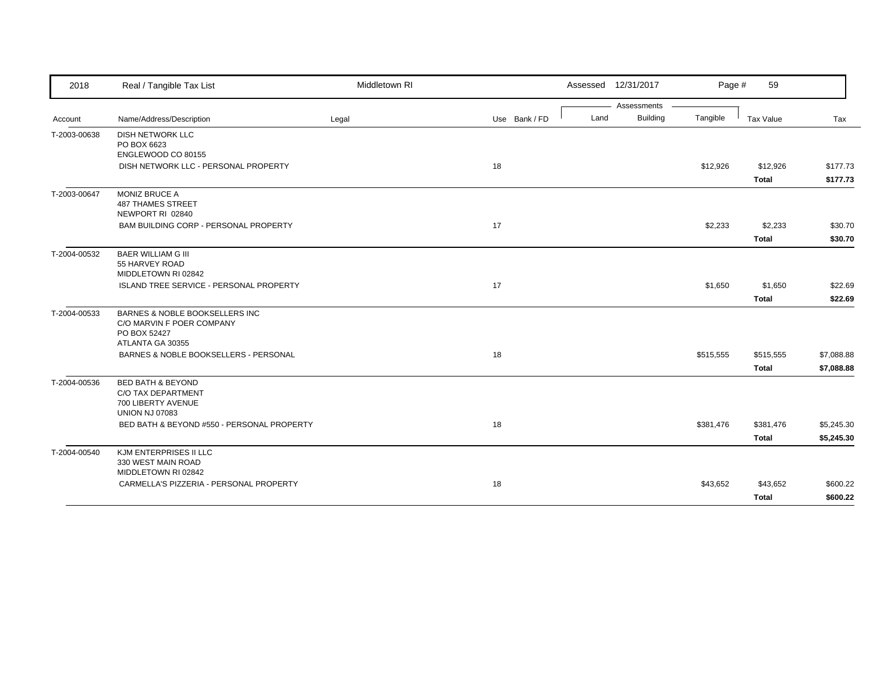| 2018         | Real / Tangible Tax List                                                                          | Middletown RI |               |      | Assessed 12/31/2017            | Page #    | 59           |            |
|--------------|---------------------------------------------------------------------------------------------------|---------------|---------------|------|--------------------------------|-----------|--------------|------------|
| Account      | Name/Address/Description                                                                          | Legal         | Use Bank / FD | Land | Assessments<br><b>Building</b> | Tangible  | Tax Value    | Tax        |
|              |                                                                                                   |               |               |      |                                |           |              |            |
| T-2003-00638 | <b>DISH NETWORK LLC</b><br>PO BOX 6623                                                            |               |               |      |                                |           |              |            |
|              | ENGLEWOOD CO 80155                                                                                |               |               |      |                                |           |              |            |
|              | DISH NETWORK LLC - PERSONAL PROPERTY                                                              |               | 18            |      |                                | \$12,926  | \$12,926     | \$177.73   |
|              |                                                                                                   |               |               |      |                                |           | <b>Total</b> | \$177.73   |
| T-2003-00647 | <b>MONIZ BRUCE A</b><br><b>487 THAMES STREET</b><br>NEWPORT RI 02840                              |               |               |      |                                |           |              |            |
|              | BAM BUILDING CORP - PERSONAL PROPERTY                                                             |               | 17            |      |                                | \$2,233   | \$2,233      | \$30.70    |
|              |                                                                                                   |               |               |      |                                |           | <b>Total</b> | \$30.70    |
| T-2004-00532 | <b>BAER WILLIAM G III</b><br>55 HARVEY ROAD<br>MIDDLETOWN RI 02842                                |               |               |      |                                |           |              |            |
|              | <b>ISLAND TREE SERVICE - PERSONAL PROPERTY</b>                                                    |               | 17            |      |                                | \$1,650   | \$1,650      | \$22.69    |
|              |                                                                                                   |               |               |      |                                |           | <b>Total</b> | \$22.69    |
| T-2004-00533 | BARNES & NOBLE BOOKSELLERS INC<br>C/O MARVIN F POER COMPANY<br>PO BOX 52427<br>ATLANTA GA 30355   |               |               |      |                                |           |              |            |
|              | BARNES & NOBLE BOOKSELLERS - PERSONAL                                                             |               | 18            |      |                                | \$515,555 | \$515,555    | \$7,088.88 |
|              |                                                                                                   |               |               |      |                                |           | <b>Total</b> | \$7,088.88 |
| T-2004-00536 | <b>BED BATH &amp; BEYOND</b><br>C/O TAX DEPARTMENT<br>700 LIBERTY AVENUE<br><b>UNION NJ 07083</b> |               |               |      |                                |           |              |            |
|              | BED BATH & BEYOND #550 - PERSONAL PROPERTY                                                        |               | 18            |      |                                | \$381,476 | \$381,476    | \$5,245.30 |
|              |                                                                                                   |               |               |      |                                |           | <b>Total</b> | \$5,245.30 |
| T-2004-00540 | KJM ENTERPRISES II LLC<br>330 WEST MAIN ROAD<br>MIDDLETOWN RI 02842                               |               |               |      |                                |           |              |            |
|              | CARMELLA'S PIZZERIA - PERSONAL PROPERTY                                                           |               | 18            |      |                                | \$43,652  | \$43,652     | \$600.22   |
|              |                                                                                                   |               |               |      |                                |           | <b>Total</b> | \$600.22   |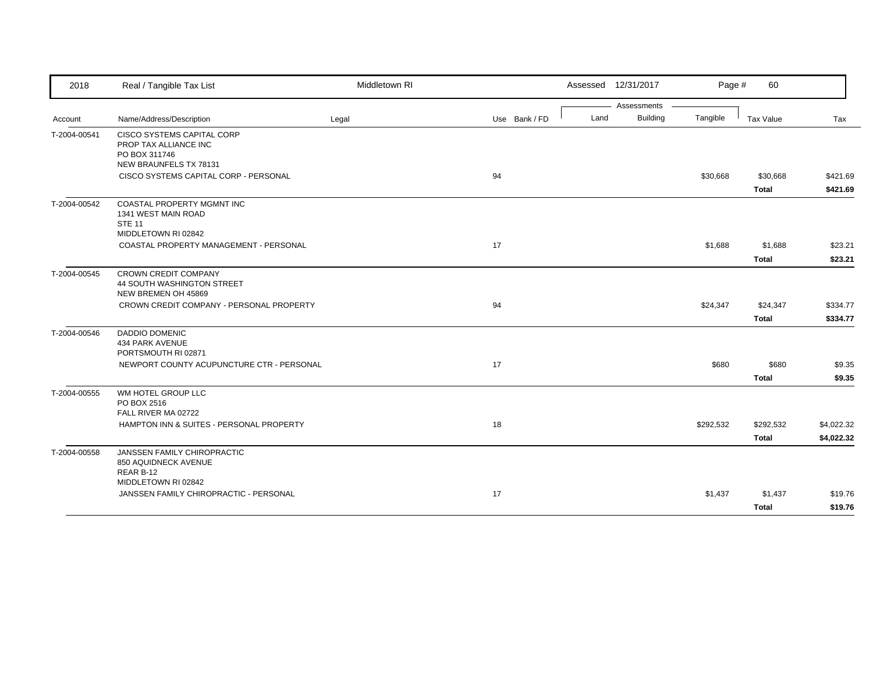| 2018         | Real / Tangible Tax List                                                         | Middletown RI |               |      | Assessed 12/31/2017 | Page #    | 60           |            |
|--------------|----------------------------------------------------------------------------------|---------------|---------------|------|---------------------|-----------|--------------|------------|
|              |                                                                                  |               |               |      | Assessments         |           |              |            |
| Account      | Name/Address/Description                                                         | Legal         | Use Bank / FD | Land | <b>Building</b>     | Tangible  | Tax Value    | Tax        |
| T-2004-00541 | <b>CISCO SYSTEMS CAPITAL CORP</b><br>PROP TAX ALLIANCE INC<br>PO BOX 311746      |               |               |      |                     |           |              |            |
|              | NEW BRAUNFELS TX 78131<br>CISCO SYSTEMS CAPITAL CORP - PERSONAL                  |               | 94            |      |                     | \$30,668  | \$30,668     | \$421.69   |
|              |                                                                                  |               |               |      |                     |           | <b>Total</b> | \$421.69   |
| T-2004-00542 | COASTAL PROPERTY MGMNT INC<br>1341 WEST MAIN ROAD<br><b>STE 11</b>               |               |               |      |                     |           |              |            |
|              | MIDDLETOWN RI 02842<br>COASTAL PROPERTY MANAGEMENT - PERSONAL                    |               | 17            |      |                     | \$1,688   | \$1,688      | \$23.21    |
|              |                                                                                  |               |               |      |                     |           | <b>Total</b> | \$23.21    |
| T-2004-00545 | <b>CROWN CREDIT COMPANY</b><br>44 SOUTH WASHINGTON STREET<br>NEW BREMEN OH 45869 |               |               |      |                     |           |              |            |
|              | CROWN CREDIT COMPANY - PERSONAL PROPERTY                                         |               | 94            |      |                     | \$24,347  | \$24,347     | \$334.77   |
|              |                                                                                  |               |               |      |                     |           | <b>Total</b> | \$334.77   |
| T-2004-00546 | <b>DADDIO DOMENIC</b><br><b>434 PARK AVENUE</b><br>PORTSMOUTH RI 02871           |               |               |      |                     |           |              |            |
|              | NEWPORT COUNTY ACUPUNCTURE CTR - PERSONAL                                        |               | 17            |      |                     | \$680     | \$680        | \$9.35     |
|              |                                                                                  |               |               |      |                     |           | <b>Total</b> | \$9.35     |
| T-2004-00555 | WM HOTEL GROUP LLC<br>PO BOX 2516<br>FALL RIVER MA 02722                         |               |               |      |                     |           |              |            |
|              | HAMPTON INN & SUITES - PERSONAL PROPERTY                                         |               | 18            |      |                     | \$292,532 | \$292,532    | \$4,022.32 |
|              |                                                                                  |               |               |      |                     |           | Total        | \$4,022.32 |
| T-2004-00558 | JANSSEN FAMILY CHIROPRACTIC<br>850 AQUIDNECK AVENUE<br>REAR B-12                 |               |               |      |                     |           |              |            |
|              | MIDDLETOWN RI 02842<br>JANSSEN FAMILY CHIROPRACTIC - PERSONAL                    |               | 17            |      |                     | \$1,437   | \$1,437      | \$19.76    |
|              |                                                                                  |               |               |      |                     |           | Total        | \$19.76    |
|              |                                                                                  |               |               |      |                     |           |              |            |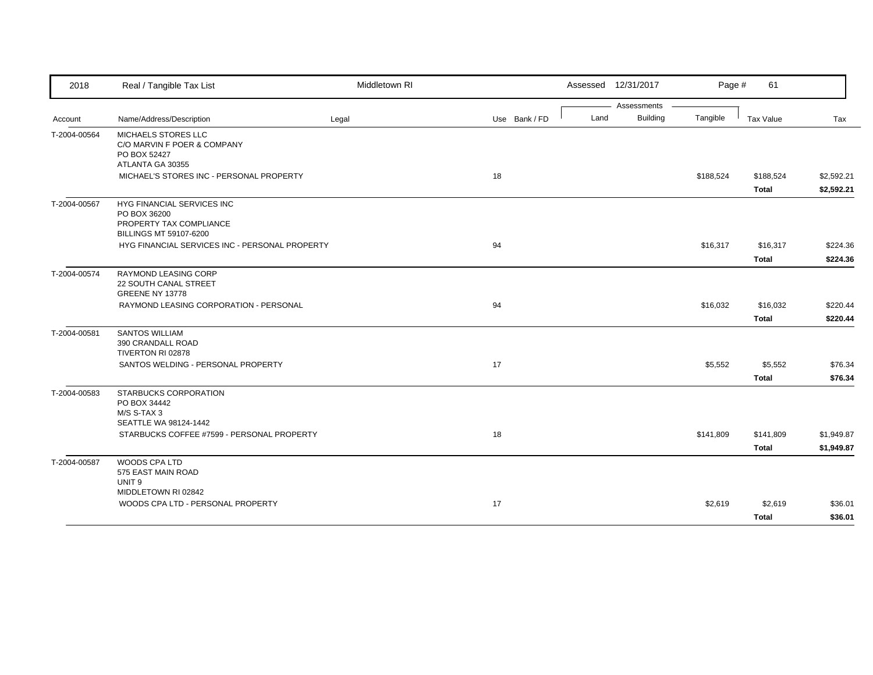| 2018         | Real / Tangible Tax List                                                                        | Middletown RI |               |      | Assessed 12/31/2017            | Page #    | 61                        |                          |
|--------------|-------------------------------------------------------------------------------------------------|---------------|---------------|------|--------------------------------|-----------|---------------------------|--------------------------|
| Account      | Name/Address/Description                                                                        | Legal         | Use Bank / FD | Land | Assessments<br><b>Building</b> | Tangible  | Tax Value                 | Tax                      |
| T-2004-00564 | MICHAELS STORES LLC<br>C/O MARVIN F POER & COMPANY<br>PO BOX 52427<br>ATLANTA GA 30355          |               |               |      |                                |           |                           |                          |
|              | MICHAEL'S STORES INC - PERSONAL PROPERTY                                                        |               | 18            |      |                                | \$188,524 | \$188,524<br><b>Total</b> | \$2,592.21<br>\$2,592.21 |
| T-2004-00567 | HYG FINANCIAL SERVICES INC<br>PO BOX 36200<br>PROPERTY TAX COMPLIANCE<br>BILLINGS MT 59107-6200 |               |               |      |                                |           |                           |                          |
|              | HYG FINANCIAL SERVICES INC - PERSONAL PROPERTY                                                  |               | 94            |      |                                | \$16,317  | \$16,317<br><b>Total</b>  | \$224.36<br>\$224.36     |
| T-2004-00574 | RAYMOND LEASING CORP<br>22 SOUTH CANAL STREET<br><b>GREENE NY 13778</b>                         |               |               |      |                                |           |                           |                          |
|              | RAYMOND LEASING CORPORATION - PERSONAL                                                          |               | 94            |      |                                | \$16,032  | \$16,032<br><b>Total</b>  | \$220.44<br>\$220.44     |
| T-2004-00581 | <b>SANTOS WILLIAM</b><br>390 CRANDALL ROAD<br>TIVERTON RI 02878                                 |               |               |      |                                |           |                           |                          |
|              | SANTOS WELDING - PERSONAL PROPERTY                                                              |               | 17            |      |                                | \$5,552   | \$5,552<br><b>Total</b>   | \$76.34<br>\$76.34       |
| T-2004-00583 | STARBUCKS CORPORATION<br>PO BOX 34442<br>M/S S-TAX 3<br>SEATTLE WA 98124-1442                   |               |               |      |                                |           |                           |                          |
|              | STARBUCKS COFFEE #7599 - PERSONAL PROPERTY                                                      |               | 18            |      |                                | \$141,809 | \$141,809<br><b>Total</b> | \$1,949.87<br>\$1,949.87 |
| T-2004-00587 | WOODS CPA LTD<br>575 EAST MAIN ROAD<br>UNIT <sub>9</sub>                                        |               |               |      |                                |           |                           |                          |
|              | MIDDLETOWN RI 02842<br>WOODS CPA LTD - PERSONAL PROPERTY                                        |               | 17            |      |                                | \$2,619   | \$2,619<br><b>Total</b>   | \$36.01<br>\$36.01       |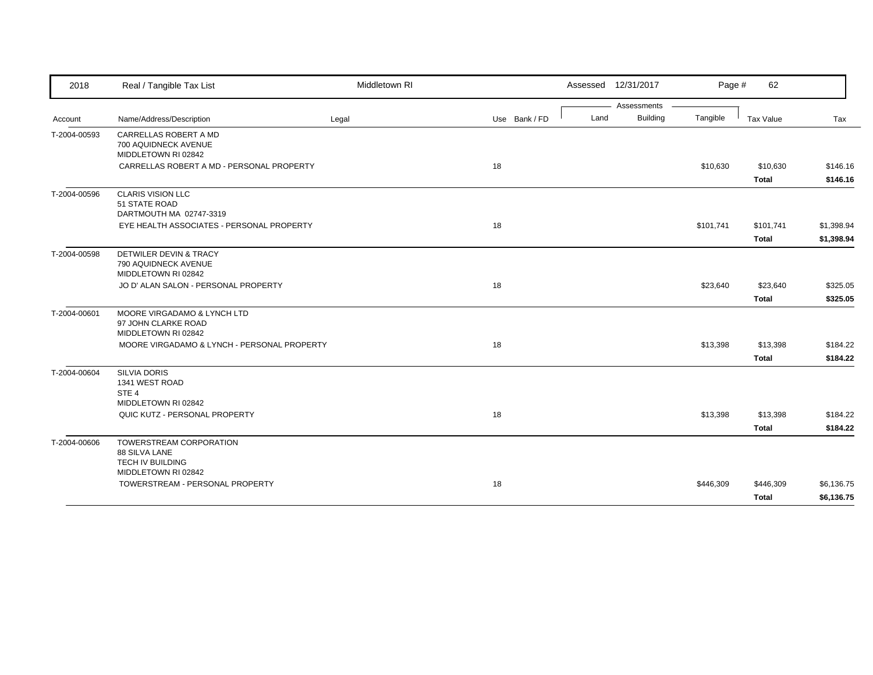| 2018         | Real / Tangible Tax List                                                            | Middletown RI |               | Assessed 12/31/2017 |             | Page #    | 62                       |                      |
|--------------|-------------------------------------------------------------------------------------|---------------|---------------|---------------------|-------------|-----------|--------------------------|----------------------|
|              |                                                                                     |               |               |                     | Assessments |           |                          |                      |
| Account      | Name/Address/Description                                                            | Legal         | Use Bank / FD | Land                | Building    | Tangible  | Tax Value                | Tax                  |
| T-2004-00593 | CARRELLAS ROBERT A MD<br>700 AQUIDNECK AVENUE<br>MIDDLETOWN RI 02842                |               |               |                     |             |           |                          |                      |
|              | CARRELLAS ROBERT A MD - PERSONAL PROPERTY                                           |               | 18            |                     |             | \$10,630  | \$10,630<br><b>Total</b> | \$146.16<br>\$146.16 |
| T-2004-00596 | <b>CLARIS VISION LLC</b><br>51 STATE ROAD<br>DARTMOUTH MA 02747-3319                |               |               |                     |             |           |                          |                      |
|              | EYE HEALTH ASSOCIATES - PERSONAL PROPERTY                                           |               | 18            |                     |             | \$101,741 | \$101,741                | \$1,398.94           |
|              |                                                                                     |               |               |                     |             |           | <b>Total</b>             | \$1,398.94           |
| T-2004-00598 | DETWILER DEVIN & TRACY<br>790 AQUIDNECK AVENUE<br>MIDDLETOWN RI 02842               |               |               |                     |             |           |                          |                      |
|              | JO D' ALAN SALON - PERSONAL PROPERTY                                                |               | 18            |                     |             | \$23,640  | \$23,640                 | \$325.05             |
|              |                                                                                     |               |               |                     |             |           | <b>Total</b>             | \$325.05             |
| T-2004-00601 | MOORE VIRGADAMO & LYNCH LTD<br>97 JOHN CLARKE ROAD<br>MIDDLETOWN RI 02842           |               |               |                     |             |           |                          |                      |
|              | MOORE VIRGADAMO & LYNCH - PERSONAL PROPERTY                                         |               | 18            |                     |             | \$13,398  | \$13,398                 | \$184.22             |
|              |                                                                                     |               |               |                     |             |           | <b>Total</b>             | \$184.22             |
| T-2004-00604 | <b>SILVIA DORIS</b><br>1341 WEST ROAD<br>STE <sub>4</sub><br>MIDDLETOWN RI 02842    |               |               |                     |             |           |                          |                      |
|              | QUIC KUTZ - PERSONAL PROPERTY                                                       |               | 18            |                     |             | \$13,398  | \$13,398                 | \$184.22             |
|              |                                                                                     |               |               |                     |             |           | <b>Total</b>             | \$184.22             |
| T-2004-00606 | TOWERSTREAM CORPORATION<br>88 SILVA LANE<br>TECH IV BUILDING<br>MIDDLETOWN RI 02842 |               |               |                     |             |           |                          |                      |
|              | TOWERSTREAM - PERSONAL PROPERTY                                                     |               | 18            |                     |             | \$446,309 | \$446,309                | \$6,136.75           |
|              |                                                                                     |               |               |                     |             |           | <b>Total</b>             | \$6,136.75           |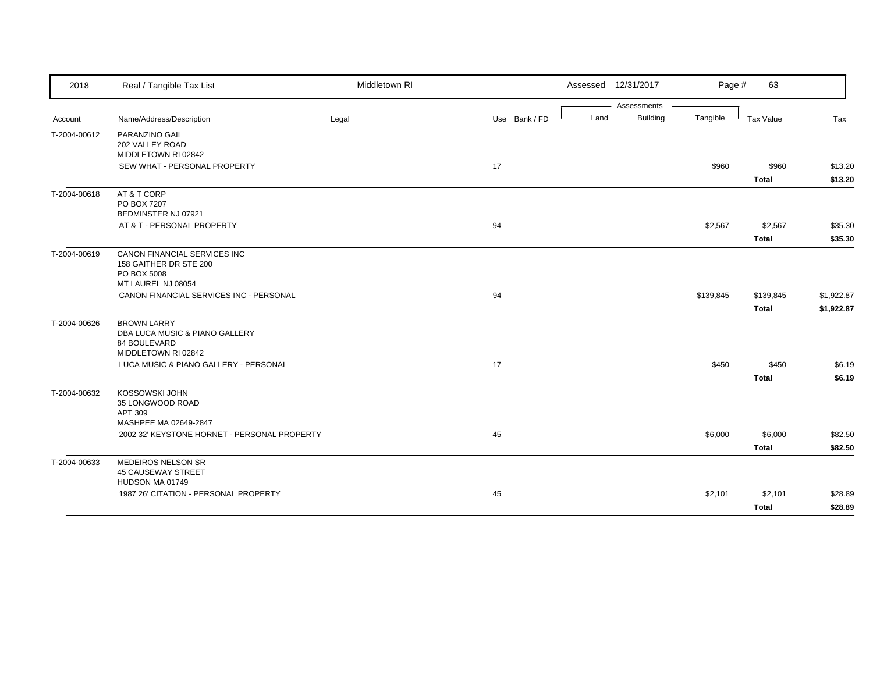| 2018         | Real / Tangible Tax List                     | Middletown RI |               |      | Assessed 12/31/2017            | Page #    | 63           |            |
|--------------|----------------------------------------------|---------------|---------------|------|--------------------------------|-----------|--------------|------------|
|              | Name/Address/Description                     |               | Use Bank / FD | Land | Assessments<br><b>Building</b> | Tangible  | Tax Value    | Tax        |
| Account      |                                              | Legal         |               |      |                                |           |              |            |
| T-2004-00612 | PARANZINO GAIL<br>202 VALLEY ROAD            |               |               |      |                                |           |              |            |
|              | MIDDLETOWN RI 02842                          |               |               |      |                                |           |              |            |
|              | SEW WHAT - PERSONAL PROPERTY                 |               | 17            |      |                                | \$960     | \$960        | \$13.20    |
|              |                                              |               |               |      |                                |           | Total        | \$13.20    |
| T-2004-00618 | AT & T CORP                                  |               |               |      |                                |           |              |            |
|              | PO BOX 7207<br>BEDMINSTER NJ 07921           |               |               |      |                                |           |              |            |
|              | AT & T - PERSONAL PROPERTY                   |               | 94            |      |                                | \$2,567   | \$2,567      | \$35.30    |
|              |                                              |               |               |      |                                |           |              |            |
|              |                                              |               |               |      |                                |           | <b>Total</b> | \$35.30    |
| T-2004-00619 | CANON FINANCIAL SERVICES INC                 |               |               |      |                                |           |              |            |
|              | 158 GAITHER DR STE 200<br>PO BOX 5008        |               |               |      |                                |           |              |            |
|              | MT LAUREL NJ 08054                           |               |               |      |                                |           |              |            |
|              | CANON FINANCIAL SERVICES INC - PERSONAL      |               | 94            |      |                                | \$139,845 | \$139,845    | \$1,922.87 |
|              |                                              |               |               |      |                                |           | <b>Total</b> | \$1,922.87 |
| T-2004-00626 | <b>BROWN LARRY</b>                           |               |               |      |                                |           |              |            |
|              | DBA LUCA MUSIC & PIANO GALLERY               |               |               |      |                                |           |              |            |
|              | 84 BOULEVARD                                 |               |               |      |                                |           |              |            |
|              | MIDDLETOWN RI 02842                          |               |               |      |                                |           |              |            |
|              | LUCA MUSIC & PIANO GALLERY - PERSONAL        |               | 17            |      |                                | \$450     | \$450        | \$6.19     |
|              |                                              |               |               |      |                                |           | <b>Total</b> | \$6.19     |
| T-2004-00632 | KOSSOWSKI JOHN                               |               |               |      |                                |           |              |            |
|              | 35 LONGWOOD ROAD<br>APT 309                  |               |               |      |                                |           |              |            |
|              | MASHPEE MA 02649-2847                        |               |               |      |                                |           |              |            |
|              | 2002 32' KEYSTONE HORNET - PERSONAL PROPERTY |               | 45            |      |                                | \$6,000   | \$6,000      | \$82.50    |
|              |                                              |               |               |      |                                |           | <b>Total</b> | \$82.50    |
| T-2004-00633 | <b>MEDEIROS NELSON SR</b>                    |               |               |      |                                |           |              |            |
|              | <b>45 CAUSEWAY STREET</b>                    |               |               |      |                                |           |              |            |
|              | HUDSON MA 01749                              |               |               |      |                                |           |              |            |
|              | 1987 26' CITATION - PERSONAL PROPERTY        |               | 45            |      |                                | \$2,101   | \$2,101      | \$28.89    |
|              |                                              |               |               |      |                                |           | <b>Total</b> | \$28.89    |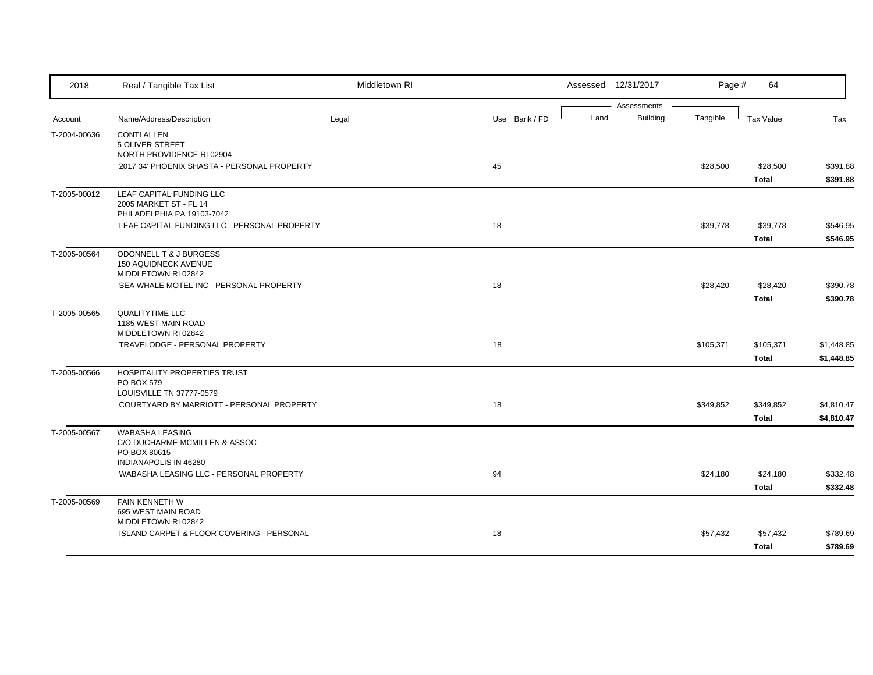| 2018         | Real / Tangible Tax List                                                   | Middletown RI |               |      | Assessed 12/31/2017            | Page #    | 64               |            |
|--------------|----------------------------------------------------------------------------|---------------|---------------|------|--------------------------------|-----------|------------------|------------|
| Account      | Name/Address/Description                                                   | Legal         | Use Bank / FD | Land | Assessments<br><b>Building</b> | Tangible  | <b>Tax Value</b> | Tax        |
|              | <b>CONTI ALLEN</b>                                                         |               |               |      |                                |           |                  |            |
| T-2004-00636 | 5 OLIVER STREET                                                            |               |               |      |                                |           |                  |            |
|              | NORTH PROVIDENCE RI 02904                                                  |               |               |      |                                |           |                  |            |
|              | 2017 34' PHOENIX SHASTA - PERSONAL PROPERTY                                |               | 45            |      |                                | \$28,500  | \$28,500         | \$391.88   |
|              |                                                                            |               |               |      |                                |           | <b>Total</b>     | \$391.88   |
| T-2005-00012 | LEAF CAPITAL FUNDING LLC                                                   |               |               |      |                                |           |                  |            |
|              | 2005 MARKET ST - FL 14                                                     |               |               |      |                                |           |                  |            |
|              | PHILADELPHIA PA 19103-7042<br>LEAF CAPITAL FUNDING LLC - PERSONAL PROPERTY |               | 18            |      |                                | \$39,778  | \$39,778         | \$546.95   |
|              |                                                                            |               |               |      |                                |           | <b>Total</b>     | \$546.95   |
|              | ODONNELL T & J BURGESS                                                     |               |               |      |                                |           |                  |            |
| T-2005-00564 | 150 AQUIDNECK AVENUE                                                       |               |               |      |                                |           |                  |            |
|              | MIDDLETOWN RI 02842                                                        |               |               |      |                                |           |                  |            |
|              | SEA WHALE MOTEL INC - PERSONAL PROPERTY                                    |               | 18            |      |                                | \$28,420  | \$28,420         | \$390.78   |
|              |                                                                            |               |               |      |                                |           | <b>Total</b>     | \$390.78   |
| T-2005-00565 | <b>QUALITYTIME LLC</b>                                                     |               |               |      |                                |           |                  |            |
|              | 1185 WEST MAIN ROAD                                                        |               |               |      |                                |           |                  |            |
|              | MIDDLETOWN RI 02842<br>TRAVELODGE - PERSONAL PROPERTY                      |               | 18            |      |                                | \$105,371 | \$105,371        | \$1,448.85 |
|              |                                                                            |               |               |      |                                |           | <b>Total</b>     | \$1,448.85 |
|              | <b>HOSPITALITY PROPERTIES TRUST</b>                                        |               |               |      |                                |           |                  |            |
| T-2005-00566 | PO BOX 579                                                                 |               |               |      |                                |           |                  |            |
|              | LOUISVILLE TN 37777-0579                                                   |               |               |      |                                |           |                  |            |
|              | COURTYARD BY MARRIOTT - PERSONAL PROPERTY                                  |               | 18            |      |                                | \$349,852 | \$349,852        | \$4,810.47 |
|              |                                                                            |               |               |      |                                |           | <b>Total</b>     | \$4,810.47 |
| T-2005-00567 | <b>WABASHA LEASING</b>                                                     |               |               |      |                                |           |                  |            |
|              | C/O DUCHARME MCMILLEN & ASSOC                                              |               |               |      |                                |           |                  |            |
|              | PO BOX 80615<br>INDIANAPOLIS IN 46280                                      |               |               |      |                                |           |                  |            |
|              | WABASHA LEASING LLC - PERSONAL PROPERTY                                    |               | 94            |      |                                | \$24,180  | \$24,180         | \$332.48   |
|              |                                                                            |               |               |      |                                |           | <b>Total</b>     | \$332.48   |
| T-2005-00569 | FAIN KENNETH W                                                             |               |               |      |                                |           |                  |            |
|              | 695 WEST MAIN ROAD                                                         |               |               |      |                                |           |                  |            |
|              | MIDDLETOWN RI 02842                                                        |               |               |      |                                |           |                  |            |
|              | <b>ISLAND CARPET &amp; FLOOR COVERING - PERSONAL</b>                       |               | 18            |      |                                | \$57,432  | \$57,432         | \$789.69   |
|              |                                                                            |               |               |      |                                |           | <b>Total</b>     | \$789.69   |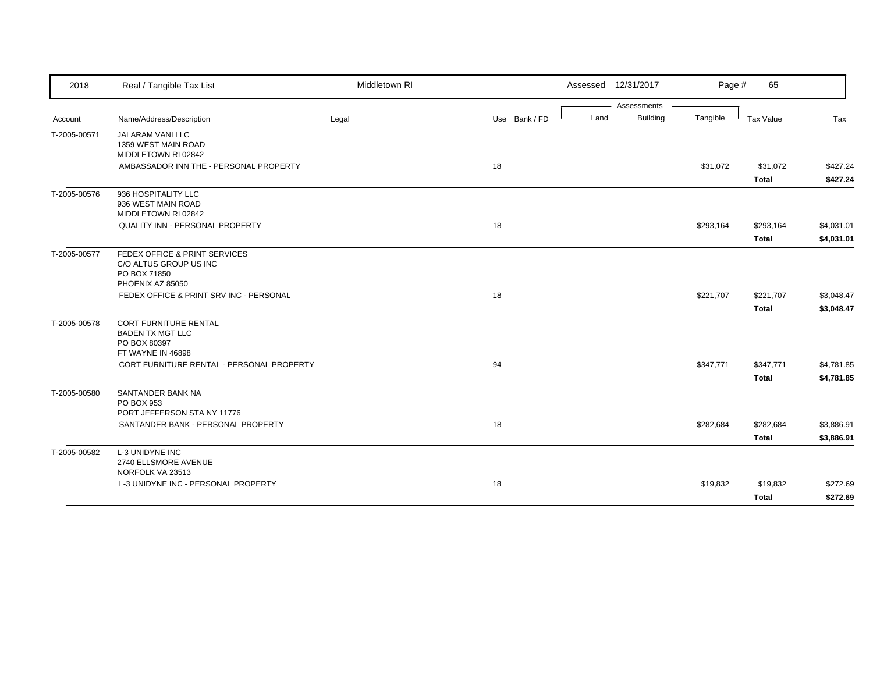| 2018         | Real / Tangible Tax List                                | Middletown RI |               |      | Assessed 12/31/2017            | Page #    | 65           |            |
|--------------|---------------------------------------------------------|---------------|---------------|------|--------------------------------|-----------|--------------|------------|
|              | Name/Address/Description                                | Legal         | Use Bank / FD | Land | Assessments<br><b>Building</b> | Tangible  | Tax Value    | Tax        |
| Account      |                                                         |               |               |      |                                |           |              |            |
| T-2005-00571 | <b>JALARAM VANI LLC</b><br>1359 WEST MAIN ROAD          |               |               |      |                                |           |              |            |
|              | MIDDLETOWN RI 02842                                     |               |               |      |                                |           |              |            |
|              | AMBASSADOR INN THE - PERSONAL PROPERTY                  |               | 18            |      |                                | \$31,072  | \$31,072     | \$427.24   |
|              |                                                         |               |               |      |                                |           | <b>Total</b> | \$427.24   |
| T-2005-00576 | 936 HOSPITALITY LLC                                     |               |               |      |                                |           |              |            |
|              | 936 WEST MAIN ROAD                                      |               |               |      |                                |           |              |            |
|              | MIDDLETOWN RI 02842<br>QUALITY INN - PERSONAL PROPERTY  |               | 18            |      |                                | \$293,164 | \$293,164    | \$4,031.01 |
|              |                                                         |               |               |      |                                |           |              |            |
|              |                                                         |               |               |      |                                |           | <b>Total</b> | \$4,031.01 |
| T-2005-00577 | FEDEX OFFICE & PRINT SERVICES<br>C/O ALTUS GROUP US INC |               |               |      |                                |           |              |            |
|              | PO BOX 71850                                            |               |               |      |                                |           |              |            |
|              | PHOENIX AZ 85050                                        |               |               |      |                                |           |              |            |
|              | FEDEX OFFICE & PRINT SRV INC - PERSONAL                 |               | 18            |      |                                | \$221,707 | \$221,707    | \$3,048.47 |
|              |                                                         |               |               |      |                                |           | <b>Total</b> | \$3,048.47 |
| T-2005-00578 | <b>CORT FURNITURE RENTAL</b>                            |               |               |      |                                |           |              |            |
|              | <b>BADEN TX MGT LLC</b>                                 |               |               |      |                                |           |              |            |
|              | PO BOX 80397<br>FT WAYNE IN 46898                       |               |               |      |                                |           |              |            |
|              | CORT FURNITURE RENTAL - PERSONAL PROPERTY               |               | 94            |      |                                | \$347,771 | \$347,771    | \$4,781.85 |
|              |                                                         |               |               |      |                                |           | <b>Total</b> | \$4,781.85 |
| T-2005-00580 | SANTANDER BANK NA                                       |               |               |      |                                |           |              |            |
|              | PO BOX 953                                              |               |               |      |                                |           |              |            |
|              | PORT JEFFERSON STA NY 11776                             |               |               |      |                                |           |              |            |
|              | SANTANDER BANK - PERSONAL PROPERTY                      |               | 18            |      |                                | \$282,684 | \$282,684    | \$3,886.91 |
|              |                                                         |               |               |      |                                |           | <b>Total</b> | \$3,886.91 |
| T-2005-00582 | L-3 UNIDYNE INC                                         |               |               |      |                                |           |              |            |
|              | 2740 ELLSMORE AVENUE<br>NORFOLK VA 23513                |               |               |      |                                |           |              |            |
|              | L-3 UNIDYNE INC - PERSONAL PROPERTY                     |               | 18            |      |                                | \$19,832  | \$19,832     | \$272.69   |
|              |                                                         |               |               |      |                                |           | <b>Total</b> | \$272.69   |
|              |                                                         |               |               |      |                                |           |              |            |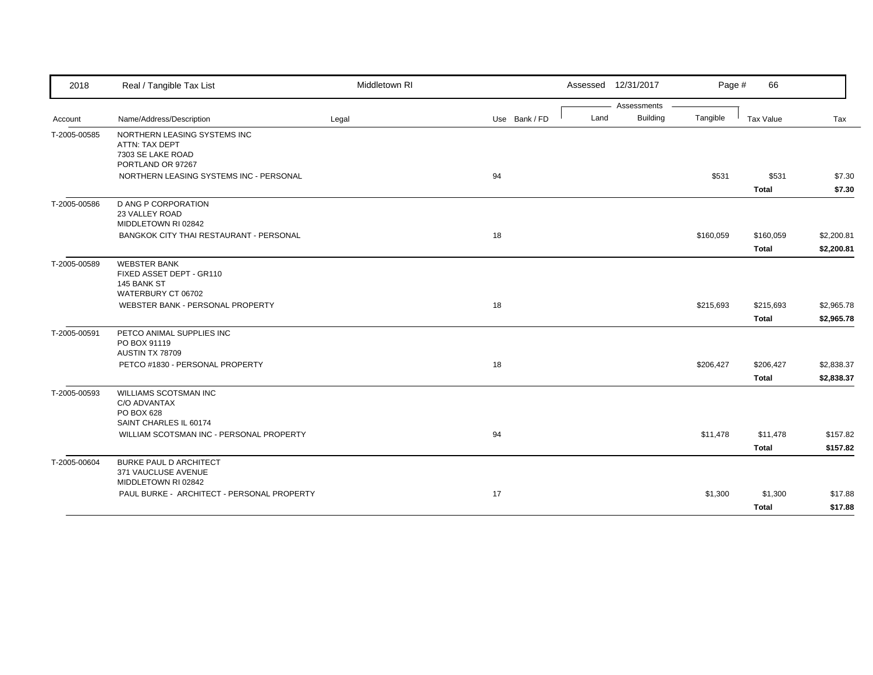| 2018         | Real / Tangible Tax List                                                             | Middletown RI |               | Assessed 12/31/2017 |                             | Page #<br>66           |            |
|--------------|--------------------------------------------------------------------------------------|---------------|---------------|---------------------|-----------------------------|------------------------|------------|
|              |                                                                                      |               |               |                     | Assessments                 |                        |            |
| Account      | Name/Address/Description                                                             | Legal         | Use Bank / FD | Land                | <b>Building</b><br>Tangible | Tax Value              | Tax        |
| T-2005-00585 | NORTHERN LEASING SYSTEMS INC<br>ATTN: TAX DEPT<br>7303 SE LAKE ROAD                  |               |               |                     |                             |                        |            |
|              | PORTLAND OR 97267                                                                    |               |               |                     |                             |                        |            |
|              | NORTHERN LEASING SYSTEMS INC - PERSONAL                                              |               | 94            |                     |                             | \$531<br>\$531         | \$7.30     |
|              |                                                                                      |               |               |                     |                             | <b>Total</b>           | \$7.30     |
| T-2005-00586 | <b>D ANG P CORPORATION</b><br>23 VALLEY ROAD<br>MIDDLETOWN RI 02842                  |               |               |                     |                             |                        |            |
|              | BANGKOK CITY THAI RESTAURANT - PERSONAL                                              |               | 18            |                     |                             | \$160,059<br>\$160,059 | \$2,200.81 |
|              |                                                                                      |               |               |                     |                             | <b>Total</b>           | \$2,200.81 |
| T-2005-00589 | <b>WEBSTER BANK</b><br>FIXED ASSET DEPT - GR110<br>145 BANK ST<br>WATERBURY CT 06702 |               |               |                     |                             |                        |            |
|              | WEBSTER BANK - PERSONAL PROPERTY                                                     |               | 18            |                     |                             | \$215,693<br>\$215,693 | \$2,965.78 |
|              |                                                                                      |               |               |                     |                             | <b>Total</b>           | \$2,965.78 |
| T-2005-00591 | PETCO ANIMAL SUPPLIES INC<br>PO BOX 91119<br>AUSTIN TX 78709                         |               |               |                     |                             |                        |            |
|              | PETCO #1830 - PERSONAL PROPERTY                                                      |               | 18            |                     | \$206,427                   | \$206,427              | \$2,838.37 |
|              |                                                                                      |               |               |                     |                             | <b>Total</b>           | \$2,838.37 |
| T-2005-00593 | <b>WILLIAMS SCOTSMAN INC</b><br>C/O ADVANTAX<br>PO BOX 628<br>SAINT CHARLES IL 60174 |               |               |                     |                             |                        |            |
|              | WILLIAM SCOTSMAN INC - PERSONAL PROPERTY                                             |               | 94            |                     |                             | \$11,478<br>\$11,478   | \$157.82   |
|              |                                                                                      |               |               |                     |                             | <b>Total</b>           | \$157.82   |
|              | <b>BURKE PAUL D ARCHITECT</b>                                                        |               |               |                     |                             |                        |            |
| T-2005-00604 | 371 VAUCLUSE AVENUE<br>MIDDLETOWN RI 02842                                           |               |               |                     |                             |                        |            |
|              | PAUL BURKE - ARCHITECT - PERSONAL PROPERTY                                           |               | 17            |                     |                             | \$1,300<br>\$1,300     | \$17.88    |
|              |                                                                                      |               |               |                     |                             | <b>Total</b>           | \$17.88    |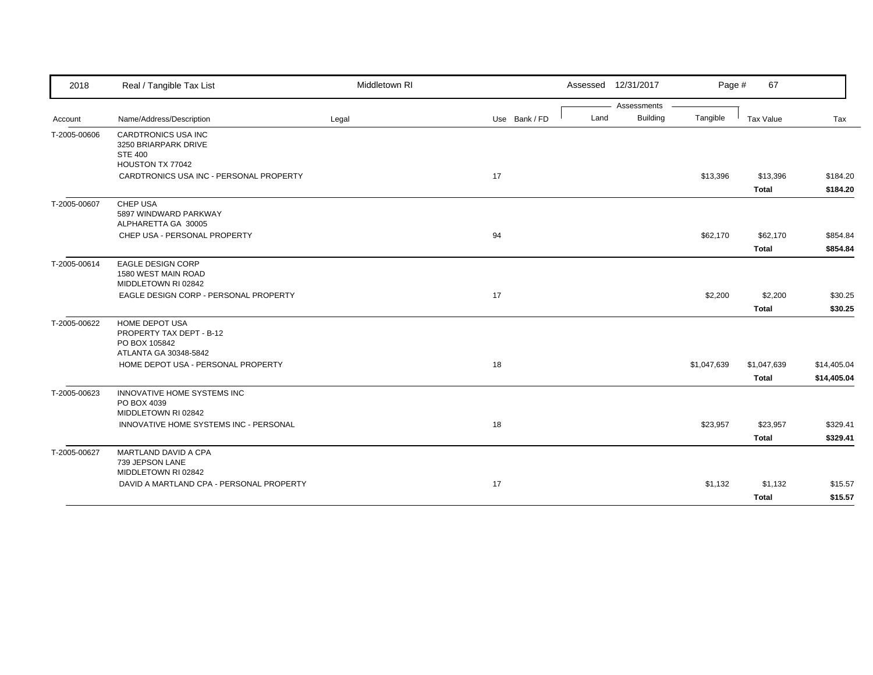| 2018         | Real / Tangible Tax List                                                                    | Middletown RI |               | Assessed 12/31/2017 | Page #                      | 67           |             |
|--------------|---------------------------------------------------------------------------------------------|---------------|---------------|---------------------|-----------------------------|--------------|-------------|
|              |                                                                                             |               |               | Assessments         |                             |              |             |
| Account      | Name/Address/Description                                                                    | Legal         | Use Bank / FD | Land                | <b>Building</b><br>Tangible | Tax Value    | Tax         |
| T-2005-00606 | CARDTRONICS USA INC<br>3250 BRIARPARK DRIVE<br><b>STE 400</b><br>HOUSTON TX 77042           |               |               |                     |                             |              |             |
|              | CARDTRONICS USA INC - PERSONAL PROPERTY                                                     |               | 17            |                     | \$13,396                    | \$13,396     | \$184.20    |
|              |                                                                                             |               |               |                     |                             | <b>Total</b> | \$184.20    |
| T-2005-00607 | CHEP USA<br>5897 WINDWARD PARKWAY<br>ALPHARETTA GA 30005                                    |               |               |                     |                             |              |             |
|              | CHEP USA - PERSONAL PROPERTY                                                                |               | 94            |                     | \$62,170                    | \$62,170     | \$854.84    |
|              |                                                                                             |               |               |                     |                             | <b>Total</b> | \$854.84    |
| T-2005-00614 | <b>EAGLE DESIGN CORP</b><br>1580 WEST MAIN ROAD<br>MIDDLETOWN RI 02842                      |               |               |                     |                             |              |             |
|              | EAGLE DESIGN CORP - PERSONAL PROPERTY                                                       |               | 17            |                     | \$2,200                     | \$2,200      | \$30.25     |
|              |                                                                                             |               |               |                     |                             | <b>Total</b> | \$30.25     |
| T-2005-00622 | <b>HOME DEPOT USA</b><br>PROPERTY TAX DEPT - B-12<br>PO BOX 105842<br>ATLANTA GA 30348-5842 |               |               |                     |                             |              |             |
|              | HOME DEPOT USA - PERSONAL PROPERTY                                                          |               | 18            |                     | \$1,047,639                 | \$1,047,639  | \$14,405.04 |
|              |                                                                                             |               |               |                     |                             | <b>Total</b> | \$14,405.04 |
| T-2005-00623 | INNOVATIVE HOME SYSTEMS INC<br>PO BOX 4039<br>MIDDLETOWN RI 02842                           |               |               |                     |                             |              |             |
|              | INNOVATIVE HOME SYSTEMS INC - PERSONAL                                                      |               | 18            |                     | \$23,957                    | \$23,957     | \$329.41    |
|              |                                                                                             |               |               |                     |                             | <b>Total</b> | \$329.41    |
| T-2005-00627 | MARTLAND DAVID A CPA<br>739 JEPSON LANE<br>MIDDLETOWN RI 02842                              |               |               |                     |                             |              |             |
|              | DAVID A MARTLAND CPA - PERSONAL PROPERTY                                                    |               | 17            |                     | \$1,132                     | \$1,132      | \$15.57     |
|              |                                                                                             |               |               |                     |                             | <b>Total</b> | \$15.57     |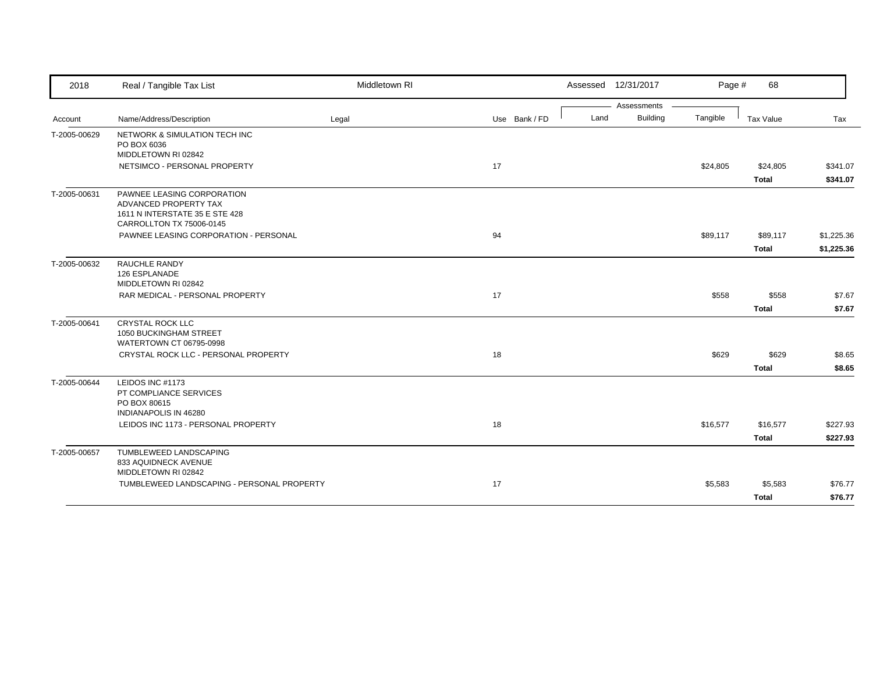| 2018         | Real / Tangible Tax List                                                                                          | Middletown RI |               |      | Assessed 12/31/2017 | Page #   | 68           |            |
|--------------|-------------------------------------------------------------------------------------------------------------------|---------------|---------------|------|---------------------|----------|--------------|------------|
|              |                                                                                                                   |               |               |      | Assessments         |          |              |            |
| Account      | Name/Address/Description                                                                                          | Legal         | Use Bank / FD | Land | <b>Building</b>     | Tangible | Tax Value    | Tax        |
| T-2005-00629 | NETWORK & SIMULATION TECH INC<br>PO BOX 6036                                                                      |               |               |      |                     |          |              |            |
|              | MIDDLETOWN RI 02842                                                                                               |               |               |      |                     |          |              |            |
|              | NETSIMCO - PERSONAL PROPERTY                                                                                      |               | 17            |      |                     | \$24,805 | \$24,805     | \$341.07   |
|              |                                                                                                                   |               |               |      |                     |          | <b>Total</b> | \$341.07   |
| T-2005-00631 | PAWNEE LEASING CORPORATION<br>ADVANCED PROPERTY TAX<br>1611 N INTERSTATE 35 E STE 428<br>CARROLLTON TX 75006-0145 |               |               |      |                     |          |              |            |
|              | PAWNEE LEASING CORPORATION - PERSONAL                                                                             |               | 94            |      |                     | \$89,117 | \$89,117     | \$1,225.36 |
|              |                                                                                                                   |               |               |      |                     |          | <b>Total</b> | \$1,225.36 |
| T-2005-00632 | RAUCHLE RANDY<br>126 ESPLANADE<br>MIDDLETOWN RI 02842                                                             |               |               |      |                     |          |              |            |
|              | RAR MEDICAL - PERSONAL PROPERTY                                                                                   |               | 17            |      |                     | \$558    | \$558        | \$7.67     |
|              |                                                                                                                   |               |               |      |                     |          | <b>Total</b> | \$7.67     |
| T-2005-00641 | CRYSTAL ROCK LLC<br>1050 BUCKINGHAM STREET<br>WATERTOWN CT 06795-0998                                             |               |               |      |                     |          |              |            |
|              | CRYSTAL ROCK LLC - PERSONAL PROPERTY                                                                              |               | 18            |      |                     | \$629    | \$629        | \$8.65     |
|              |                                                                                                                   |               |               |      |                     |          | <b>Total</b> | \$8.65     |
| T-2005-00644 | LEIDOS INC #1173<br>PT COMPLIANCE SERVICES<br>PO BOX 80615<br>INDIANAPOLIS IN 46280                               |               |               |      |                     |          |              |            |
|              | LEIDOS INC 1173 - PERSONAL PROPERTY                                                                               |               | 18            |      |                     | \$16,577 | \$16,577     | \$227.93   |
|              |                                                                                                                   |               |               |      |                     |          | <b>Total</b> | \$227.93   |
|              |                                                                                                                   |               |               |      |                     |          |              |            |
| T-2005-00657 | TUMBLEWEED LANDSCAPING<br>833 AQUIDNECK AVENUE<br>MIDDLETOWN RI 02842                                             |               |               |      |                     |          |              |            |
|              | TUMBLEWEED LANDSCAPING - PERSONAL PROPERTY                                                                        |               | 17            |      |                     | \$5,583  | \$5,583      | \$76.77    |
|              |                                                                                                                   |               |               |      |                     |          | <b>Total</b> | \$76.77    |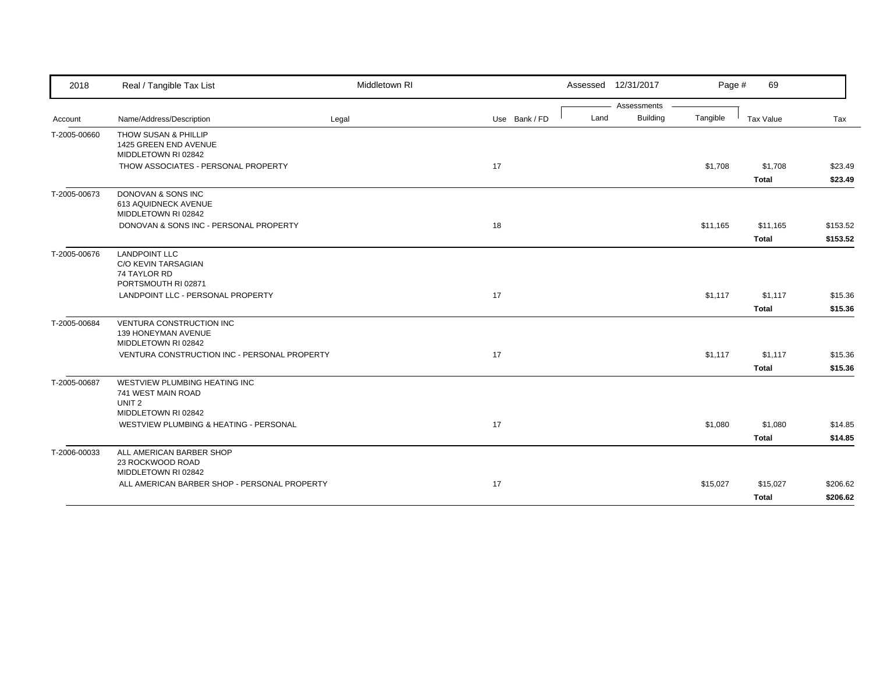| 2018         | Real / Tangible Tax List                                                                                               | Middletown RI |               | Assessed 12/31/2017 |                 | Page #   | 69                      |                    |
|--------------|------------------------------------------------------------------------------------------------------------------------|---------------|---------------|---------------------|-----------------|----------|-------------------------|--------------------|
|              |                                                                                                                        |               |               |                     | Assessments     |          |                         |                    |
| Account      | Name/Address/Description                                                                                               | Legal         | Use Bank / FD | Land                | <b>Building</b> | Tangible | Tax Value               | Tax                |
| T-2005-00660 | THOW SUSAN & PHILLIP<br>1425 GREEN END AVENUE<br>MIDDLETOWN RI 02842                                                   |               |               |                     |                 |          |                         |                    |
|              | THOW ASSOCIATES - PERSONAL PROPERTY                                                                                    |               | 17            |                     |                 | \$1,708  | \$1,708                 | \$23.49            |
|              |                                                                                                                        |               |               |                     |                 |          | <b>Total</b>            | \$23.49            |
| T-2005-00673 | DONOVAN & SONS INC<br>613 AQUIDNECK AVENUE<br>MIDDLETOWN RI 02842                                                      |               |               |                     |                 |          |                         |                    |
|              | DONOVAN & SONS INC - PERSONAL PROPERTY                                                                                 |               | 18            |                     |                 | \$11,165 | \$11,165                | \$153.52           |
|              |                                                                                                                        |               |               |                     |                 |          | <b>Total</b>            | \$153.52           |
| T-2005-00676 | <b>LANDPOINT LLC</b><br><b>C/O KEVIN TARSAGIAN</b><br>74 TAYLOR RD<br>PORTSMOUTH RI 02871                              |               |               |                     |                 |          |                         |                    |
|              | LANDPOINT LLC - PERSONAL PROPERTY                                                                                      |               | 17            |                     |                 | \$1,117  | \$1,117                 | \$15.36            |
|              |                                                                                                                        |               |               |                     |                 |          | <b>Total</b>            | \$15.36            |
| T-2005-00684 | VENTURA CONSTRUCTION INC<br>139 HONEYMAN AVENUE<br>MIDDLETOWN RI 02842<br>VENTURA CONSTRUCTION INC - PERSONAL PROPERTY |               | 17            |                     |                 | \$1,117  | \$1,117<br><b>Total</b> | \$15.36<br>\$15.36 |
| T-2005-00687 | WESTVIEW PLUMBING HEATING INC<br>741 WEST MAIN ROAD<br>UNIT <sub>2</sub>                                               |               |               |                     |                 |          |                         |                    |
|              | MIDDLETOWN RI 02842                                                                                                    |               |               |                     |                 |          |                         |                    |
|              | WESTVIEW PLUMBING & HEATING - PERSONAL                                                                                 |               | 17            |                     |                 | \$1,080  | \$1,080                 | \$14.85            |
|              |                                                                                                                        |               |               |                     |                 |          | <b>Total</b>            | \$14.85            |
| T-2006-00033 | ALL AMERICAN BARBER SHOP<br>23 ROCKWOOD ROAD<br>MIDDLETOWN RI 02842                                                    |               |               |                     |                 |          |                         |                    |
|              | ALL AMERICAN BARBER SHOP - PERSONAL PROPERTY                                                                           |               | 17            |                     |                 | \$15,027 | \$15,027                | \$206.62           |
|              |                                                                                                                        |               |               |                     |                 |          | <b>Total</b>            | \$206.62           |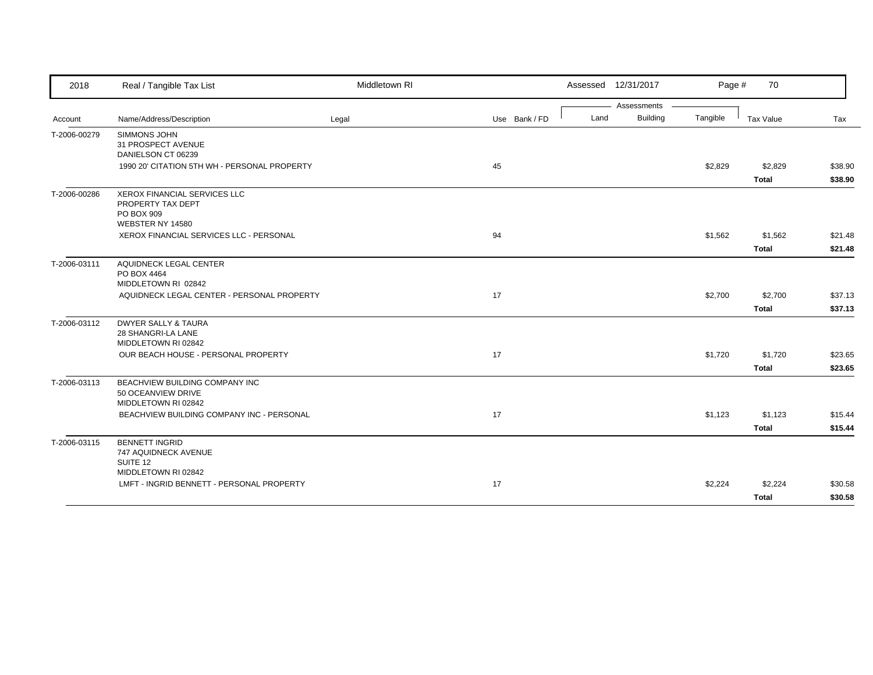| 2018         | Real / Tangible Tax List                                                            | Middletown RI |               |      | Assessed 12/31/2017 | Page #   | 70                      |                    |
|--------------|-------------------------------------------------------------------------------------|---------------|---------------|------|---------------------|----------|-------------------------|--------------------|
|              |                                                                                     |               |               |      | Assessments         |          |                         |                    |
| Account      | Name/Address/Description                                                            | Legal         | Use Bank / FD | Land | <b>Building</b>     | Tangible | Tax Value               | Tax                |
| T-2006-00279 | SIMMONS JOHN<br>31 PROSPECT AVENUE<br>DANIELSON CT 06239                            |               |               |      |                     |          |                         |                    |
|              | 1990 20' CITATION 5TH WH - PERSONAL PROPERTY                                        |               | 45            |      |                     | \$2,829  | \$2,829<br><b>Total</b> | \$38.90<br>\$38.90 |
| T-2006-00286 | XEROX FINANCIAL SERVICES LLC<br>PROPERTY TAX DEPT<br>PO BOX 909<br>WEBSTER NY 14580 |               |               |      |                     |          |                         |                    |
|              | XEROX FINANCIAL SERVICES LLC - PERSONAL                                             |               | 94            |      |                     | \$1,562  | \$1,562                 | \$21.48            |
|              |                                                                                     |               |               |      |                     |          | <b>Total</b>            | \$21.48            |
| T-2006-03111 | AQUIDNECK LEGAL CENTER<br>PO BOX 4464<br>MIDDLETOWN RI 02842                        |               |               |      |                     |          |                         |                    |
|              | AQUIDNECK LEGAL CENTER - PERSONAL PROPERTY                                          |               | 17            |      |                     | \$2,700  | \$2,700                 | \$37.13            |
|              |                                                                                     |               |               |      |                     |          | <b>Total</b>            | \$37.13            |
| T-2006-03112 | <b>DWYER SALLY &amp; TAURA</b><br>28 SHANGRI-LA LANE<br>MIDDLETOWN RI 02842         |               |               |      |                     |          |                         |                    |
|              | OUR BEACH HOUSE - PERSONAL PROPERTY                                                 |               | 17            |      |                     | \$1,720  | \$1,720                 | \$23.65            |
|              |                                                                                     |               |               |      |                     |          | <b>Total</b>            | \$23.65            |
| T-2006-03113 | BEACHVIEW BUILDING COMPANY INC<br>50 OCEANVIEW DRIVE<br>MIDDLETOWN RI 02842         |               |               |      |                     |          |                         |                    |
|              | BEACHVIEW BUILDING COMPANY INC - PERSONAL                                           |               | 17            |      |                     | \$1,123  | \$1,123                 | \$15.44            |
|              |                                                                                     |               |               |      |                     |          | Total                   | \$15.44            |
| T-2006-03115 | <b>BENNETT INGRID</b><br>747 AQUIDNECK AVENUE<br>SUITE 12                           |               |               |      |                     |          |                         |                    |
|              | MIDDLETOWN RI 02842<br>LMFT - INGRID BENNETT - PERSONAL PROPERTY                    |               | 17            |      |                     | \$2,224  | \$2,224                 | \$30.58            |
|              |                                                                                     |               |               |      |                     |          | <b>Total</b>            | \$30.58            |
|              |                                                                                     |               |               |      |                     |          |                         |                    |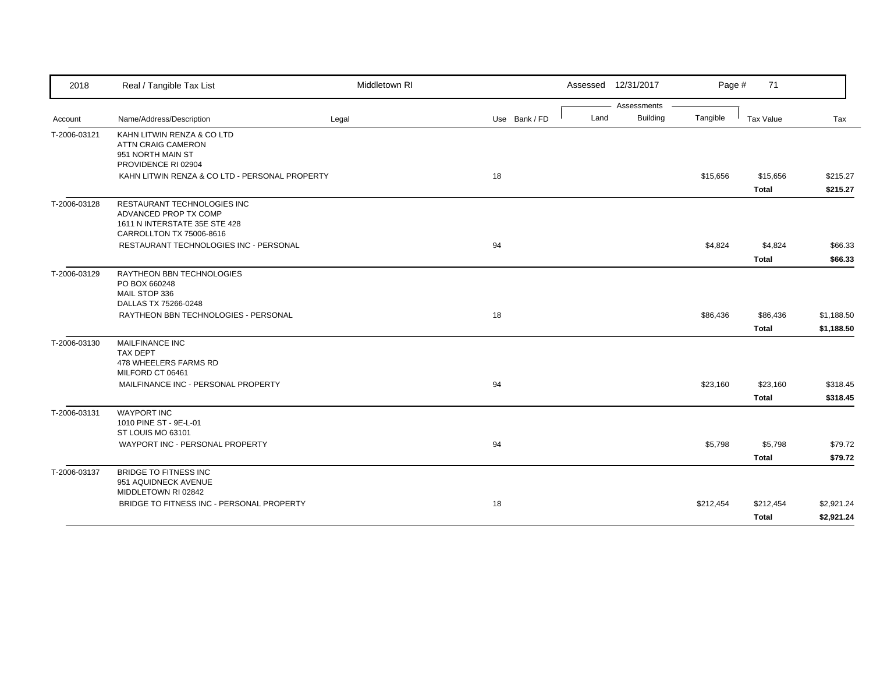| 2018         | Real / Tangible Tax List                                                                                          | Middletown RI |               |      | Assessed 12/31/2017 | Page #    | 71           |            |
|--------------|-------------------------------------------------------------------------------------------------------------------|---------------|---------------|------|---------------------|-----------|--------------|------------|
|              |                                                                                                                   |               |               |      | Assessments         |           |              |            |
| Account      | Name/Address/Description                                                                                          | Legal         | Use Bank / FD | Land | <b>Building</b>     | Tangible  | Tax Value    | Tax        |
| T-2006-03121 | KAHN LITWIN RENZA & CO LTD<br>ATTN CRAIG CAMERON<br>951 NORTH MAIN ST<br>PROVIDENCE RI 02904                      |               |               |      |                     |           |              |            |
|              | KAHN LITWIN RENZA & CO LTD - PERSONAL PROPERTY                                                                    |               | 18            |      |                     | \$15,656  | \$15,656     | \$215.27   |
|              |                                                                                                                   |               |               |      |                     |           | Total        | \$215.27   |
| T-2006-03128 | RESTAURANT TECHNOLOGIES INC<br>ADVANCED PROP TX COMP<br>1611 N INTERSTATE 35E STE 428<br>CARROLLTON TX 75006-8616 |               |               |      |                     |           |              |            |
|              | RESTAURANT TECHNOLOGIES INC - PERSONAL                                                                            |               | 94            |      |                     | \$4,824   | \$4,824      | \$66.33    |
|              |                                                                                                                   |               |               |      |                     |           | <b>Total</b> | \$66.33    |
| T-2006-03129 | RAYTHEON BBN TECHNOLOGIES<br>PO BOX 660248<br>MAIL STOP 336<br>DALLAS TX 75266-0248                               |               |               |      |                     |           |              |            |
|              | RAYTHEON BBN TECHNOLOGIES - PERSONAL                                                                              |               | 18            |      |                     | \$86,436  | \$86,436     | \$1,188.50 |
|              |                                                                                                                   |               |               |      |                     |           | <b>Total</b> | \$1,188.50 |
| T-2006-03130 | <b>MAILFINANCE INC</b><br>TAX DEPT<br>478 WHEELERS FARMS RD<br>MILFORD CT 06461                                   |               |               |      |                     |           |              |            |
|              | MAILFINANCE INC - PERSONAL PROPERTY                                                                               |               | 94            |      |                     | \$23,160  | \$23,160     | \$318.45   |
|              |                                                                                                                   |               |               |      |                     |           | Total        | \$318.45   |
| T-2006-03131 | <b>WAYPORT INC</b><br>1010 PINE ST - 9E-L-01<br>ST LOUIS MO 63101                                                 |               |               |      |                     |           |              |            |
|              | WAYPORT INC - PERSONAL PROPERTY                                                                                   |               | 94            |      |                     | \$5,798   | \$5,798      | \$79.72    |
|              |                                                                                                                   |               |               |      |                     |           | Total        | \$79.72    |
| T-2006-03137 | <b>BRIDGE TO FITNESS INC</b><br>951 AQUIDNECK AVENUE<br>MIDDLETOWN RI 02842                                       |               |               |      |                     |           |              |            |
|              | BRIDGE TO FITNESS INC - PERSONAL PROPERTY                                                                         |               | 18            |      |                     | \$212,454 | \$212,454    | \$2,921.24 |
|              |                                                                                                                   |               |               |      |                     |           | <b>Total</b> | \$2,921.24 |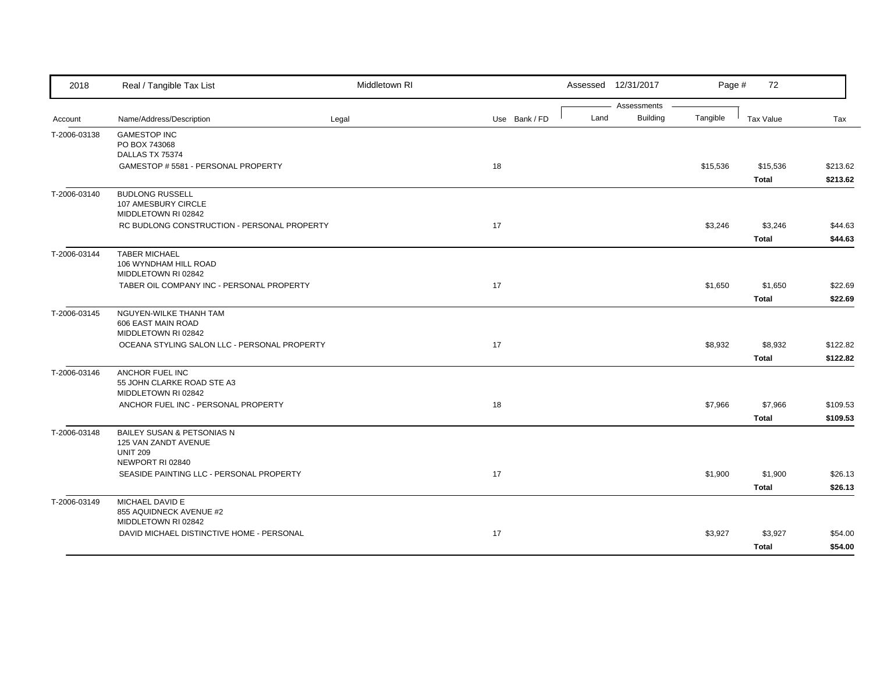| 2018         | Real / Tangible Tax List                                             | Middletown RI |               |      | Assessed 12/31/2017            | Page #   | 72           |          |
|--------------|----------------------------------------------------------------------|---------------|---------------|------|--------------------------------|----------|--------------|----------|
| Account      | Name/Address/Description                                             | Legal         | Use Bank / FD | Land | Assessments<br><b>Building</b> | Tangible | Tax Value    | Tax      |
|              |                                                                      |               |               |      |                                |          |              |          |
| T-2006-03138 | <b>GAMESTOP INC</b><br>PO BOX 743068                                 |               |               |      |                                |          |              |          |
|              | DALLAS TX 75374                                                      |               |               |      |                                |          |              |          |
|              | GAMESTOP # 5581 - PERSONAL PROPERTY                                  |               | 18            |      |                                | \$15,536 | \$15,536     | \$213.62 |
|              |                                                                      |               |               |      |                                |          | <b>Total</b> | \$213.62 |
| T-2006-03140 | <b>BUDLONG RUSSELL</b><br>107 AMESBURY CIRCLE<br>MIDDLETOWN RI 02842 |               |               |      |                                |          |              |          |
|              | RC BUDLONG CONSTRUCTION - PERSONAL PROPERTY                          |               | 17            |      |                                | \$3,246  | \$3,246      | \$44.63  |
|              |                                                                      |               |               |      |                                |          | <b>Total</b> | \$44.63  |
| T-2006-03144 | <b>TABER MICHAEL</b><br>106 WYNDHAM HILL ROAD<br>MIDDLETOWN RI 02842 |               |               |      |                                |          |              |          |
|              | TABER OIL COMPANY INC - PERSONAL PROPERTY                            |               | 17            |      |                                | \$1,650  | \$1,650      | \$22.69  |
|              |                                                                      |               |               |      |                                |          | <b>Total</b> | \$22.69  |
| T-2006-03145 | NGUYEN-WILKE THANH TAM<br>606 EAST MAIN ROAD<br>MIDDLETOWN RI 02842  |               |               |      |                                |          |              |          |
|              | OCEANA STYLING SALON LLC - PERSONAL PROPERTY                         |               | 17            |      |                                | \$8,932  | \$8,932      | \$122.82 |
|              |                                                                      |               |               |      |                                |          | <b>Total</b> | \$122.82 |
| T-2006-03146 | ANCHOR FUEL INC                                                      |               |               |      |                                |          |              |          |
|              | 55 JOHN CLARKE ROAD STE A3                                           |               |               |      |                                |          |              |          |
|              | MIDDLETOWN RI 02842                                                  |               |               |      |                                |          |              |          |
|              | ANCHOR FUEL INC - PERSONAL PROPERTY                                  |               | 18            |      |                                | \$7,966  | \$7,966      | \$109.53 |
|              |                                                                      |               |               |      |                                |          | <b>Total</b> | \$109.53 |
| T-2006-03148 | <b>BAILEY SUSAN &amp; PETSONIAS N</b><br>125 VAN ZANDT AVENUE        |               |               |      |                                |          |              |          |
|              | <b>UNIT 209</b><br>NEWPORT RI 02840                                  |               |               |      |                                |          |              |          |
|              | SEASIDE PAINTING LLC - PERSONAL PROPERTY                             |               | 17            |      |                                | \$1,900  | \$1,900      | \$26.13  |
|              |                                                                      |               |               |      |                                |          | <b>Total</b> | \$26.13  |
| T-2006-03149 | MICHAEL DAVID E                                                      |               |               |      |                                |          |              |          |
|              | 855 AQUIDNECK AVENUE #2                                              |               |               |      |                                |          |              |          |
|              | MIDDLETOWN RI 02842                                                  |               |               |      |                                |          |              |          |
|              | DAVID MICHAEL DISTINCTIVE HOME - PERSONAL                            |               | 17            |      |                                | \$3,927  | \$3,927      | \$54.00  |
|              |                                                                      |               |               |      |                                |          | <b>Total</b> | \$54.00  |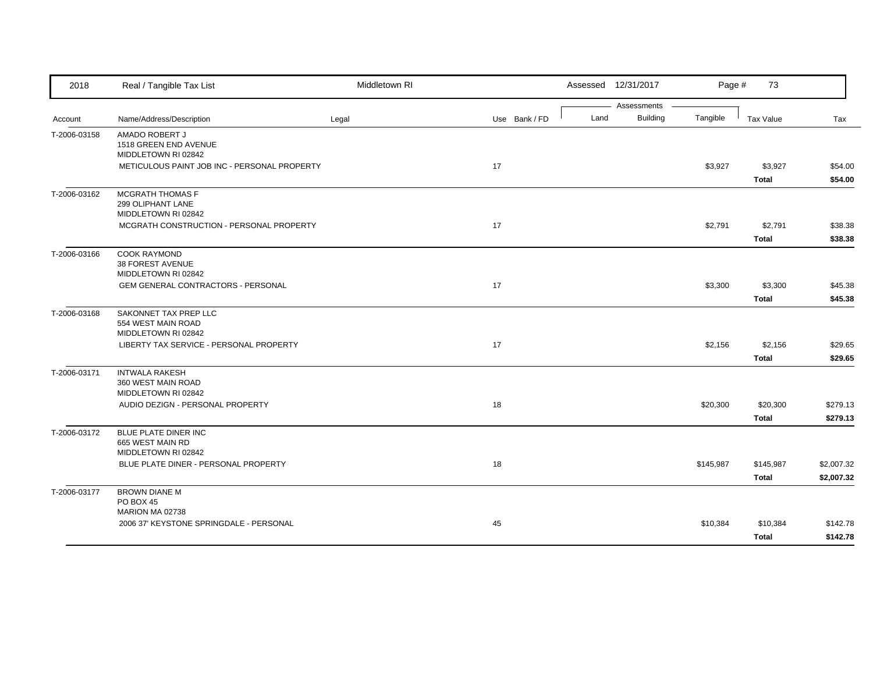| 2018         | Real / Tangible Tax List                                            | Middletown RI |               |      | Assessed 12/31/2017            | Page #    | 73                        |                          |
|--------------|---------------------------------------------------------------------|---------------|---------------|------|--------------------------------|-----------|---------------------------|--------------------------|
| Account      | Name/Address/Description                                            | Legal         | Use Bank / FD | Land | Assessments<br><b>Building</b> | Tangible  | Tax Value                 | Tax                      |
| T-2006-03158 | AMADO ROBERT J<br>1518 GREEN END AVENUE<br>MIDDLETOWN RI 02842      |               |               |      |                                |           |                           |                          |
|              | METICULOUS PAINT JOB INC - PERSONAL PROPERTY                        |               | 17            |      |                                | \$3,927   | \$3,927<br><b>Total</b>   | \$54.00<br>\$54.00       |
| T-2006-03162 | <b>MCGRATH THOMAS F</b><br>299 OLIPHANT LANE<br>MIDDLETOWN RI 02842 |               |               |      |                                |           |                           |                          |
|              | MCGRATH CONSTRUCTION - PERSONAL PROPERTY                            |               | 17            |      |                                | \$2,791   | \$2,791<br><b>Total</b>   | \$38.38<br>\$38.38       |
| T-2006-03166 | <b>COOK RAYMOND</b><br>38 FOREST AVENUE<br>MIDDLETOWN RI 02842      |               |               |      |                                |           |                           |                          |
|              | <b>GEM GENERAL CONTRACTORS - PERSONAL</b>                           |               | 17            |      |                                | \$3,300   | \$3,300<br><b>Total</b>   | \$45.38<br>\$45.38       |
| T-2006-03168 | SAKONNET TAX PREP LLC<br>554 WEST MAIN ROAD<br>MIDDLETOWN RI 02842  |               |               |      |                                |           |                           |                          |
|              | LIBERTY TAX SERVICE - PERSONAL PROPERTY                             |               | 17            |      |                                | \$2,156   | \$2,156<br><b>Total</b>   | \$29.65<br>\$29.65       |
| T-2006-03171 | <b>INTWALA RAKESH</b><br>360 WEST MAIN ROAD<br>MIDDLETOWN RI 02842  |               |               |      |                                |           |                           |                          |
|              | AUDIO DEZIGN - PERSONAL PROPERTY                                    |               | 18            |      |                                | \$20,300  | \$20,300<br><b>Total</b>  | \$279.13<br>\$279.13     |
| T-2006-03172 | BLUE PLATE DINER INC<br>665 WEST MAIN RD<br>MIDDLETOWN RI 02842     |               |               |      |                                |           |                           |                          |
|              | BLUE PLATE DINER - PERSONAL PROPERTY                                |               | 18            |      |                                | \$145,987 | \$145,987<br><b>Total</b> | \$2,007.32<br>\$2,007.32 |
| T-2006-03177 | <b>BROWN DIANE M</b><br><b>PO BOX 45</b><br>MARION MA 02738         |               |               |      |                                |           |                           |                          |
|              | 2006 37' KEYSTONE SPRINGDALE - PERSONAL                             |               | 45            |      |                                | \$10,384  | \$10,384<br><b>Total</b>  | \$142.78<br>\$142.78     |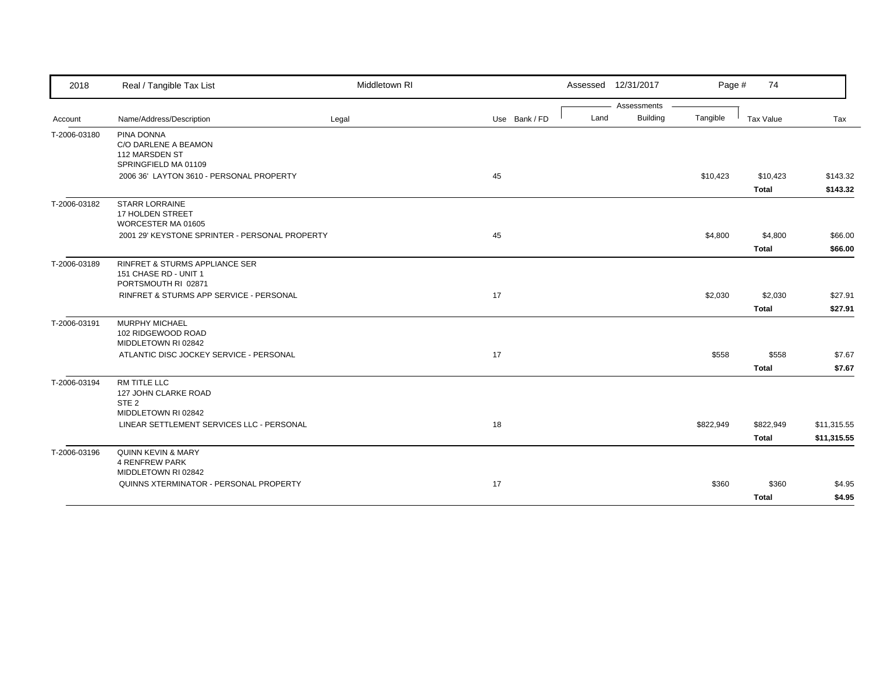| 2018         | Real / Tangible Tax List                                                        | Middletown RI |               | Assessed 12/31/2017 |                 | Page #    | 74                        |                            |
|--------------|---------------------------------------------------------------------------------|---------------|---------------|---------------------|-----------------|-----------|---------------------------|----------------------------|
|              |                                                                                 |               |               |                     | Assessments     |           |                           |                            |
| Account      | Name/Address/Description                                                        | Legal         | Use Bank / FD | Land                | <b>Building</b> | Tangible  | Tax Value                 | Tax                        |
| T-2006-03180 | PINA DONNA<br>C/O DARLENE A BEAMON<br>112 MARSDEN ST<br>SPRINGFIELD MA 01109    |               |               |                     |                 |           |                           |                            |
|              | 2006 36' LAYTON 3610 - PERSONAL PROPERTY                                        |               | 45            |                     |                 | \$10,423  | \$10,423<br><b>Total</b>  | \$143.32<br>\$143.32       |
| T-2006-03182 | <b>STARR LORRAINE</b><br>17 HOLDEN STREET<br>WORCESTER MA 01605                 |               |               |                     |                 |           |                           |                            |
|              | 2001 29' KEYSTONE SPRINTER - PERSONAL PROPERTY                                  |               | 45            |                     |                 | \$4,800   | \$4,800<br><b>Total</b>   | \$66.00<br>\$66.00         |
| T-2006-03189 | RINFRET & STURMS APPLIANCE SER<br>151 CHASE RD - UNIT 1<br>PORTSMOUTH RI 02871  |               |               |                     |                 |           |                           |                            |
|              | RINFRET & STURMS APP SERVICE - PERSONAL                                         |               | 17            |                     |                 | \$2,030   | \$2,030<br><b>Total</b>   | \$27.91<br>\$27.91         |
| T-2006-03191 | MURPHY MICHAEL<br>102 RIDGEWOOD ROAD<br>MIDDLETOWN RI 02842                     |               |               |                     |                 |           |                           |                            |
|              | ATLANTIC DISC JOCKEY SERVICE - PERSONAL                                         |               | 17            |                     |                 | \$558     | \$558<br><b>Total</b>     | \$7.67<br>\$7.67           |
| T-2006-03194 | RM TITLE LLC<br>127 JOHN CLARKE ROAD<br>STE <sub>2</sub><br>MIDDLETOWN RI 02842 |               |               |                     |                 |           |                           |                            |
|              | LINEAR SETTLEMENT SERVICES LLC - PERSONAL                                       |               | 18            |                     |                 | \$822,949 | \$822,949<br><b>Total</b> | \$11,315.55<br>\$11,315.55 |
| T-2006-03196 | QUINN KEVIN & MARY<br><b>4 RENFREW PARK</b><br>MIDDLETOWN RI 02842              |               |               |                     |                 |           |                           |                            |
|              | QUINNS XTERMINATOR - PERSONAL PROPERTY                                          |               | 17            |                     |                 | \$360     | \$360                     | \$4.95                     |
|              |                                                                                 |               |               |                     |                 |           | <b>Total</b>              | \$4.95                     |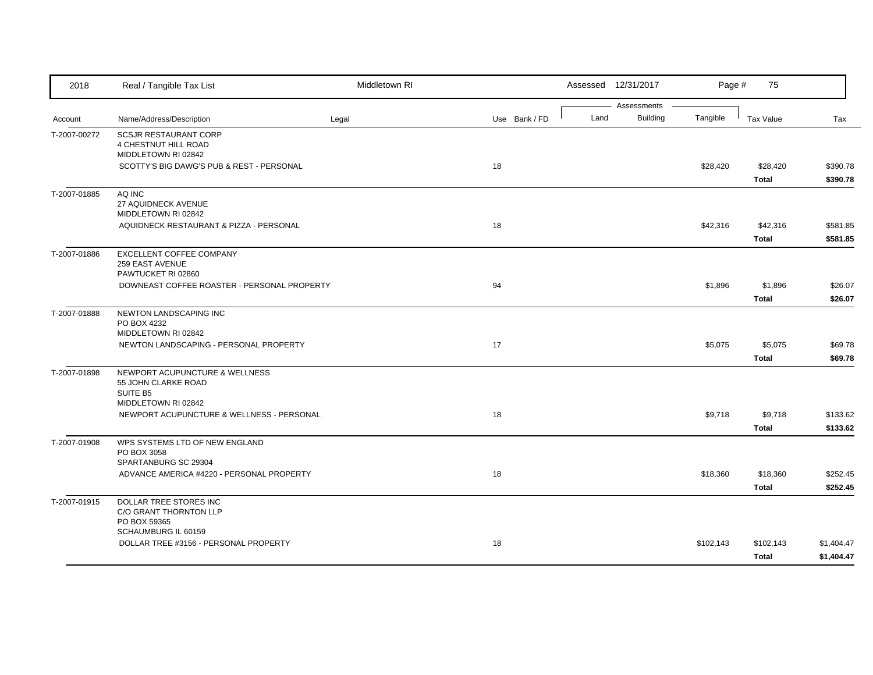| 2018         | Real / Tangible Tax List                                                                 | Middletown RI |               |      | Assessed 12/31/2017            | Page #    | 75                        |                          |
|--------------|------------------------------------------------------------------------------------------|---------------|---------------|------|--------------------------------|-----------|---------------------------|--------------------------|
| Account      | Name/Address/Description                                                                 | Legal         | Use Bank / FD | Land | Assessments<br><b>Building</b> | Tangible  | <b>Tax Value</b>          | Tax                      |
| T-2007-00272 | <b>SCSJR RESTAURANT CORP</b><br>4 CHESTNUT HILL ROAD<br>MIDDLETOWN RI 02842              |               |               |      |                                |           |                           |                          |
|              | SCOTTY'S BIG DAWG'S PUB & REST - PERSONAL                                                |               | 18            |      |                                | \$28,420  | \$28,420<br><b>Total</b>  | \$390.78<br>\$390.78     |
| T-2007-01885 | AQ INC<br>27 AQUIDNECK AVENUE<br>MIDDLETOWN RI 02842                                     |               |               |      |                                |           |                           |                          |
|              | AQUIDNECK RESTAURANT & PIZZA - PERSONAL                                                  |               | 18            |      |                                | \$42,316  | \$42,316<br><b>Total</b>  | \$581.85<br>\$581.85     |
| T-2007-01886 | EXCELLENT COFFEE COMPANY<br>259 EAST AVENUE<br>PAWTUCKET RI 02860                        |               |               |      |                                |           |                           |                          |
|              | DOWNEAST COFFEE ROASTER - PERSONAL PROPERTY                                              |               | 94            |      |                                | \$1,896   | \$1,896<br><b>Total</b>   | \$26.07<br>\$26.07       |
| T-2007-01888 | NEWTON LANDSCAPING INC<br>PO BOX 4232<br>MIDDLETOWN RI 02842                             |               |               |      |                                |           |                           |                          |
|              | NEWTON LANDSCAPING - PERSONAL PROPERTY                                                   |               | 17            |      |                                | \$5,075   | \$5,075<br><b>Total</b>   | \$69.78<br>\$69.78       |
| T-2007-01898 | NEWPORT ACUPUNCTURE & WELLNESS<br>55 JOHN CLARKE ROAD<br>SUITE B5<br>MIDDLETOWN RI 02842 |               |               |      |                                |           |                           |                          |
|              | NEWPORT ACUPUNCTURE & WELLNESS - PERSONAL                                                |               | 18            |      |                                | \$9,718   | \$9,718<br><b>Total</b>   | \$133.62<br>\$133.62     |
| T-2007-01908 | WPS SYSTEMS LTD OF NEW ENGLAND<br>PO BOX 3058<br>SPARTANBURG SC 29304                    |               |               |      |                                |           |                           |                          |
|              | ADVANCE AMERICA #4220 - PERSONAL PROPERTY                                                |               | 18            |      |                                | \$18,360  | \$18,360<br><b>Total</b>  | \$252.45<br>\$252.45     |
| T-2007-01915 | DOLLAR TREE STORES INC<br>C/O GRANT THORNTON LLP<br>PO BOX 59365                         |               |               |      |                                |           |                           |                          |
|              | SCHAUMBURG IL 60159<br>DOLLAR TREE #3156 - PERSONAL PROPERTY                             |               | 18            |      |                                | \$102,143 | \$102,143<br><b>Total</b> | \$1,404.47<br>\$1,404.47 |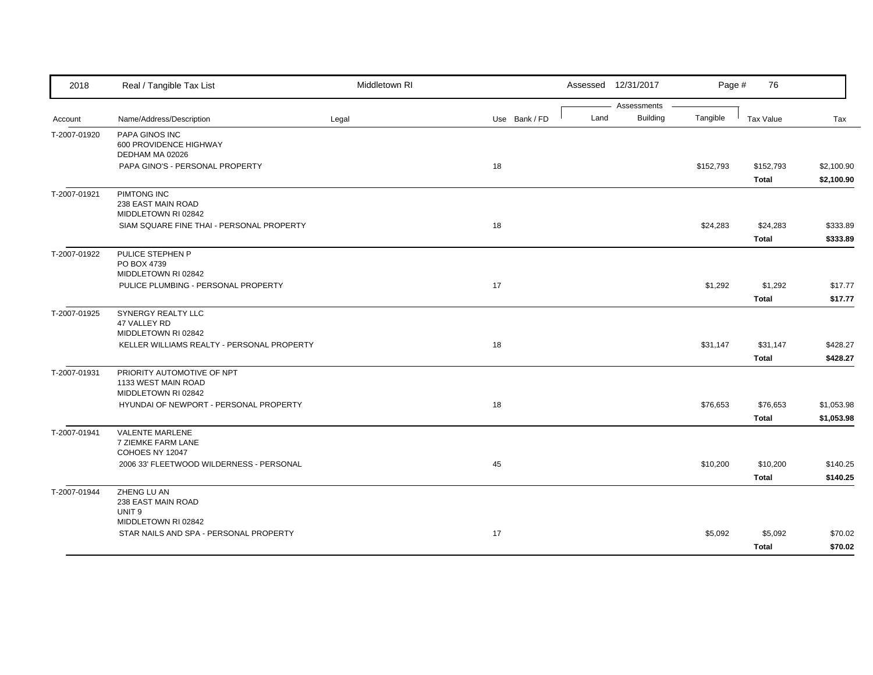| 2018         | Real / Tangible Tax List                                   | Middletown RI |               |      | Assessed 12/31/2017 | Page #    | 76               |            |
|--------------|------------------------------------------------------------|---------------|---------------|------|---------------------|-----------|------------------|------------|
|              |                                                            |               |               |      | Assessments         |           |                  |            |
| Account      | Name/Address/Description                                   | Legal         | Use Bank / FD | Land | <b>Building</b>     | Tangible  | <b>Tax Value</b> | Tax        |
| T-2007-01920 | PAPA GINOS INC                                             |               |               |      |                     |           |                  |            |
|              | 600 PROVIDENCE HIGHWAY<br>DEDHAM MA 02026                  |               |               |      |                     |           |                  |            |
|              | PAPA GINO'S - PERSONAL PROPERTY                            |               | 18            |      |                     | \$152,793 | \$152,793        | \$2,100.90 |
|              |                                                            |               |               |      |                     |           | <b>Total</b>     | \$2,100.90 |
| T-2007-01921 | PIMTONG INC                                                |               |               |      |                     |           |                  |            |
|              | 238 EAST MAIN ROAD                                         |               |               |      |                     |           |                  |            |
|              | MIDDLETOWN RI 02842                                        |               |               |      |                     |           |                  |            |
|              | SIAM SQUARE FINE THAI - PERSONAL PROPERTY                  |               | 18            |      |                     | \$24,283  | \$24,283         | \$333.89   |
|              |                                                            |               |               |      |                     |           | <b>Total</b>     | \$333.89   |
| T-2007-01922 | PULICE STEPHEN P                                           |               |               |      |                     |           |                  |            |
|              | PO BOX 4739                                                |               |               |      |                     |           |                  |            |
|              | MIDDLETOWN RI 02842<br>PULICE PLUMBING - PERSONAL PROPERTY |               | 17            |      |                     | \$1,292   | \$1,292          | \$17.77    |
|              |                                                            |               |               |      |                     |           | <b>Total</b>     | \$17.77    |
| T-2007-01925 | SYNERGY REALTY LLC                                         |               |               |      |                     |           |                  |            |
|              | 47 VALLEY RD                                               |               |               |      |                     |           |                  |            |
|              | MIDDLETOWN RI 02842                                        |               |               |      |                     |           |                  |            |
|              | KELLER WILLIAMS REALTY - PERSONAL PROPERTY                 |               | 18            |      |                     | \$31,147  | \$31,147         | \$428.27   |
|              |                                                            |               |               |      |                     |           | <b>Total</b>     | \$428.27   |
| T-2007-01931 | PRIORITY AUTOMOTIVE OF NPT                                 |               |               |      |                     |           |                  |            |
|              | 1133 WEST MAIN ROAD                                        |               |               |      |                     |           |                  |            |
|              | MIDDLETOWN RI 02842                                        |               |               |      |                     |           |                  |            |
|              | HYUNDAI OF NEWPORT - PERSONAL PROPERTY                     |               | 18            |      |                     | \$76,653  | \$76,653         | \$1,053.98 |
|              |                                                            |               |               |      |                     |           | <b>Total</b>     | \$1,053.98 |
| T-2007-01941 | <b>VALENTE MARLENE</b>                                     |               |               |      |                     |           |                  |            |
|              | 7 ZIEMKE FARM LANE<br>COHOES NY 12047                      |               |               |      |                     |           |                  |            |
|              | 2006 33' FLEETWOOD WILDERNESS - PERSONAL                   |               | 45            |      |                     | \$10,200  | \$10,200         | \$140.25   |
|              |                                                            |               |               |      |                     |           | <b>Total</b>     | \$140.25   |
| T-2007-01944 | ZHENG LU AN                                                |               |               |      |                     |           |                  |            |
|              | 238 EAST MAIN ROAD                                         |               |               |      |                     |           |                  |            |
|              | UNIT <sub>9</sub>                                          |               |               |      |                     |           |                  |            |
|              | MIDDLETOWN RI 02842                                        |               |               |      |                     |           |                  |            |
|              | STAR NAILS AND SPA - PERSONAL PROPERTY                     |               | 17            |      |                     | \$5,092   | \$5,092          | \$70.02    |
|              |                                                            |               |               |      |                     |           | <b>Total</b>     | \$70.02    |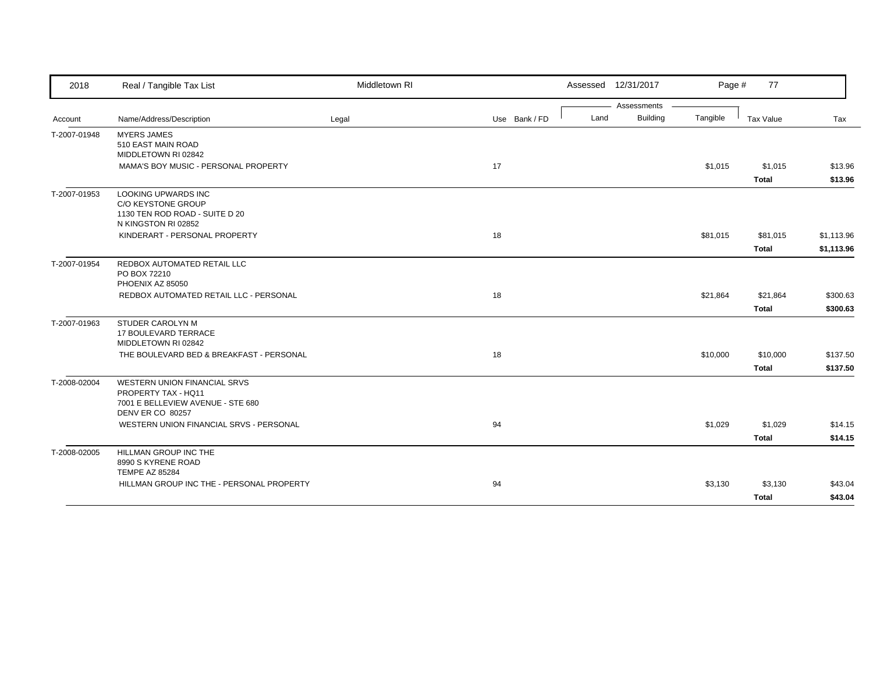| 2018         | Real / Tangible Tax List                                 | Middletown RI |               |      | Assessed 12/31/2017 | Page #   | 77           |            |
|--------------|----------------------------------------------------------|---------------|---------------|------|---------------------|----------|--------------|------------|
|              |                                                          |               |               |      | Assessments         |          |              |            |
| Account      | Name/Address/Description                                 | Legal         | Use Bank / FD | Land | <b>Building</b>     | Tangible | Tax Value    | Tax        |
| T-2007-01948 | <b>MYERS JAMES</b><br>510 EAST MAIN ROAD                 |               |               |      |                     |          |              |            |
|              | MIDDLETOWN RI 02842                                      |               |               |      |                     |          |              |            |
|              | MAMA'S BOY MUSIC - PERSONAL PROPERTY                     |               | 17            |      |                     | \$1,015  | \$1,015      | \$13.96    |
|              |                                                          |               |               |      |                     |          | <b>Total</b> | \$13.96    |
| T-2007-01953 | LOOKING UPWARDS INC                                      |               |               |      |                     |          |              |            |
|              | C/O KEYSTONE GROUP<br>1130 TEN ROD ROAD - SUITE D 20     |               |               |      |                     |          |              |            |
|              | N KINGSTON RI 02852                                      |               |               |      |                     |          |              |            |
|              | KINDERART - PERSONAL PROPERTY                            |               | 18            |      |                     | \$81,015 | \$81,015     | \$1,113.96 |
|              |                                                          |               |               |      |                     |          | <b>Total</b> | \$1,113.96 |
| T-2007-01954 | REDBOX AUTOMATED RETAIL LLC                              |               |               |      |                     |          |              |            |
|              | PO BOX 72210                                             |               |               |      |                     |          |              |            |
|              | PHOENIX AZ 85050                                         |               |               |      |                     |          |              |            |
|              | REDBOX AUTOMATED RETAIL LLC - PERSONAL                   |               | 18            |      |                     | \$21,864 | \$21,864     | \$300.63   |
|              |                                                          |               |               |      |                     |          | <b>Total</b> | \$300.63   |
| T-2007-01963 | STUDER CAROLYN M                                         |               |               |      |                     |          |              |            |
|              | 17 BOULEVARD TERRACE                                     |               |               |      |                     |          |              |            |
|              | MIDDLETOWN RI 02842                                      |               |               |      |                     |          |              |            |
|              | THE BOULEVARD BED & BREAKFAST - PERSONAL                 |               | 18            |      |                     | \$10,000 | \$10,000     | \$137.50   |
|              |                                                          |               |               |      |                     |          | <b>Total</b> | \$137.50   |
| T-2008-02004 | WESTERN UNION FINANCIAL SRVS                             |               |               |      |                     |          |              |            |
|              | PROPERTY TAX - HQ11<br>7001 E BELLEVIEW AVENUE - STE 680 |               |               |      |                     |          |              |            |
|              | DENV ER CO 80257                                         |               |               |      |                     |          |              |            |
|              | WESTERN UNION FINANCIAL SRVS - PERSONAL                  |               | 94            |      |                     | \$1,029  | \$1,029      | \$14.15    |
|              |                                                          |               |               |      |                     |          | <b>Total</b> | \$14.15    |
| T-2008-02005 | HILLMAN GROUP INC THE                                    |               |               |      |                     |          |              |            |
|              | 8990 S KYRENE ROAD                                       |               |               |      |                     |          |              |            |
|              | <b>TEMPE AZ 85284</b>                                    |               |               |      |                     |          |              |            |
|              | HILLMAN GROUP INC THE - PERSONAL PROPERTY                |               | 94            |      |                     | \$3,130  | \$3,130      | \$43.04    |
|              |                                                          |               |               |      |                     |          | <b>Total</b> | \$43.04    |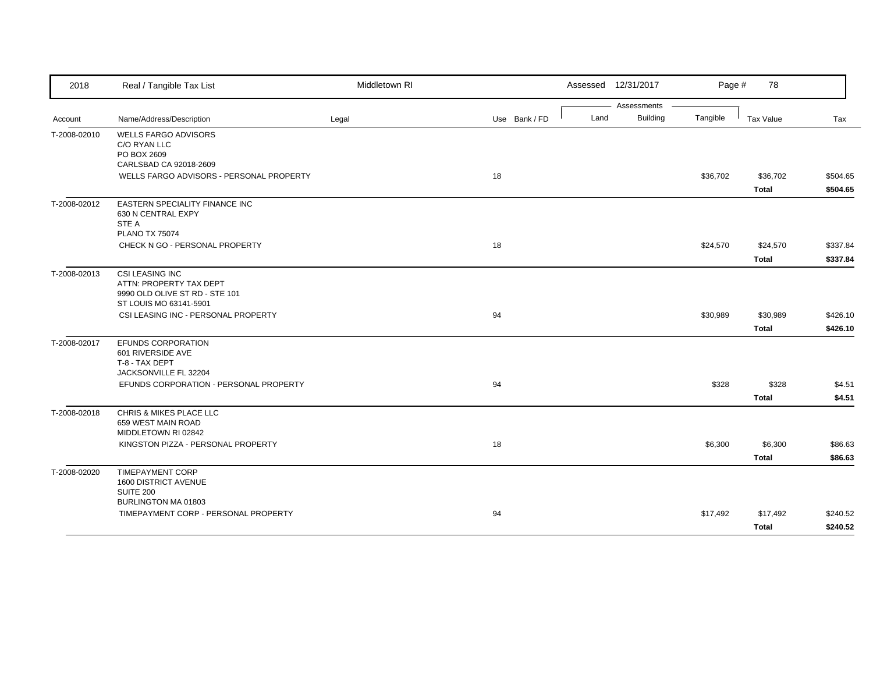| 2018         | Real / Tangible Tax List                                                                                                         | Middletown RI |               | Assessed 12/31/2017 |                                            | Page #<br>78 |          |
|--------------|----------------------------------------------------------------------------------------------------------------------------------|---------------|---------------|---------------------|--------------------------------------------|--------------|----------|
| Account      | Name/Address/Description                                                                                                         | Legal         | Use Bank / FD | Land                | Assessments<br><b>Building</b><br>Tangible | Tax Value    | Tax      |
| T-2008-02010 | <b>WELLS FARGO ADVISORS</b><br>C/O RYAN LLC<br>PO BOX 2609<br>CARLSBAD CA 92018-2609<br>WELLS FARGO ADVISORS - PERSONAL PROPERTY |               | 18            |                     | \$36,702                                   | \$36,702     | \$504.65 |
|              |                                                                                                                                  |               |               |                     |                                            | <b>Total</b> | \$504.65 |
| T-2008-02012 | <b>EASTERN SPECIALITY FINANCE INC</b><br>630 N CENTRAL EXPY<br>STE A<br><b>PLANO TX 75074</b>                                    |               |               |                     |                                            |              |          |
|              | CHECK N GO - PERSONAL PROPERTY                                                                                                   |               | 18            |                     | \$24,570                                   | \$24,570     | \$337.84 |
|              |                                                                                                                                  |               |               |                     |                                            | <b>Total</b> | \$337.84 |
| T-2008-02013 | <b>CSI LEASING INC</b><br>ATTN: PROPERTY TAX DEPT<br>9990 OLD OLIVE ST RD - STE 101<br>ST LOUIS MO 63141-5901                    |               |               |                     |                                            |              |          |
|              | CSI LEASING INC - PERSONAL PROPERTY                                                                                              |               | 94            |                     | \$30,989                                   | \$30,989     | \$426.10 |
|              |                                                                                                                                  |               |               |                     |                                            | <b>Total</b> | \$426.10 |
| T-2008-02017 | EFUNDS CORPORATION<br>601 RIVERSIDE AVE<br>T-8 - TAX DEPT                                                                        |               |               |                     |                                            |              |          |
|              | JACKSONVILLE FL 32204<br>EFUNDS CORPORATION - PERSONAL PROPERTY                                                                  |               | 94            |                     | \$328                                      | \$328        | \$4.51   |
|              |                                                                                                                                  |               |               |                     |                                            | <b>Total</b> | \$4.51   |
| T-2008-02018 | CHRIS & MIKES PLACE LLC<br>659 WEST MAIN ROAD<br>MIDDLETOWN RI 02842                                                             |               |               |                     |                                            |              |          |
|              | KINGSTON PIZZA - PERSONAL PROPERTY                                                                                               |               | 18            |                     | \$6,300                                    | \$6,300      | \$86.63  |
|              |                                                                                                                                  |               |               |                     |                                            | <b>Total</b> | \$86.63  |
| T-2008-02020 | <b>TIMEPAYMENT CORP</b><br>1600 DISTRICT AVENUE<br><b>SUITE 200</b>                                                              |               |               |                     |                                            |              |          |
|              | BURLINGTON MA 01803<br>TIMEPAYMENT CORP - PERSONAL PROPERTY                                                                      |               | 94            |                     | \$17,492                                   | \$17,492     | \$240.52 |
|              |                                                                                                                                  |               |               |                     |                                            | <b>Total</b> | \$240.52 |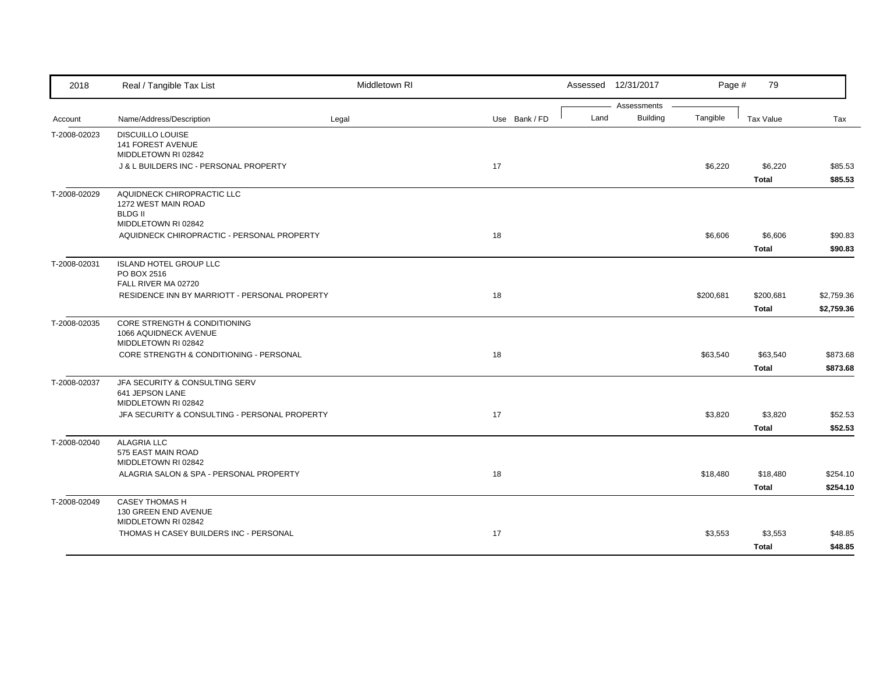| 2018         | Real / Tangible Tax List                            | Middletown RI |               |      | Assessed 12/31/2017     | Page #    | 79           |            |
|--------------|-----------------------------------------------------|---------------|---------------|------|-------------------------|-----------|--------------|------------|
| Account      | Name/Address/Description                            | Legal         | Use Bank / FD | Land | Assessments<br>Building | Tangible  | Tax Value    | Tax        |
|              |                                                     |               |               |      |                         |           |              |            |
| T-2008-02023 | <b>DISCUILLO LOUISE</b><br><b>141 FOREST AVENUE</b> |               |               |      |                         |           |              |            |
|              | MIDDLETOWN RI 02842                                 |               |               |      |                         |           |              |            |
|              | J & L BUILDERS INC - PERSONAL PROPERTY              |               | 17            |      |                         | \$6,220   | \$6,220      | \$85.53    |
|              |                                                     |               |               |      |                         |           | <b>Total</b> | \$85.53    |
| T-2008-02029 | AQUIDNECK CHIROPRACTIC LLC                          |               |               |      |                         |           |              |            |
|              | 1272 WEST MAIN ROAD                                 |               |               |      |                         |           |              |            |
|              | <b>BLDG II</b><br>MIDDLETOWN RI 02842               |               |               |      |                         |           |              |            |
|              | AQUIDNECK CHIROPRACTIC - PERSONAL PROPERTY          |               | 18            |      |                         | \$6,606   | \$6,606      | \$90.83    |
|              |                                                     |               |               |      |                         |           | <b>Total</b> | \$90.83    |
|              |                                                     |               |               |      |                         |           |              |            |
| T-2008-02031 | <b>ISLAND HOTEL GROUP LLC</b><br>PO BOX 2516        |               |               |      |                         |           |              |            |
|              | FALL RIVER MA 02720                                 |               |               |      |                         |           |              |            |
|              | RESIDENCE INN BY MARRIOTT - PERSONAL PROPERTY       |               | 18            |      |                         | \$200,681 | \$200,681    | \$2,759.36 |
|              |                                                     |               |               |      |                         |           | <b>Total</b> | \$2,759.36 |
| T-2008-02035 | CORE STRENGTH & CONDITIONING                        |               |               |      |                         |           |              |            |
|              | 1066 AQUIDNECK AVENUE                               |               |               |      |                         |           |              |            |
|              | MIDDLETOWN RI 02842                                 |               |               |      |                         |           |              |            |
|              | CORE STRENGTH & CONDITIONING - PERSONAL             |               | 18            |      |                         | \$63,540  | \$63,540     | \$873.68   |
|              |                                                     |               |               |      |                         |           | <b>Total</b> | \$873.68   |
| T-2008-02037 | JFA SECURITY & CONSULTING SERV                      |               |               |      |                         |           |              |            |
|              | 641 JEPSON LANE<br>MIDDLETOWN RI 02842              |               |               |      |                         |           |              |            |
|              | JFA SECURITY & CONSULTING - PERSONAL PROPERTY       |               | 17            |      |                         | \$3,820   | \$3,820      | \$52.53    |
|              |                                                     |               |               |      |                         |           | <b>Total</b> | \$52.53    |
| T-2008-02040 | <b>ALAGRIA LLC</b>                                  |               |               |      |                         |           |              |            |
|              | 575 EAST MAIN ROAD                                  |               |               |      |                         |           |              |            |
|              | MIDDLETOWN RI 02842                                 |               |               |      |                         |           |              |            |
|              | ALAGRIA SALON & SPA - PERSONAL PROPERTY             |               | 18            |      |                         | \$18,480  | \$18,480     | \$254.10   |
|              |                                                     |               |               |      |                         |           | <b>Total</b> | \$254.10   |
| T-2008-02049 | <b>CASEY THOMAS H</b>                               |               |               |      |                         |           |              |            |
|              | 130 GREEN END AVENUE                                |               |               |      |                         |           |              |            |
|              | MIDDLETOWN RI 02842                                 |               |               |      |                         |           |              |            |
|              | THOMAS H CASEY BUILDERS INC - PERSONAL              |               | 17            |      |                         | \$3,553   | \$3,553      | \$48.85    |
|              |                                                     |               |               |      |                         |           | <b>Total</b> | \$48.85    |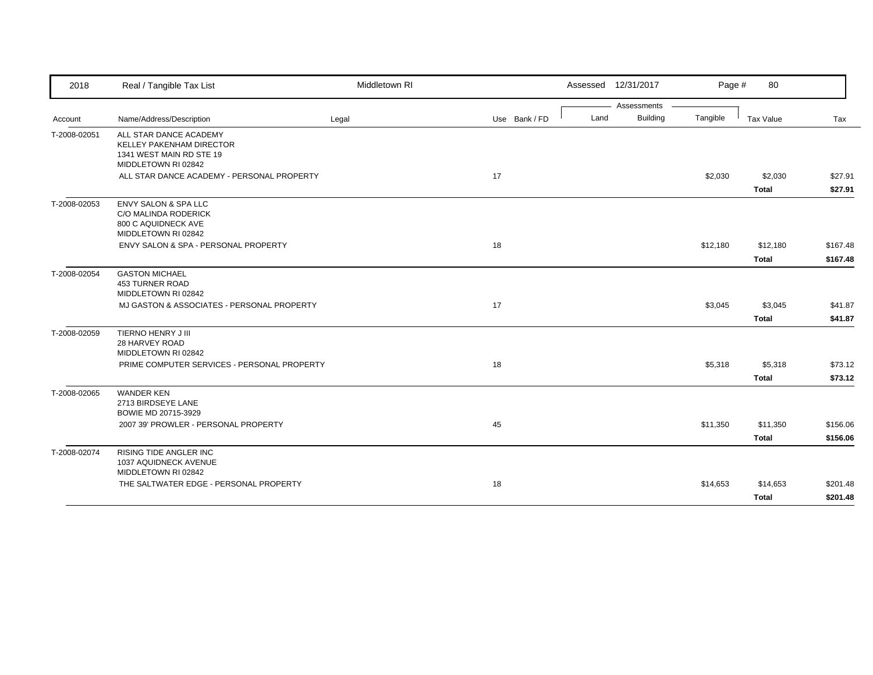| 2018         | Real / Tangible Tax List                                                                              | Middletown RI |               | Assessed 12/31/2017 |                 | Page #   | 80           |          |
|--------------|-------------------------------------------------------------------------------------------------------|---------------|---------------|---------------------|-----------------|----------|--------------|----------|
|              |                                                                                                       |               |               |                     | Assessments     |          |              |          |
| Account      | Name/Address/Description                                                                              | Legal         | Use Bank / FD | Land                | <b>Building</b> | Tangible | Tax Value    | Tax      |
| T-2008-02051 | ALL STAR DANCE ACADEMY<br>KELLEY PAKENHAM DIRECTOR<br>1341 WEST MAIN RD STE 19<br>MIDDLETOWN RI 02842 |               |               |                     |                 |          |              |          |
|              | ALL STAR DANCE ACADEMY - PERSONAL PROPERTY                                                            |               | 17            |                     |                 | \$2,030  | \$2,030      | \$27.91  |
|              |                                                                                                       |               |               |                     |                 |          | <b>Total</b> | \$27.91  |
| T-2008-02053 | <b>ENVY SALON &amp; SPA LLC</b><br>C/O MALINDA RODERICK<br>800 C AQUIDNECK AVE<br>MIDDLETOWN RI 02842 |               |               |                     |                 |          |              |          |
|              | ENVY SALON & SPA - PERSONAL PROPERTY                                                                  |               | 18            |                     |                 | \$12,180 | \$12,180     | \$167.48 |
|              |                                                                                                       |               |               |                     |                 |          | <b>Total</b> | \$167.48 |
| T-2008-02054 | <b>GASTON MICHAEL</b><br>453 TURNER ROAD<br>MIDDLETOWN RI 02842                                       |               |               |                     |                 |          |              |          |
|              | MJ GASTON & ASSOCIATES - PERSONAL PROPERTY                                                            |               | 17            |                     |                 | \$3,045  | \$3,045      | \$41.87  |
|              |                                                                                                       |               |               |                     |                 |          | <b>Total</b> | \$41.87  |
| T-2008-02059 | TIERNO HENRY J III<br>28 HARVEY ROAD<br>MIDDLETOWN RI 02842                                           |               |               |                     |                 |          |              |          |
|              | PRIME COMPUTER SERVICES - PERSONAL PROPERTY                                                           |               | 18            |                     |                 | \$5,318  | \$5,318      | \$73.12  |
| T-2008-02065 | <b>WANDER KEN</b><br>2713 BIRDSEYE LANE<br>BOWIE MD 20715-3929                                        |               |               |                     |                 |          | <b>Total</b> | \$73.12  |
|              | 2007 39' PROWLER - PERSONAL PROPERTY                                                                  |               | 45            |                     |                 | \$11,350 | \$11,350     | \$156.06 |
|              |                                                                                                       |               |               |                     |                 |          | <b>Total</b> | \$156.06 |
| T-2008-02074 | <b>RISING TIDE ANGLER INC</b><br>1037 AQUIDNECK AVENUE<br>MIDDLETOWN RI 02842                         |               |               |                     |                 |          |              |          |
|              | THE SALTWATER EDGE - PERSONAL PROPERTY                                                                |               | 18            |                     |                 | \$14,653 | \$14,653     | \$201.48 |
|              |                                                                                                       |               |               |                     |                 |          | Total        | \$201.48 |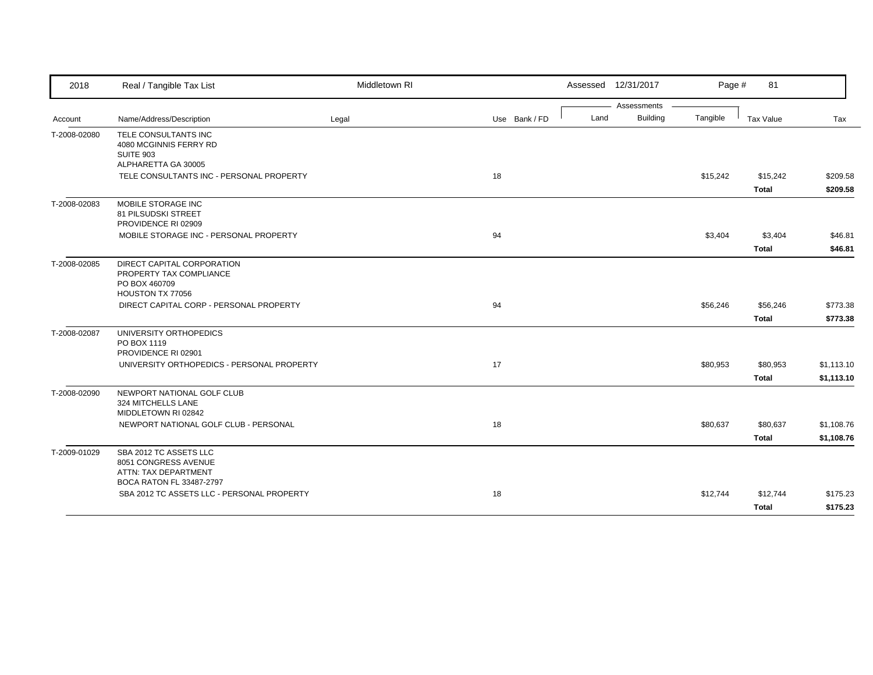| 2018         | Real / Tangible Tax List                                                                           | Middletown RI |               |      | Assessed 12/31/2017 | Page #   | 81           |            |
|--------------|----------------------------------------------------------------------------------------------------|---------------|---------------|------|---------------------|----------|--------------|------------|
|              |                                                                                                    |               |               |      | Assessments         |          |              |            |
| Account      | Name/Address/Description                                                                           | Legal         | Use Bank / FD | Land | <b>Building</b>     | Tangible | Tax Value    | Tax        |
| T-2008-02080 | TELE CONSULTANTS INC<br>4080 MCGINNIS FERRY RD<br>SUITE 903<br>ALPHARETTA GA 30005                 |               |               |      |                     |          |              |            |
|              | TELE CONSULTANTS INC - PERSONAL PROPERTY                                                           |               | 18            |      |                     | \$15,242 | \$15,242     | \$209.58   |
|              |                                                                                                    |               |               |      |                     |          | <b>Total</b> | \$209.58   |
| T-2008-02083 | MOBILE STORAGE INC<br>81 PILSUDSKI STREET<br>PROVIDENCE RI 02909                                   |               |               |      |                     |          |              |            |
|              | MOBILE STORAGE INC - PERSONAL PROPERTY                                                             |               | 94            |      |                     | \$3,404  | \$3,404      | \$46.81    |
|              |                                                                                                    |               |               |      |                     |          | <b>Total</b> | \$46.81    |
| T-2008-02085 | DIRECT CAPITAL CORPORATION<br>PROPERTY TAX COMPLIANCE<br>PO BOX 460709<br>HOUSTON TX 77056         |               |               |      |                     |          |              |            |
|              | DIRECT CAPITAL CORP - PERSONAL PROPERTY                                                            |               | 94            |      |                     | \$56,246 | \$56,246     | \$773.38   |
|              |                                                                                                    |               |               |      |                     |          | <b>Total</b> | \$773.38   |
| T-2008-02087 | UNIVERSITY ORTHOPEDICS<br>PO BOX 1119<br>PROVIDENCE RI 02901                                       |               |               |      |                     |          |              |            |
|              | UNIVERSITY ORTHOPEDICS - PERSONAL PROPERTY                                                         |               | 17            |      |                     | \$80,953 | \$80,953     | \$1,113.10 |
|              |                                                                                                    |               |               |      |                     |          | <b>Total</b> | \$1,113.10 |
| T-2008-02090 | NEWPORT NATIONAL GOLF CLUB<br>324 MITCHELLS LANE<br>MIDDLETOWN RI 02842                            |               |               |      |                     |          |              |            |
|              | NEWPORT NATIONAL GOLF CLUB - PERSONAL                                                              |               | 18            |      |                     | \$80,637 | \$80,637     | \$1,108.76 |
|              |                                                                                                    |               |               |      |                     |          | <b>Total</b> | \$1,108.76 |
| T-2009-01029 | SBA 2012 TC ASSETS LLC<br>8051 CONGRESS AVENUE<br>ATTN: TAX DEPARTMENT<br>BOCA RATON FL 33487-2797 |               |               |      |                     |          |              |            |
|              | SBA 2012 TC ASSETS LLC - PERSONAL PROPERTY                                                         |               | 18            |      |                     | \$12,744 | \$12,744     | \$175.23   |
|              |                                                                                                    |               |               |      |                     |          | <b>Total</b> | \$175.23   |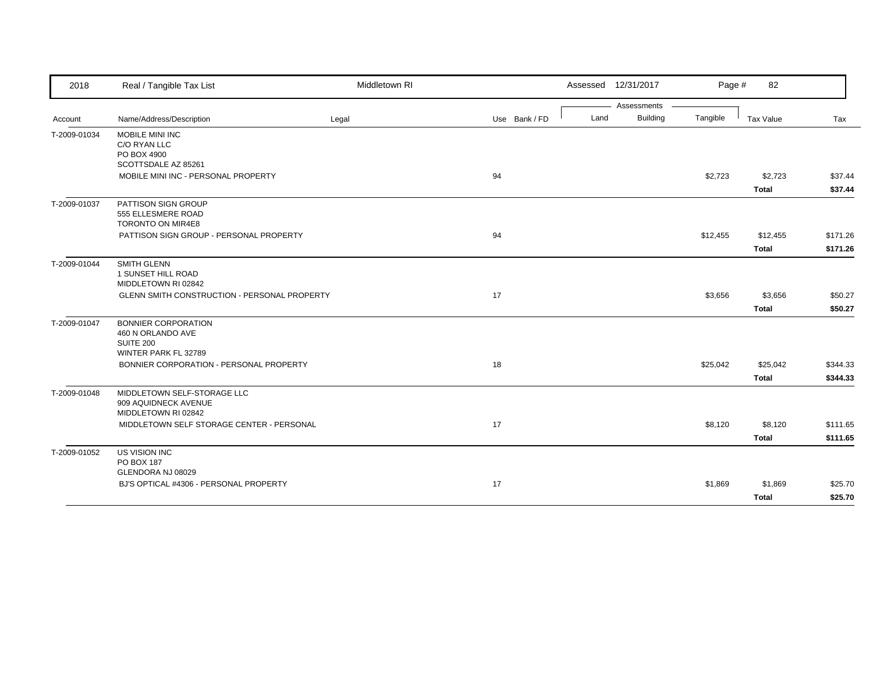| 2018         | Real / Tangible Tax List                     | Middletown RI |               |      | Assessed 12/31/2017 | Page #   | 82           |          |
|--------------|----------------------------------------------|---------------|---------------|------|---------------------|----------|--------------|----------|
|              |                                              |               |               |      | Assessments         |          |              |          |
| Account      | Name/Address/Description                     | Legal         | Use Bank / FD | Land | <b>Building</b>     | Tangible | Tax Value    | Tax      |
| T-2009-01034 | MOBILE MINI INC                              |               |               |      |                     |          |              |          |
|              | C/O RYAN LLC                                 |               |               |      |                     |          |              |          |
|              | PO BOX 4900                                  |               |               |      |                     |          |              |          |
|              | SCOTTSDALE AZ 85261                          |               |               |      |                     |          |              |          |
|              | MOBILE MINI INC - PERSONAL PROPERTY          |               | 94            |      |                     | \$2,723  | \$2,723      | \$37.44  |
|              |                                              |               |               |      |                     |          | <b>Total</b> | \$37.44  |
| T-2009-01037 | PATTISON SIGN GROUP                          |               |               |      |                     |          |              |          |
|              | 555 ELLESMERE ROAD                           |               |               |      |                     |          |              |          |
|              | TORONTO ON MIR4E8                            |               |               |      |                     |          |              |          |
|              | PATTISON SIGN GROUP - PERSONAL PROPERTY      |               | 94            |      |                     | \$12,455 | \$12,455     | \$171.26 |
|              |                                              |               |               |      |                     |          | <b>Total</b> | \$171.26 |
| T-2009-01044 | SMITH GLENN                                  |               |               |      |                     |          |              |          |
|              | 1 SUNSET HILL ROAD                           |               |               |      |                     |          |              |          |
|              | MIDDLETOWN RI 02842                          |               |               |      |                     |          |              |          |
|              | GLENN SMITH CONSTRUCTION - PERSONAL PROPERTY |               | 17            |      |                     | \$3,656  | \$3,656      | \$50.27  |
|              |                                              |               |               |      |                     |          | <b>Total</b> | \$50.27  |
| T-2009-01047 | <b>BONNIER CORPORATION</b>                   |               |               |      |                     |          |              |          |
|              | 460 N ORLANDO AVE                            |               |               |      |                     |          |              |          |
|              | SUITE 200                                    |               |               |      |                     |          |              |          |
|              | WINTER PARK FL 32789                         |               |               |      |                     |          |              |          |
|              | BONNIER CORPORATION - PERSONAL PROPERTY      |               | 18            |      |                     | \$25,042 | \$25,042     | \$344.33 |
|              |                                              |               |               |      |                     |          | <b>Total</b> | \$344.33 |
| T-2009-01048 | MIDDLETOWN SELF-STORAGE LLC                  |               |               |      |                     |          |              |          |
|              | 909 AQUIDNECK AVENUE                         |               |               |      |                     |          |              |          |
|              | MIDDLETOWN RI 02842                          |               |               |      |                     |          |              |          |
|              | MIDDLETOWN SELF STORAGE CENTER - PERSONAL    |               | 17            |      |                     | \$8,120  | \$8,120      | \$111.65 |
|              |                                              |               |               |      |                     |          | <b>Total</b> | \$111.65 |
| T-2009-01052 | US VISION INC                                |               |               |      |                     |          |              |          |
|              | PO BOX 187                                   |               |               |      |                     |          |              |          |
|              | GLENDORA NJ 08029                            |               |               |      |                     |          |              |          |
|              | BJ'S OPTICAL #4306 - PERSONAL PROPERTY       |               | 17            |      |                     | \$1,869  | \$1,869      | \$25.70  |
|              |                                              |               |               |      |                     |          | Total        | \$25.70  |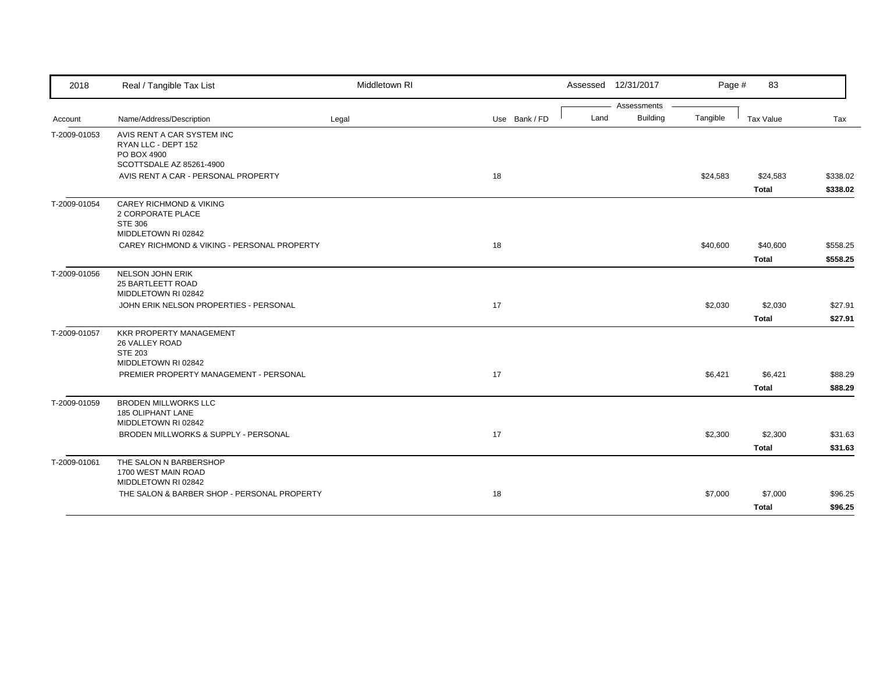| 2018         | Real / Tangible Tax List                                                                         | Middletown RI |               | Assessed 12/31/2017 |                 | Page #   | 83           |          |
|--------------|--------------------------------------------------------------------------------------------------|---------------|---------------|---------------------|-----------------|----------|--------------|----------|
|              |                                                                                                  |               |               |                     | Assessments     |          |              |          |
| Account      | Name/Address/Description                                                                         | Legal         | Use Bank / FD | Land                | <b>Building</b> | Tangible | Tax Value    | Tax      |
| T-2009-01053 | AVIS RENT A CAR SYSTEM INC<br>RYAN LLC - DEPT 152<br>PO BOX 4900<br>SCOTTSDALE AZ 85261-4900     |               |               |                     |                 |          |              |          |
|              | AVIS RENT A CAR - PERSONAL PROPERTY                                                              |               | 18            |                     |                 | \$24,583 | \$24,583     | \$338.02 |
|              |                                                                                                  |               |               |                     |                 |          | <b>Total</b> | \$338.02 |
| T-2009-01054 | <b>CAREY RICHMOND &amp; VIKING</b><br>2 CORPORATE PLACE<br><b>STE 306</b><br>MIDDLETOWN RI 02842 |               |               |                     |                 |          |              |          |
|              | CAREY RICHMOND & VIKING - PERSONAL PROPERTY                                                      |               | 18            |                     |                 | \$40,600 | \$40,600     | \$558.25 |
|              |                                                                                                  |               |               |                     |                 |          | <b>Total</b> | \$558.25 |
| T-2009-01056 | <b>NELSON JOHN ERIK</b><br>25 BARTLEETT ROAD<br>MIDDLETOWN RI 02842                              |               |               |                     |                 |          |              |          |
|              | JOHN ERIK NELSON PROPERTIES - PERSONAL                                                           |               | 17            |                     |                 | \$2,030  | \$2,030      | \$27.91  |
|              |                                                                                                  |               |               |                     |                 |          | <b>Total</b> | \$27.91  |
| T-2009-01057 | <b>KKR PROPERTY MANAGEMENT</b><br>26 VALLEY ROAD<br><b>STE 203</b><br>MIDDLETOWN RI 02842        |               |               |                     |                 |          |              |          |
|              | PREMIER PROPERTY MANAGEMENT - PERSONAL                                                           |               | 17            |                     |                 | \$6,421  | \$6,421      | \$88.29  |
|              |                                                                                                  |               |               |                     |                 |          | <b>Total</b> | \$88.29  |
| T-2009-01059 | <b>BRODEN MILLWORKS LLC</b><br>185 OLIPHANT LANE<br>MIDDLETOWN RI 02842                          |               |               |                     |                 |          |              |          |
|              | BRODEN MILLWORKS & SUPPLY - PERSONAL                                                             |               | 17            |                     |                 | \$2,300  | \$2,300      | \$31.63  |
|              |                                                                                                  |               |               |                     |                 |          | <b>Total</b> | \$31.63  |
| T-2009-01061 | THE SALON N BARBERSHOP<br>1700 WEST MAIN ROAD<br>MIDDLETOWN RI 02842                             |               |               |                     |                 |          |              |          |
|              | THE SALON & BARBER SHOP - PERSONAL PROPERTY                                                      |               | 18            |                     |                 | \$7,000  | \$7,000      | \$96.25  |
|              |                                                                                                  |               |               |                     |                 |          | <b>Total</b> | \$96.25  |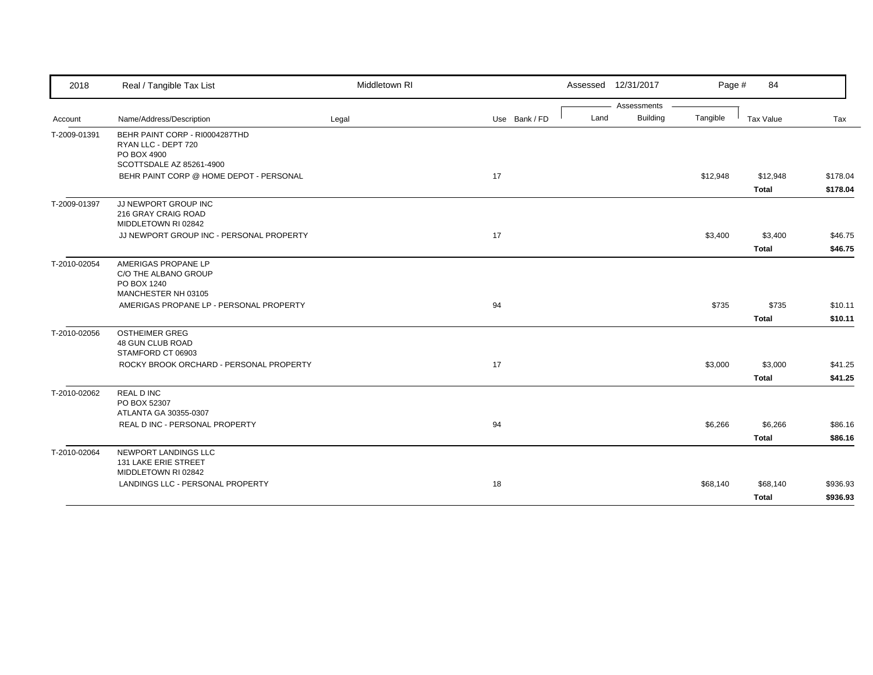| 2018         | Real / Tangible Tax List                                                                         | Middletown RI |               | Assessed 12/31/2017 | Page #                      | 84                       |                      |
|--------------|--------------------------------------------------------------------------------------------------|---------------|---------------|---------------------|-----------------------------|--------------------------|----------------------|
|              |                                                                                                  |               |               | Assessments         |                             |                          |                      |
| Account      | Name/Address/Description                                                                         | Legal         | Use Bank / FD | Land                | <b>Building</b><br>Tangible | Tax Value                | Tax                  |
| T-2009-01391 | BEHR PAINT CORP - RI0004287THD<br>RYAN LLC - DEPT 720<br>PO BOX 4900<br>SCOTTSDALE AZ 85261-4900 |               |               |                     |                             |                          |                      |
|              | BEHR PAINT CORP @ HOME DEPOT - PERSONAL                                                          |               | 17            |                     | \$12,948                    | \$12,948<br><b>Total</b> | \$178.04<br>\$178.04 |
| T-2009-01397 | JJ NEWPORT GROUP INC<br>216 GRAY CRAIG ROAD<br>MIDDLETOWN RI 02842                               |               |               |                     |                             |                          |                      |
|              | JJ NEWPORT GROUP INC - PERSONAL PROPERTY                                                         |               | 17            |                     | \$3,400                     | \$3,400<br><b>Total</b>  | \$46.75<br>\$46.75   |
| T-2010-02054 | AMERIGAS PROPANE LP<br>C/O THE ALBANO GROUP<br>PO BOX 1240<br>MANCHESTER NH 03105                |               |               |                     |                             |                          |                      |
|              | AMERIGAS PROPANE LP - PERSONAL PROPERTY                                                          |               | 94            |                     | \$735                       | \$735<br><b>Total</b>    | \$10.11<br>\$10.11   |
| T-2010-02056 | <b>OSTHEIMER GREG</b><br>48 GUN CLUB ROAD<br>STAMFORD CT 06903                                   |               |               |                     |                             |                          |                      |
|              | ROCKY BROOK ORCHARD - PERSONAL PROPERTY                                                          |               | 17            |                     | \$3,000                     | \$3,000<br><b>Total</b>  | \$41.25<br>\$41.25   |
| T-2010-02062 | <b>REAL DINC</b><br>PO BOX 52307<br>ATLANTA GA 30355-0307                                        |               |               |                     |                             |                          |                      |
|              | REAL D INC - PERSONAL PROPERTY                                                                   |               | 94            |                     | \$6,266                     | \$6,266<br><b>Total</b>  | \$86.16<br>\$86.16   |
| T-2010-02064 | NEWPORT LANDINGS LLC<br>131 LAKE ERIE STREET<br>MIDDLETOWN RI 02842                              |               |               |                     |                             |                          |                      |
|              | LANDINGS LLC - PERSONAL PROPERTY                                                                 |               | 18            |                     | \$68,140                    | \$68,140<br><b>Total</b> | \$936.93<br>\$936.93 |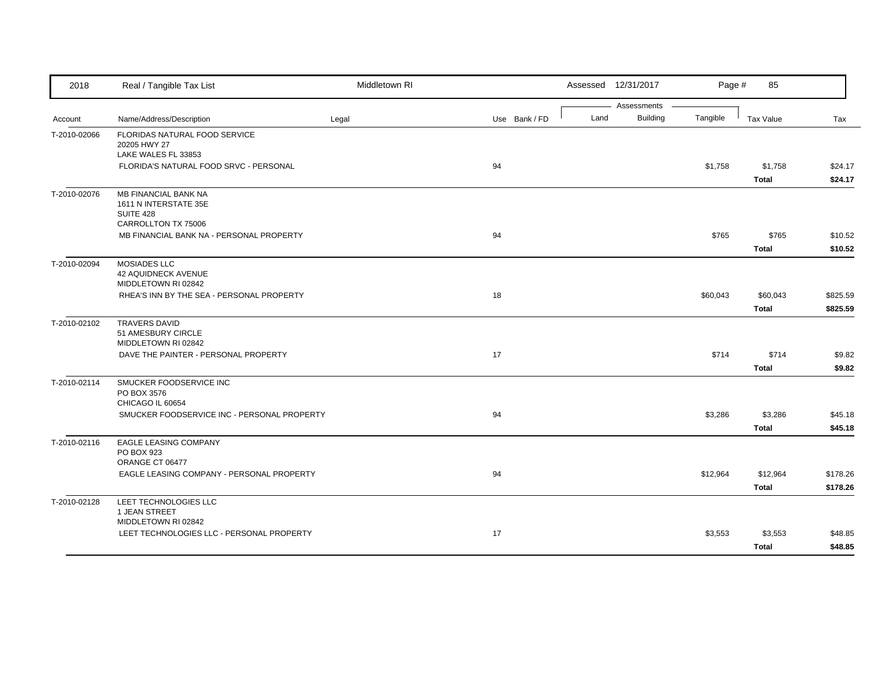| 2018         | Real / Tangible Tax List                                                                 | Middletown RI |               |      | Assessed 12/31/2017            | Page #   | 85                       |                      |
|--------------|------------------------------------------------------------------------------------------|---------------|---------------|------|--------------------------------|----------|--------------------------|----------------------|
| Account      | Name/Address/Description                                                                 | Legal         | Use Bank / FD | Land | Assessments<br><b>Building</b> | Tangible | Tax Value                | Tax                  |
| T-2010-02066 | FLORIDAS NATURAL FOOD SERVICE<br>20205 HWY 27<br>LAKE WALES FL 33853                     |               |               |      |                                |          |                          |                      |
|              | FLORIDA'S NATURAL FOOD SRVC - PERSONAL                                                   |               | 94            |      |                                | \$1,758  | \$1,758<br>Total         | \$24.17<br>\$24.17   |
| T-2010-02076 | MB FINANCIAL BANK NA<br>1611 N INTERSTATE 35E<br><b>SUITE 428</b><br>CARROLLTON TX 75006 |               |               |      |                                |          |                          |                      |
|              | MB FINANCIAL BANK NA - PERSONAL PROPERTY                                                 |               | 94            |      |                                | \$765    | \$765<br><b>Total</b>    | \$10.52<br>\$10.52   |
| T-2010-02094 | <b>MOSIADES LLC</b><br>42 AQUIDNECK AVENUE<br>MIDDLETOWN RI 02842                        |               |               |      |                                |          |                          |                      |
|              | RHEA'S INN BY THE SEA - PERSONAL PROPERTY                                                |               | 18            |      |                                | \$60,043 | \$60,043<br>Total        | \$825.59<br>\$825.59 |
| T-2010-02102 | <b>TRAVERS DAVID</b><br>51 AMESBURY CIRCLE<br>MIDDLETOWN RI 02842                        |               |               |      |                                |          |                          |                      |
|              | DAVE THE PAINTER - PERSONAL PROPERTY                                                     |               | 17            |      |                                | \$714    | \$714<br><b>Total</b>    | \$9.82<br>\$9.82     |
| T-2010-02114 | SMUCKER FOODSERVICE INC<br>PO BOX 3576<br>CHICAGO IL 60654                               |               |               |      |                                |          |                          |                      |
|              | SMUCKER FOODSERVICE INC - PERSONAL PROPERTY                                              |               | 94            |      |                                | \$3,286  | \$3,286<br><b>Total</b>  | \$45.18<br>\$45.18   |
| T-2010-02116 | EAGLE LEASING COMPANY<br>PO BOX 923<br>ORANGE CT 06477                                   |               |               |      |                                |          |                          |                      |
|              | EAGLE LEASING COMPANY - PERSONAL PROPERTY                                                |               | 94            |      |                                | \$12,964 | \$12,964<br><b>Total</b> | \$178.26<br>\$178.26 |
| T-2010-02128 | LEET TECHNOLOGIES LLC<br>1 JEAN STREET<br>MIDDLETOWN RI 02842                            |               |               |      |                                |          |                          |                      |
|              | LEET TECHNOLOGIES LLC - PERSONAL PROPERTY                                                |               | 17            |      |                                | \$3,553  | \$3,553<br><b>Total</b>  | \$48.85<br>\$48.85   |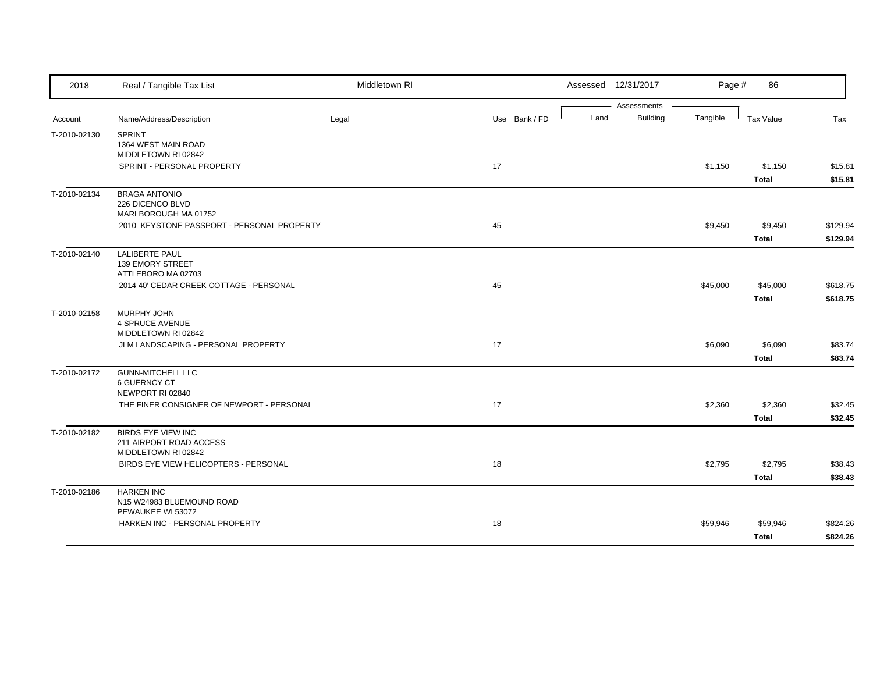| 2018         | Real / Tangible Tax List                                                    | Middletown RI |               |      | Assessed 12/31/2017            | Page #   | 86                       |                      |
|--------------|-----------------------------------------------------------------------------|---------------|---------------|------|--------------------------------|----------|--------------------------|----------------------|
| Account      | Name/Address/Description                                                    | Legal         | Use Bank / FD | Land | Assessments<br><b>Building</b> | Tangible | Tax Value                | Tax                  |
| T-2010-02130 | <b>SPRINT</b><br>1364 WEST MAIN ROAD<br>MIDDLETOWN RI 02842                 |               |               |      |                                |          |                          |                      |
|              | SPRINT - PERSONAL PROPERTY                                                  |               | 17            |      |                                | \$1,150  | \$1,150<br><b>Total</b>  | \$15.81<br>\$15.81   |
| T-2010-02134 | <b>BRAGA ANTONIO</b><br>226 DICENCO BLVD<br>MARLBOROUGH MA 01752            |               |               |      |                                |          |                          |                      |
|              | 2010 KEYSTONE PASSPORT - PERSONAL PROPERTY                                  |               | 45            |      |                                | \$9,450  | \$9,450<br><b>Total</b>  | \$129.94<br>\$129.94 |
| T-2010-02140 | <b>LALIBERTE PAUL</b><br><b>139 EMORY STREET</b><br>ATTLEBORO MA 02703      |               |               |      |                                |          |                          |                      |
|              | 2014 40' CEDAR CREEK COTTAGE - PERSONAL                                     |               | 45            |      |                                | \$45,000 | \$45,000<br><b>Total</b> | \$618.75<br>\$618.75 |
| T-2010-02158 | MURPHY JOHN<br><b>4 SPRUCE AVENUE</b><br>MIDDLETOWN RI 02842                |               |               |      |                                |          |                          |                      |
|              | JLM LANDSCAPING - PERSONAL PROPERTY                                         |               | 17            |      |                                | \$6,090  | \$6,090<br><b>Total</b>  | \$83.74<br>\$83.74   |
| T-2010-02172 | <b>GUNN-MITCHELL LLC</b><br><b>6 GUERNCY CT</b><br>NEWPORT RI 02840         |               |               |      |                                |          |                          |                      |
|              | THE FINER CONSIGNER OF NEWPORT - PERSONAL                                   |               | 17            |      |                                | \$2,360  | \$2,360<br><b>Total</b>  | \$32.45<br>\$32.45   |
| T-2010-02182 | <b>BIRDS EYE VIEW INC</b><br>211 AIRPORT ROAD ACCESS<br>MIDDLETOWN RI 02842 |               |               |      |                                |          |                          |                      |
|              | BIRDS EYE VIEW HELICOPTERS - PERSONAL                                       |               | 18            |      |                                | \$2,795  | \$2,795<br><b>Total</b>  | \$38.43<br>\$38.43   |
| T-2010-02186 | <b>HARKEN INC</b><br>N15 W24983 BLUEMOUND ROAD<br>PEWAUKEE WI 53072         |               |               |      |                                |          |                          |                      |
|              | HARKEN INC - PERSONAL PROPERTY                                              |               | 18            |      |                                | \$59,946 | \$59,946<br><b>Total</b> | \$824.26<br>\$824.26 |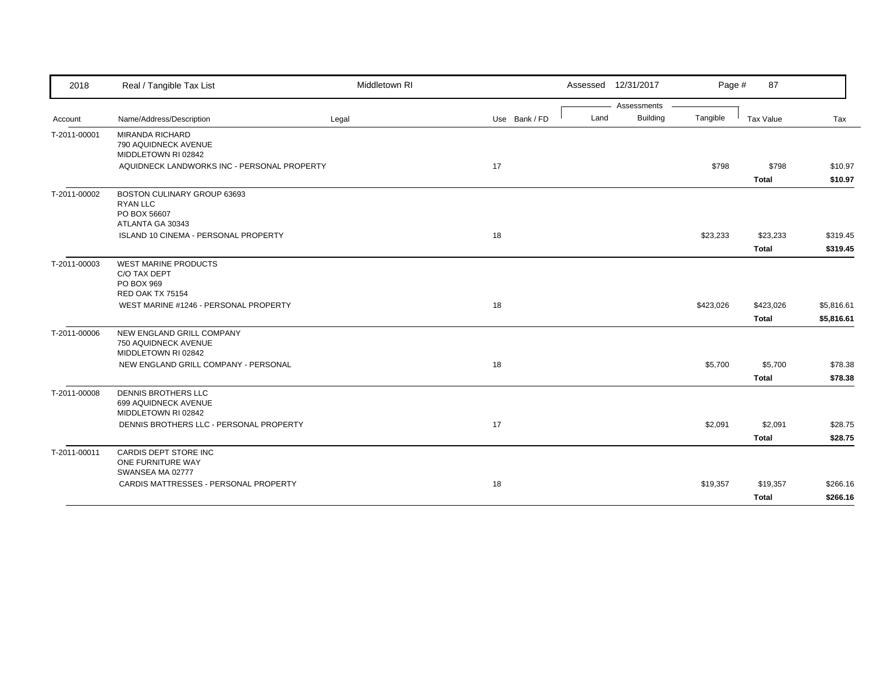| 2018         | Real / Tangible Tax List                                                             | Middletown RI |               |      | Assessed 12/31/2017 | Page #    | 87                        |                          |
|--------------|--------------------------------------------------------------------------------------|---------------|---------------|------|---------------------|-----------|---------------------------|--------------------------|
|              |                                                                                      |               |               |      | Assessments         |           |                           |                          |
| Account      | Name/Address/Description                                                             | Legal         | Use Bank / FD | Land | <b>Building</b>     | Tangible  | Tax Value                 | Tax                      |
| T-2011-00001 | <b>MIRANDA RICHARD</b><br>790 AQUIDNECK AVENUE<br>MIDDLETOWN RI 02842                |               |               |      |                     |           |                           |                          |
|              | AQUIDNECK LANDWORKS INC - PERSONAL PROPERTY                                          |               | 17            |      |                     | \$798     | \$798<br><b>Total</b>     | \$10.97<br>\$10.97       |
| T-2011-00002 | BOSTON CULINARY GROUP 63693<br><b>RYAN LLC</b><br>PO BOX 56607<br>ATLANTA GA 30343   |               |               |      |                     |           |                           |                          |
|              | ISLAND 10 CINEMA - PERSONAL PROPERTY                                                 |               | 18            |      |                     | \$23,233  | \$23,233<br><b>Total</b>  | \$319.45<br>\$319.45     |
| T-2011-00003 | <b>WEST MARINE PRODUCTS</b><br>C/O TAX DEPT<br>PO BOX 969<br><b>RED OAK TX 75154</b> |               |               |      |                     |           |                           |                          |
|              | WEST MARINE #1246 - PERSONAL PROPERTY                                                |               | 18            |      |                     | \$423,026 | \$423,026<br><b>Total</b> | \$5,816.61<br>\$5,816.61 |
| T-2011-00006 | NEW ENGLAND GRILL COMPANY<br>750 AQUIDNECK AVENUE<br>MIDDLETOWN RI 02842             |               |               |      |                     |           |                           |                          |
|              | NEW ENGLAND GRILL COMPANY - PERSONAL                                                 |               | 18            |      |                     | \$5,700   | \$5,700<br><b>Total</b>   | \$78.38<br>\$78.38       |
| T-2011-00008 | DENNIS BROTHERS LLC<br>699 AQUIDNECK AVENUE<br>MIDDLETOWN RI 02842                   |               |               |      |                     |           |                           |                          |
|              | DENNIS BROTHERS LLC - PERSONAL PROPERTY                                              |               | 17            |      |                     | \$2,091   | \$2,091<br><b>Total</b>   | \$28.75<br>\$28.75       |
| T-2011-00011 | CARDIS DEPT STORE INC<br>ONE FURNITURE WAY<br>SWANSEA MA 02777                       |               |               |      |                     |           |                           |                          |
|              | CARDIS MATTRESSES - PERSONAL PROPERTY                                                |               | 18            |      |                     | \$19,357  | \$19,357                  | \$266.16                 |
|              |                                                                                      |               |               |      |                     |           | <b>Total</b>              | \$266.16                 |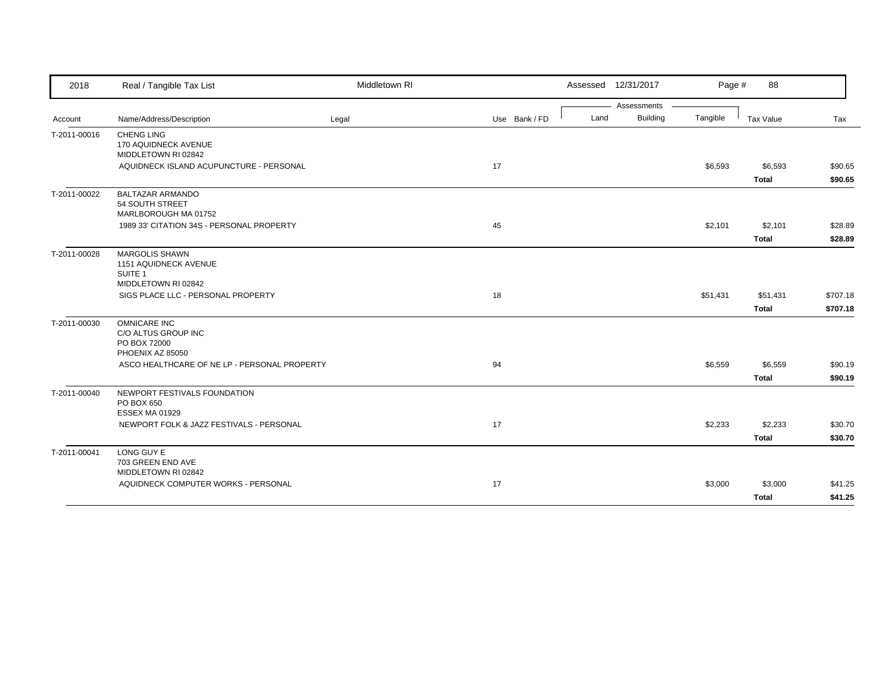| 2018         | Real / Tangible Tax List                                                                    | Middletown RI |               | Assessed 12/31/2017 |                                | Page #   | 88                       |                      |
|--------------|---------------------------------------------------------------------------------------------|---------------|---------------|---------------------|--------------------------------|----------|--------------------------|----------------------|
| Account      | Name/Address/Description                                                                    | Legal         | Use Bank / FD | Land                | Assessments<br><b>Building</b> | Tangible | Tax Value                | Tax                  |
| T-2011-00016 | <b>CHENG LING</b><br>170 AQUIDNECK AVENUE<br>MIDDLETOWN RI 02842                            |               |               |                     |                                |          |                          |                      |
|              | AQUIDNECK ISLAND ACUPUNCTURE - PERSONAL                                                     |               | 17            |                     |                                | \$6,593  | \$6,593<br><b>Total</b>  | \$90.65<br>\$90.65   |
| T-2011-00022 | <b>BALTAZAR ARMANDO</b><br>54 SOUTH STREET<br>MARLBOROUGH MA 01752                          |               |               |                     |                                |          |                          |                      |
|              | 1989 33' CITATION 34S - PERSONAL PROPERTY                                                   |               | 45            |                     |                                | \$2,101  | \$2,101<br><b>Total</b>  | \$28.89<br>\$28.89   |
| T-2011-00028 | <b>MARGOLIS SHAWN</b><br>1151 AQUIDNECK AVENUE<br>SUITE <sub>1</sub><br>MIDDLETOWN RI 02842 |               |               |                     |                                |          |                          |                      |
|              | SIGS PLACE LLC - PERSONAL PROPERTY                                                          |               | 18            |                     |                                | \$51,431 | \$51,431<br><b>Total</b> | \$707.18<br>\$707.18 |
| T-2011-00030 | <b>OMNICARE INC</b><br>C/O ALTUS GROUP INC<br>PO BOX 72000<br>PHOENIX AZ 85050              |               |               |                     |                                |          |                          |                      |
|              | ASCO HEALTHCARE OF NE LP - PERSONAL PROPERTY                                                |               | 94            |                     |                                | \$6,559  | \$6,559<br><b>Total</b>  | \$90.19<br>\$90.19   |
| T-2011-00040 | NEWPORT FESTIVALS FOUNDATION<br>PO BOX 650<br>ESSEX MA 01929                                |               |               |                     |                                |          |                          |                      |
|              | NEWPORT FOLK & JAZZ FESTIVALS - PERSONAL                                                    |               | 17            |                     |                                | \$2,233  | \$2,233<br><b>Total</b>  | \$30.70<br>\$30.70   |
| T-2011-00041 | LONG GUY E<br>703 GREEN END AVE<br>MIDDLETOWN RI 02842                                      |               |               |                     |                                |          |                          |                      |
|              | AQUIDNECK COMPUTER WORKS - PERSONAL                                                         |               | 17            |                     |                                | \$3,000  | \$3,000<br><b>Total</b>  | \$41.25<br>\$41.25   |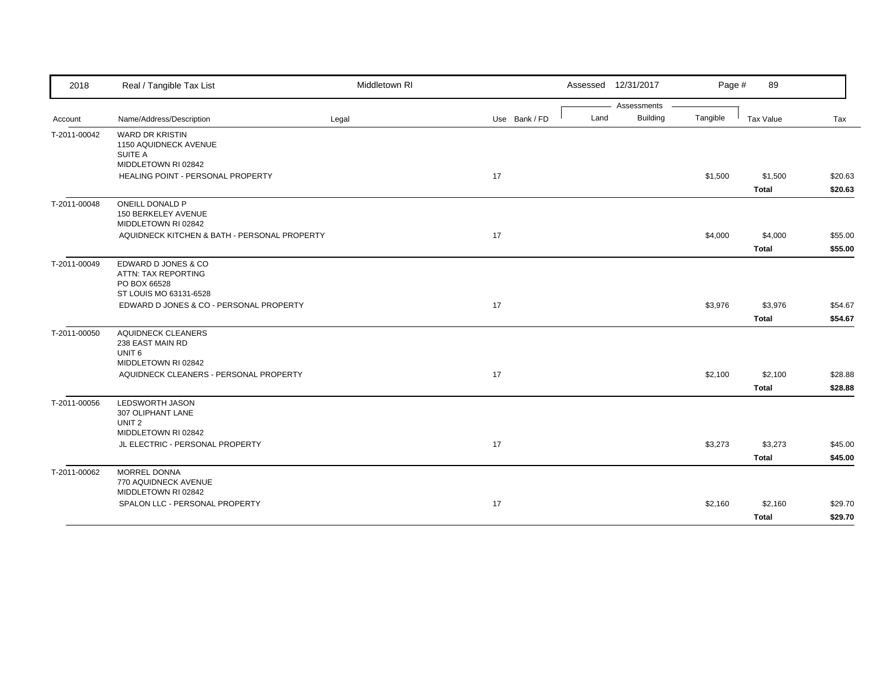| 2018         | Real / Tangible Tax List                                                                  | Middletown RI |               |      | Assessed 12/31/2017 | Page #   | 89                      |                    |
|--------------|-------------------------------------------------------------------------------------------|---------------|---------------|------|---------------------|----------|-------------------------|--------------------|
|              |                                                                                           |               |               |      | Assessments         |          |                         |                    |
| Account      | Name/Address/Description                                                                  | Legal         | Use Bank / FD | Land | <b>Building</b>     | Tangible | Tax Value               | Tax                |
| T-2011-00042 | <b>WARD DR KRISTIN</b><br>1150 AQUIDNECK AVENUE<br>SUITE A<br>MIDDLETOWN RI 02842         |               |               |      |                     |          |                         |                    |
|              | HEALING POINT - PERSONAL PROPERTY                                                         |               | 17            |      |                     | \$1,500  | \$1,500                 | \$20.63            |
|              |                                                                                           |               |               |      |                     |          | <b>Total</b>            | \$20.63            |
| T-2011-00048 | ONEILL DONALD P<br>150 BERKELEY AVENUE<br>MIDDLETOWN RI 02842                             |               |               |      |                     |          |                         |                    |
|              | AQUIDNECK KITCHEN & BATH - PERSONAL PROPERTY                                              |               | 17            |      |                     | \$4,000  | \$4,000<br><b>Total</b> | \$55.00<br>\$55.00 |
| T-2011-00049 | EDWARD D JONES & CO<br>ATTN: TAX REPORTING<br>PO BOX 66528<br>ST LOUIS MO 63131-6528      |               |               |      |                     |          |                         |                    |
|              | EDWARD D JONES & CO - PERSONAL PROPERTY                                                   |               | 17            |      |                     | \$3,976  | \$3,976                 | \$54.67            |
|              |                                                                                           |               |               |      |                     |          | <b>Total</b>            | \$54.67            |
| T-2011-00050 | <b>AQUIDNECK CLEANERS</b><br>238 EAST MAIN RD<br>UNIT <sub>6</sub><br>MIDDLETOWN RI 02842 |               |               |      |                     |          |                         |                    |
|              | AQUIDNECK CLEANERS - PERSONAL PROPERTY                                                    |               | 17            |      |                     | \$2,100  | \$2,100                 | \$28.88            |
|              |                                                                                           |               |               |      |                     |          | <b>Total</b>            | \$28.88            |
| T-2011-00056 | <b>LEDSWORTH JASON</b><br>307 OLIPHANT LANE<br>UNIT <sub>2</sub><br>MIDDLETOWN RI 02842   |               |               |      |                     |          |                         |                    |
|              | JL ELECTRIC - PERSONAL PROPERTY                                                           |               | 17            |      |                     | \$3,273  | \$3,273                 | \$45.00            |
|              |                                                                                           |               |               |      |                     |          | <b>Total</b>            | \$45.00            |
| T-2011-00062 | <b>MORREL DONNA</b><br>770 AQUIDNECK AVENUE<br>MIDDLETOWN RI 02842                        |               |               |      |                     |          |                         |                    |
|              | SPALON LLC - PERSONAL PROPERTY                                                            |               | 17            |      |                     | \$2,160  | \$2,160                 | \$29.70            |
|              |                                                                                           |               |               |      |                     |          | <b>Total</b>            | \$29.70            |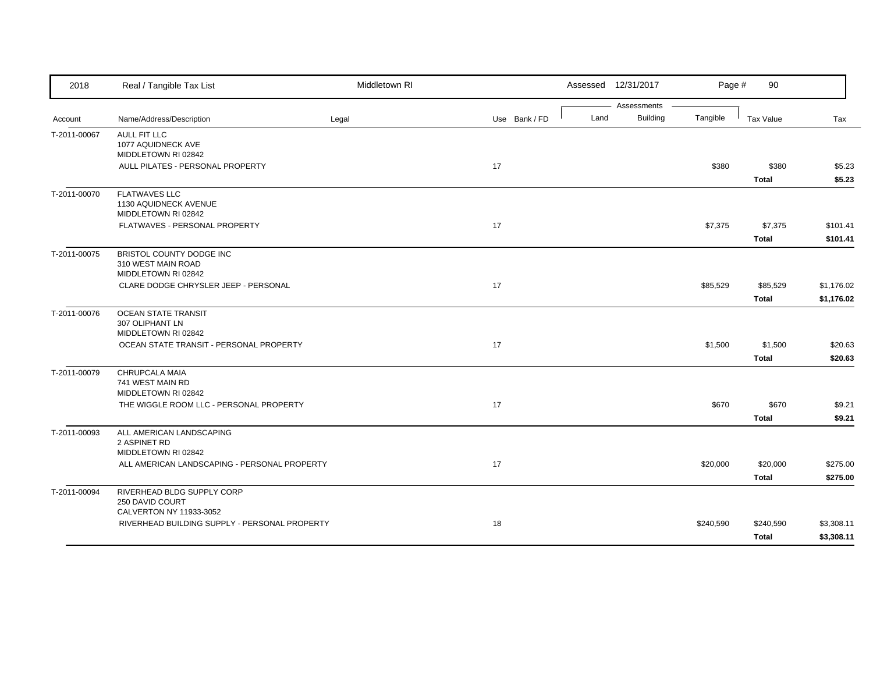| 2018         | Real / Tangible Tax List                                                 | Middletown RI |               |      | Assessed 12/31/2017            | Page #    | 90                        |                          |
|--------------|--------------------------------------------------------------------------|---------------|---------------|------|--------------------------------|-----------|---------------------------|--------------------------|
| Account      | Name/Address/Description                                                 | Legal         | Use Bank / FD | Land | Assessments<br><b>Building</b> | Tangible  | Tax Value                 | Tax                      |
| T-2011-00067 | <b>AULL FIT LLC</b><br>1077 AQUIDNECK AVE<br>MIDDLETOWN RI 02842         |               |               |      |                                |           |                           |                          |
|              | AULL PILATES - PERSONAL PROPERTY                                         |               | 17            |      |                                | \$380     | \$380<br><b>Total</b>     | \$5.23<br>\$5.23         |
| T-2011-00070 | <b>FLATWAVES LLC</b><br>1130 AQUIDNECK AVENUE<br>MIDDLETOWN RI 02842     |               |               |      |                                |           |                           |                          |
|              | FLATWAVES - PERSONAL PROPERTY                                            |               | 17            |      |                                | \$7,375   | \$7,375<br><b>Total</b>   | \$101.41<br>\$101.41     |
| T-2011-00075 | BRISTOL COUNTY DODGE INC<br>310 WEST MAIN ROAD<br>MIDDLETOWN RI 02842    |               |               |      |                                |           |                           |                          |
|              | CLARE DODGE CHRYSLER JEEP - PERSONAL                                     |               | 17            |      |                                | \$85,529  | \$85,529<br><b>Total</b>  | \$1,176.02<br>\$1,176.02 |
| T-2011-00076 | <b>OCEAN STATE TRANSIT</b><br>307 OLIPHANT LN<br>MIDDLETOWN RI 02842     |               |               |      |                                |           |                           |                          |
|              | OCEAN STATE TRANSIT - PERSONAL PROPERTY                                  |               | 17            |      |                                | \$1,500   | \$1,500<br><b>Total</b>   | \$20.63<br>\$20.63       |
| T-2011-00079 | CHRUPCALA MAIA<br>741 WEST MAIN RD<br>MIDDLETOWN RI 02842                |               |               |      |                                |           |                           |                          |
|              | THE WIGGLE ROOM LLC - PERSONAL PROPERTY                                  |               | 17            |      |                                | \$670     | \$670<br><b>Total</b>     | \$9.21<br>\$9.21         |
| T-2011-00093 | ALL AMERICAN LANDSCAPING<br>2 ASPINET RD<br>MIDDLETOWN RI 02842          |               |               |      |                                |           |                           |                          |
|              | ALL AMERICAN LANDSCAPING - PERSONAL PROPERTY                             |               | 17            |      |                                | \$20,000  | \$20,000<br><b>Total</b>  | \$275.00<br>\$275.00     |
| T-2011-00094 | RIVERHEAD BLDG SUPPLY CORP<br>250 DAVID COURT<br>CALVERTON NY 11933-3052 |               |               |      |                                |           |                           |                          |
|              | RIVERHEAD BUILDING SUPPLY - PERSONAL PROPERTY                            |               | 18            |      |                                | \$240,590 | \$240,590<br><b>Total</b> | \$3,308.11<br>\$3,308.11 |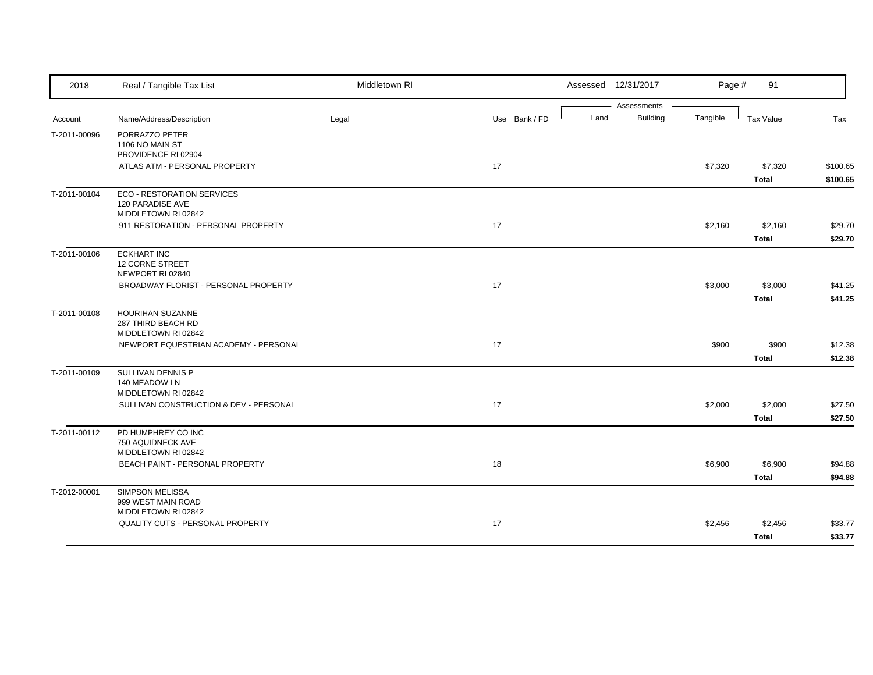| 2018         | Real / Tangible Tax List                              | Middletown RI |               |      | Assessed 12/31/2017     | Page #   | 91           |          |
|--------------|-------------------------------------------------------|---------------|---------------|------|-------------------------|----------|--------------|----------|
| Account      | Name/Address/Description                              | Legal         | Use Bank / FD | Land | Assessments<br>Building | Tangible | Tax Value    | Tax      |
| T-2011-00096 | PORRAZZO PETER                                        |               |               |      |                         |          |              |          |
|              | 1106 NO MAIN ST                                       |               |               |      |                         |          |              |          |
|              | PROVIDENCE RI 02904                                   |               |               |      |                         |          |              |          |
|              | ATLAS ATM - PERSONAL PROPERTY                         |               | 17            |      |                         | \$7,320  | \$7,320      | \$100.65 |
|              |                                                       |               |               |      |                         |          | <b>Total</b> | \$100.65 |
| T-2011-00104 | <b>ECO - RESTORATION SERVICES</b><br>120 PARADISE AVE |               |               |      |                         |          |              |          |
|              | MIDDLETOWN RI 02842                                   |               |               |      |                         |          |              |          |
|              | 911 RESTORATION - PERSONAL PROPERTY                   |               | 17            |      |                         | \$2,160  | \$2,160      | \$29.70  |
|              |                                                       |               |               |      |                         |          | <b>Total</b> | \$29.70  |
| T-2011-00106 | <b>ECKHART INC</b><br><b>12 CORNE STREET</b>          |               |               |      |                         |          |              |          |
|              | NEWPORT RI 02840                                      |               |               |      |                         |          |              |          |
|              | BROADWAY FLORIST - PERSONAL PROPERTY                  |               | 17            |      |                         | \$3,000  | \$3,000      | \$41.25  |
|              |                                                       |               |               |      |                         |          | <b>Total</b> | \$41.25  |
| T-2011-00108 | HOURIHAN SUZANNE<br>287 THIRD BEACH RD                |               |               |      |                         |          |              |          |
|              | MIDDLETOWN RI 02842                                   |               |               |      |                         |          |              |          |
|              | NEWPORT EQUESTRIAN ACADEMY - PERSONAL                 |               | 17            |      |                         | \$900    | \$900        | \$12.38  |
|              |                                                       |               |               |      |                         |          | <b>Total</b> | \$12.38  |
| T-2011-00109 | SULLIVAN DENNIS P                                     |               |               |      |                         |          |              |          |
|              | 140 MEADOW LN<br>MIDDLETOWN RI 02842                  |               |               |      |                         |          |              |          |
|              | SULLIVAN CONSTRUCTION & DEV - PERSONAL                |               | 17            |      |                         | \$2,000  | \$2,000      | \$27.50  |
|              |                                                       |               |               |      |                         |          | <b>Total</b> | \$27.50  |
| T-2011-00112 | PD HUMPHREY CO INC                                    |               |               |      |                         |          |              |          |
|              | 750 AQUIDNECK AVE<br>MIDDLETOWN RI 02842              |               |               |      |                         |          |              |          |
|              | BEACH PAINT - PERSONAL PROPERTY                       |               | 18            |      |                         | \$6,900  | \$6,900      | \$94.88  |
|              |                                                       |               |               |      |                         |          | <b>Total</b> | \$94.88  |
| T-2012-00001 | <b>SIMPSON MELISSA</b>                                |               |               |      |                         |          |              |          |
|              | 999 WEST MAIN ROAD<br>MIDDLETOWN RI 02842             |               |               |      |                         |          |              |          |
|              | QUALITY CUTS - PERSONAL PROPERTY                      |               | 17            |      |                         | \$2,456  | \$2,456      | \$33.77  |
|              |                                                       |               |               |      |                         |          | <b>Total</b> | \$33.77  |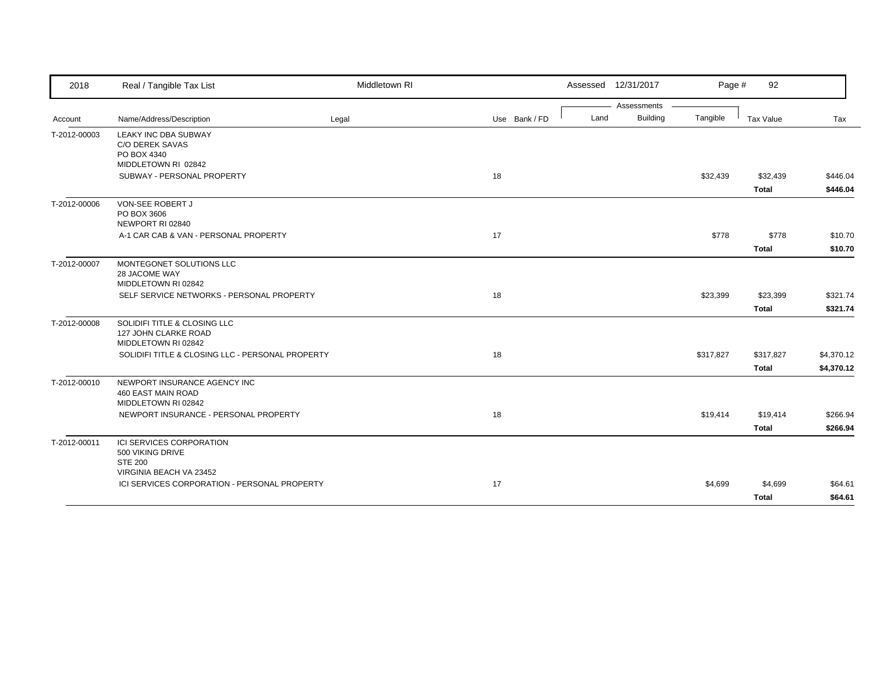| 2018         | Real / Tangible Tax List                                                    | Middletown RI |               | Assessed 12/31/2017 |                 | Page #    | 92                       |                      |
|--------------|-----------------------------------------------------------------------------|---------------|---------------|---------------------|-----------------|-----------|--------------------------|----------------------|
|              |                                                                             |               |               |                     | Assessments     |           |                          |                      |
| Account      | Name/Address/Description                                                    | Legal         | Use Bank / FD | Land                | <b>Building</b> | Tangible  | Tax Value                | Tax                  |
| T-2012-00003 | LEAKY INC DBA SUBWAY<br>C/O DEREK SAVAS<br>PO BOX 4340                      |               |               |                     |                 |           |                          |                      |
|              | MIDDLETOWN RI 02842                                                         |               |               |                     |                 |           |                          |                      |
|              | SUBWAY - PERSONAL PROPERTY                                                  |               | 18            |                     |                 | \$32,439  | \$32,439<br><b>Total</b> | \$446.04<br>\$446.04 |
| T-2012-00006 | <b>VON-SEE ROBERT J</b><br>PO BOX 3606<br>NEWPORT RI 02840                  |               |               |                     |                 |           |                          |                      |
|              | A-1 CAR CAB & VAN - PERSONAL PROPERTY                                       |               | 17            |                     |                 | \$778     | \$778                    | \$10.70              |
|              |                                                                             |               |               |                     |                 |           | <b>Total</b>             | \$10.70              |
| T-2012-00007 | MONTEGONET SOLUTIONS LLC<br>28 JACOME WAY<br>MIDDLETOWN RI 02842            |               |               |                     |                 |           |                          |                      |
|              | SELF SERVICE NETWORKS - PERSONAL PROPERTY                                   |               | 18            |                     |                 | \$23,399  | \$23,399                 | \$321.74             |
|              |                                                                             |               |               |                     |                 |           | <b>Total</b>             | \$321.74             |
| T-2012-00008 | SOLIDIFI TITLE & CLOSING LLC<br>127 JOHN CLARKE ROAD<br>MIDDLETOWN RI 02842 |               |               |                     |                 |           |                          |                      |
|              | SOLIDIFI TITLE & CLOSING LLC - PERSONAL PROPERTY                            |               | 18            |                     |                 | \$317,827 | \$317,827                | \$4,370.12           |
|              |                                                                             |               |               |                     |                 |           | <b>Total</b>             | \$4,370.12           |
| T-2012-00010 | NEWPORT INSURANCE AGENCY INC<br>460 EAST MAIN ROAD<br>MIDDLETOWN RI 02842   |               |               |                     |                 |           |                          |                      |
|              | NEWPORT INSURANCE - PERSONAL PROPERTY                                       |               | 18            |                     |                 | \$19,414  | \$19,414                 | \$266.94             |
|              |                                                                             |               |               |                     |                 |           | <b>Total</b>             | \$266.94             |
| T-2012-00011 | ICI SERVICES CORPORATION<br>500 VIKING DRIVE<br><b>STE 200</b>              |               |               |                     |                 |           |                          |                      |
|              | VIRGINIA BEACH VA 23452<br>ICI SERVICES CORPORATION - PERSONAL PROPERTY     |               | 17            |                     |                 | \$4,699   | \$4,699                  | \$64.61              |
|              |                                                                             |               |               |                     |                 |           | <b>Total</b>             | \$64.61              |
|              |                                                                             |               |               |                     |                 |           |                          |                      |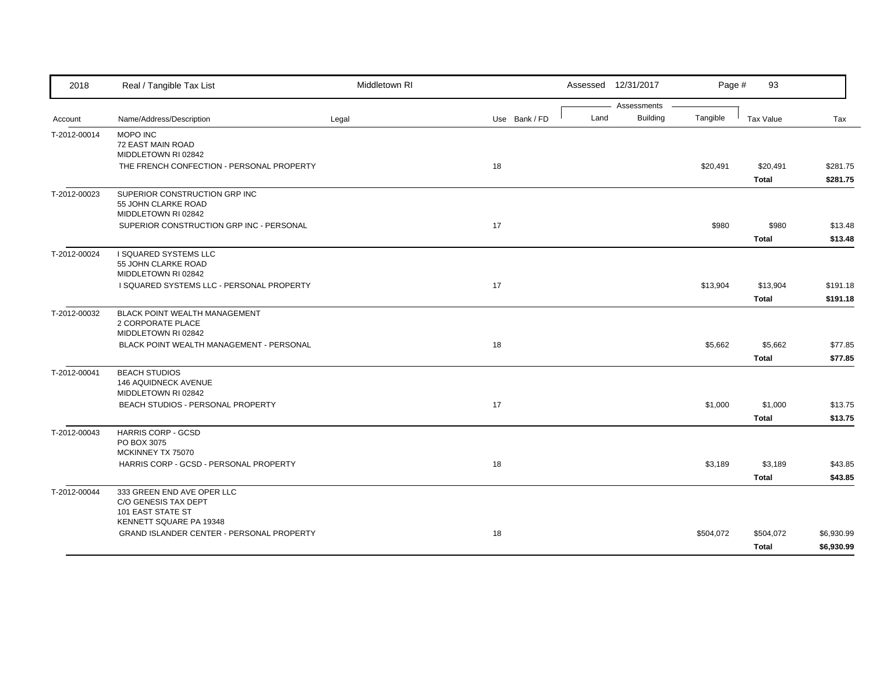| 2018         | Real / Tangible Tax List                         | Middletown RI |               |      | Assessed 12/31/2017            | Page #    | 93           |            |
|--------------|--------------------------------------------------|---------------|---------------|------|--------------------------------|-----------|--------------|------------|
| Account      | Name/Address/Description                         | Legal         | Use Bank / FD | Land | Assessments<br><b>Building</b> | Tangible  | Tax Value    | Tax        |
|              |                                                  |               |               |      |                                |           |              |            |
| T-2012-00014 | MOPO INC<br>72 EAST MAIN ROAD                    |               |               |      |                                |           |              |            |
|              | MIDDLETOWN RI 02842                              |               |               |      |                                |           |              |            |
|              | THE FRENCH CONFECTION - PERSONAL PROPERTY        |               | 18            |      |                                | \$20,491  | \$20,491     | \$281.75   |
|              |                                                  |               |               |      |                                |           | <b>Total</b> | \$281.75   |
| T-2012-00023 | SUPERIOR CONSTRUCTION GRP INC                    |               |               |      |                                |           |              |            |
|              | 55 JOHN CLARKE ROAD<br>MIDDLETOWN RI 02842       |               |               |      |                                |           |              |            |
|              | SUPERIOR CONSTRUCTION GRP INC - PERSONAL         |               | 17            |      |                                | \$980     | \$980        | \$13.48    |
|              |                                                  |               |               |      |                                |           | <b>Total</b> | \$13.48    |
| T-2012-00024 | I SQUARED SYSTEMS LLC                            |               |               |      |                                |           |              |            |
|              | 55 JOHN CLARKE ROAD                              |               |               |      |                                |           |              |            |
|              | MIDDLETOWN RI 02842                              |               |               |      |                                |           |              |            |
|              | I SQUARED SYSTEMS LLC - PERSONAL PROPERTY        |               | 17            |      |                                | \$13,904  | \$13,904     | \$191.18   |
|              |                                                  |               |               |      |                                |           | <b>Total</b> | \$191.18   |
| T-2012-00032 | <b>BLACK POINT WEALTH MANAGEMENT</b>             |               |               |      |                                |           |              |            |
|              | 2 CORPORATE PLACE<br>MIDDLETOWN RI 02842         |               |               |      |                                |           |              |            |
|              | BLACK POINT WEALTH MANAGEMENT - PERSONAL         |               | 18            |      |                                | \$5,662   | \$5,662      | \$77.85    |
|              |                                                  |               |               |      |                                |           | Total        | \$77.85    |
| T-2012-00041 | <b>BEACH STUDIOS</b>                             |               |               |      |                                |           |              |            |
|              | 146 AQUIDNECK AVENUE                             |               |               |      |                                |           |              |            |
|              | MIDDLETOWN RI 02842                              |               |               |      |                                |           |              |            |
|              | BEACH STUDIOS - PERSONAL PROPERTY                |               | 17            |      |                                | \$1,000   | \$1,000      | \$13.75    |
|              |                                                  |               |               |      |                                |           | <b>Total</b> | \$13.75    |
| T-2012-00043 | <b>HARRIS CORP - GCSD</b>                        |               |               |      |                                |           |              |            |
|              | PO BOX 3075                                      |               |               |      |                                |           |              |            |
|              | MCKINNEY TX 75070                                |               |               |      |                                |           |              |            |
|              | HARRIS CORP - GCSD - PERSONAL PROPERTY           |               | 18            |      |                                | \$3,189   | \$3,189      | \$43.85    |
|              |                                                  |               |               |      |                                |           | <b>Total</b> | \$43.85    |
| T-2012-00044 | 333 GREEN END AVE OPER LLC                       |               |               |      |                                |           |              |            |
|              | C/O GENESIS TAX DEPT<br><b>101 EAST STATE ST</b> |               |               |      |                                |           |              |            |
|              | KENNETT SQUARE PA 19348                          |               |               |      |                                |           |              |            |
|              | GRAND ISLANDER CENTER - PERSONAL PROPERTY        |               | 18            |      |                                | \$504,072 | \$504,072    | \$6,930.99 |
|              |                                                  |               |               |      |                                |           | <b>Total</b> | \$6,930.99 |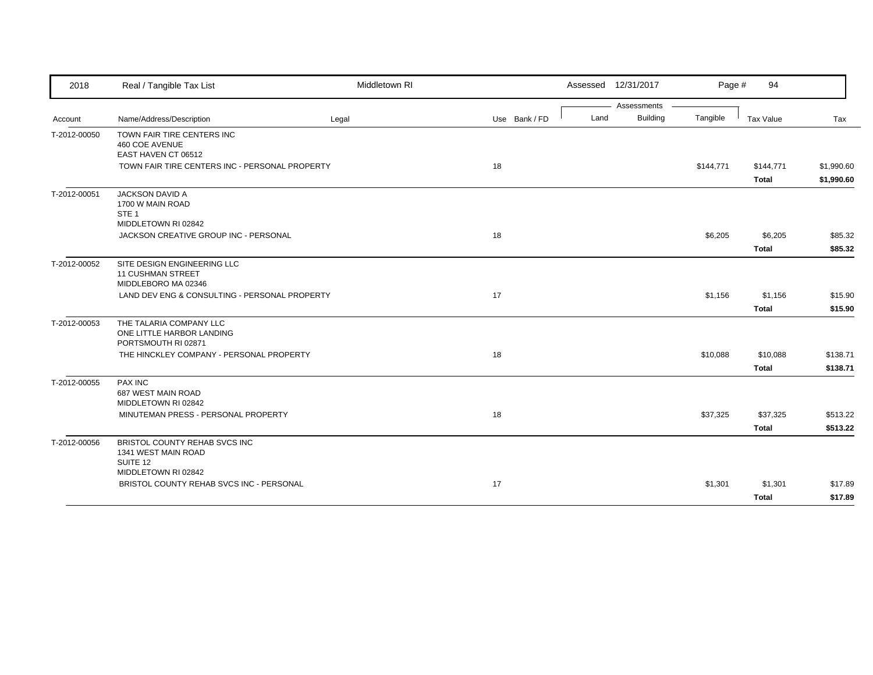| 2018         | Real / Tangible Tax List                                                              | Middletown RI |               | Assessed 12/31/2017 |                 | Page #    | 94                        |                          |
|--------------|---------------------------------------------------------------------------------------|---------------|---------------|---------------------|-----------------|-----------|---------------------------|--------------------------|
|              |                                                                                       |               |               |                     | Assessments     |           |                           |                          |
| Account      | Name/Address/Description                                                              | Legal         | Use Bank / FD | Land                | <b>Building</b> | Tangible  | Tax Value                 | Tax                      |
| T-2012-00050 | TOWN FAIR TIRE CENTERS INC<br>460 COE AVENUE<br>EAST HAVEN CT 06512                   |               |               |                     |                 |           |                           |                          |
|              | TOWN FAIR TIRE CENTERS INC - PERSONAL PROPERTY                                        |               | 18            |                     |                 | \$144,771 | \$144,771<br><b>Total</b> | \$1,990.60<br>\$1,990.60 |
| T-2012-00051 | <b>JACKSON DAVID A</b><br>1700 W MAIN ROAD<br>STE <sub>1</sub><br>MIDDLETOWN RI 02842 |               |               |                     |                 |           |                           |                          |
|              | JACKSON CREATIVE GROUP INC - PERSONAL                                                 |               | 18            |                     |                 | \$6,205   | \$6,205                   | \$85.32                  |
|              |                                                                                       |               |               |                     |                 |           | <b>Total</b>              | \$85.32                  |
| T-2012-00052 | SITE DESIGN ENGINEERING LLC<br><b>11 CUSHMAN STREET</b><br>MIDDLEBORO MA 02346        |               |               |                     |                 |           |                           |                          |
|              | LAND DEV ENG & CONSULTING - PERSONAL PROPERTY                                         |               | 17            |                     |                 | \$1,156   | \$1,156                   | \$15.90                  |
|              |                                                                                       |               |               |                     |                 |           | <b>Total</b>              | \$15.90                  |
| T-2012-00053 | THE TALARIA COMPANY LLC<br>ONE LITTLE HARBOR LANDING<br>PORTSMOUTH RI 02871           |               |               |                     |                 |           |                           |                          |
|              | THE HINCKLEY COMPANY - PERSONAL PROPERTY                                              |               | 18            |                     |                 | \$10,088  | \$10,088                  | \$138.71                 |
|              |                                                                                       |               |               |                     |                 |           | <b>Total</b>              | \$138.71                 |
| T-2012-00055 | <b>PAX INC</b><br>687 WEST MAIN ROAD<br>MIDDLETOWN RI 02842                           |               |               |                     |                 |           |                           |                          |
|              | MINUTEMAN PRESS - PERSONAL PROPERTY                                                   |               | 18            |                     |                 | \$37,325  | \$37,325                  | \$513.22                 |
|              |                                                                                       |               |               |                     |                 |           | <b>Total</b>              | \$513.22                 |
| T-2012-00056 | BRISTOL COUNTY REHAB SVCS INC<br>1341 WEST MAIN ROAD<br>SUITE 12                      |               |               |                     |                 |           |                           |                          |
|              | MIDDLETOWN RI 02842                                                                   |               |               |                     |                 |           |                           |                          |
|              | BRISTOL COUNTY REHAB SVCS INC - PERSONAL                                              |               | 17            |                     |                 | \$1,301   | \$1,301                   | \$17.89                  |
|              |                                                                                       |               |               |                     |                 |           | <b>Total</b>              | \$17.89                  |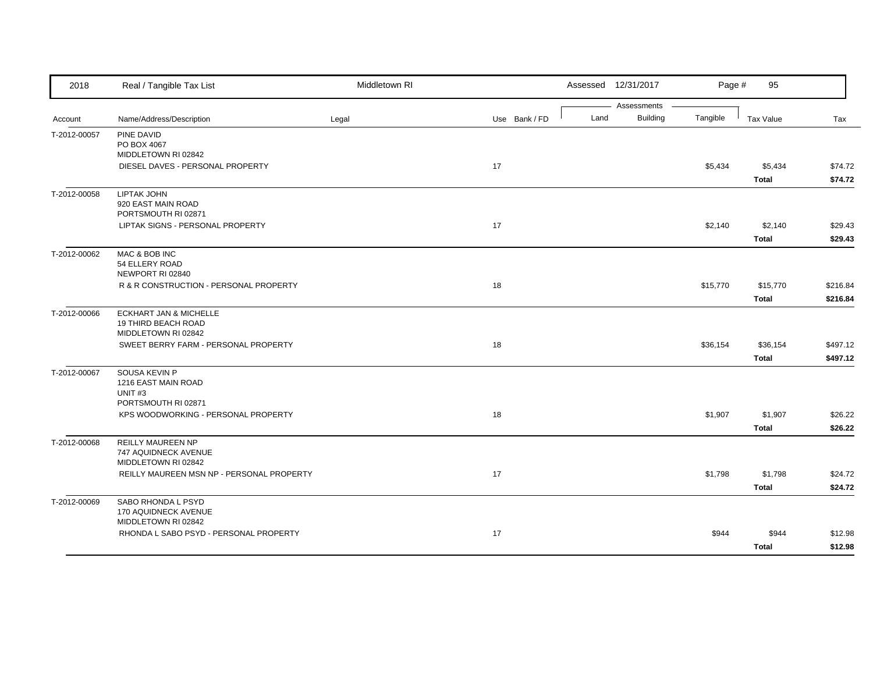| 2018         | Real / Tangible Tax List                         | Middletown RI |               |      | Assessed 12/31/2017            | Page #   | 95           |          |
|--------------|--------------------------------------------------|---------------|---------------|------|--------------------------------|----------|--------------|----------|
| Account      | Name/Address/Description                         | Legal         | Use Bank / FD | Land | Assessments<br><b>Building</b> | Tangible | Tax Value    | Tax      |
|              |                                                  |               |               |      |                                |          |              |          |
| T-2012-00057 | PINE DAVID<br>PO BOX 4067                        |               |               |      |                                |          |              |          |
|              | MIDDLETOWN RI 02842                              |               |               |      |                                |          |              |          |
|              | DIESEL DAVES - PERSONAL PROPERTY                 |               | 17            |      |                                | \$5,434  | \$5,434      | \$74.72  |
|              |                                                  |               |               |      |                                |          | <b>Total</b> | \$74.72  |
| T-2012-00058 | <b>LIPTAK JOHN</b>                               |               |               |      |                                |          |              |          |
|              | 920 EAST MAIN ROAD                               |               |               |      |                                |          |              |          |
|              | PORTSMOUTH RI 02871                              |               |               |      |                                |          |              |          |
|              | LIPTAK SIGNS - PERSONAL PROPERTY                 |               | 17            |      |                                | \$2,140  | \$2,140      | \$29.43  |
|              |                                                  |               |               |      |                                |          | <b>Total</b> | \$29.43  |
| T-2012-00062 | MAC & BOB INC                                    |               |               |      |                                |          |              |          |
|              | 54 ELLERY ROAD<br>NEWPORT RI 02840               |               |               |      |                                |          |              |          |
|              | R & R CONSTRUCTION - PERSONAL PROPERTY           |               | 18            |      |                                | \$15,770 | \$15,770     | \$216.84 |
|              |                                                  |               |               |      |                                |          | <b>Total</b> | \$216.84 |
| T-2012-00066 | ECKHART JAN & MICHELLE                           |               |               |      |                                |          |              |          |
|              | <b>19 THIRD BEACH ROAD</b>                       |               |               |      |                                |          |              |          |
|              | MIDDLETOWN RI 02842                              |               |               |      |                                |          |              |          |
|              | SWEET BERRY FARM - PERSONAL PROPERTY             |               | 18            |      |                                | \$36,154 | \$36,154     | \$497.12 |
|              |                                                  |               |               |      |                                |          | <b>Total</b> | \$497.12 |
| T-2012-00067 | SOUSA KEVIN P                                    |               |               |      |                                |          |              |          |
|              | 1216 EAST MAIN ROAD                              |               |               |      |                                |          |              |          |
|              | UNIT <sub>#3</sub><br>PORTSMOUTH RI 02871        |               |               |      |                                |          |              |          |
|              | KPS WOODWORKING - PERSONAL PROPERTY              |               | 18            |      |                                | \$1,907  | \$1,907      | \$26.22  |
|              |                                                  |               |               |      |                                |          | <b>Total</b> |          |
|              |                                                  |               |               |      |                                |          |              | \$26.22  |
| T-2012-00068 | <b>REILLY MAUREEN NP</b><br>747 AQUIDNECK AVENUE |               |               |      |                                |          |              |          |
|              | MIDDLETOWN RI 02842                              |               |               |      |                                |          |              |          |
|              | REILLY MAUREEN MSN NP - PERSONAL PROPERTY        |               | 17            |      |                                | \$1,798  | \$1,798      | \$24.72  |
|              |                                                  |               |               |      |                                |          | <b>Total</b> | \$24.72  |
| T-2012-00069 | SABO RHONDA L PSYD                               |               |               |      |                                |          |              |          |
|              | 170 AQUIDNECK AVENUE                             |               |               |      |                                |          |              |          |
|              | MIDDLETOWN RI 02842                              |               |               |      |                                |          |              |          |
|              | RHONDA L SABO PSYD - PERSONAL PROPERTY           |               | 17            |      |                                | \$944    | \$944        | \$12.98  |
|              |                                                  |               |               |      |                                |          | <b>Total</b> | \$12.98  |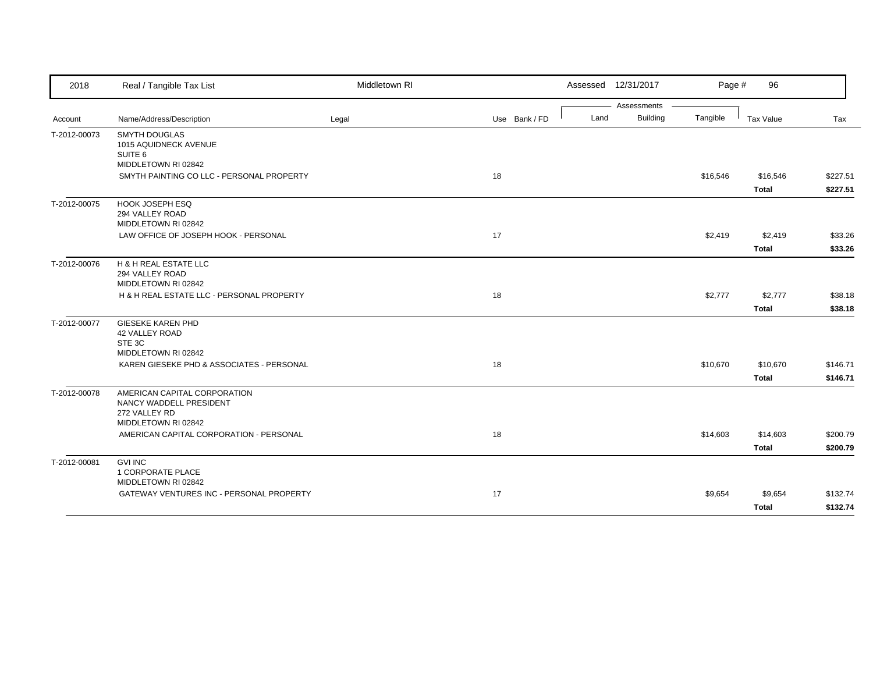| 2018         | Real / Tangible Tax List                                                                                                 | Middletown RI |               | Assessed 12/31/2017 |                 | Page #   | 96           |          |
|--------------|--------------------------------------------------------------------------------------------------------------------------|---------------|---------------|---------------------|-----------------|----------|--------------|----------|
|              |                                                                                                                          |               |               |                     | Assessments     |          |              |          |
| Account      | Name/Address/Description                                                                                                 | Legal         | Use Bank / FD | Land                | <b>Building</b> | Tangible | Tax Value    | Tax      |
| T-2012-00073 | <b>SMYTH DOUGLAS</b><br>1015 AQUIDNECK AVENUE<br>SUITE 6                                                                 |               |               |                     |                 |          |              |          |
|              | MIDDLETOWN RI 02842                                                                                                      |               |               |                     |                 |          |              |          |
|              | SMYTH PAINTING CO LLC - PERSONAL PROPERTY                                                                                |               | 18            |                     |                 | \$16,546 | \$16,546     | \$227.51 |
|              |                                                                                                                          |               |               |                     |                 |          | <b>Total</b> | \$227.51 |
| T-2012-00075 | <b>HOOK JOSEPH ESQ</b><br>294 VALLEY ROAD<br>MIDDLETOWN RI 02842                                                         |               |               |                     |                 |          |              |          |
|              | LAW OFFICE OF JOSEPH HOOK - PERSONAL                                                                                     |               | 17            |                     |                 | \$2,419  | \$2,419      | \$33.26  |
|              |                                                                                                                          |               |               |                     |                 |          | <b>Total</b> | \$33.26  |
| T-2012-00076 | H & H REAL ESTATE LLC<br>294 VALLEY ROAD<br>MIDDLETOWN RI 02842                                                          |               |               |                     |                 |          |              |          |
|              | H & H REAL ESTATE LLC - PERSONAL PROPERTY                                                                                |               | 18            |                     |                 | \$2,777  | \$2,777      | \$38.18  |
|              |                                                                                                                          |               |               |                     |                 |          | <b>Total</b> | \$38.18  |
| T-2012-00077 | <b>GIESEKE KAREN PHD</b><br>42 VALLEY ROAD<br>STE 3C<br>MIDDLETOWN RI 02842<br>KAREN GIESEKE PHD & ASSOCIATES - PERSONAL |               | 18            |                     |                 | \$10,670 | \$10,670     | \$146.71 |
|              |                                                                                                                          |               |               |                     |                 |          | <b>Total</b> | \$146.71 |
| T-2012-00078 | AMERICAN CAPITAL CORPORATION<br>NANCY WADDELL PRESIDENT<br>272 VALLEY RD<br>MIDDLETOWN RI 02842                          |               |               |                     |                 |          |              |          |
|              | AMERICAN CAPITAL CORPORATION - PERSONAL                                                                                  |               | 18            |                     |                 | \$14,603 | \$14,603     | \$200.79 |
|              |                                                                                                                          |               |               |                     |                 |          | <b>Total</b> | \$200.79 |
| T-2012-00081 | <b>GVI INC</b><br>1 CORPORATE PLACE<br>MIDDLETOWN RI 02842                                                               |               |               |                     |                 |          |              |          |
|              | GATEWAY VENTURES INC - PERSONAL PROPERTY                                                                                 |               | 17            |                     |                 | \$9,654  | \$9,654      | \$132.74 |
|              |                                                                                                                          |               |               |                     |                 |          | <b>Total</b> | \$132.74 |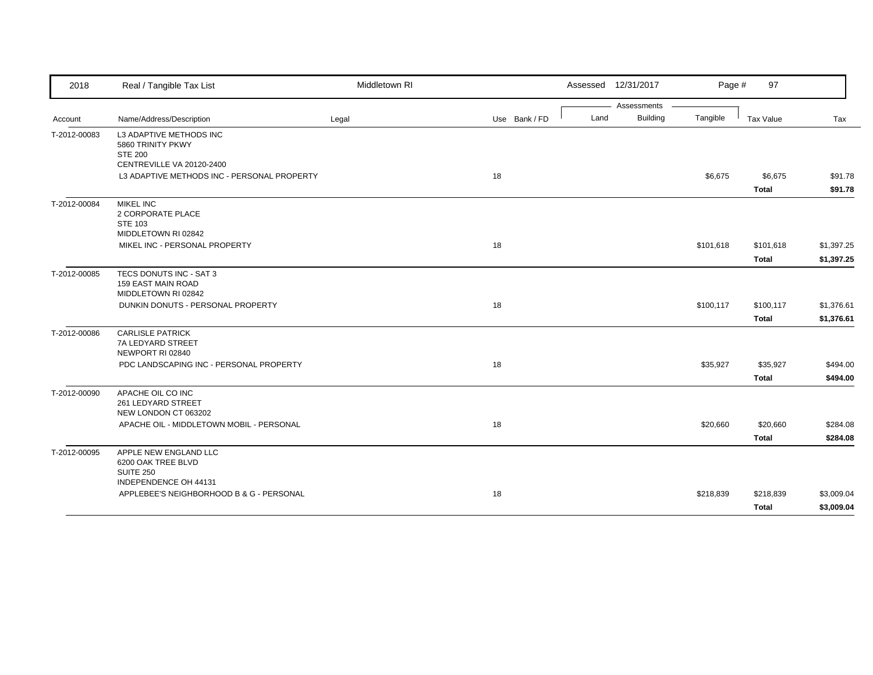| 2018         | Real / Tangible Tax List                                             | Middletown RI |               |      | Assessed 12/31/2017 | Page #    | 97           |            |
|--------------|----------------------------------------------------------------------|---------------|---------------|------|---------------------|-----------|--------------|------------|
|              |                                                                      |               |               |      | Assessments         |           |              |            |
| Account      | Name/Address/Description                                             | Legal         | Use Bank / FD | Land | <b>Building</b>     | Tangible  | Tax Value    | Tax        |
| T-2012-00083 | L3 ADAPTIVE METHODS INC<br>5860 TRINITY PKWY<br><b>STE 200</b>       |               |               |      |                     |           |              |            |
|              | CENTREVILLE VA 20120-2400                                            |               |               |      |                     |           |              |            |
|              | L3 ADAPTIVE METHODS INC - PERSONAL PROPERTY                          |               | 18            |      |                     | \$6,675   | \$6,675      | \$91.78    |
|              |                                                                      |               |               |      |                     |           | <b>Total</b> | \$91.78    |
| T-2012-00084 | <b>MIKEL INC</b><br>2 CORPORATE PLACE<br><b>STE 103</b>              |               |               |      |                     |           |              |            |
|              | MIDDLETOWN RI 02842                                                  |               |               |      |                     |           |              |            |
|              | MIKEL INC - PERSONAL PROPERTY                                        |               | 18            |      |                     | \$101,618 | \$101,618    | \$1,397.25 |
|              |                                                                      |               |               |      |                     |           | <b>Total</b> | \$1,397.25 |
| T-2012-00085 | TECS DONUTS INC - SAT 3<br>159 EAST MAIN ROAD<br>MIDDLETOWN RI 02842 |               |               |      |                     |           |              |            |
|              | DUNKIN DONUTS - PERSONAL PROPERTY                                    |               | 18            |      |                     | \$100,117 | \$100,117    | \$1,376.61 |
|              |                                                                      |               |               |      |                     |           | <b>Total</b> | \$1,376.61 |
| T-2012-00086 | <b>CARLISLE PATRICK</b>                                              |               |               |      |                     |           |              |            |
|              | 7A LEDYARD STREET<br>NEWPORT RI 02840                                |               |               |      |                     |           |              |            |
|              | PDC LANDSCAPING INC - PERSONAL PROPERTY                              |               | 18            |      |                     | \$35,927  | \$35,927     | \$494.00   |
|              |                                                                      |               |               |      |                     |           | <b>Total</b> | \$494.00   |
| T-2012-00090 | APACHE OIL CO INC<br>261 LEDYARD STREET<br>NEW LONDON CT 063202      |               |               |      |                     |           |              |            |
|              | APACHE OIL - MIDDLETOWN MOBIL - PERSONAL                             |               | 18            |      |                     | \$20,660  | \$20,660     | \$284.08   |
|              |                                                                      |               |               |      |                     |           | <b>Total</b> | \$284.08   |
| T-2012-00095 | APPLE NEW ENGLAND LLC<br>6200 OAK TREE BLVD<br><b>SUITE 250</b>      |               |               |      |                     |           |              |            |
|              | INDEPENDENCE OH 44131<br>APPLEBEE'S NEIGHBORHOOD B & G - PERSONAL    |               | 18            |      |                     | \$218,839 | \$218,839    | \$3,009.04 |
|              |                                                                      |               |               |      |                     |           |              | \$3,009.04 |
|              |                                                                      |               |               |      |                     |           | Total        |            |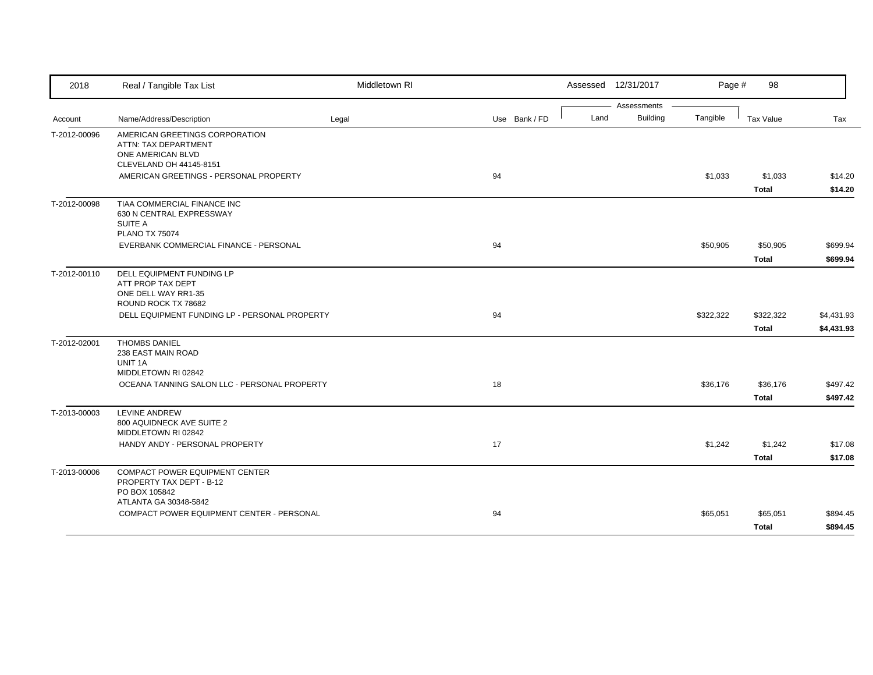| 2018         | Real / Tangible Tax List                                                                                                                         | Middletown RI |               |      | Assessed 12/31/2017            | Page #    | 98                        |                          |
|--------------|--------------------------------------------------------------------------------------------------------------------------------------------------|---------------|---------------|------|--------------------------------|-----------|---------------------------|--------------------------|
| Account      | Name/Address/Description                                                                                                                         | Legal         | Use Bank / FD | Land | Assessments<br><b>Building</b> | Tangible  | Tax Value                 | Tax                      |
| T-2012-00096 | AMERICAN GREETINGS CORPORATION<br>ATTN: TAX DEPARTMENT<br>ONE AMERICAN BLVD<br>CLEVELAND OH 44145-8151<br>AMERICAN GREETINGS - PERSONAL PROPERTY |               | 94            |      |                                | \$1,033   | \$1,033                   | \$14.20                  |
|              |                                                                                                                                                  |               |               |      |                                |           | <b>Total</b>              | \$14.20                  |
| T-2012-00098 | TIAA COMMERCIAL FINANCE INC<br>630 N CENTRAL EXPRESSWAY<br>SUITE A<br><b>PLANO TX 75074</b>                                                      |               |               |      |                                |           |                           |                          |
|              | EVERBANK COMMERCIAL FINANCE - PERSONAL                                                                                                           |               | 94            |      |                                | \$50,905  | \$50,905<br>Total         | \$699.94<br>\$699.94     |
| T-2012-00110 | DELL EQUIPMENT FUNDING LP<br>ATT PROP TAX DEPT<br>ONE DELL WAY RR1-35<br>ROUND ROCK TX 78682                                                     |               |               |      |                                |           |                           |                          |
|              | DELL EQUIPMENT FUNDING LP - PERSONAL PROPERTY                                                                                                    |               | 94            |      |                                | \$322,322 | \$322,322<br><b>Total</b> | \$4,431.93<br>\$4,431.93 |
| T-2012-02001 | <b>THOMBS DANIEL</b><br>238 EAST MAIN ROAD<br>UNIT 1A                                                                                            |               |               |      |                                |           |                           |                          |
|              | MIDDLETOWN RI 02842<br>OCEANA TANNING SALON LLC - PERSONAL PROPERTY                                                                              |               | 18            |      |                                | \$36,176  | \$36,176<br><b>Total</b>  | \$497.42<br>\$497.42     |
| T-2013-00003 | LEVINE ANDREW<br>800 AQUIDNECK AVE SUITE 2<br>MIDDLETOWN RI 02842                                                                                |               |               |      |                                |           |                           |                          |
|              | HANDY ANDY - PERSONAL PROPERTY                                                                                                                   |               | 17            |      |                                | \$1,242   | \$1,242<br><b>Total</b>   | \$17.08<br>\$17.08       |
| T-2013-00006 | COMPACT POWER EQUIPMENT CENTER<br>PROPERTY TAX DEPT - B-12<br>PO BOX 105842                                                                      |               |               |      |                                |           |                           |                          |
|              | ATLANTA GA 30348-5842<br>COMPACT POWER EQUIPMENT CENTER - PERSONAL                                                                               |               | 94            |      |                                | \$65,051  | \$65,051<br><b>Total</b>  | \$894.45<br>\$894.45     |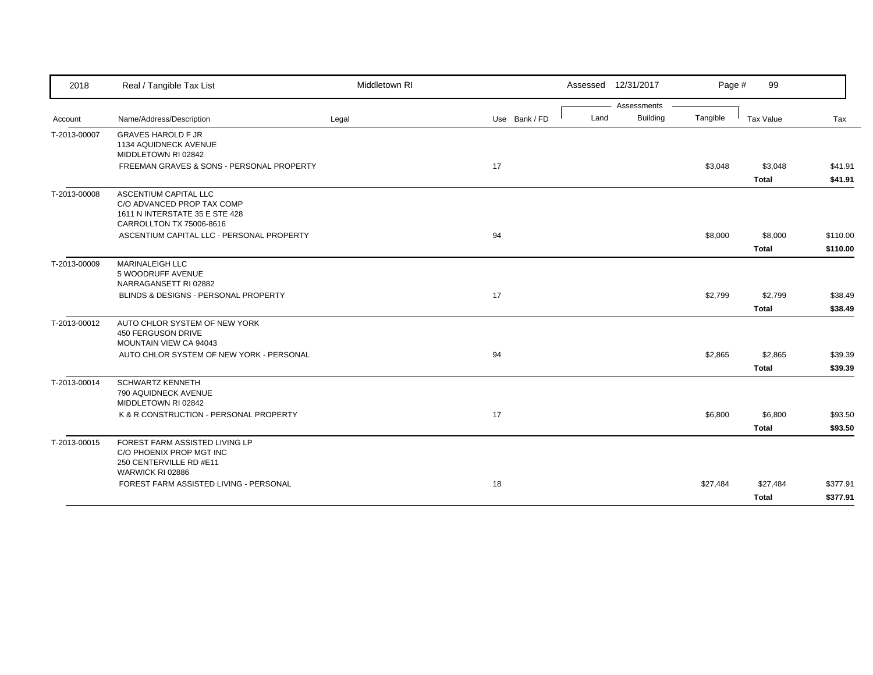| 2018         | Real / Tangible Tax List                                                                                          | Middletown RI |               |      | Assessed 12/31/2017            | Page #   | 99           |          |
|--------------|-------------------------------------------------------------------------------------------------------------------|---------------|---------------|------|--------------------------------|----------|--------------|----------|
|              | Name/Address/Description                                                                                          |               | Use Bank / FD | Land | Assessments<br><b>Building</b> | Tangible | Tax Value    | Tax      |
| Account      |                                                                                                                   | Legal         |               |      |                                |          |              |          |
| T-2013-00007 | <b>GRAVES HAROLD F JR</b><br>1134 AQUIDNECK AVENUE<br>MIDDLETOWN RI 02842                                         |               |               |      |                                |          |              |          |
|              | FREEMAN GRAVES & SONS - PERSONAL PROPERTY                                                                         |               | 17            |      |                                | \$3,048  | \$3,048      | \$41.91  |
|              |                                                                                                                   |               |               |      |                                |          | <b>Total</b> | \$41.91  |
| T-2013-00008 | ASCENTIUM CAPITAL LLC<br>C/O ADVANCED PROP TAX COMP<br>1611 N INTERSTATE 35 E STE 428<br>CARROLLTON TX 75006-8616 |               |               |      |                                |          |              |          |
|              | ASCENTIUM CAPITAL LLC - PERSONAL PROPERTY                                                                         |               | 94            |      |                                | \$8,000  | \$8,000      | \$110.00 |
|              |                                                                                                                   |               |               |      |                                |          | Total        | \$110.00 |
| T-2013-00009 | MARINALEIGH LLC<br>5 WOODRUFF AVENUE<br>NARRAGANSETT RI 02882                                                     |               |               |      |                                |          |              |          |
|              | BLINDS & DESIGNS - PERSONAL PROPERTY                                                                              |               | 17            |      |                                | \$2,799  | \$2,799      | \$38.49  |
|              |                                                                                                                   |               |               |      |                                |          | <b>Total</b> | \$38.49  |
| T-2013-00012 | AUTO CHLOR SYSTEM OF NEW YORK<br>450 FERGUSON DRIVE<br>MOUNTAIN VIEW CA 94043                                     |               |               |      |                                |          |              |          |
|              | AUTO CHLOR SYSTEM OF NEW YORK - PERSONAL                                                                          |               | 94            |      |                                | \$2,865  | \$2,865      | \$39.39  |
|              |                                                                                                                   |               |               |      |                                |          | <b>Total</b> | \$39.39  |
| T-2013-00014 | <b>SCHWARTZ KENNETH</b><br>790 AQUIDNECK AVENUE<br>MIDDLETOWN RI 02842                                            |               |               |      |                                |          |              |          |
|              | K & R CONSTRUCTION - PERSONAL PROPERTY                                                                            |               | 17            |      |                                | \$6,800  | \$6,800      | \$93.50  |
|              |                                                                                                                   |               |               |      |                                |          | <b>Total</b> | \$93.50  |
| T-2013-00015 | FOREST FARM ASSISTED LIVING LP<br>C/O PHOENIX PROP MGT INC<br>250 CENTERVILLE RD #E11<br>WARWICK RI 02886         |               |               |      |                                |          |              |          |
|              | FOREST FARM ASSISTED LIVING - PERSONAL                                                                            |               | 18            |      |                                | \$27,484 | \$27,484     | \$377.91 |
|              |                                                                                                                   |               |               |      |                                |          | <b>Total</b> | \$377.91 |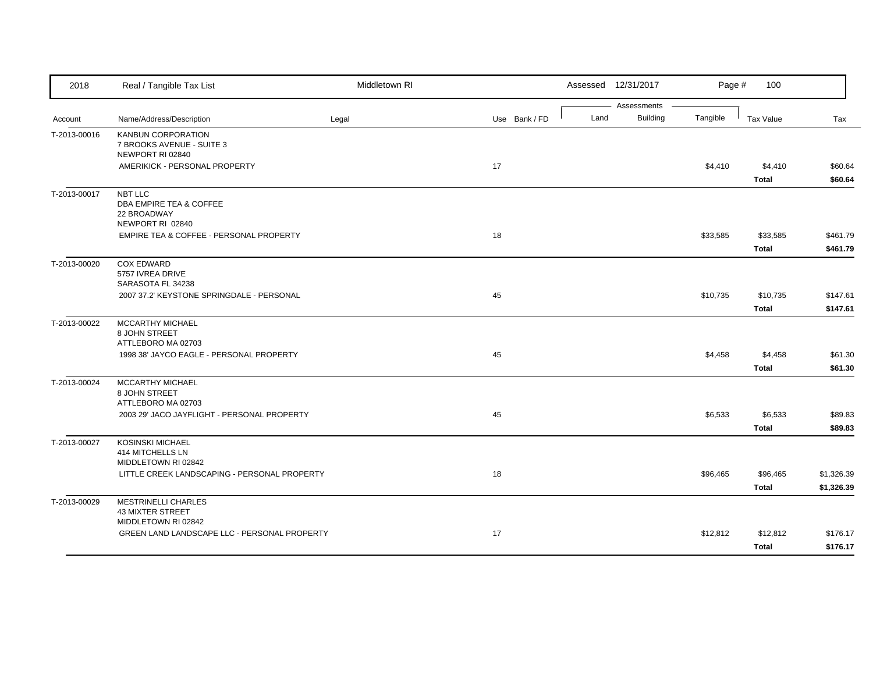| 2018         | Real / Tangible Tax List                                                     | Middletown RI |               |      | Assessed 12/31/2017            | Page #   | 100                      |                          |
|--------------|------------------------------------------------------------------------------|---------------|---------------|------|--------------------------------|----------|--------------------------|--------------------------|
| Account      | Name/Address/Description                                                     | Legal         | Use Bank / FD | Land | Assessments<br><b>Building</b> | Tangible | Tax Value                | Tax                      |
| T-2013-00016 | <b>KANBUN CORPORATION</b><br>7 BROOKS AVENUE - SUITE 3<br>NEWPORT RI 02840   |               |               |      |                                |          |                          |                          |
|              | AMERIKICK - PERSONAL PROPERTY                                                |               | 17            |      |                                | \$4,410  | \$4,410<br><b>Total</b>  | \$60.64<br>\$60.64       |
| T-2013-00017 | NBT LLC<br>DBA EMPIRE TEA & COFFEE<br>22 BROADWAY<br>NEWPORT RI 02840        |               |               |      |                                |          |                          |                          |
|              | EMPIRE TEA & COFFEE - PERSONAL PROPERTY                                      |               | 18            |      |                                | \$33,585 | \$33,585<br><b>Total</b> | \$461.79<br>\$461.79     |
| T-2013-00020 | <b>COX EDWARD</b><br>5757 IVREA DRIVE<br>SARASOTA FL 34238                   |               |               |      |                                |          |                          |                          |
|              | 2007 37.2' KEYSTONE SPRINGDALE - PERSONAL                                    |               | 45            |      |                                | \$10,735 | \$10,735<br><b>Total</b> | \$147.61<br>\$147.61     |
| T-2013-00022 | MCCARTHY MICHAEL<br>8 JOHN STREET<br>ATTLEBORO MA 02703                      |               |               |      |                                |          |                          |                          |
|              | 1998 38' JAYCO EAGLE - PERSONAL PROPERTY                                     |               | 45            |      |                                | \$4,458  | \$4,458<br><b>Total</b>  | \$61.30<br>\$61.30       |
| T-2013-00024 | MCCARTHY MICHAEL<br>8 JOHN STREET<br>ATTLEBORO MA 02703                      |               |               |      |                                |          |                          |                          |
|              | 2003 29' JACO JAYFLIGHT - PERSONAL PROPERTY                                  |               | 45            |      |                                | \$6,533  | \$6,533<br><b>Total</b>  | \$89.83<br>\$89.83       |
| T-2013-00027 | <b>KOSINSKI MICHAEL</b><br>414 MITCHELLS LN<br>MIDDLETOWN RI 02842           |               |               |      |                                |          |                          |                          |
|              | LITTLE CREEK LANDSCAPING - PERSONAL PROPERTY                                 |               | 18            |      |                                | \$96,465 | \$96,465<br><b>Total</b> | \$1,326.39<br>\$1,326.39 |
| T-2013-00029 | <b>MESTRINELLI CHARLES</b><br><b>43 MIXTER STREET</b><br>MIDDLETOWN RI 02842 |               |               |      |                                |          |                          |                          |
|              | GREEN LAND LANDSCAPE LLC - PERSONAL PROPERTY                                 |               | 17            |      |                                | \$12,812 | \$12,812<br><b>Total</b> | \$176.17<br>\$176.17     |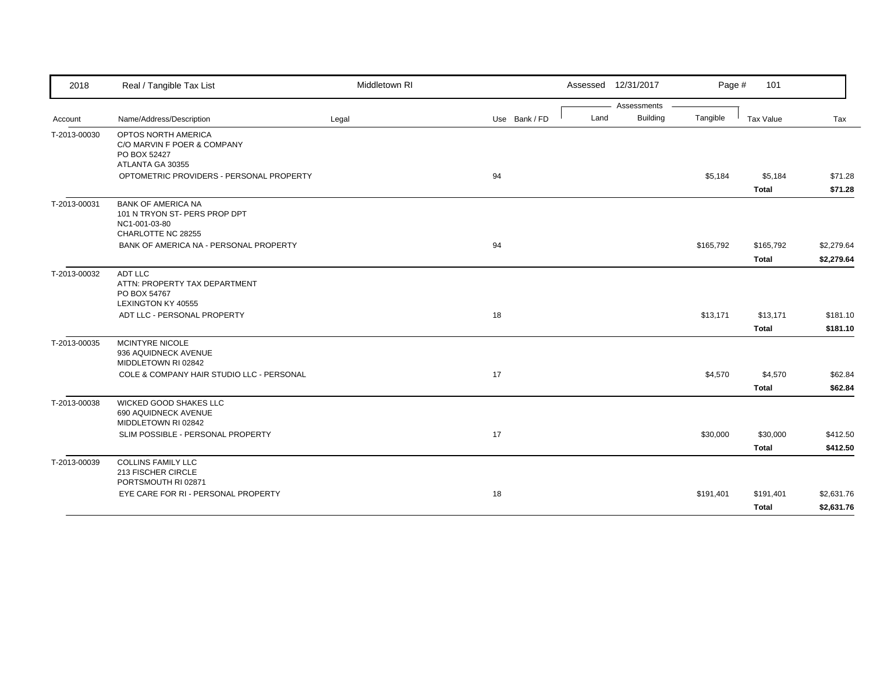| 2018         | Real / Tangible Tax List                                                                                           | Middletown RI |               |      | Assessed 12/31/2017 | Page #    | 101                     |                    |
|--------------|--------------------------------------------------------------------------------------------------------------------|---------------|---------------|------|---------------------|-----------|-------------------------|--------------------|
|              |                                                                                                                    |               |               |      | Assessments         |           |                         |                    |
| Account      | Name/Address/Description                                                                                           | Legal         | Use Bank / FD | Land | <b>Building</b>     | Tangible  | Tax Value               | Tax                |
| T-2013-00030 | OPTOS NORTH AMERICA<br>C/O MARVIN F POER & COMPANY<br>PO BOX 52427<br>ATLANTA GA 30355                             |               |               |      |                     |           |                         |                    |
|              | OPTOMETRIC PROVIDERS - PERSONAL PROPERTY                                                                           |               | 94            |      |                     | \$5,184   | \$5,184                 | \$71.28            |
|              |                                                                                                                    |               |               |      |                     |           | <b>Total</b>            | \$71.28            |
| T-2013-00031 | <b>BANK OF AMERICA NA</b><br>101 N TRYON ST- PERS PROP DPT<br>NC1-001-03-80<br>CHARLOTTE NC 28255                  |               |               |      |                     |           |                         |                    |
|              | BANK OF AMERICA NA - PERSONAL PROPERTY                                                                             |               | 94            |      |                     | \$165,792 | \$165,792               | \$2,279.64         |
|              |                                                                                                                    |               |               |      |                     |           | <b>Total</b>            | \$2,279.64         |
| T-2013-00032 | ADT LLC<br>ATTN: PROPERTY TAX DEPARTMENT<br>PO BOX 54767<br>LEXINGTON KY 40555                                     |               |               |      |                     |           |                         |                    |
|              | ADT LLC - PERSONAL PROPERTY                                                                                        |               | 18            |      |                     | \$13,171  | \$13,171                | \$181.10           |
|              |                                                                                                                    |               |               |      |                     |           | <b>Total</b>            | \$181.10           |
| T-2013-00035 | <b>MCINTYRE NICOLE</b><br>936 AQUIDNECK AVENUE<br>MIDDLETOWN RI 02842<br>COLE & COMPANY HAIR STUDIO LLC - PERSONAL |               | 17            |      |                     | \$4,570   | \$4,570<br><b>Total</b> | \$62.84<br>\$62.84 |
| T-2013-00038 | <b>WICKED GOOD SHAKES LLC</b><br>690 AQUIDNECK AVENUE<br>MIDDLETOWN RI 02842                                       |               |               |      |                     |           |                         |                    |
|              | SLIM POSSIBLE - PERSONAL PROPERTY                                                                                  |               | 17            |      |                     | \$30,000  | \$30,000                | \$412.50           |
|              |                                                                                                                    |               |               |      |                     |           | <b>Total</b>            | \$412.50           |
| T-2013-00039 | <b>COLLINS FAMILY LLC</b><br>213 FISCHER CIRCLE<br>PORTSMOUTH RI 02871                                             |               |               |      |                     |           |                         |                    |
|              | EYE CARE FOR RI - PERSONAL PROPERTY                                                                                |               | 18            |      |                     | \$191,401 | \$191,401               | \$2,631.76         |
|              |                                                                                                                    |               |               |      |                     |           | <b>Total</b>            | \$2,631.76         |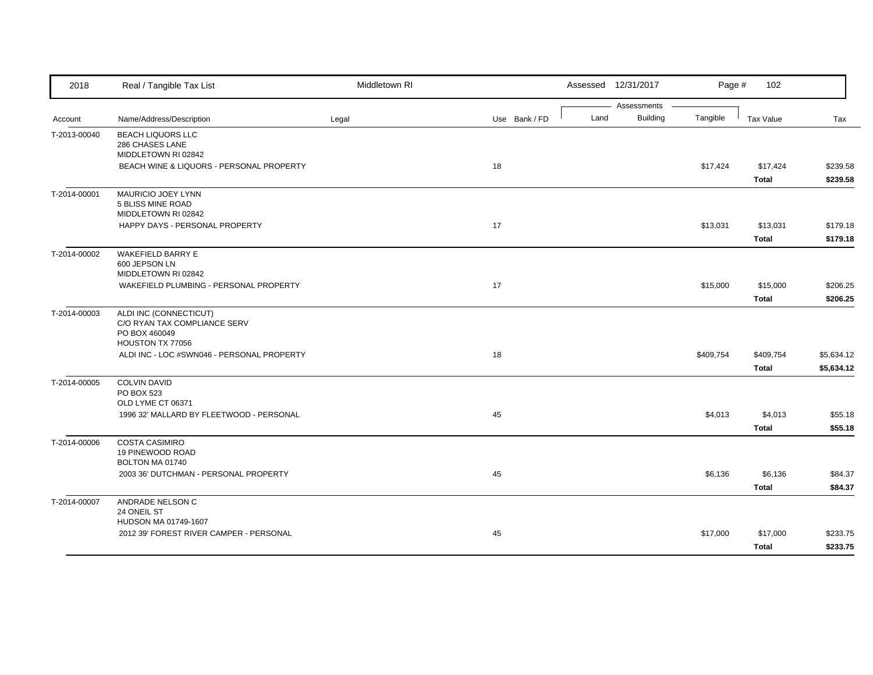| 2018         | Real / Tangible Tax List                                      | Middletown RI |               |      | Assessed 12/31/2017            | Page #    | 102          |            |
|--------------|---------------------------------------------------------------|---------------|---------------|------|--------------------------------|-----------|--------------|------------|
| Account      | Name/Address/Description                                      | Legal         | Use Bank / FD | Land | Assessments<br><b>Building</b> | Tangible  | Tax Value    | Tax        |
|              |                                                               |               |               |      |                                |           |              |            |
| T-2013-00040 | <b>BEACH LIQUORS LLC</b><br>286 CHASES LANE                   |               |               |      |                                |           |              |            |
|              | MIDDLETOWN RI 02842                                           |               |               |      |                                |           |              |            |
|              | BEACH WINE & LIQUORS - PERSONAL PROPERTY                      |               | 18            |      |                                | \$17,424  | \$17,424     | \$239.58   |
|              |                                                               |               |               |      |                                |           | <b>Total</b> | \$239.58   |
| T-2014-00001 | MAURICIO JOEY LYNN                                            |               |               |      |                                |           |              |            |
|              | 5 BLISS MINE ROAD                                             |               |               |      |                                |           |              |            |
|              | MIDDLETOWN RI 02842                                           |               |               |      |                                |           |              |            |
|              | HAPPY DAYS - PERSONAL PROPERTY                                |               | 17            |      |                                | \$13,031  | \$13,031     | \$179.18   |
|              |                                                               |               |               |      |                                |           | <b>Total</b> | \$179.18   |
| T-2014-00002 | <b>WAKEFIELD BARRY E</b>                                      |               |               |      |                                |           |              |            |
|              | 600 JEPSON LN                                                 |               |               |      |                                |           |              |            |
|              | MIDDLETOWN RI 02842<br>WAKEFIELD PLUMBING - PERSONAL PROPERTY |               | 17            |      |                                | \$15,000  | \$15,000     | \$206.25   |
|              |                                                               |               |               |      |                                |           | <b>Total</b> | \$206.25   |
| T-2014-00003 | ALDI INC (CONNECTICUT)                                        |               |               |      |                                |           |              |            |
|              | C/O RYAN TAX COMPLIANCE SERV                                  |               |               |      |                                |           |              |            |
|              | PO BOX 460049                                                 |               |               |      |                                |           |              |            |
|              | HOUSTON TX 77056                                              |               |               |      |                                |           |              |            |
|              | ALDI INC - LOC #SWN046 - PERSONAL PROPERTY                    |               | 18            |      |                                | \$409,754 | \$409,754    | \$5,634.12 |
|              |                                                               |               |               |      |                                |           | <b>Total</b> | \$5,634.12 |
| T-2014-00005 | <b>COLVIN DAVID</b>                                           |               |               |      |                                |           |              |            |
|              | PO BOX 523<br>OLD LYME CT 06371                               |               |               |      |                                |           |              |            |
|              | 1996 32' MALLARD BY FLEETWOOD - PERSONAL                      |               | 45            |      |                                | \$4,013   | \$4,013      | \$55.18    |
|              |                                                               |               |               |      |                                |           | <b>Total</b> | \$55.18    |
|              |                                                               |               |               |      |                                |           |              |            |
| T-2014-00006 | <b>COSTA CASIMIRO</b><br>19 PINEWOOD ROAD                     |               |               |      |                                |           |              |            |
|              | BOLTON MA 01740                                               |               |               |      |                                |           |              |            |
|              | 2003 36' DUTCHMAN - PERSONAL PROPERTY                         |               | 45            |      |                                | \$6,136   | \$6,136      | \$84.37    |
|              |                                                               |               |               |      |                                |           | <b>Total</b> | \$84.37    |
| T-2014-00007 | ANDRADE NELSON C                                              |               |               |      |                                |           |              |            |
|              | 24 ONEIL ST                                                   |               |               |      |                                |           |              |            |
|              | HUDSON MA 01749-1607                                          |               |               |      |                                |           |              |            |
|              | 2012 39' FOREST RIVER CAMPER - PERSONAL                       |               | 45            |      |                                | \$17,000  | \$17,000     | \$233.75   |
|              |                                                               |               |               |      |                                |           | <b>Total</b> | \$233.75   |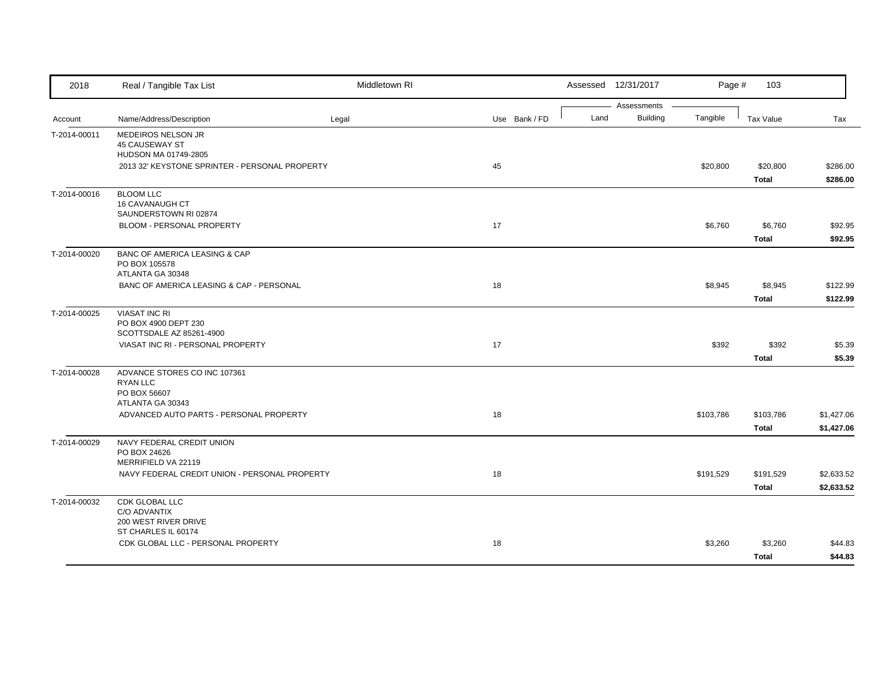| 2018         | Real / Tangible Tax List                                                            | Middletown RI |               |      | Assessed 12/31/2017            | Page #    | 103                       |                          |
|--------------|-------------------------------------------------------------------------------------|---------------|---------------|------|--------------------------------|-----------|---------------------------|--------------------------|
| Account      | Name/Address/Description                                                            | Legal         | Use Bank / FD | Land | Assessments<br><b>Building</b> | Tangible  | <b>Tax Value</b>          | Tax                      |
| T-2014-00011 | MEDEIROS NELSON JR<br><b>45 CAUSEWAY ST</b><br>HUDSON MA 01749-2805                 |               |               |      |                                |           |                           |                          |
|              | 2013 32' KEYSTONE SPRINTER - PERSONAL PROPERTY                                      |               | 45            |      |                                | \$20,800  | \$20,800<br><b>Total</b>  | \$286.00<br>\$286.00     |
| T-2014-00016 | <b>BLOOM LLC</b><br><b>16 CAVANAUGH CT</b><br>SAUNDERSTOWN RI 02874                 |               |               |      |                                |           |                           |                          |
|              | BLOOM - PERSONAL PROPERTY                                                           |               | 17            |      |                                | \$6,760   | \$6,760<br><b>Total</b>   | \$92.95<br>\$92.95       |
| T-2014-00020 | <b>BANC OF AMERICA LEASING &amp; CAP</b><br>PO BOX 105578<br>ATLANTA GA 30348       |               |               |      |                                |           |                           |                          |
|              | BANC OF AMERICA LEASING & CAP - PERSONAL                                            |               | 18            |      |                                | \$8,945   | \$8,945<br><b>Total</b>   | \$122.99<br>\$122.99     |
| T-2014-00025 | <b>VIASAT INC RI</b><br>PO BOX 4900 DEPT 230<br>SCOTTSDALE AZ 85261-4900            |               |               |      |                                |           |                           |                          |
|              | VIASAT INC RI - PERSONAL PROPERTY                                                   |               | 17            |      |                                | \$392     | \$392<br><b>Total</b>     | \$5.39<br>\$5.39         |
| T-2014-00028 | ADVANCE STORES CO INC 107361<br><b>RYAN LLC</b><br>PO BOX 56607<br>ATLANTA GA 30343 |               |               |      |                                |           |                           |                          |
|              | ADVANCED AUTO PARTS - PERSONAL PROPERTY                                             |               | 18            |      |                                | \$103,786 | \$103,786<br><b>Total</b> | \$1,427.06<br>\$1,427.06 |
| T-2014-00029 | NAVY FEDERAL CREDIT UNION<br>PO BOX 24626<br>MERRIFIELD VA 22119                    |               |               |      |                                |           |                           |                          |
|              | NAVY FEDERAL CREDIT UNION - PERSONAL PROPERTY                                       |               | 18            |      |                                | \$191,529 | \$191,529<br><b>Total</b> | \$2,633.52<br>\$2,633.52 |
| T-2014-00032 | CDK GLOBAL LLC<br>C/O ADVANTIX<br>200 WEST RIVER DRIVE<br>ST CHARLES IL 60174       |               |               |      |                                |           |                           |                          |
|              | CDK GLOBAL LLC - PERSONAL PROPERTY                                                  |               | 18            |      |                                | \$3,260   | \$3,260<br><b>Total</b>   | \$44.83<br>\$44.83       |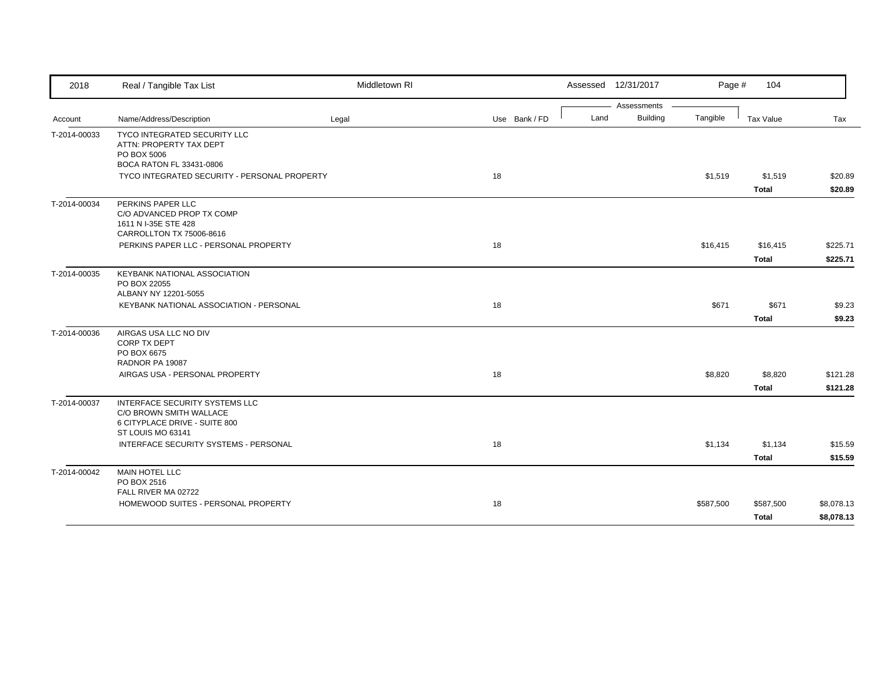| 2018         | Real / Tangible Tax List                                               | Middletown RI |               |      | Assessed 12/31/2017            | Page #    | 104          |            |
|--------------|------------------------------------------------------------------------|---------------|---------------|------|--------------------------------|-----------|--------------|------------|
|              |                                                                        |               |               |      | Assessments<br><b>Building</b> |           |              |            |
| Account      | Name/Address/Description                                               | Legal         | Use Bank / FD | Land |                                | Tangible  | Tax Value    | Tax        |
| T-2014-00033 | TYCO INTEGRATED SECURITY LLC<br>ATTN: PROPERTY TAX DEPT<br>PO BOX 5006 |               |               |      |                                |           |              |            |
|              | BOCA RATON FL 33431-0806                                               |               |               |      |                                |           |              |            |
|              | TYCO INTEGRATED SECURITY - PERSONAL PROPERTY                           |               | 18            |      |                                | \$1,519   | \$1,519      | \$20.89    |
|              |                                                                        |               |               |      |                                |           | <b>Total</b> | \$20.89    |
| T-2014-00034 | PERKINS PAPER LLC                                                      |               |               |      |                                |           |              |            |
|              | C/O ADVANCED PROP TX COMP                                              |               |               |      |                                |           |              |            |
|              | 1611 N I-35E STE 428<br>CARROLLTON TX 75006-8616                       |               |               |      |                                |           |              |            |
|              | PERKINS PAPER LLC - PERSONAL PROPERTY                                  |               | 18            |      |                                | \$16,415  | \$16,415     | \$225.71   |
|              |                                                                        |               |               |      |                                |           | <b>Total</b> | \$225.71   |
| T-2014-00035 | <b>KEYBANK NATIONAL ASSOCIATION</b>                                    |               |               |      |                                |           |              |            |
|              | PO BOX 22055                                                           |               |               |      |                                |           |              |            |
|              | ALBANY NY 12201-5055                                                   |               |               |      |                                |           |              |            |
|              | KEYBANK NATIONAL ASSOCIATION - PERSONAL                                |               | 18            |      |                                | \$671     | \$671        | \$9.23     |
|              |                                                                        |               |               |      |                                |           | <b>Total</b> | \$9.23     |
| T-2014-00036 | AIRGAS USA LLC NO DIV                                                  |               |               |      |                                |           |              |            |
|              | CORP TX DEPT<br>PO BOX 6675                                            |               |               |      |                                |           |              |            |
|              | RADNOR PA 19087                                                        |               |               |      |                                |           |              |            |
|              | AIRGAS USA - PERSONAL PROPERTY                                         |               | 18            |      |                                | \$8,820   | \$8,820      | \$121.28   |
|              |                                                                        |               |               |      |                                |           | <b>Total</b> | \$121.28   |
| T-2014-00037 | INTERFACE SECURITY SYSTEMS LLC                                         |               |               |      |                                |           |              |            |
|              | C/O BROWN SMITH WALLACE                                                |               |               |      |                                |           |              |            |
|              | 6 CITYPLACE DRIVE - SUITE 800<br>ST LOUIS MO 63141                     |               |               |      |                                |           |              |            |
|              | INTERFACE SECURITY SYSTEMS - PERSONAL                                  |               | 18            |      |                                | \$1,134   | \$1,134      | \$15.59    |
|              |                                                                        |               |               |      |                                |           | <b>Total</b> | \$15.59    |
| T-2014-00042 | <b>MAIN HOTEL LLC</b>                                                  |               |               |      |                                |           |              |            |
|              | PO BOX 2516                                                            |               |               |      |                                |           |              |            |
|              | FALL RIVER MA 02722                                                    |               |               |      |                                |           |              |            |
|              | HOMEWOOD SUITES - PERSONAL PROPERTY                                    |               | 18            |      |                                | \$587,500 | \$587,500    | \$8,078.13 |
|              |                                                                        |               |               |      |                                |           | Total        | \$8,078.13 |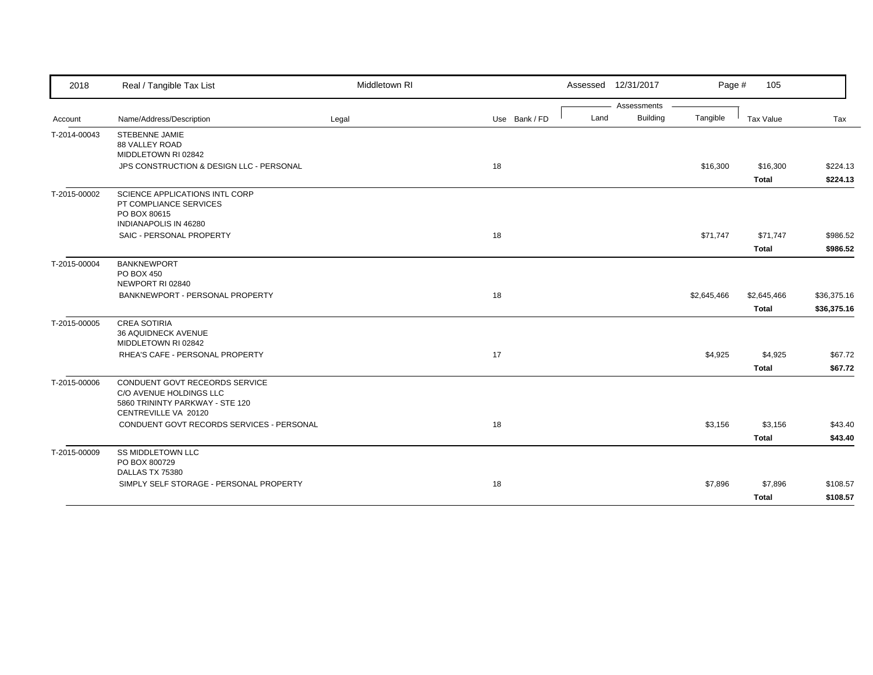| 2018         | Real / Tangible Tax List                                                                                             | Middletown RI |               |      | Assessed 12/31/2017 | Page #      | 105                         |                            |
|--------------|----------------------------------------------------------------------------------------------------------------------|---------------|---------------|------|---------------------|-------------|-----------------------------|----------------------------|
|              |                                                                                                                      |               |               |      | Assessments         |             |                             |                            |
| Account      | Name/Address/Description                                                                                             | Legal         | Use Bank / FD | Land | <b>Building</b>     | Tangible    | Tax Value                   | Tax                        |
| T-2014-00043 | <b>STEBENNE JAMIE</b><br>88 VALLEY ROAD<br>MIDDLETOWN RI 02842                                                       |               |               |      |                     |             |                             |                            |
|              | JPS CONSTRUCTION & DESIGN LLC - PERSONAL                                                                             |               | 18            |      |                     | \$16,300    | \$16,300<br><b>Total</b>    | \$224.13<br>\$224.13       |
| T-2015-00002 | <b>SCIENCE APPLICATIONS INTL CORP</b><br>PT COMPLIANCE SERVICES<br>PO BOX 80615<br>INDIANAPOLIS IN 46280             |               |               |      |                     |             |                             |                            |
|              | SAIC - PERSONAL PROPERTY                                                                                             |               | 18            |      |                     | \$71,747    | \$71,747<br><b>Total</b>    | \$986.52<br>\$986.52       |
| T-2015-00004 | <b>BANKNEWPORT</b><br>PO BOX 450<br>NEWPORT RI 02840                                                                 |               |               |      |                     |             |                             |                            |
|              | BANKNEWPORT - PERSONAL PROPERTY                                                                                      |               | 18            |      |                     | \$2,645,466 | \$2,645,466<br><b>Total</b> | \$36,375.16<br>\$36,375.16 |
| T-2015-00005 | <b>CREA SOTIRIA</b><br>36 AQUIDNECK AVENUE<br>MIDDLETOWN RI 02842                                                    |               |               |      |                     |             |                             |                            |
|              | RHEA'S CAFE - PERSONAL PROPERTY                                                                                      |               | 17            |      |                     | \$4,925     | \$4,925<br><b>Total</b>     | \$67.72<br>\$67.72         |
| T-2015-00006 | CONDUENT GOVT RECEORDS SERVICE<br>C/O AVENUE HOLDINGS LLC<br>5860 TRININTY PARKWAY - STE 120<br>CENTREVILLE VA 20120 |               |               |      |                     |             |                             |                            |
|              | CONDUENT GOVT RECORDS SERVICES - PERSONAL                                                                            |               | 18            |      |                     | \$3,156     | \$3,156<br><b>Total</b>     | \$43.40<br>\$43.40         |
| T-2015-00009 | <b>SS MIDDLETOWN LLC</b><br>PO BOX 800729<br>DALLAS TX 75380                                                         |               |               |      |                     |             |                             |                            |
|              | SIMPLY SELF STORAGE - PERSONAL PROPERTY                                                                              |               | 18            |      |                     | \$7,896     | \$7,896                     | \$108.57                   |
|              |                                                                                                                      |               |               |      |                     |             | <b>Total</b>                | \$108.57                   |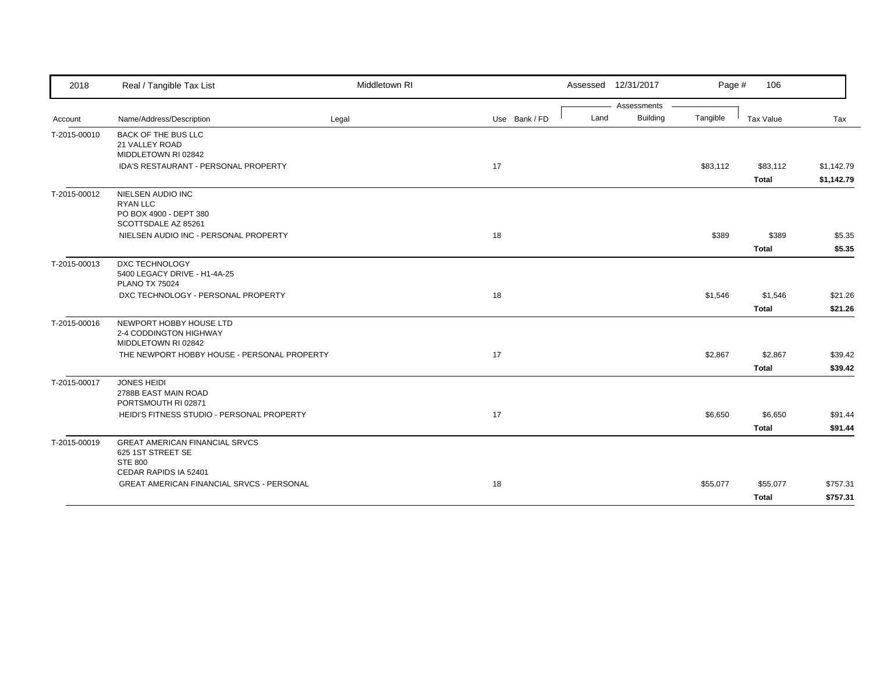| 2018         | Real / Tangible Tax List                                     | Middletown RI |               |      | Assessed 12/31/2017 | Page #   | 106          |            |
|--------------|--------------------------------------------------------------|---------------|---------------|------|---------------------|----------|--------------|------------|
|              |                                                              |               |               |      | Assessments         |          |              |            |
| Account      | Name/Address/Description                                     | Legal         | Use Bank / FD | Land | <b>Building</b>     | Tangible | Tax Value    | Tax        |
| T-2015-00010 | <b>BACK OF THE BUS LLC</b>                                   |               |               |      |                     |          |              |            |
|              | 21 VALLEY ROAD                                               |               |               |      |                     |          |              |            |
|              | MIDDLETOWN RI 02842                                          |               |               |      |                     |          |              |            |
|              | IDA'S RESTAURANT - PERSONAL PROPERTY                         |               | 17            |      |                     | \$83,112 | \$83,112     | \$1,142.79 |
|              |                                                              |               |               |      |                     |          | <b>Total</b> | \$1,142.79 |
| T-2015-00012 | NIELSEN AUDIO INC                                            |               |               |      |                     |          |              |            |
|              | <b>RYAN LLC</b>                                              |               |               |      |                     |          |              |            |
|              | PO BOX 4900 - DEPT 380                                       |               |               |      |                     |          |              |            |
|              | SCOTTSDALE AZ 85261<br>NIELSEN AUDIO INC - PERSONAL PROPERTY |               | 18            |      |                     | \$389    | \$389        | \$5.35     |
|              |                                                              |               |               |      |                     |          |              |            |
|              |                                                              |               |               |      |                     |          | <b>Total</b> | \$5.35     |
| T-2015-00013 | DXC TECHNOLOGY                                               |               |               |      |                     |          |              |            |
|              | 5400 LEGACY DRIVE - H1-4A-25                                 |               |               |      |                     |          |              |            |
|              | <b>PLANO TX 75024</b>                                        |               |               |      |                     |          |              |            |
|              | DXC TECHNOLOGY - PERSONAL PROPERTY                           |               | 18            |      |                     | \$1,546  | \$1,546      | \$21.26    |
|              |                                                              |               |               |      |                     |          | <b>Total</b> | \$21.26    |
| T-2015-00016 | NEWPORT HOBBY HOUSE LTD                                      |               |               |      |                     |          |              |            |
|              | 2-4 CODDINGTON HIGHWAY                                       |               |               |      |                     |          |              |            |
|              | MIDDLETOWN RI 02842                                          |               |               |      |                     |          |              |            |
|              | THE NEWPORT HOBBY HOUSE - PERSONAL PROPERTY                  |               | 17            |      |                     | \$2,867  | \$2,867      | \$39.42    |
|              |                                                              |               |               |      |                     |          | <b>Total</b> | \$39.42    |
| T-2015-00017 | <b>JONES HEIDI</b>                                           |               |               |      |                     |          |              |            |
|              | 2788B EAST MAIN ROAD                                         |               |               |      |                     |          |              |            |
|              | PORTSMOUTH RI 02871                                          |               |               |      |                     |          |              |            |
|              | HEIDI'S FITNESS STUDIO - PERSONAL PROPERTY                   |               | 17            |      |                     | \$6,650  | \$6,650      | \$91.44    |
|              |                                                              |               |               |      |                     |          | <b>Total</b> | \$91.44    |
| T-2015-00019 | <b>GREAT AMERICAN FINANCIAL SRVCS</b>                        |               |               |      |                     |          |              |            |
|              | 625 1ST STREET SE                                            |               |               |      |                     |          |              |            |
|              | <b>STE 800</b>                                               |               |               |      |                     |          |              |            |
|              | CEDAR RAPIDS IA 52401                                        |               |               |      |                     |          |              |            |
|              | <b>GREAT AMERICAN FINANCIAL SRVCS - PERSONAL</b>             |               | 18            |      |                     | \$55,077 | \$55,077     | \$757.31   |
|              |                                                              |               |               |      |                     |          | <b>Total</b> | \$757.31   |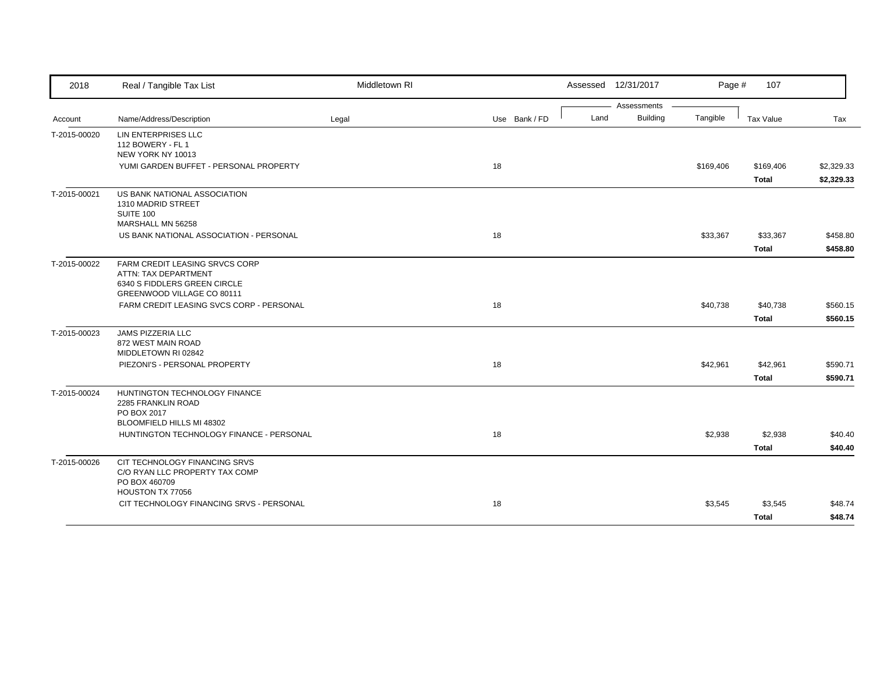| 2018         | Real / Tangible Tax List                                     | Middletown RI |               |      | Assessed 12/31/2017 | Page #    | 107          |            |
|--------------|--------------------------------------------------------------|---------------|---------------|------|---------------------|-----------|--------------|------------|
|              |                                                              |               |               |      | Assessments         |           |              |            |
| Account      | Name/Address/Description                                     | Legal         | Use Bank / FD | Land | <b>Building</b>     | Tangible  | Tax Value    | Tax        |
| T-2015-00020 | <b>LIN ENTERPRISES LLC</b><br>112 BOWERY - FL 1              |               |               |      |                     |           |              |            |
|              | NEW YORK NY 10013                                            |               |               |      |                     |           |              |            |
|              | YUMI GARDEN BUFFET - PERSONAL PROPERTY                       |               | 18            |      |                     | \$169,406 | \$169,406    | \$2,329.33 |
|              |                                                              |               |               |      |                     |           | <b>Total</b> | \$2,329.33 |
| T-2015-00021 | US BANK NATIONAL ASSOCIATION                                 |               |               |      |                     |           |              |            |
|              | 1310 MADRID STREET                                           |               |               |      |                     |           |              |            |
|              | SUITE 100<br>MARSHALL MN 56258                               |               |               |      |                     |           |              |            |
|              | US BANK NATIONAL ASSOCIATION - PERSONAL                      |               | 18            |      |                     | \$33,367  | \$33,367     | \$458.80   |
|              |                                                              |               |               |      |                     |           | Total        | \$458.80   |
| T-2015-00022 | FARM CREDIT LEASING SRVCS CORP                               |               |               |      |                     |           |              |            |
|              | ATTN: TAX DEPARTMENT                                         |               |               |      |                     |           |              |            |
|              | 6340 S FIDDLERS GREEN CIRCLE                                 |               |               |      |                     |           |              |            |
|              | GREENWOOD VILLAGE CO 80111                                   |               |               |      |                     |           |              |            |
|              | FARM CREDIT LEASING SVCS CORP - PERSONAL                     |               | 18            |      |                     | \$40,738  | \$40,738     | \$560.15   |
|              |                                                              |               |               |      |                     |           | <b>Total</b> | \$560.15   |
| T-2015-00023 | JAMS PIZZERIA LLC                                            |               |               |      |                     |           |              |            |
|              | 872 WEST MAIN ROAD                                           |               |               |      |                     |           |              |            |
|              | MIDDLETOWN RI 02842<br>PIEZONI'S - PERSONAL PROPERTY         |               | 18            |      |                     | \$42,961  | \$42,961     | \$590.71   |
|              |                                                              |               |               |      |                     |           |              | \$590.71   |
|              |                                                              |               |               |      |                     |           | <b>Total</b> |            |
| T-2015-00024 | HUNTINGTON TECHNOLOGY FINANCE<br>2285 FRANKLIN ROAD          |               |               |      |                     |           |              |            |
|              | PO BOX 2017                                                  |               |               |      |                     |           |              |            |
|              | BLOOMFIELD HILLS MI 48302                                    |               |               |      |                     |           |              |            |
|              | HUNTINGTON TECHNOLOGY FINANCE - PERSONAL                     |               | 18            |      |                     | \$2,938   | \$2,938      | \$40.40    |
|              |                                                              |               |               |      |                     |           | <b>Total</b> | \$40.40    |
| T-2015-00026 | CIT TECHNOLOGY FINANCING SRVS                                |               |               |      |                     |           |              |            |
|              | C/O RYAN LLC PROPERTY TAX COMP                               |               |               |      |                     |           |              |            |
|              | PO BOX 460709                                                |               |               |      |                     |           |              |            |
|              | HOUSTON TX 77056<br>CIT TECHNOLOGY FINANCING SRVS - PERSONAL |               | 18            |      |                     | \$3,545   | \$3,545      | \$48.74    |
|              |                                                              |               |               |      |                     |           |              |            |
|              |                                                              |               |               |      |                     |           | <b>Total</b> | \$48.74    |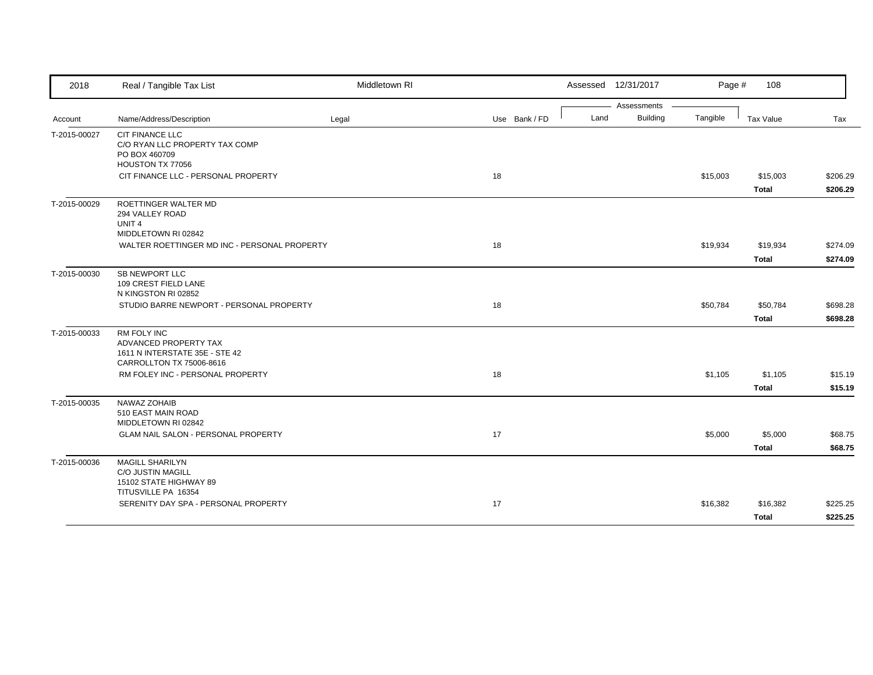| 2018         | Real / Tangible Tax List                                                                                  | Middletown RI |               |      | Assessed 12/31/2017 | Page #   | 108          |          |
|--------------|-----------------------------------------------------------------------------------------------------------|---------------|---------------|------|---------------------|----------|--------------|----------|
|              |                                                                                                           |               |               |      | Assessments         |          |              |          |
| Account      | Name/Address/Description                                                                                  | Legal         | Use Bank / FD | Land | <b>Building</b>     | Tangible | Tax Value    | Tax      |
| T-2015-00027 | <b>CIT FINANCE LLC</b><br>C/O RYAN LLC PROPERTY TAX COMP<br>PO BOX 460709<br>HOUSTON TX 77056             |               |               |      |                     |          |              |          |
|              | CIT FINANCE LLC - PERSONAL PROPERTY                                                                       |               | 18            |      |                     | \$15,003 | \$15,003     | \$206.29 |
|              |                                                                                                           |               |               |      |                     |          | <b>Total</b> | \$206.29 |
| T-2015-00029 | ROETTINGER WALTER MD<br>294 VALLEY ROAD<br>UNIT <sub>4</sub><br>MIDDLETOWN RI 02842                       |               |               |      |                     |          |              |          |
|              | WALTER ROETTINGER MD INC - PERSONAL PROPERTY                                                              |               | 18            |      |                     | \$19,934 | \$19,934     | \$274.09 |
|              |                                                                                                           |               |               |      |                     |          | <b>Total</b> | \$274.09 |
| T-2015-00030 | SB NEWPORT LLC<br>109 CREST FIELD LANE<br>N KINGSTON RI 02852                                             |               |               |      |                     |          |              |          |
|              | STUDIO BARRE NEWPORT - PERSONAL PROPERTY                                                                  |               | 18            |      |                     | \$50,784 | \$50,784     | \$698.28 |
|              |                                                                                                           |               |               |      |                     |          | <b>Total</b> | \$698.28 |
| T-2015-00033 | <b>RM FOLY INC</b><br>ADVANCED PROPERTY TAX<br>1611 N INTERSTATE 35E - STE 42<br>CARROLLTON TX 75006-8616 |               |               |      |                     |          |              |          |
|              | RM FOLEY INC - PERSONAL PROPERTY                                                                          |               | 18            |      |                     | \$1,105  | \$1,105      | \$15.19  |
|              |                                                                                                           |               |               |      |                     |          | <b>Total</b> | \$15.19  |
| T-2015-00035 | NAWAZ ZOHAIB<br>510 EAST MAIN ROAD<br>MIDDLETOWN RI 02842                                                 |               |               |      |                     |          |              |          |
|              | <b>GLAM NAIL SALON - PERSONAL PROPERTY</b>                                                                |               | 17            |      |                     | \$5,000  | \$5,000      | \$68.75  |
|              |                                                                                                           |               |               |      |                     |          | <b>Total</b> | \$68.75  |
| T-2015-00036 | <b>MAGILL SHARILYN</b><br><b>C/O JUSTIN MAGILL</b><br>15102 STATE HIGHWAY 89                              |               |               |      |                     |          |              |          |
|              | TITUSVILLE PA 16354<br>SERENITY DAY SPA - PERSONAL PROPERTY                                               |               | 17            |      |                     | \$16,382 | \$16,382     | \$225.25 |
|              |                                                                                                           |               |               |      |                     |          |              |          |
|              |                                                                                                           |               |               |      |                     |          | <b>Total</b> | \$225.25 |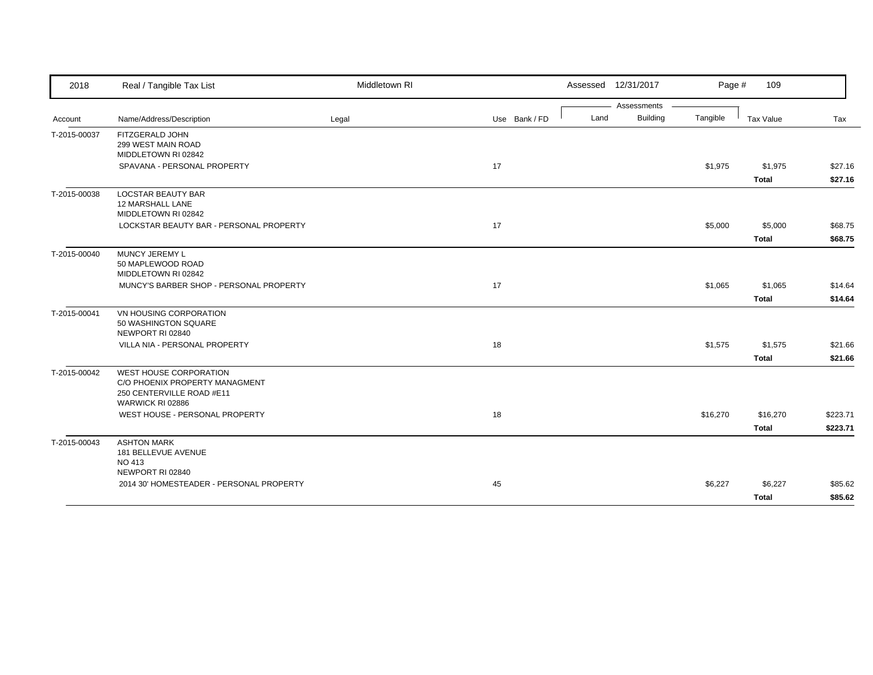| 2018         | Real / Tangible Tax List                                                                                  | Middletown RI |               | Assessed 12/31/2017 |                 | Page #   | 109          |          |
|--------------|-----------------------------------------------------------------------------------------------------------|---------------|---------------|---------------------|-----------------|----------|--------------|----------|
|              |                                                                                                           |               |               |                     | Assessments     |          |              |          |
| Account      | Name/Address/Description                                                                                  | Legal         | Use Bank / FD | Land                | <b>Building</b> | Tangible | Tax Value    | Tax      |
| T-2015-00037 | FITZGERALD JOHN<br>299 WEST MAIN ROAD<br>MIDDLETOWN RI 02842                                              |               |               |                     |                 |          |              |          |
|              | SPAVANA - PERSONAL PROPERTY                                                                               |               | 17            |                     |                 | \$1,975  | \$1,975      | \$27.16  |
|              |                                                                                                           |               |               |                     |                 |          | <b>Total</b> | \$27.16  |
| T-2015-00038 | <b>LOCSTAR BEAUTY BAR</b><br>12 MARSHALL LANE<br>MIDDLETOWN RI 02842                                      |               |               |                     |                 |          |              |          |
|              | LOCKSTAR BEAUTY BAR - PERSONAL PROPERTY                                                                   |               | 17            |                     |                 | \$5,000  | \$5,000      | \$68.75  |
|              |                                                                                                           |               |               |                     |                 |          | <b>Total</b> | \$68.75  |
| T-2015-00040 | MUNCY JEREMY L<br>50 MAPLEWOOD ROAD<br>MIDDLETOWN RI 02842                                                |               |               |                     |                 |          |              |          |
|              | MUNCY'S BARBER SHOP - PERSONAL PROPERTY                                                                   |               | 17            |                     |                 | \$1,065  | \$1,065      | \$14.64  |
|              |                                                                                                           |               |               |                     |                 |          | <b>Total</b> | \$14.64  |
| T-2015-00041 | VN HOUSING CORPORATION<br>50 WASHINGTON SQUARE<br>NEWPORT RI 02840                                        |               |               |                     |                 |          |              |          |
|              | VILLA NIA - PERSONAL PROPERTY                                                                             |               | 18            |                     |                 | \$1,575  | \$1,575      | \$21.66  |
|              |                                                                                                           |               |               |                     |                 |          | <b>Total</b> | \$21.66  |
| T-2015-00042 | WEST HOUSE CORPORATION<br>C/O PHOENIX PROPERTY MANAGMENT<br>250 CENTERVILLE ROAD #E11<br>WARWICK RI 02886 |               |               |                     |                 |          |              |          |
|              | WEST HOUSE - PERSONAL PROPERTY                                                                            |               | 18            |                     |                 | \$16,270 | \$16,270     | \$223.71 |
|              |                                                                                                           |               |               |                     |                 |          | <b>Total</b> | \$223.71 |
| T-2015-00043 | <b>ASHTON MARK</b><br>181 BELLEVUE AVENUE<br><b>NO 413</b><br>NEWPORT RI 02840                            |               |               |                     |                 |          |              |          |
|              | 2014 30' HOMESTEADER - PERSONAL PROPERTY                                                                  |               | 45            |                     |                 | \$6,227  | \$6,227      | \$85.62  |
|              |                                                                                                           |               |               |                     |                 |          | <b>Total</b> | \$85.62  |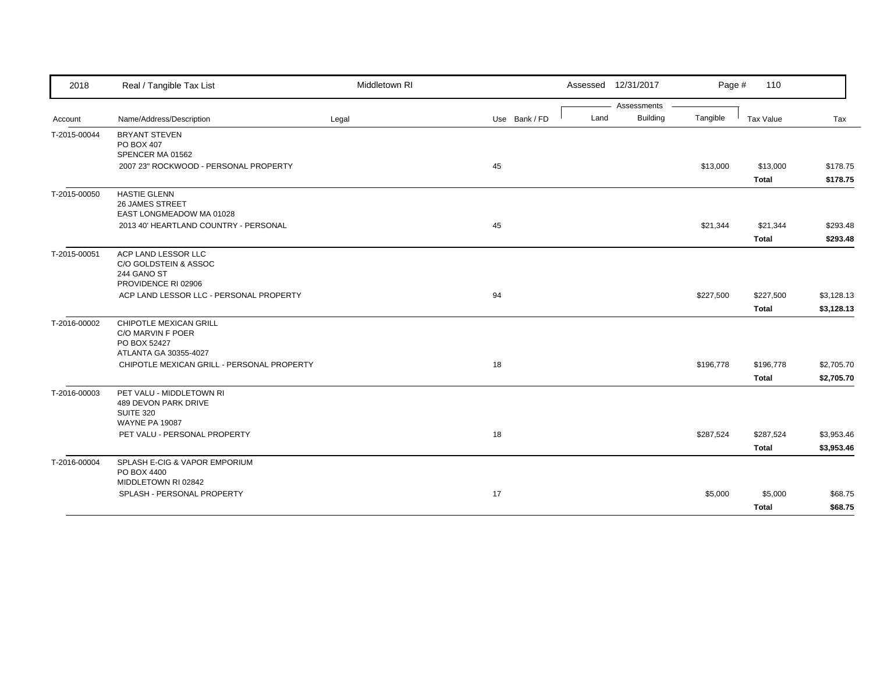| 2018         | Real / Tangible Tax List                      | Middletown RI |               | Assessed 12/31/2017 | Page #               | 110          |            |
|--------------|-----------------------------------------------|---------------|---------------|---------------------|----------------------|--------------|------------|
|              |                                               |               |               |                     | Assessments          |              |            |
| Account      | Name/Address/Description                      | Legal         | Use Bank / FD | Land                | Building<br>Tangible | Tax Value    | Tax        |
| T-2015-00044 | <b>BRYANT STEVEN</b><br>PO BOX 407            |               |               |                     |                      |              |            |
|              | SPENCER MA 01562                              |               |               |                     |                      |              |            |
|              | 2007 23" ROCKWOOD - PERSONAL PROPERTY         |               | 45            |                     | \$13,000             | \$13,000     | \$178.75   |
|              |                                               |               |               |                     |                      | <b>Total</b> | \$178.75   |
| T-2015-00050 | <b>HASTIE GLENN</b><br><b>26 JAMES STREET</b> |               |               |                     |                      |              |            |
|              | EAST LONGMEADOW MA 01028                      |               |               |                     |                      |              |            |
|              | 2013 40' HEARTLAND COUNTRY - PERSONAL         |               | 45            |                     | \$21,344             | \$21,344     | \$293.48   |
|              |                                               |               |               |                     |                      | <b>Total</b> | \$293.48   |
| T-2015-00051 | ACP LAND LESSOR LLC                           |               |               |                     |                      |              |            |
|              | C/O GOLDSTEIN & ASSOC                         |               |               |                     |                      |              |            |
|              | 244 GANO ST<br>PROVIDENCE RI 02906            |               |               |                     |                      |              |            |
|              | ACP LAND LESSOR LLC - PERSONAL PROPERTY       |               | 94            |                     | \$227,500            | \$227,500    | \$3,128.13 |
|              |                                               |               |               |                     |                      |              |            |
|              |                                               |               |               |                     |                      | <b>Total</b> | \$3,128.13 |
| T-2016-00002 | CHIPOTLE MEXICAN GRILL<br>C/O MARVIN F POER   |               |               |                     |                      |              |            |
|              | PO BOX 52427                                  |               |               |                     |                      |              |            |
|              | ATLANTA GA 30355-4027                         |               |               |                     |                      |              |            |
|              | CHIPOTLE MEXICAN GRILL - PERSONAL PROPERTY    |               | 18            |                     | \$196,778            | \$196,778    | \$2,705.70 |
|              |                                               |               |               |                     |                      | <b>Total</b> | \$2,705.70 |
| T-2016-00003 | PET VALU - MIDDLETOWN RI                      |               |               |                     |                      |              |            |
|              | 489 DEVON PARK DRIVE                          |               |               |                     |                      |              |            |
|              | <b>SUITE 320</b><br><b>WAYNE PA 19087</b>     |               |               |                     |                      |              |            |
|              | PET VALU - PERSONAL PROPERTY                  |               | 18            |                     | \$287,524            | \$287,524    | \$3,953.46 |
|              |                                               |               |               |                     |                      | <b>Total</b> | \$3,953.46 |
|              |                                               |               |               |                     |                      |              |            |
| T-2016-00004 | SPLASH E-CIG & VAPOR EMPORIUM<br>PO BOX 4400  |               |               |                     |                      |              |            |
|              | MIDDLETOWN RI 02842                           |               |               |                     |                      |              |            |
|              | SPLASH - PERSONAL PROPERTY                    |               | 17            |                     | \$5,000              | \$5,000      | \$68.75    |
|              |                                               |               |               |                     |                      | <b>Total</b> | \$68.75    |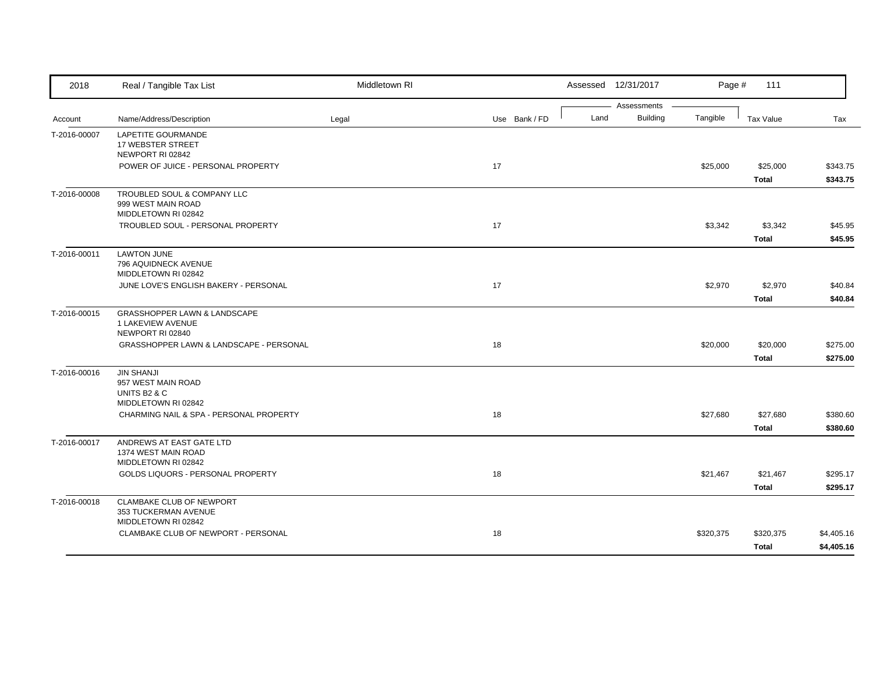| 2018         | Real / Tangible Tax List                                                       | Middletown RI |               |      | Assessed 12/31/2017            | Page #    | 111                      |                          |
|--------------|--------------------------------------------------------------------------------|---------------|---------------|------|--------------------------------|-----------|--------------------------|--------------------------|
| Account      | Name/Address/Description                                                       | Legal         | Use Bank / FD | Land | Assessments<br><b>Building</b> | Tangible  | Tax Value                | Tax                      |
| T-2016-00007 | LAPETITE GOURMANDE<br>17 WEBSTER STREET<br>NEWPORT RI 02842                    |               |               |      |                                |           |                          |                          |
|              | POWER OF JUICE - PERSONAL PROPERTY                                             |               | 17            |      |                                | \$25,000  | \$25,000<br><b>Total</b> | \$343.75<br>\$343.75     |
| T-2016-00008 | TROUBLED SOUL & COMPANY LLC<br>999 WEST MAIN ROAD<br>MIDDLETOWN RI 02842       |               |               |      |                                |           |                          |                          |
|              | TROUBLED SOUL - PERSONAL PROPERTY                                              |               | 17            |      |                                | \$3,342   | \$3,342<br><b>Total</b>  | \$45.95<br>\$45.95       |
| T-2016-00011 | <b>LAWTON JUNE</b><br>796 AQUIDNECK AVENUE<br>MIDDLETOWN RI 02842              |               |               |      |                                |           |                          |                          |
|              | JUNE LOVE'S ENGLISH BAKERY - PERSONAL                                          |               | 17            |      |                                | \$2,970   | \$2,970<br><b>Total</b>  | \$40.84<br>\$40.84       |
| T-2016-00015 | GRASSHOPPER LAWN & LANDSCAPE<br>1 LAKEVIEW AVENUE<br>NEWPORT RI 02840          |               |               |      |                                |           |                          |                          |
|              | GRASSHOPPER LAWN & LANDSCAPE - PERSONAL                                        |               | 18            |      |                                | \$20,000  | \$20,000<br><b>Total</b> | \$275.00<br>\$275.00     |
| T-2016-00016 | <b>JIN SHANJI</b><br>957 WEST MAIN ROAD<br>UNITS B2 & C<br>MIDDLETOWN RI 02842 |               |               |      |                                |           |                          |                          |
|              | CHARMING NAIL & SPA - PERSONAL PROPERTY                                        |               | 18            |      |                                | \$27,680  | \$27,680<br><b>Total</b> | \$380.60<br>\$380.60     |
| T-2016-00017 | ANDREWS AT EAST GATE LTD<br>1374 WEST MAIN ROAD<br>MIDDLETOWN RI 02842         |               |               |      |                                |           |                          |                          |
|              | GOLDS LIQUORS - PERSONAL PROPERTY                                              |               | 18            |      |                                | \$21,467  | \$21,467<br>Total        | \$295.17<br>\$295.17     |
| T-2016-00018 | <b>CLAMBAKE CLUB OF NEWPORT</b><br>353 TUCKERMAN AVENUE<br>MIDDLETOWN RI 02842 |               |               |      |                                |           |                          |                          |
|              | CLAMBAKE CLUB OF NEWPORT - PERSONAL                                            |               | 18            |      |                                | \$320,375 | \$320,375<br>Total       | \$4,405.16<br>\$4,405.16 |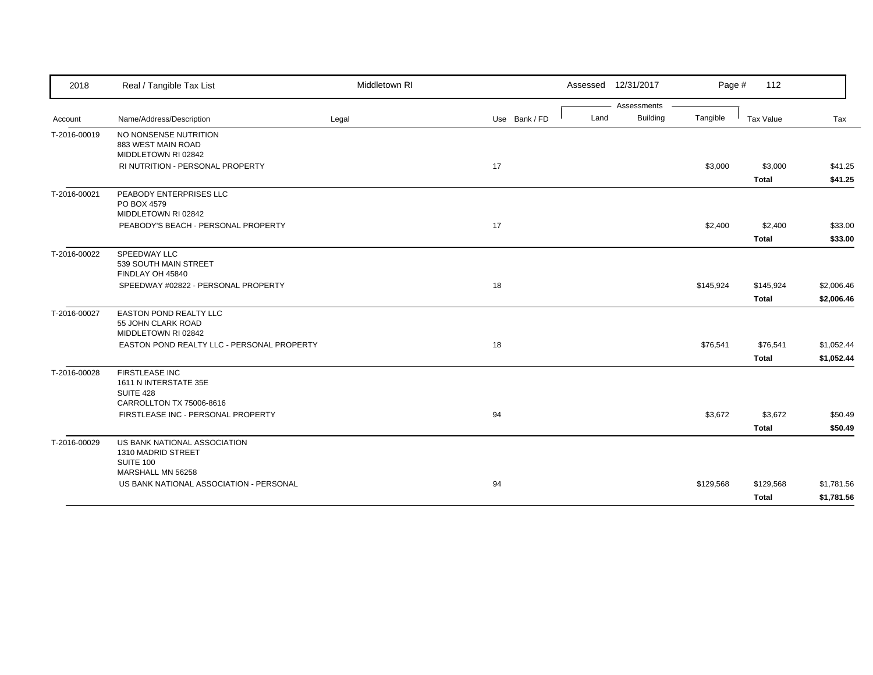| 2018         | Real / Tangible Tax List                                                                       | Middletown RI |               | Assessed 12/31/2017 |                 | Page #    | 112          |            |
|--------------|------------------------------------------------------------------------------------------------|---------------|---------------|---------------------|-----------------|-----------|--------------|------------|
|              |                                                                                                |               |               |                     | Assessments     |           |              |            |
| Account      | Name/Address/Description                                                                       | Legal         | Use Bank / FD | Land                | <b>Building</b> | Tangible  | Tax Value    | Tax        |
| T-2016-00019 | NO NONSENSE NUTRITION<br>883 WEST MAIN ROAD<br>MIDDLETOWN RI 02842                             |               |               |                     |                 |           |              |            |
|              | RI NUTRITION - PERSONAL PROPERTY                                                               |               | 17            |                     |                 | \$3,000   | \$3,000      | \$41.25    |
|              |                                                                                                |               |               |                     |                 |           | <b>Total</b> | \$41.25    |
| T-2016-00021 | PEABODY ENTERPRISES LLC<br>PO BOX 4579<br>MIDDLETOWN RI 02842                                  |               |               |                     |                 |           |              |            |
|              | PEABODY'S BEACH - PERSONAL PROPERTY                                                            |               | 17            |                     |                 | \$2,400   | \$2,400      | \$33.00    |
|              |                                                                                                |               |               |                     |                 |           | <b>Total</b> | \$33.00    |
| T-2016-00022 | SPEEDWAY LLC<br>539 SOUTH MAIN STREET<br>FINDLAY OH 45840                                      |               |               |                     |                 |           |              |            |
|              | SPEEDWAY #02822 - PERSONAL PROPERTY                                                            |               | 18            |                     |                 | \$145,924 | \$145,924    | \$2,006.46 |
|              |                                                                                                |               |               |                     |                 |           | <b>Total</b> | \$2,006.46 |
| T-2016-00027 | <b>EASTON POND REALTY LLC</b><br>55 JOHN CLARK ROAD<br>MIDDLETOWN RI 02842                     |               |               |                     |                 |           |              |            |
|              | EASTON POND REALTY LLC - PERSONAL PROPERTY                                                     |               | 18            |                     |                 | \$76,541  | \$76,541     | \$1,052.44 |
|              |                                                                                                |               |               |                     |                 |           | <b>Total</b> | \$1,052.44 |
| T-2016-00028 | <b>FIRSTLEASE INC</b><br>1611 N INTERSTATE 35E<br><b>SUITE 428</b><br>CARROLLTON TX 75006-8616 |               |               |                     |                 |           |              |            |
|              | FIRSTLEASE INC - PERSONAL PROPERTY                                                             |               | 94            |                     |                 | \$3,672   | \$3,672      | \$50.49    |
|              |                                                                                                |               |               |                     |                 |           | <b>Total</b> | \$50.49    |
| T-2016-00029 | US BANK NATIONAL ASSOCIATION<br>1310 MADRID STREET<br>SUITE 100<br>MARSHALL MN 56258           |               |               |                     |                 |           |              |            |
|              | US BANK NATIONAL ASSOCIATION - PERSONAL                                                        |               | 94            |                     |                 | \$129,568 | \$129,568    | \$1,781.56 |
|              |                                                                                                |               |               |                     |                 |           | <b>Total</b> | \$1,781.56 |
|              |                                                                                                |               |               |                     |                 |           |              |            |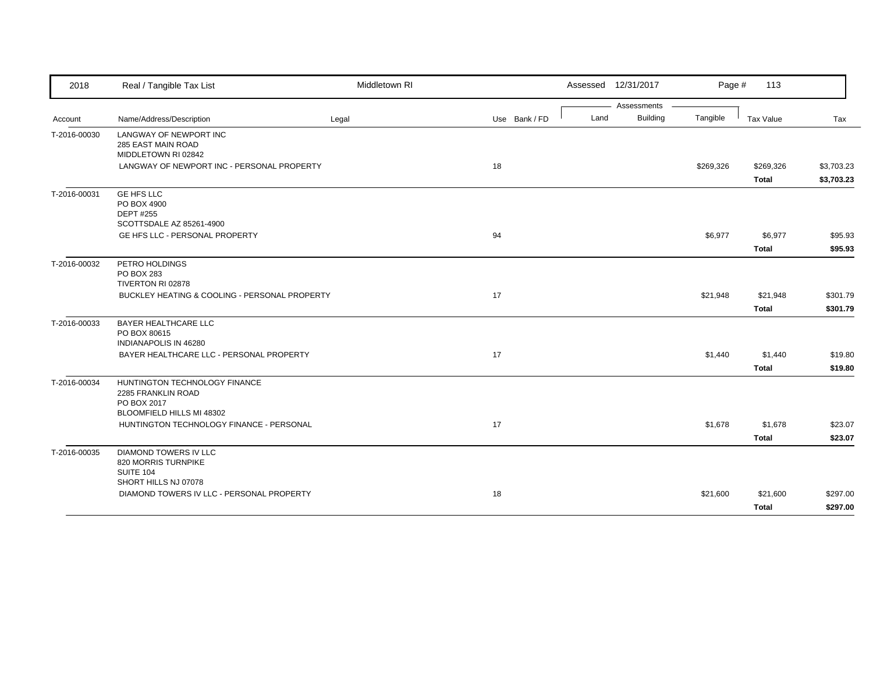| 2018         | Real / Tangible Tax List                                                 | Middletown RI |               |      | Assessed 12/31/2017 | Page #    | 113          |            |
|--------------|--------------------------------------------------------------------------|---------------|---------------|------|---------------------|-----------|--------------|------------|
|              |                                                                          |               |               |      | Assessments         |           |              |            |
| Account      | Name/Address/Description                                                 | Legal         | Use Bank / FD | Land | <b>Building</b>     | Tangible  | Tax Value    | Tax        |
| T-2016-00030 | LANGWAY OF NEWPORT INC                                                   |               |               |      |                     |           |              |            |
|              | 285 EAST MAIN ROAD<br>MIDDLETOWN RI 02842                                |               |               |      |                     |           |              |            |
|              | LANGWAY OF NEWPORT INC - PERSONAL PROPERTY                               |               | 18            |      |                     | \$269,326 | \$269,326    | \$3,703.23 |
|              |                                                                          |               |               |      |                     |           | <b>Total</b> | \$3,703.23 |
|              | <b>GE HFS LLC</b>                                                        |               |               |      |                     |           |              |            |
| T-2016-00031 | PO BOX 4900                                                              |               |               |      |                     |           |              |            |
|              | <b>DEPT #255</b>                                                         |               |               |      |                     |           |              |            |
|              | SCOTTSDALE AZ 85261-4900                                                 |               |               |      |                     |           |              |            |
|              | GE HFS LLC - PERSONAL PROPERTY                                           |               | 94            |      |                     | \$6,977   | \$6,977      | \$95.93    |
|              |                                                                          |               |               |      |                     |           | <b>Total</b> | \$95.93    |
| T-2016-00032 | PETRO HOLDINGS                                                           |               |               |      |                     |           |              |            |
|              | PO BOX 283                                                               |               |               |      |                     |           |              |            |
|              | TIVERTON RI 02878                                                        |               |               |      |                     |           |              |            |
|              | BUCKLEY HEATING & COOLING - PERSONAL PROPERTY                            |               | 17            |      |                     | \$21,948  | \$21,948     | \$301.79   |
|              |                                                                          |               |               |      |                     |           | <b>Total</b> | \$301.79   |
| T-2016-00033 | <b>BAYER HEALTHCARE LLC</b>                                              |               |               |      |                     |           |              |            |
|              | PO BOX 80615                                                             |               |               |      |                     |           |              |            |
|              | <b>INDIANAPOLIS IN 46280</b><br>BAYER HEALTHCARE LLC - PERSONAL PROPERTY |               | 17            |      |                     | \$1,440   | \$1,440      | \$19.80    |
|              |                                                                          |               |               |      |                     |           |              |            |
|              |                                                                          |               |               |      |                     |           | <b>Total</b> | \$19.80    |
| T-2016-00034 | HUNTINGTON TECHNOLOGY FINANCE<br>2285 FRANKLIN ROAD                      |               |               |      |                     |           |              |            |
|              | PO BOX 2017                                                              |               |               |      |                     |           |              |            |
|              | BLOOMFIELD HILLS MI 48302                                                |               |               |      |                     |           |              |            |
|              | HUNTINGTON TECHNOLOGY FINANCE - PERSONAL                                 |               | 17            |      |                     | \$1,678   | \$1,678      | \$23.07    |
|              |                                                                          |               |               |      |                     |           | <b>Total</b> | \$23.07    |
| T-2016-00035 | <b>DIAMOND TOWERS IV LLC</b>                                             |               |               |      |                     |           |              |            |
|              | 820 MORRIS TURNPIKE                                                      |               |               |      |                     |           |              |            |
|              | <b>SUITE 104</b>                                                         |               |               |      |                     |           |              |            |
|              | SHORT HILLS NJ 07078                                                     |               |               |      |                     |           |              |            |
|              | DIAMOND TOWERS IV LLC - PERSONAL PROPERTY                                |               | 18            |      |                     | \$21,600  | \$21,600     | \$297.00   |
|              |                                                                          |               |               |      |                     |           | <b>Total</b> | \$297.00   |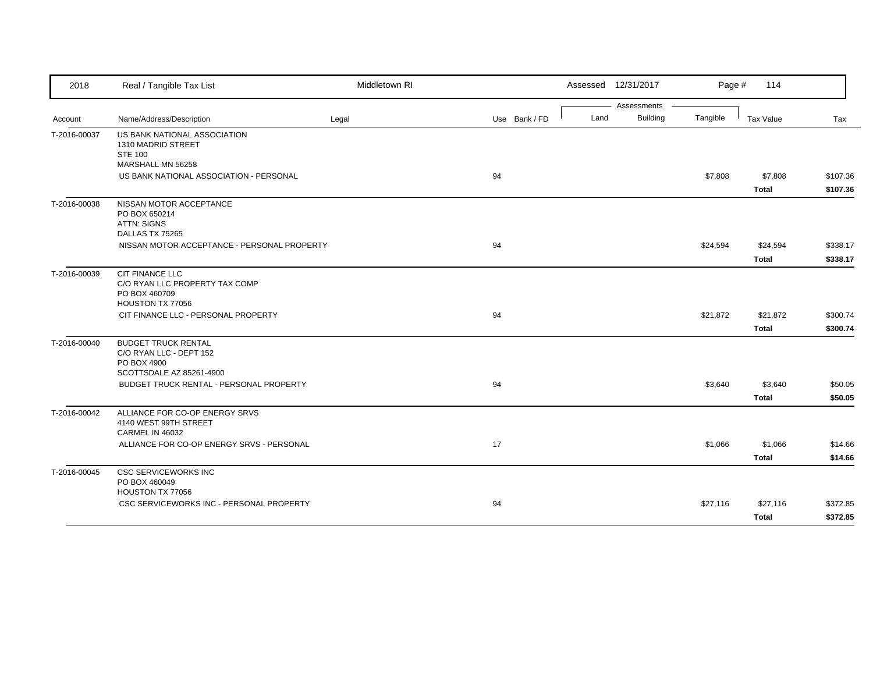| 2018         | Real / Tangible Tax List                                                                         | Middletown RI |    |               |      | Assessed 12/31/2017 | Page #   | 114          |          |
|--------------|--------------------------------------------------------------------------------------------------|---------------|----|---------------|------|---------------------|----------|--------------|----------|
|              |                                                                                                  |               |    |               |      | Assessments         |          |              |          |
| Account      | Name/Address/Description                                                                         | Legal         |    | Use Bank / FD | Land | <b>Building</b>     | Tangible | Tax Value    | Tax      |
| T-2016-00037 | US BANK NATIONAL ASSOCIATION<br>1310 MADRID STREET<br><b>STE 100</b><br>MARSHALL MN 56258        |               |    |               |      |                     |          |              |          |
|              | US BANK NATIONAL ASSOCIATION - PERSONAL                                                          |               | 94 |               |      |                     | \$7,808  | \$7,808      | \$107.36 |
|              |                                                                                                  |               |    |               |      |                     |          | <b>Total</b> | \$107.36 |
| T-2016-00038 | NISSAN MOTOR ACCEPTANCE<br>PO BOX 650214<br><b>ATTN: SIGNS</b><br>DALLAS TX 75265                |               |    |               |      |                     |          |              |          |
|              | NISSAN MOTOR ACCEPTANCE - PERSONAL PROPERTY                                                      |               | 94 |               |      |                     | \$24,594 | \$24,594     | \$338.17 |
|              |                                                                                                  |               |    |               |      |                     |          | <b>Total</b> | \$338.17 |
| T-2016-00039 | CIT FINANCE LLC<br>C/O RYAN LLC PROPERTY TAX COMP<br>PO BOX 460709<br>HOUSTON TX 77056           |               |    |               |      |                     |          |              |          |
|              | CIT FINANCE LLC - PERSONAL PROPERTY                                                              |               | 94 |               |      |                     | \$21,872 | \$21,872     | \$300.74 |
|              |                                                                                                  |               |    |               |      |                     |          | <b>Total</b> | \$300.74 |
| T-2016-00040 | <b>BUDGET TRUCK RENTAL</b><br>C/O RYAN LLC - DEPT 152<br>PO BOX 4900<br>SCOTTSDALE AZ 85261-4900 |               |    |               |      |                     |          |              |          |
|              | BUDGET TRUCK RENTAL - PERSONAL PROPERTY                                                          |               | 94 |               |      |                     | \$3,640  | \$3,640      | \$50.05  |
|              |                                                                                                  |               |    |               |      |                     |          | <b>Total</b> | \$50.05  |
| T-2016-00042 | ALLIANCE FOR CO-OP ENERGY SRVS<br>4140 WEST 99TH STREET<br>CARMEL IN 46032                       |               |    |               |      |                     |          |              |          |
|              | ALLIANCE FOR CO-OP ENERGY SRVS - PERSONAL                                                        |               | 17 |               |      |                     | \$1,066  | \$1,066      | \$14.66  |
|              |                                                                                                  |               |    |               |      |                     |          | <b>Total</b> | \$14.66  |
| T-2016-00045 | <b>CSC SERVICEWORKS INC</b><br>PO BOX 460049<br>HOUSTON TX 77056                                 |               |    |               |      |                     |          |              |          |
|              | CSC SERVICEWORKS INC - PERSONAL PROPERTY                                                         |               | 94 |               |      |                     | \$27,116 | \$27,116     | \$372.85 |
|              |                                                                                                  |               |    |               |      |                     |          | <b>Total</b> | \$372.85 |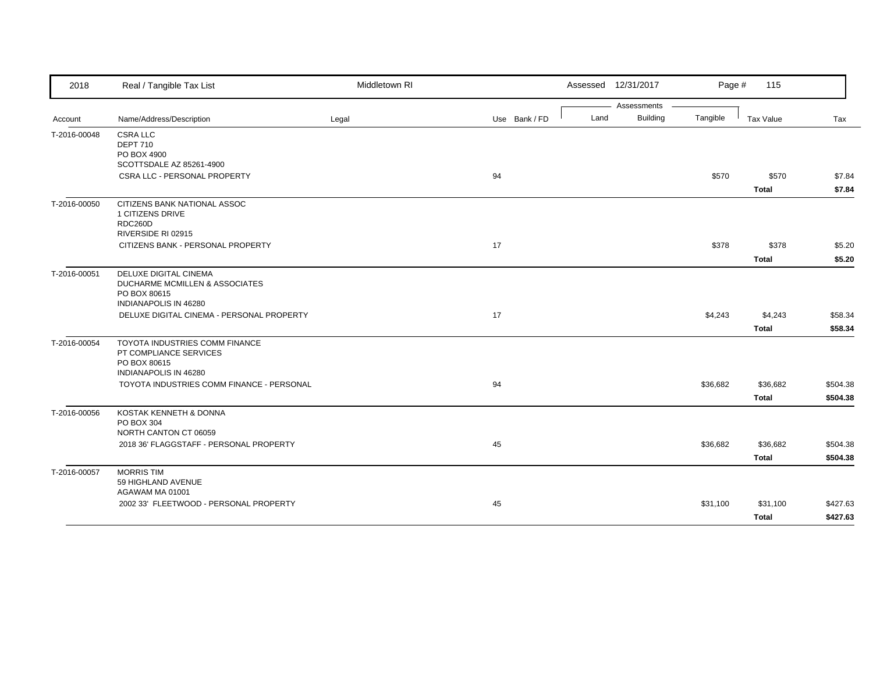| 2018         | Real / Tangible Tax List                                                                                 | Middletown RI |               |      | Assessed 12/31/2017 | Page #   | 115          |          |
|--------------|----------------------------------------------------------------------------------------------------------|---------------|---------------|------|---------------------|----------|--------------|----------|
|              |                                                                                                          |               |               |      | Assessments         |          |              |          |
| Account      | Name/Address/Description                                                                                 | Legal         | Use Bank / FD | Land | <b>Building</b>     | Tangible | Tax Value    | Tax      |
| T-2016-00048 | <b>CSRA LLC</b><br><b>DEPT 710</b><br>PO BOX 4900<br>SCOTTSDALE AZ 85261-4900                            |               |               |      |                     |          |              |          |
|              | CSRA LLC - PERSONAL PROPERTY                                                                             |               | 94            |      |                     | \$570    | \$570        | \$7.84   |
|              |                                                                                                          |               |               |      |                     |          | <b>Total</b> | \$7.84   |
| T-2016-00050 | CITIZENS BANK NATIONAL ASSOC<br>1 CITIZENS DRIVE<br>RDC260D<br>RIVERSIDE RI 02915                        |               |               |      |                     |          |              |          |
|              | CITIZENS BANK - PERSONAL PROPERTY                                                                        |               | 17            |      |                     | \$378    | \$378        | \$5.20   |
|              |                                                                                                          |               |               |      |                     |          | <b>Total</b> | \$5.20   |
| T-2016-00051 | DELUXE DIGITAL CINEMA<br>DUCHARME MCMILLEN & ASSOCIATES<br>PO BOX 80615<br>INDIANAPOLIS IN 46280         |               |               |      |                     |          |              |          |
|              | DELUXE DIGITAL CINEMA - PERSONAL PROPERTY                                                                |               | 17            |      |                     | \$4,243  | \$4,243      | \$58.34  |
|              |                                                                                                          |               |               |      |                     |          | <b>Total</b> | \$58.34  |
| T-2016-00054 | TOYOTA INDUSTRIES COMM FINANCE<br>PT COMPLIANCE SERVICES<br>PO BOX 80615<br><b>INDIANAPOLIS IN 46280</b> |               |               |      |                     |          |              |          |
|              | TOYOTA INDUSTRIES COMM FINANCE - PERSONAL                                                                |               | 94            |      |                     | \$36,682 | \$36,682     | \$504.38 |
|              |                                                                                                          |               |               |      |                     |          | <b>Total</b> | \$504.38 |
| T-2016-00056 | KOSTAK KENNETH & DONNA<br>PO BOX 304<br>NORTH CANTON CT 06059                                            |               |               |      |                     |          |              |          |
|              | 2018 36' FLAGGSTAFF - PERSONAL PROPERTY                                                                  |               | 45            |      |                     | \$36,682 | \$36,682     | \$504.38 |
|              |                                                                                                          |               |               |      |                     |          | <b>Total</b> | \$504.38 |
| T-2016-00057 | <b>MORRIS TIM</b><br>59 HIGHLAND AVENUE<br>AGAWAM MA 01001                                               |               |               |      |                     |          |              |          |
|              | 2002 33' FLEETWOOD - PERSONAL PROPERTY                                                                   |               | 45            |      |                     | \$31,100 | \$31,100     | \$427.63 |
|              |                                                                                                          |               |               |      |                     |          | <b>Total</b> | \$427.63 |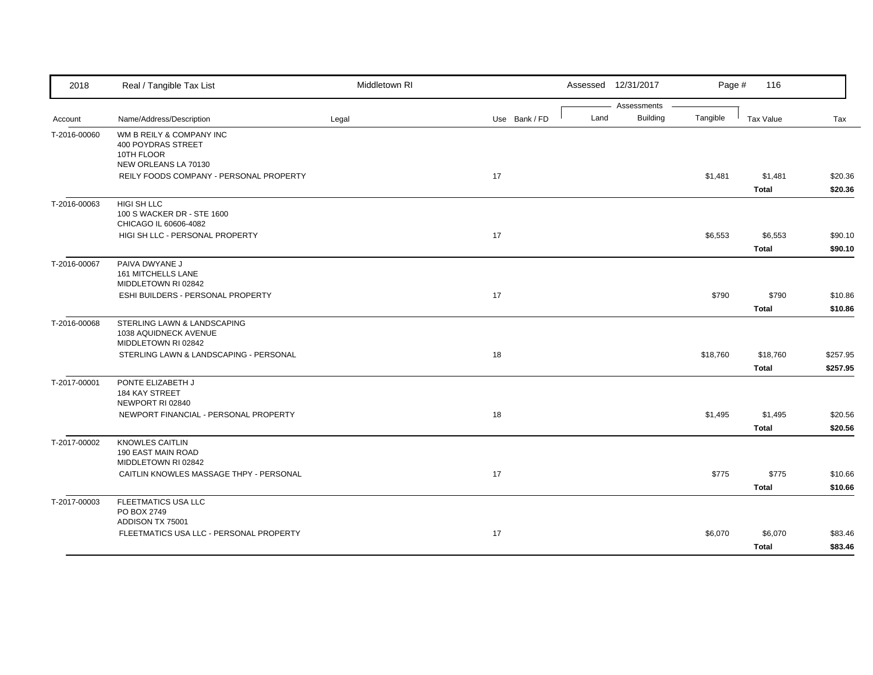| Assessments<br><b>Building</b><br>Land<br>Tangible<br>Name/Address/Description<br>Legal<br>Tax Value<br>Tax<br>Account<br>Use Bank / FD<br>T-2016-00060<br>WM B REILY & COMPANY INC<br>400 POYDRAS STREET<br>10TH FLOOR<br>NEW ORLEANS LA 70130<br>17<br>REILY FOODS COMPANY - PERSONAL PROPERTY<br>\$1,481<br>\$1,481<br><b>Total</b><br>HIGI SH LLC<br>T-2016-00063<br>100 S WACKER DR - STE 1600<br>CHICAGO IL 60606-4082<br>HIGI SH LLC - PERSONAL PROPERTY<br>17<br>\$6,553<br>\$6,553<br><b>Total</b><br>PAIVA DWYANE J<br>T-2016-00067<br>161 MITCHELLS LANE<br>MIDDLETOWN RI 02842<br>ESHI BUILDERS - PERSONAL PROPERTY<br>17<br>\$790<br>\$790<br><b>Total</b><br>STERLING LAWN & LANDSCAPING<br>1038 AQUIDNECK AVENUE<br>MIDDLETOWN RI 02842<br>STERLING LAWN & LANDSCAPING - PERSONAL<br>18<br>\$18,760<br>\$18,760<br><b>Total</b><br>T-2017-00001<br>PONTE ELIZABETH J<br>184 KAY STREET<br>NEWPORT RI 02840<br>NEWPORT FINANCIAL - PERSONAL PROPERTY<br>18<br>\$1,495<br>\$1,495<br><b>Total</b><br><b>KNOWLES CAITLIN</b><br>190 EAST MAIN ROAD<br>MIDDLETOWN RI 02842<br>17<br>\$775<br>\$775<br>CAITLIN KNOWLES MASSAGE THPY - PERSONAL<br><b>Total</b><br>FLEETMATICS USA LLC<br>T-2017-00003<br>PO BOX 2749<br>ADDISON TX 75001<br>FLEETMATICS USA LLC - PERSONAL PROPERTY<br>17<br>\$6,070<br>\$6,070<br><b>Total</b> | 2018         | Real / Tangible Tax List | Middletown RI | Assessed 12/31/2017 | Page # | 116 |  |
|-------------------------------------------------------------------------------------------------------------------------------------------------------------------------------------------------------------------------------------------------------------------------------------------------------------------------------------------------------------------------------------------------------------------------------------------------------------------------------------------------------------------------------------------------------------------------------------------------------------------------------------------------------------------------------------------------------------------------------------------------------------------------------------------------------------------------------------------------------------------------------------------------------------------------------------------------------------------------------------------------------------------------------------------------------------------------------------------------------------------------------------------------------------------------------------------------------------------------------------------------------------------------------------------------------------------------------------------|--------------|--------------------------|---------------|---------------------|--------|-----|--|
|                                                                                                                                                                                                                                                                                                                                                                                                                                                                                                                                                                                                                                                                                                                                                                                                                                                                                                                                                                                                                                                                                                                                                                                                                                                                                                                                           |              |                          |               |                     |        |     |  |
| \$20.36<br>\$20.36<br>\$90.10<br>\$90.10                                                                                                                                                                                                                                                                                                                                                                                                                                                                                                                                                                                                                                                                                                                                                                                                                                                                                                                                                                                                                                                                                                                                                                                                                                                                                                  |              |                          |               |                     |        |     |  |
|                                                                                                                                                                                                                                                                                                                                                                                                                                                                                                                                                                                                                                                                                                                                                                                                                                                                                                                                                                                                                                                                                                                                                                                                                                                                                                                                           |              |                          |               |                     |        |     |  |
|                                                                                                                                                                                                                                                                                                                                                                                                                                                                                                                                                                                                                                                                                                                                                                                                                                                                                                                                                                                                                                                                                                                                                                                                                                                                                                                                           |              |                          |               |                     |        |     |  |
|                                                                                                                                                                                                                                                                                                                                                                                                                                                                                                                                                                                                                                                                                                                                                                                                                                                                                                                                                                                                                                                                                                                                                                                                                                                                                                                                           |              |                          |               |                     |        |     |  |
|                                                                                                                                                                                                                                                                                                                                                                                                                                                                                                                                                                                                                                                                                                                                                                                                                                                                                                                                                                                                                                                                                                                                                                                                                                                                                                                                           |              |                          |               |                     |        |     |  |
|                                                                                                                                                                                                                                                                                                                                                                                                                                                                                                                                                                                                                                                                                                                                                                                                                                                                                                                                                                                                                                                                                                                                                                                                                                                                                                                                           |              |                          |               |                     |        |     |  |
|                                                                                                                                                                                                                                                                                                                                                                                                                                                                                                                                                                                                                                                                                                                                                                                                                                                                                                                                                                                                                                                                                                                                                                                                                                                                                                                                           |              |                          |               |                     |        |     |  |
|                                                                                                                                                                                                                                                                                                                                                                                                                                                                                                                                                                                                                                                                                                                                                                                                                                                                                                                                                                                                                                                                                                                                                                                                                                                                                                                                           |              |                          |               |                     |        |     |  |
|                                                                                                                                                                                                                                                                                                                                                                                                                                                                                                                                                                                                                                                                                                                                                                                                                                                                                                                                                                                                                                                                                                                                                                                                                                                                                                                                           |              |                          |               |                     |        |     |  |
| \$10.86<br>\$10.86<br>\$257.95<br>\$257.95                                                                                                                                                                                                                                                                                                                                                                                                                                                                                                                                                                                                                                                                                                                                                                                                                                                                                                                                                                                                                                                                                                                                                                                                                                                                                                |              |                          |               |                     |        |     |  |
|                                                                                                                                                                                                                                                                                                                                                                                                                                                                                                                                                                                                                                                                                                                                                                                                                                                                                                                                                                                                                                                                                                                                                                                                                                                                                                                                           |              |                          |               |                     |        |     |  |
|                                                                                                                                                                                                                                                                                                                                                                                                                                                                                                                                                                                                                                                                                                                                                                                                                                                                                                                                                                                                                                                                                                                                                                                                                                                                                                                                           |              |                          |               |                     |        |     |  |
|                                                                                                                                                                                                                                                                                                                                                                                                                                                                                                                                                                                                                                                                                                                                                                                                                                                                                                                                                                                                                                                                                                                                                                                                                                                                                                                                           |              |                          |               |                     |        |     |  |
|                                                                                                                                                                                                                                                                                                                                                                                                                                                                                                                                                                                                                                                                                                                                                                                                                                                                                                                                                                                                                                                                                                                                                                                                                                                                                                                                           |              |                          |               |                     |        |     |  |
|                                                                                                                                                                                                                                                                                                                                                                                                                                                                                                                                                                                                                                                                                                                                                                                                                                                                                                                                                                                                                                                                                                                                                                                                                                                                                                                                           |              |                          |               |                     |        |     |  |
|                                                                                                                                                                                                                                                                                                                                                                                                                                                                                                                                                                                                                                                                                                                                                                                                                                                                                                                                                                                                                                                                                                                                                                                                                                                                                                                                           | T-2016-00068 |                          |               |                     |        |     |  |
|                                                                                                                                                                                                                                                                                                                                                                                                                                                                                                                                                                                                                                                                                                                                                                                                                                                                                                                                                                                                                                                                                                                                                                                                                                                                                                                                           |              |                          |               |                     |        |     |  |
|                                                                                                                                                                                                                                                                                                                                                                                                                                                                                                                                                                                                                                                                                                                                                                                                                                                                                                                                                                                                                                                                                                                                                                                                                                                                                                                                           |              |                          |               |                     |        |     |  |
| \$20.56<br>\$20.56<br>\$10.66<br>\$10.66<br>\$83.46<br>\$83.46                                                                                                                                                                                                                                                                                                                                                                                                                                                                                                                                                                                                                                                                                                                                                                                                                                                                                                                                                                                                                                                                                                                                                                                                                                                                            |              |                          |               |                     |        |     |  |
|                                                                                                                                                                                                                                                                                                                                                                                                                                                                                                                                                                                                                                                                                                                                                                                                                                                                                                                                                                                                                                                                                                                                                                                                                                                                                                                                           |              |                          |               |                     |        |     |  |
|                                                                                                                                                                                                                                                                                                                                                                                                                                                                                                                                                                                                                                                                                                                                                                                                                                                                                                                                                                                                                                                                                                                                                                                                                                                                                                                                           |              |                          |               |                     |        |     |  |
|                                                                                                                                                                                                                                                                                                                                                                                                                                                                                                                                                                                                                                                                                                                                                                                                                                                                                                                                                                                                                                                                                                                                                                                                                                                                                                                                           |              |                          |               |                     |        |     |  |
|                                                                                                                                                                                                                                                                                                                                                                                                                                                                                                                                                                                                                                                                                                                                                                                                                                                                                                                                                                                                                                                                                                                                                                                                                                                                                                                                           |              |                          |               |                     |        |     |  |
|                                                                                                                                                                                                                                                                                                                                                                                                                                                                                                                                                                                                                                                                                                                                                                                                                                                                                                                                                                                                                                                                                                                                                                                                                                                                                                                                           |              |                          |               |                     |        |     |  |
|                                                                                                                                                                                                                                                                                                                                                                                                                                                                                                                                                                                                                                                                                                                                                                                                                                                                                                                                                                                                                                                                                                                                                                                                                                                                                                                                           | T-2017-00002 |                          |               |                     |        |     |  |
|                                                                                                                                                                                                                                                                                                                                                                                                                                                                                                                                                                                                                                                                                                                                                                                                                                                                                                                                                                                                                                                                                                                                                                                                                                                                                                                                           |              |                          |               |                     |        |     |  |
|                                                                                                                                                                                                                                                                                                                                                                                                                                                                                                                                                                                                                                                                                                                                                                                                                                                                                                                                                                                                                                                                                                                                                                                                                                                                                                                                           |              |                          |               |                     |        |     |  |
|                                                                                                                                                                                                                                                                                                                                                                                                                                                                                                                                                                                                                                                                                                                                                                                                                                                                                                                                                                                                                                                                                                                                                                                                                                                                                                                                           |              |                          |               |                     |        |     |  |
|                                                                                                                                                                                                                                                                                                                                                                                                                                                                                                                                                                                                                                                                                                                                                                                                                                                                                                                                                                                                                                                                                                                                                                                                                                                                                                                                           |              |                          |               |                     |        |     |  |
|                                                                                                                                                                                                                                                                                                                                                                                                                                                                                                                                                                                                                                                                                                                                                                                                                                                                                                                                                                                                                                                                                                                                                                                                                                                                                                                                           |              |                          |               |                     |        |     |  |
|                                                                                                                                                                                                                                                                                                                                                                                                                                                                                                                                                                                                                                                                                                                                                                                                                                                                                                                                                                                                                                                                                                                                                                                                                                                                                                                                           |              |                          |               |                     |        |     |  |
|                                                                                                                                                                                                                                                                                                                                                                                                                                                                                                                                                                                                                                                                                                                                                                                                                                                                                                                                                                                                                                                                                                                                                                                                                                                                                                                                           |              |                          |               |                     |        |     |  |
|                                                                                                                                                                                                                                                                                                                                                                                                                                                                                                                                                                                                                                                                                                                                                                                                                                                                                                                                                                                                                                                                                                                                                                                                                                                                                                                                           |              |                          |               |                     |        |     |  |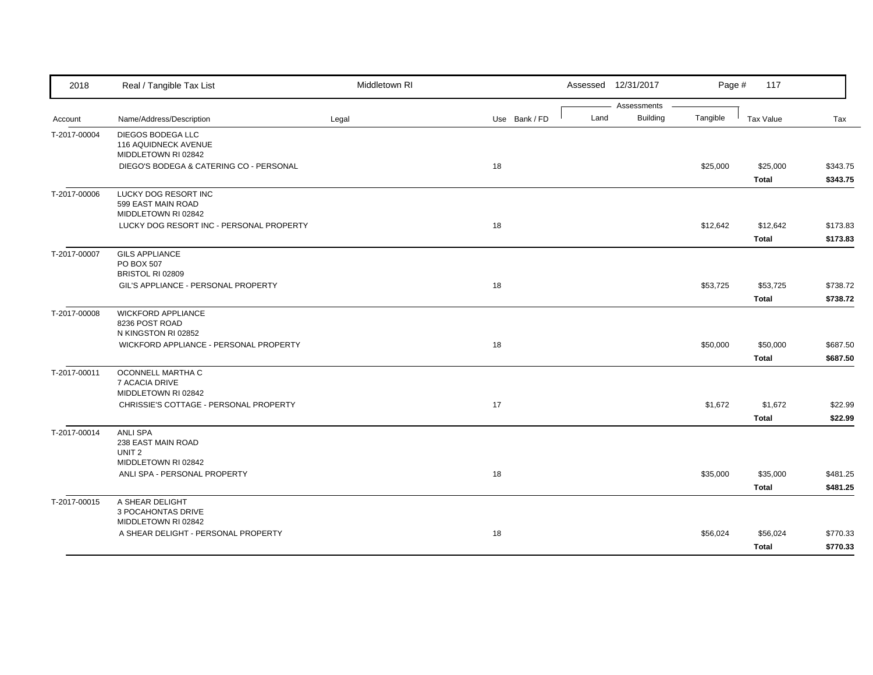| 2018         | Real / Tangible Tax List                    | Middletown RI |               |      | Assessed 12/31/2017 | Page #   | 117          |          |
|--------------|---------------------------------------------|---------------|---------------|------|---------------------|----------|--------------|----------|
|              |                                             |               |               |      | Assessments         |          |              |          |
| Account      | Name/Address/Description                    | Legal         | Use Bank / FD | Land | <b>Building</b>     | Tangible | Tax Value    | Tax      |
| T-2017-00004 | DIEGOS BODEGA LLC                           |               |               |      |                     |          |              |          |
|              | 116 AQUIDNECK AVENUE<br>MIDDLETOWN RI 02842 |               |               |      |                     |          |              |          |
|              | DIEGO'S BODEGA & CATERING CO - PERSONAL     |               | 18            |      |                     | \$25,000 | \$25,000     | \$343.75 |
|              |                                             |               |               |      |                     |          | <b>Total</b> | \$343.75 |
| T-2017-00006 | LUCKY DOG RESORT INC                        |               |               |      |                     |          |              |          |
|              | 599 EAST MAIN ROAD                          |               |               |      |                     |          |              |          |
|              | MIDDLETOWN RI 02842                         |               |               |      |                     |          |              |          |
|              | LUCKY DOG RESORT INC - PERSONAL PROPERTY    |               | 18            |      |                     | \$12,642 | \$12,642     | \$173.83 |
|              |                                             |               |               |      |                     |          | Total        | \$173.83 |
| T-2017-00007 | <b>GILS APPLIANCE</b>                       |               |               |      |                     |          |              |          |
|              | PO BOX 507                                  |               |               |      |                     |          |              |          |
|              | BRISTOL RI 02809                            |               |               |      |                     |          |              |          |
|              | GIL'S APPLIANCE - PERSONAL PROPERTY         |               | 18            |      |                     | \$53,725 | \$53,725     | \$738.72 |
|              |                                             |               |               |      |                     |          | <b>Total</b> | \$738.72 |
| T-2017-00008 | <b>WICKFORD APPLIANCE</b>                   |               |               |      |                     |          |              |          |
|              | 8236 POST ROAD                              |               |               |      |                     |          |              |          |
|              | N KINGSTON RI 02852                         |               |               |      |                     |          |              |          |
|              | WICKFORD APPLIANCE - PERSONAL PROPERTY      |               | 18            |      |                     | \$50,000 | \$50,000     | \$687.50 |
|              |                                             |               |               |      |                     |          | <b>Total</b> | \$687.50 |
| T-2017-00011 | OCONNELL MARTHA C                           |               |               |      |                     |          |              |          |
|              | 7 ACACIA DRIVE<br>MIDDLETOWN RI 02842       |               |               |      |                     |          |              |          |
|              | CHRISSIE'S COTTAGE - PERSONAL PROPERTY      |               | 17            |      |                     | \$1,672  | \$1,672      | \$22.99  |
|              |                                             |               |               |      |                     |          | <b>Total</b> | \$22.99  |
|              | <b>ANLI SPA</b>                             |               |               |      |                     |          |              |          |
| T-2017-00014 | 238 EAST MAIN ROAD                          |               |               |      |                     |          |              |          |
|              | UNIT <sub>2</sub>                           |               |               |      |                     |          |              |          |
|              | MIDDLETOWN RI 02842                         |               |               |      |                     |          |              |          |
|              | ANLI SPA - PERSONAL PROPERTY                |               | 18            |      |                     | \$35,000 | \$35,000     | \$481.25 |
|              |                                             |               |               |      |                     |          | <b>Total</b> | \$481.25 |
| T-2017-00015 | A SHEAR DELIGHT                             |               |               |      |                     |          |              |          |
|              | 3 POCAHONTAS DRIVE                          |               |               |      |                     |          |              |          |
|              | MIDDLETOWN RI 02842                         |               |               |      |                     |          |              |          |
|              | A SHEAR DELIGHT - PERSONAL PROPERTY         |               | 18            |      |                     | \$56,024 | \$56,024     | \$770.33 |
|              |                                             |               |               |      |                     |          | <b>Total</b> | \$770.33 |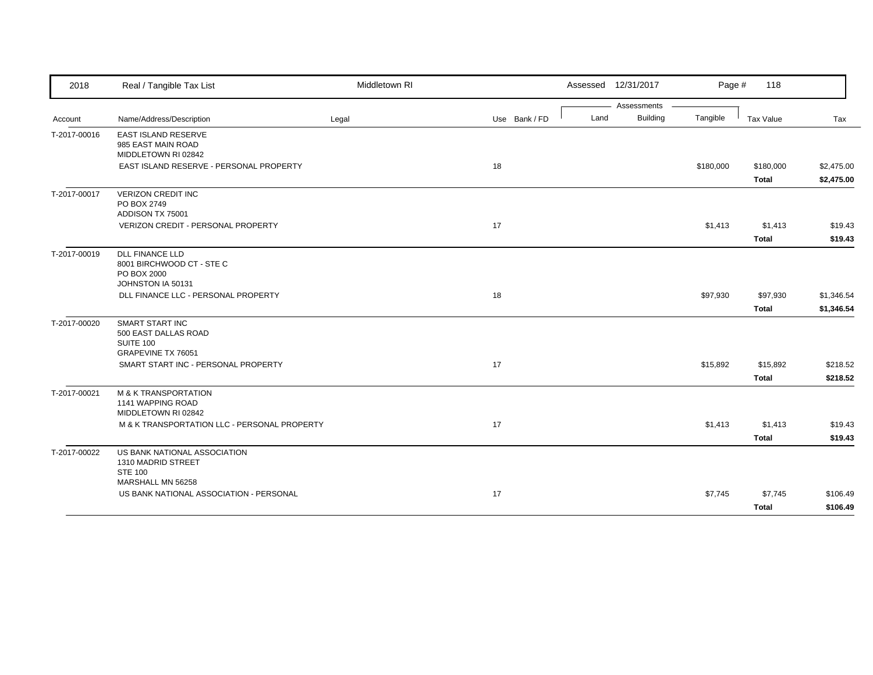| 2018         | Real / Tangible Tax List                                                                | Middletown RI |               |      | Assessed 12/31/2017 | Page #    | 118          |            |
|--------------|-----------------------------------------------------------------------------------------|---------------|---------------|------|---------------------|-----------|--------------|------------|
|              |                                                                                         |               |               |      | Assessments         |           |              |            |
| Account      | Name/Address/Description                                                                | Legal         | Use Bank / FD | Land | <b>Building</b>     | Tangible  | Tax Value    | Tax        |
| T-2017-00016 | EAST ISLAND RESERVE<br>985 EAST MAIN ROAD<br>MIDDLETOWN RI 02842                        |               |               |      |                     |           |              |            |
|              | EAST ISLAND RESERVE - PERSONAL PROPERTY                                                 |               | 18            |      |                     | \$180,000 | \$180,000    | \$2,475.00 |
|              |                                                                                         |               |               |      |                     |           | <b>Total</b> | \$2,475.00 |
| T-2017-00017 | <b>VERIZON CREDIT INC</b><br>PO BOX 2749<br>ADDISON TX 75001                            |               |               |      |                     |           |              |            |
|              | VERIZON CREDIT - PERSONAL PROPERTY                                                      |               | 17            |      |                     | \$1,413   | \$1,413      | \$19.43    |
|              |                                                                                         |               |               |      |                     |           | <b>Total</b> | \$19.43    |
| T-2017-00019 | <b>DLL FINANCE LLD</b><br>8001 BIRCHWOOD CT - STE C<br>PO BOX 2000<br>JOHNSTON IA 50131 |               |               |      |                     |           |              |            |
|              | DLL FINANCE LLC - PERSONAL PROPERTY                                                     |               | 18            |      |                     | \$97,930  | \$97,930     | \$1,346.54 |
|              |                                                                                         |               |               |      |                     |           | <b>Total</b> | \$1,346.54 |
| T-2017-00020 | <b>SMART START INC</b><br>500 EAST DALLAS ROAD<br>SUITE 100<br>GRAPEVINE TX 76051       |               |               |      |                     |           |              |            |
|              | SMART START INC - PERSONAL PROPERTY                                                     |               | 17            |      |                     | \$15,892  | \$15,892     | \$218.52   |
|              |                                                                                         |               |               |      |                     |           | <b>Total</b> | \$218.52   |
| T-2017-00021 | <b>M &amp; K TRANSPORTATION</b><br>1141 WAPPING ROAD<br>MIDDLETOWN RI 02842             |               |               |      |                     |           |              |            |
|              | M & K TRANSPORTATION LLC - PERSONAL PROPERTY                                            |               | 17            |      |                     | \$1,413   | \$1,413      | \$19.43    |
|              |                                                                                         |               |               |      |                     |           | <b>Total</b> | \$19.43    |
| T-2017-00022 | US BANK NATIONAL ASSOCIATION<br>1310 MADRID STREET<br><b>STE 100</b>                    |               |               |      |                     |           |              |            |
|              | MARSHALL MN 56258                                                                       |               |               |      |                     |           |              |            |
|              | US BANK NATIONAL ASSOCIATION - PERSONAL                                                 |               | 17            |      |                     | \$7,745   | \$7,745      | \$106.49   |
|              |                                                                                         |               |               |      |                     |           | <b>Total</b> | \$106.49   |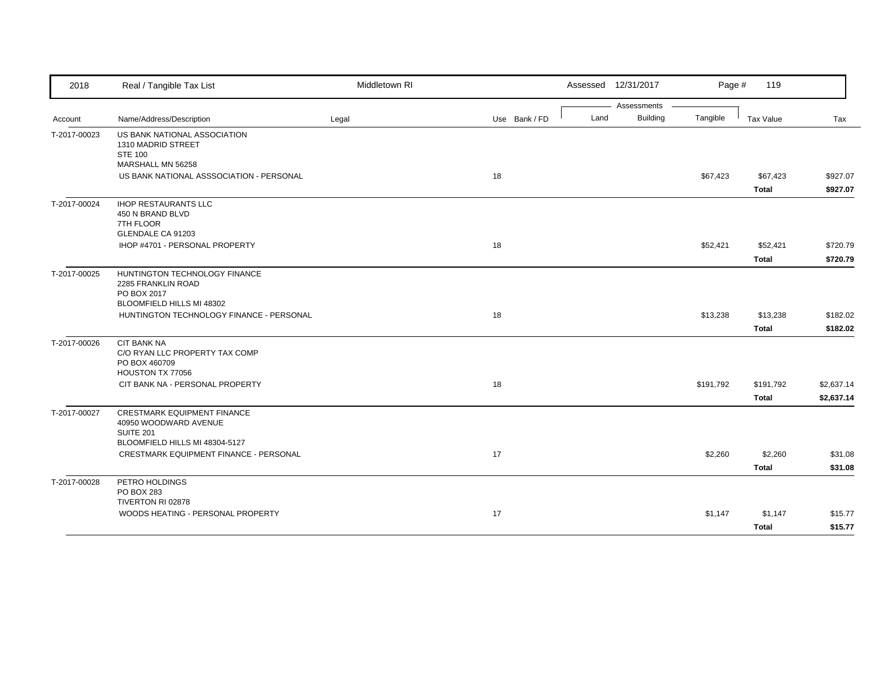| 2018         | Real / Tangible Tax List                                                                        | Middletown RI |               | Assessed 12/31/2017             | Page #    | 119                      |                          |
|--------------|-------------------------------------------------------------------------------------------------|---------------|---------------|---------------------------------|-----------|--------------------------|--------------------------|
| Account      | Name/Address/Description                                                                        | Legal         | Use Bank / FD | Assessments<br>Building<br>Land | Tangible  | Tax Value                | Tax                      |
| T-2017-00023 | US BANK NATIONAL ASSOCIATION<br>1310 MADRID STREET<br><b>STE 100</b><br>MARSHALL MN 56258       |               |               |                                 |           |                          |                          |
|              | US BANK NATIONAL ASSSOCIATION - PERSONAL                                                        |               | 18            |                                 | \$67,423  | \$67,423<br><b>Total</b> | \$927.07<br>\$927.07     |
| T-2017-00024 | <b>IHOP RESTAURANTS LLC</b><br>450 N BRAND BLVD<br>7TH FLOOR<br>GLENDALE CA 91203               |               |               |                                 |           |                          |                          |
|              | IHOP #4701 - PERSONAL PROPERTY                                                                  |               | 18            |                                 | \$52,421  | \$52,421<br>Total        | \$720.79<br>\$720.79     |
| T-2017-00025 | HUNTINGTON TECHNOLOGY FINANCE<br>2285 FRANKLIN ROAD<br>PO BOX 2017<br>BLOOMFIELD HILLS MI 48302 |               |               |                                 |           |                          |                          |
|              | HUNTINGTON TECHNOLOGY FINANCE - PERSONAL                                                        |               | 18            |                                 | \$13,238  | \$13,238<br><b>Total</b> | \$182.02<br>\$182.02     |
| T-2017-00026 | <b>CIT BANK NA</b><br>C/O RYAN LLC PROPERTY TAX COMP<br>PO BOX 460709<br>HOUSTON TX 77056       |               |               |                                 |           |                          |                          |
|              | CIT BANK NA - PERSONAL PROPERTY                                                                 |               | 18            |                                 | \$191,792 | \$191,792<br>Total       | \$2,637.14<br>\$2,637.14 |
| T-2017-00027 | <b>CRESTMARK EQUIPMENT FINANCE</b><br>40950 WOODWARD AVENUE<br><b>SUITE 201</b>                 |               |               |                                 |           |                          |                          |
|              | BLOOMFIELD HILLS MI 48304-5127<br>CRESTMARK EQUIPMENT FINANCE - PERSONAL                        |               | 17            |                                 | \$2,260   | \$2,260<br><b>Total</b>  | \$31.08<br>\$31.08       |
| T-2017-00028 | PETRO HOLDINGS<br>PO BOX 283<br>TIVERTON RI 02878                                               |               |               |                                 |           |                          |                          |
|              | WOODS HEATING - PERSONAL PROPERTY                                                               |               | 17            |                                 | \$1,147   | \$1,147<br>Total         | \$15.77<br>\$15.77       |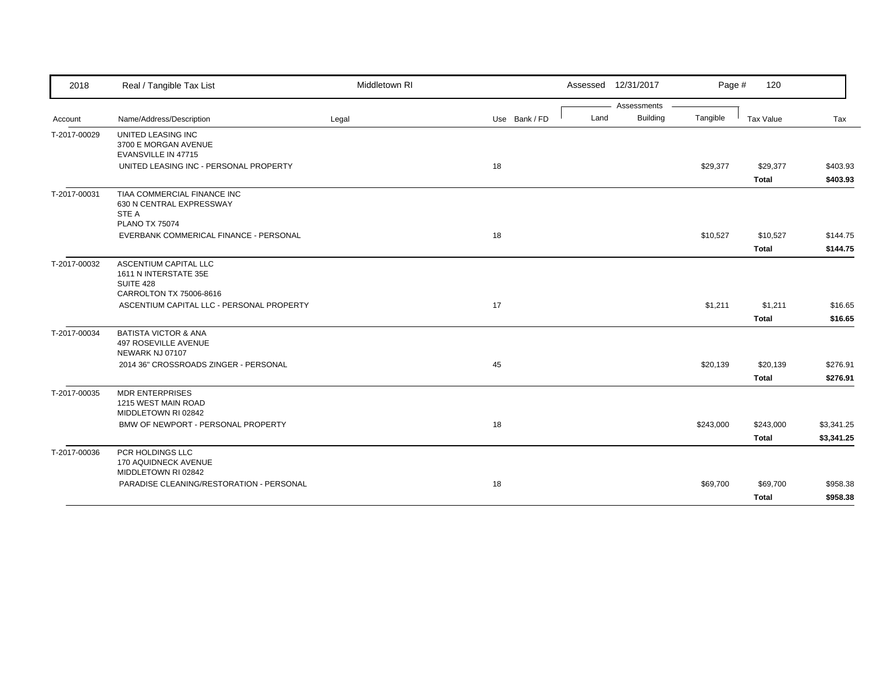| 2018         | Real / Tangible Tax List                                                                      | Middletown RI |               | Assessed 12/31/2017 |                 | Page #    | 120                      |                      |
|--------------|-----------------------------------------------------------------------------------------------|---------------|---------------|---------------------|-----------------|-----------|--------------------------|----------------------|
|              |                                                                                               |               |               |                     | Assessments     |           |                          |                      |
| Account      | Name/Address/Description                                                                      | Legal         | Use Bank / FD | Land                | <b>Building</b> | Tangible  | Tax Value                | Tax                  |
| T-2017-00029 | UNITED LEASING INC<br>3700 E MORGAN AVENUE<br>EVANSVILLE IN 47715                             |               |               |                     |                 |           |                          |                      |
|              | UNITED LEASING INC - PERSONAL PROPERTY                                                        |               | 18            |                     |                 | \$29,377  | \$29,377<br><b>Total</b> | \$403.93<br>\$403.93 |
| T-2017-00031 | TIAA COMMERCIAL FINANCE INC<br>630 N CENTRAL EXPRESSWAY<br>STE A<br><b>PLANO TX 75074</b>     |               |               |                     |                 |           |                          |                      |
|              | EVERBANK COMMERICAL FINANCE - PERSONAL                                                        |               | 18            |                     |                 | \$10,527  | \$10,527                 | \$144.75             |
|              |                                                                                               |               |               |                     |                 |           | <b>Total</b>             | \$144.75             |
| T-2017-00032 | ASCENTIUM CAPITAL LLC<br>1611 N INTERSTATE 35E<br><b>SUITE 428</b><br>CARROLTON TX 75006-8616 |               |               |                     |                 |           |                          |                      |
|              | ASCENTIUM CAPITAL LLC - PERSONAL PROPERTY                                                     |               | 17            |                     |                 | \$1,211   | \$1,211<br><b>Total</b>  | \$16.65<br>\$16.65   |
| T-2017-00034 | <b>BATISTA VICTOR &amp; ANA</b><br>497 ROSEVILLE AVENUE<br>NEWARK NJ 07107                    |               |               |                     |                 |           |                          |                      |
|              | 2014 36" CROSSROADS ZINGER - PERSONAL                                                         |               | 45            |                     |                 | \$20,139  | \$20,139                 | \$276.91             |
|              |                                                                                               |               |               |                     |                 |           | <b>Total</b>             | \$276.91             |
| T-2017-00035 | <b>MDR ENTERPRISES</b><br>1215 WEST MAIN ROAD<br>MIDDLETOWN RI 02842                          |               |               |                     |                 |           |                          |                      |
|              | BMW OF NEWPORT - PERSONAL PROPERTY                                                            |               | 18            |                     |                 | \$243,000 | \$243,000                | \$3,341.25           |
|              |                                                                                               |               |               |                     |                 |           | <b>Total</b>             | \$3,341.25           |
| T-2017-00036 | PCR HOLDINGS LLC<br>170 AQUIDNECK AVENUE<br>MIDDLETOWN RI 02842                               |               |               |                     |                 |           |                          |                      |
|              | PARADISE CLEANING/RESTORATION - PERSONAL                                                      |               | 18            |                     |                 | \$69,700  | \$69,700                 | \$958.38             |
|              |                                                                                               |               |               |                     |                 |           | <b>Total</b>             | \$958.38             |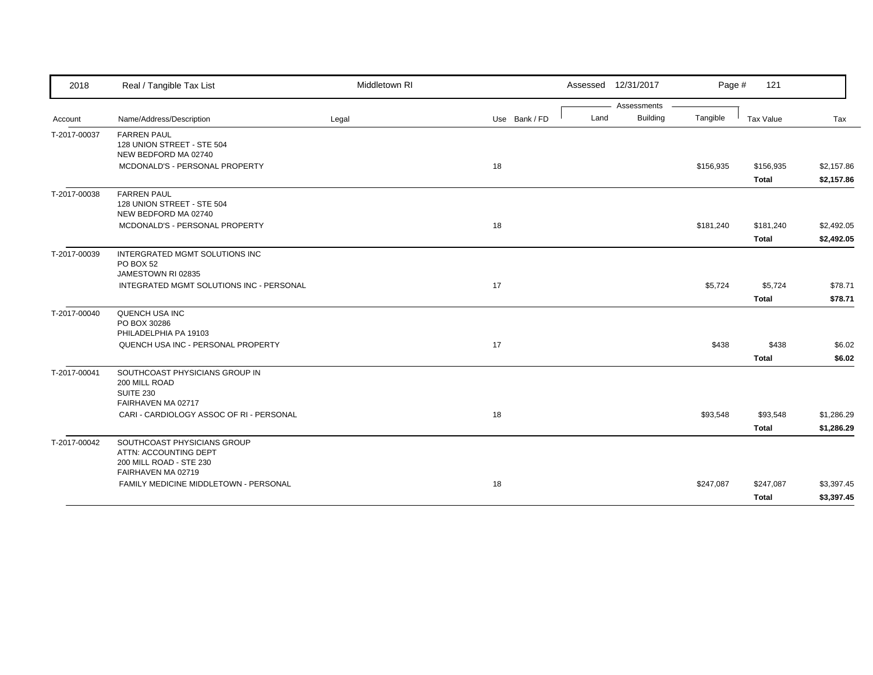| 2018         | Real / Tangible Tax List                                                                              | Middletown RI |               | Assessed 12/31/2017 |                 | Page #    | 121                       |                          |
|--------------|-------------------------------------------------------------------------------------------------------|---------------|---------------|---------------------|-----------------|-----------|---------------------------|--------------------------|
|              |                                                                                                       |               |               |                     | Assessments     |           |                           |                          |
| Account      | Name/Address/Description                                                                              | Legal         | Use Bank / FD | Land                | <b>Building</b> | Tangible  | Tax Value                 | Tax                      |
| T-2017-00037 | <b>FARREN PAUL</b><br>128 UNION STREET - STE 504<br>NEW BEDFORD MA 02740                              |               |               |                     |                 |           |                           |                          |
|              | MCDONALD'S - PERSONAL PROPERTY                                                                        |               | 18            |                     |                 | \$156,935 | \$156,935<br><b>Total</b> | \$2,157.86<br>\$2,157.86 |
| T-2017-00038 | <b>FARREN PAUL</b><br>128 UNION STREET - STE 504<br>NEW BEDFORD MA 02740                              |               |               |                     |                 |           |                           |                          |
|              | MCDONALD'S - PERSONAL PROPERTY                                                                        |               | 18            |                     |                 | \$181,240 | \$181,240<br><b>Total</b> | \$2,492.05<br>\$2,492.05 |
| T-2017-00039 | INTERGRATED MGMT SOLUTIONS INC<br>PO BOX 52<br>JAMESTOWN RI 02835                                     |               |               |                     |                 |           |                           |                          |
|              | INTEGRATED MGMT SOLUTIONS INC - PERSONAL                                                              |               | 17            |                     |                 | \$5,724   | \$5,724<br><b>Total</b>   | \$78.71<br>\$78.71       |
| T-2017-00040 | QUENCH USA INC<br>PO BOX 30286<br>PHILADELPHIA PA 19103                                               |               |               |                     |                 |           |                           |                          |
|              | QUENCH USA INC - PERSONAL PROPERTY                                                                    |               | 17            |                     |                 | \$438     | \$438<br><b>Total</b>     | \$6.02<br>\$6.02         |
| T-2017-00041 | SOUTHCOAST PHYSICIANS GROUP IN<br>200 MILL ROAD<br><b>SUITE 230</b><br>FAIRHAVEN MA 02717             |               |               |                     |                 |           |                           |                          |
|              | CARI - CARDIOLOGY ASSOC OF RI - PERSONAL                                                              |               | 18            |                     |                 | \$93,548  | \$93,548<br><b>Total</b>  | \$1,286.29<br>\$1,286.29 |
| T-2017-00042 | SOUTHCOAST PHYSICIANS GROUP<br>ATTN: ACCOUNTING DEPT<br>200 MILL ROAD - STE 230<br>FAIRHAVEN MA 02719 |               |               |                     |                 |           |                           |                          |
|              | FAMILY MEDICINE MIDDLETOWN - PERSONAL                                                                 |               | 18            |                     |                 | \$247,087 | \$247,087<br><b>Total</b> | \$3,397.45<br>\$3,397.45 |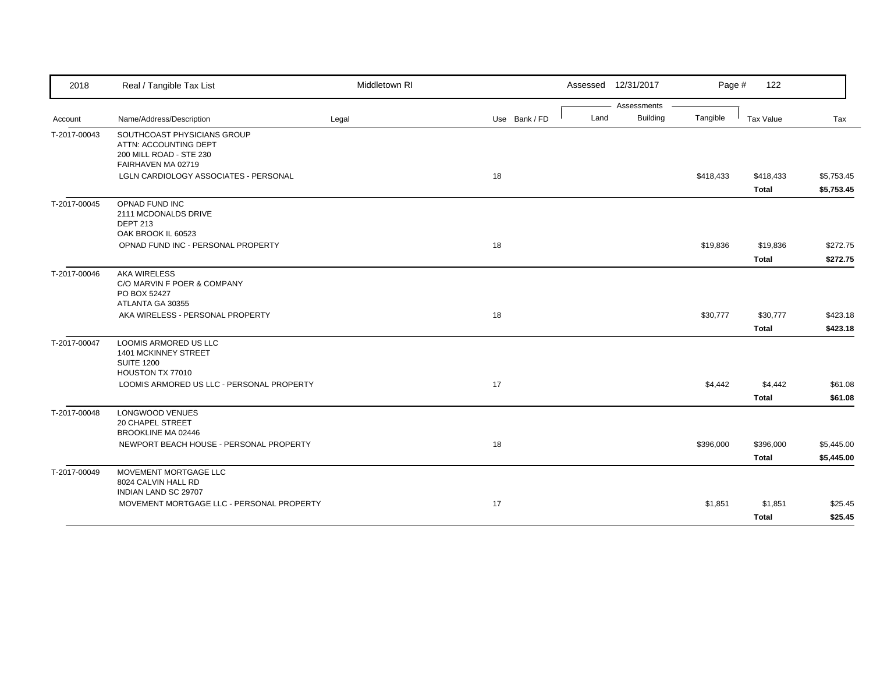| 2018         | Real / Tangible Tax List                                                               | Middletown RI |               |      | Assessed 12/31/2017            | Page #    | 122                       |                          |
|--------------|----------------------------------------------------------------------------------------|---------------|---------------|------|--------------------------------|-----------|---------------------------|--------------------------|
|              |                                                                                        |               |               |      | Assessments<br><b>Building</b> |           |                           |                          |
| Account      | Name/Address/Description                                                               | Legal         | Use Bank / FD | Land |                                | Tangible  | Tax Value                 | Tax                      |
| T-2017-00043 | SOUTHCOAST PHYSICIANS GROUP<br>ATTN: ACCOUNTING DEPT<br>200 MILL ROAD - STE 230        |               |               |      |                                |           |                           |                          |
|              | FAIRHAVEN MA 02719                                                                     |               |               |      |                                |           |                           |                          |
|              | LGLN CARDIOLOGY ASSOCIATES - PERSONAL                                                  |               | 18            |      |                                | \$418,433 | \$418,433<br><b>Total</b> | \$5,753.45<br>\$5,753.45 |
| T-2017-00045 | OPNAD FUND INC                                                                         |               |               |      |                                |           |                           |                          |
|              | 2111 MCDONALDS DRIVE<br><b>DEPT 213</b>                                                |               |               |      |                                |           |                           |                          |
|              | OAK BROOK IL 60523                                                                     |               |               |      |                                |           |                           |                          |
|              | OPNAD FUND INC - PERSONAL PROPERTY                                                     |               | 18            |      |                                | \$19,836  | \$19,836                  | \$272.75                 |
|              |                                                                                        |               |               |      |                                |           | <b>Total</b>              | \$272.75                 |
| T-2017-00046 | <b>AKA WIRELESS</b><br>C/O MARVIN F POER & COMPANY<br>PO BOX 52427                     |               |               |      |                                |           |                           |                          |
|              | ATLANTA GA 30355                                                                       |               |               |      |                                |           |                           |                          |
|              | AKA WIRELESS - PERSONAL PROPERTY                                                       |               | 18            |      |                                | \$30,777  | \$30,777                  | \$423.18                 |
|              |                                                                                        |               |               |      |                                |           | <b>Total</b>              | \$423.18                 |
| T-2017-00047 | LOOMIS ARMORED US LLC<br>1401 MCKINNEY STREET<br><b>SUITE 1200</b><br>HOUSTON TX 77010 |               |               |      |                                |           |                           |                          |
|              | LOOMIS ARMORED US LLC - PERSONAL PROPERTY                                              |               | 17            |      |                                | \$4,442   | \$4,442                   | \$61.08                  |
|              |                                                                                        |               |               |      |                                |           | <b>Total</b>              | \$61.08                  |
| T-2017-00048 | LONGWOOD VENUES<br>20 CHAPEL STREET<br><b>BROOKLINE MA 02446</b>                       |               |               |      |                                |           |                           |                          |
|              | NEWPORT BEACH HOUSE - PERSONAL PROPERTY                                                |               | 18            |      |                                | \$396,000 | \$396,000                 | \$5,445.00               |
|              |                                                                                        |               |               |      |                                |           | <b>Total</b>              | \$5,445.00               |
| T-2017-00049 | MOVEMENT MORTGAGE LLC<br>8024 CALVIN HALL RD                                           |               |               |      |                                |           |                           |                          |
|              | INDIAN LAND SC 29707                                                                   |               |               |      |                                |           |                           |                          |
|              | MOVEMENT MORTGAGE LLC - PERSONAL PROPERTY                                              |               | 17            |      |                                | \$1,851   | \$1,851                   | \$25.45                  |
|              |                                                                                        |               |               |      |                                |           | <b>Total</b>              | \$25.45                  |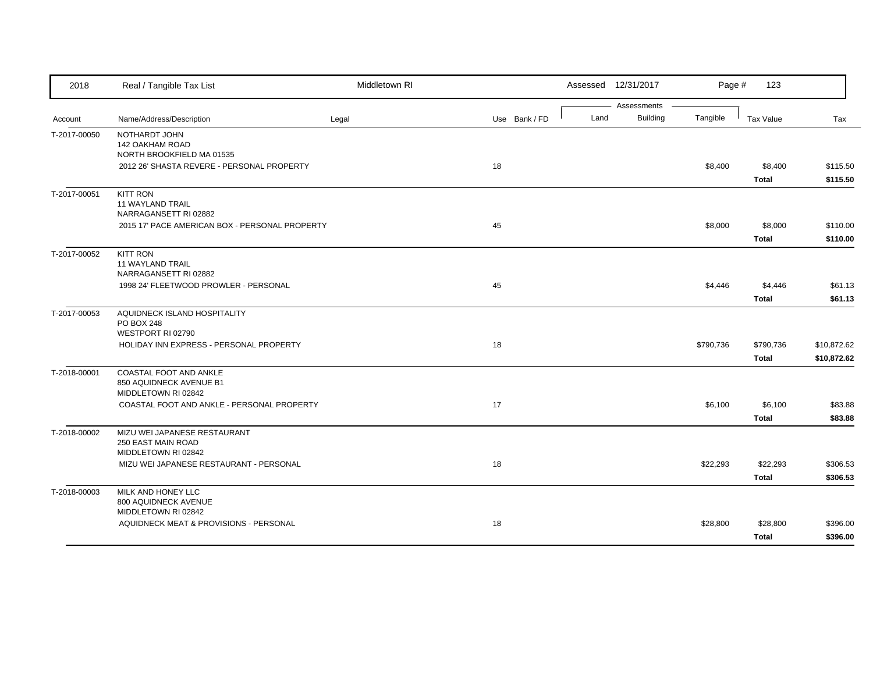| 2018         | Real / Tangible Tax List                                                  | Middletown RI |               |      | Assessed 12/31/2017     | Page #    | 123                       |                            |
|--------------|---------------------------------------------------------------------------|---------------|---------------|------|-------------------------|-----------|---------------------------|----------------------------|
| Account      | Name/Address/Description                                                  | Legal         | Use Bank / FD | Land | Assessments<br>Building | Tangible  | <b>Tax Value</b>          | Tax                        |
| T-2017-00050 | NOTHARDT JOHN<br><b>142 OAKHAM ROAD</b><br>NORTH BROOKFIELD MA 01535      |               |               |      |                         |           |                           |                            |
|              | 2012 26' SHASTA REVERE - PERSONAL PROPERTY                                |               | 18            |      |                         | \$8,400   | \$8,400<br><b>Total</b>   | \$115.50<br>\$115.50       |
| T-2017-00051 | <b>KITT RON</b><br><b>11 WAYLAND TRAIL</b><br>NARRAGANSETT RI 02882       |               |               |      |                         |           |                           |                            |
|              | 2015 17' PACE AMERICAN BOX - PERSONAL PROPERTY                            |               | 45            |      |                         | \$8,000   | \$8,000<br><b>Total</b>   | \$110.00<br>\$110.00       |
| T-2017-00052 | <b>KITT RON</b><br><b>11 WAYLAND TRAIL</b><br>NARRAGANSETT RI 02882       |               |               |      |                         |           |                           |                            |
|              | 1998 24' FLEETWOOD PROWLER - PERSONAL                                     |               | 45            |      |                         | \$4,446   | \$4,446<br><b>Total</b>   | \$61.13<br>\$61.13         |
| T-2017-00053 | AQUIDNECK ISLAND HOSPITALITY<br>PO BOX 248<br>WESTPORT RI 02790           |               |               |      |                         |           |                           |                            |
|              | HOLIDAY INN EXPRESS - PERSONAL PROPERTY                                   |               | 18            |      |                         | \$790,736 | \$790,736<br><b>Total</b> | \$10,872.62<br>\$10,872.62 |
| T-2018-00001 | COASTAL FOOT AND ANKLE<br>850 AQUIDNECK AVENUE B1<br>MIDDLETOWN RI 02842  |               |               |      |                         |           |                           |                            |
|              | COASTAL FOOT AND ANKLE - PERSONAL PROPERTY                                |               | 17            |      |                         | \$6,100   | \$6,100<br><b>Total</b>   | \$83.88<br>\$83.88         |
| T-2018-00002 | MIZU WEI JAPANESE RESTAURANT<br>250 EAST MAIN ROAD<br>MIDDLETOWN RI 02842 |               |               |      |                         |           |                           |                            |
|              | MIZU WEI JAPANESE RESTAURANT - PERSONAL                                   |               | 18            |      |                         | \$22,293  | \$22,293<br><b>Total</b>  | \$306.53<br>\$306.53       |
| T-2018-00003 | MILK AND HONEY LLC<br>800 AQUIDNECK AVENUE<br>MIDDLETOWN RI 02842         |               |               |      |                         |           |                           |                            |
|              | AQUIDNECK MEAT & PROVISIONS - PERSONAL                                    |               | 18            |      |                         | \$28,800  | \$28,800<br><b>Total</b>  | \$396.00<br>\$396.00       |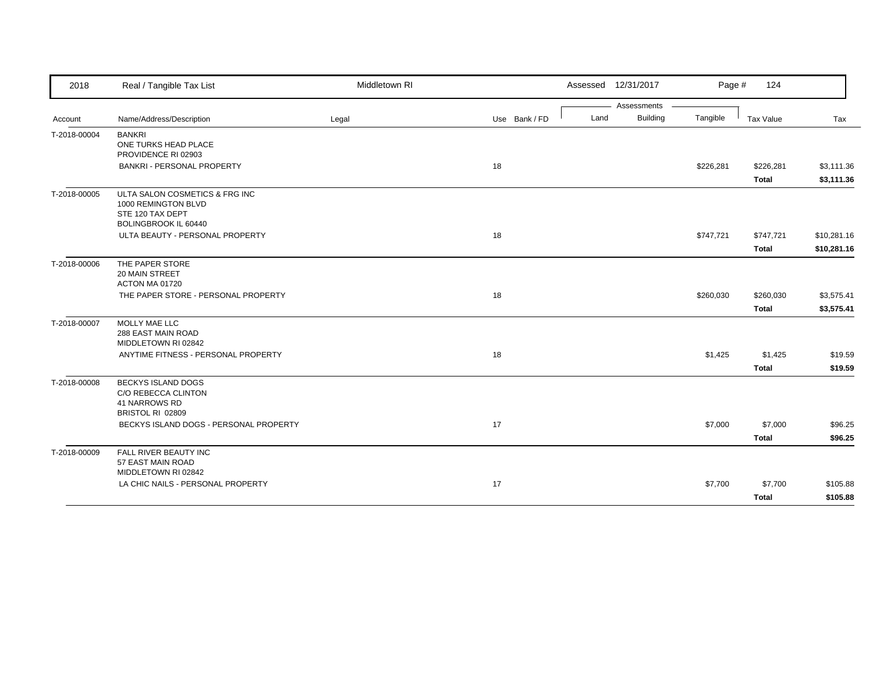| 2018         | Real / Tangible Tax List                                                                                 | Middletown RI |               |      | Assessed 12/31/2017 | Page #    | 124          |             |
|--------------|----------------------------------------------------------------------------------------------------------|---------------|---------------|------|---------------------|-----------|--------------|-------------|
|              |                                                                                                          |               |               |      | Assessments         |           |              |             |
| Account      | Name/Address/Description                                                                                 | Legal         | Use Bank / FD | Land | <b>Building</b>     | Tangible  | Tax Value    | Tax         |
| T-2018-00004 | <b>BANKRI</b><br>ONE TURKS HEAD PLACE<br>PROVIDENCE RI 02903                                             |               |               |      |                     |           |              |             |
|              | <b>BANKRI - PERSONAL PROPERTY</b>                                                                        |               | 18            |      |                     | \$226,281 | \$226,281    | \$3,111.36  |
|              |                                                                                                          |               |               |      |                     |           | <b>Total</b> | \$3,111.36  |
| T-2018-00005 | ULTA SALON COSMETICS & FRG INC<br>1000 REMINGTON BLVD<br>STE 120 TAX DEPT<br><b>BOLINGBROOK IL 60440</b> |               |               |      |                     |           |              |             |
|              | ULTA BEAUTY - PERSONAL PROPERTY                                                                          |               | 18            |      |                     | \$747,721 | \$747,721    | \$10,281.16 |
|              |                                                                                                          |               |               |      |                     |           | <b>Total</b> | \$10,281.16 |
| T-2018-00006 | THE PAPER STORE<br>20 MAIN STREET<br>ACTON MA 01720                                                      |               |               |      |                     |           |              |             |
|              | THE PAPER STORE - PERSONAL PROPERTY                                                                      |               | 18            |      |                     | \$260,030 | \$260,030    | \$3,575.41  |
|              |                                                                                                          |               |               |      |                     |           | <b>Total</b> | \$3,575.41  |
| T-2018-00007 | MOLLY MAE LLC<br>288 EAST MAIN ROAD<br>MIDDLETOWN RI 02842                                               |               |               |      |                     |           |              |             |
|              | ANYTIME FITNESS - PERSONAL PROPERTY                                                                      |               | 18            |      |                     | \$1,425   | \$1,425      | \$19.59     |
|              |                                                                                                          |               |               |      |                     |           | <b>Total</b> | \$19.59     |
| T-2018-00008 | <b>BECKYS ISLAND DOGS</b><br>C/O REBECCA CLINTON<br>41 NARROWS RD<br>BRISTOL RI 02809                    |               |               |      |                     |           |              |             |
|              | BECKYS ISLAND DOGS - PERSONAL PROPERTY                                                                   |               | 17            |      |                     | \$7,000   | \$7,000      | \$96.25     |
|              |                                                                                                          |               |               |      |                     |           | <b>Total</b> | \$96.25     |
| T-2018-00009 | FALL RIVER BEAUTY INC<br>57 EAST MAIN ROAD                                                               |               |               |      |                     |           |              |             |
|              | MIDDLETOWN RI 02842<br>LA CHIC NAILS - PERSONAL PROPERTY                                                 |               | 17            |      |                     | \$7,700   | \$7,700      | \$105.88    |
|              |                                                                                                          |               |               |      |                     |           |              |             |
|              |                                                                                                          |               |               |      |                     |           | <b>Total</b> | \$105.88    |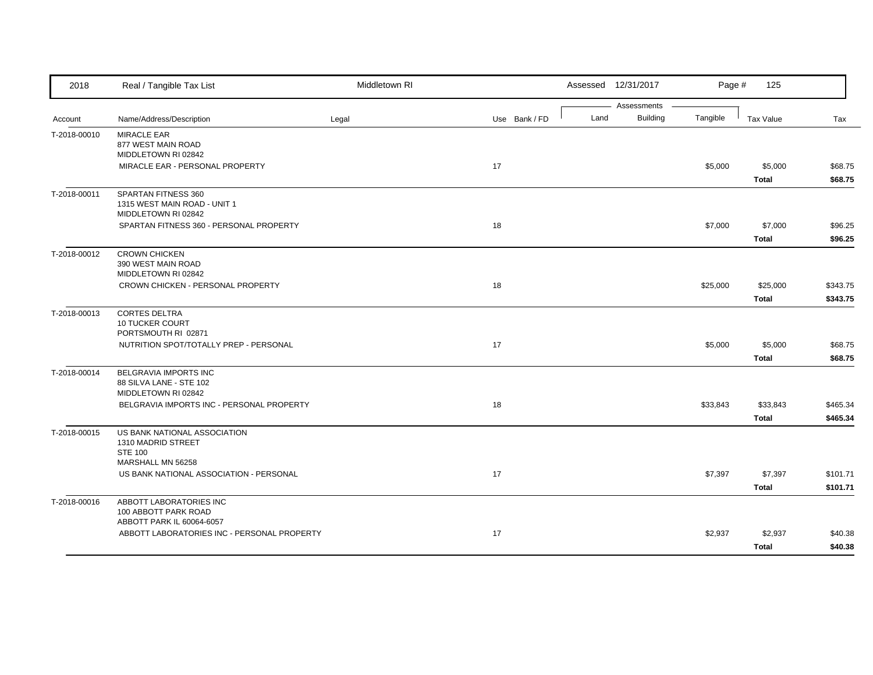| 2018         | Real / Tangible Tax List                                                   | Middletown RI |               |      | Assessed 12/31/2017            | Page #   | 125              |          |
|--------------|----------------------------------------------------------------------------|---------------|---------------|------|--------------------------------|----------|------------------|----------|
| Account      | Name/Address/Description                                                   | Legal         | Use Bank / FD | Land | Assessments<br><b>Building</b> | Tangible | <b>Tax Value</b> | Tax      |
| T-2018-00010 | <b>MIRACLE EAR</b><br>877 WEST MAIN ROAD                                   |               |               |      |                                |          |                  |          |
|              | MIDDLETOWN RI 02842                                                        |               |               |      |                                |          |                  |          |
|              | MIRACLE EAR - PERSONAL PROPERTY                                            |               | 17            |      |                                | \$5,000  | \$5,000          | \$68.75  |
|              |                                                                            |               |               |      |                                |          | <b>Total</b>     | \$68.75  |
| T-2018-00011 | SPARTAN FITNESS 360<br>1315 WEST MAIN ROAD - UNIT 1<br>MIDDLETOWN RI 02842 |               |               |      |                                |          |                  |          |
|              | SPARTAN FITNESS 360 - PERSONAL PROPERTY                                    |               | 18            |      |                                | \$7,000  | \$7,000          | \$96.25  |
|              |                                                                            |               |               |      |                                |          | Total            | \$96.25  |
| T-2018-00012 | <b>CROWN CHICKEN</b><br>390 WEST MAIN ROAD<br>MIDDLETOWN RI 02842          |               |               |      |                                |          |                  |          |
|              | CROWN CHICKEN - PERSONAL PROPERTY                                          |               | 18            |      |                                | \$25,000 | \$25,000         | \$343.75 |
|              |                                                                            |               |               |      |                                |          | <b>Total</b>     | \$343.75 |
| T-2018-00013 | <b>CORTES DELTRA</b><br><b>10 TUCKER COURT</b>                             |               |               |      |                                |          |                  |          |
|              | PORTSMOUTH RI 02871<br>NUTRITION SPOT/TOTALLY PREP - PERSONAL              |               | 17            |      |                                | \$5,000  | \$5,000          | \$68.75  |
|              |                                                                            |               |               |      |                                |          | <b>Total</b>     | \$68.75  |
| T-2018-00014 | BELGRAVIA IMPORTS INC                                                      |               |               |      |                                |          |                  |          |
|              | 88 SILVA LANE - STE 102<br>MIDDLETOWN RI 02842                             |               |               |      |                                |          |                  |          |
|              | BELGRAVIA IMPORTS INC - PERSONAL PROPERTY                                  |               | 18            |      |                                | \$33,843 | \$33,843         | \$465.34 |
|              |                                                                            |               |               |      |                                |          | Total            | \$465.34 |
| T-2018-00015 | US BANK NATIONAL ASSOCIATION<br>1310 MADRID STREET                         |               |               |      |                                |          |                  |          |
|              | <b>STE 100</b><br>MARSHALL MN 56258                                        |               |               |      |                                |          |                  |          |
|              | US BANK NATIONAL ASSOCIATION - PERSONAL                                    |               | 17            |      |                                | \$7,397  | \$7,397          | \$101.71 |
|              |                                                                            |               |               |      |                                |          | <b>Total</b>     | \$101.71 |
| T-2018-00016 | ABBOTT LABORATORIES INC                                                    |               |               |      |                                |          |                  |          |
|              | 100 ABBOTT PARK ROAD                                                       |               |               |      |                                |          |                  |          |
|              | ABBOTT PARK IL 60064-6057<br>ABBOTT LABORATORIES INC - PERSONAL PROPERTY   |               | 17            |      |                                | \$2,937  | \$2,937          | \$40.38  |
|              |                                                                            |               |               |      |                                |          | <b>Total</b>     | \$40.38  |
|              |                                                                            |               |               |      |                                |          |                  |          |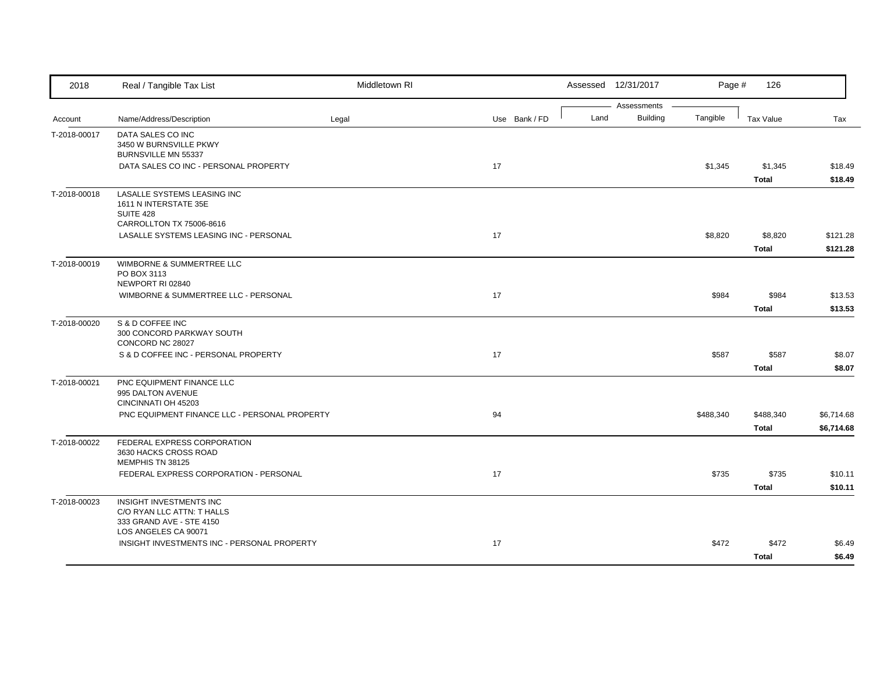| 2018         | Real / Tangible Tax List                                                                                  | Middletown RI |               |      | Assessed 12/31/2017            | Page #    | 126                       |                          |
|--------------|-----------------------------------------------------------------------------------------------------------|---------------|---------------|------|--------------------------------|-----------|---------------------------|--------------------------|
| Account      | Name/Address/Description                                                                                  | Legal         | Use Bank / FD | Land | Assessments<br><b>Building</b> | Tangible  | <b>Tax Value</b>          | Tax                      |
| T-2018-00017 | DATA SALES CO INC<br>3450 W BURNSVILLE PKWY<br>BURNSVILLE MN 55337                                        |               |               |      |                                |           |                           |                          |
|              | DATA SALES CO INC - PERSONAL PROPERTY                                                                     |               | 17            |      |                                | \$1,345   | \$1,345<br><b>Total</b>   | \$18.49<br>\$18.49       |
| T-2018-00018 | LASALLE SYSTEMS LEASING INC<br>1611 N INTERSTATE 35E<br>SUITE 428<br>CARROLLTON TX 75006-8616             |               |               |      |                                |           |                           |                          |
|              | LASALLE SYSTEMS LEASING INC - PERSONAL                                                                    |               | 17            |      |                                | \$8,820   | \$8,820<br><b>Total</b>   | \$121.28<br>\$121.28     |
| T-2018-00019 | WIMBORNE & SUMMERTREE LLC<br>PO BOX 3113<br>NEWPORT RI 02840                                              |               |               |      |                                |           |                           |                          |
|              | WIMBORNE & SUMMERTREE LLC - PERSONAL                                                                      |               | 17            |      |                                | \$984     | \$984<br><b>Total</b>     | \$13.53<br>\$13.53       |
| T-2018-00020 | S & D COFFEE INC<br>300 CONCORD PARKWAY SOUTH<br>CONCORD NC 28027                                         |               |               |      |                                |           |                           |                          |
|              | S & D COFFEE INC - PERSONAL PROPERTY                                                                      |               | 17            |      |                                | \$587     | \$587<br><b>Total</b>     | \$8.07<br>\$8.07         |
| T-2018-00021 | PNC EQUIPMENT FINANCE LLC<br>995 DALTON AVENUE<br>CINCINNATI OH 45203                                     |               |               |      |                                |           |                           |                          |
|              | PNC EQUIPMENT FINANCE LLC - PERSONAL PROPERTY                                                             |               | 94            |      |                                | \$488,340 | \$488,340<br><b>Total</b> | \$6,714.68<br>\$6,714.68 |
| T-2018-00022 | FEDERAL EXPRESS CORPORATION<br>3630 HACKS CROSS ROAD<br>MEMPHIS TN 38125                                  |               |               |      |                                |           |                           |                          |
|              | FEDERAL EXPRESS CORPORATION - PERSONAL                                                                    |               | 17            |      |                                | \$735     | \$735<br><b>Total</b>     | \$10.11<br>\$10.11       |
| T-2018-00023 | INSIGHT INVESTMENTS INC<br>C/O RYAN LLC ATTN: T HALLS<br>333 GRAND AVE - STE 4150<br>LOS ANGELES CA 90071 |               |               |      |                                |           |                           |                          |
|              | INSIGHT INVESTMENTS INC - PERSONAL PROPERTY                                                               |               | 17            |      |                                | \$472     | \$472<br><b>Total</b>     | \$6.49<br>\$6.49         |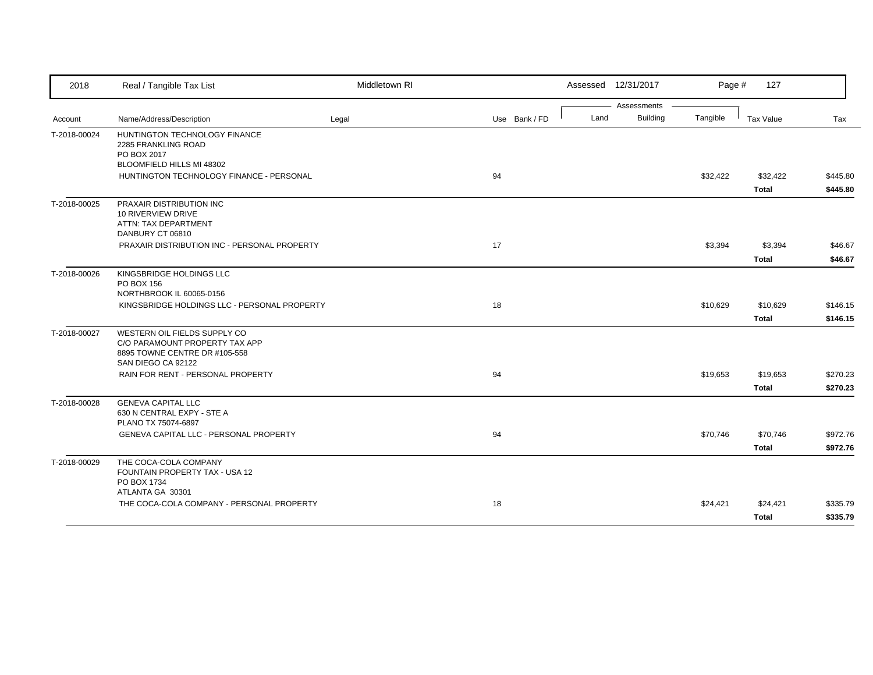| 2018         | Real / Tangible Tax List                                                                                              | Middletown RI |               |      | Assessed 12/31/2017 | Page #   | 127          |          |
|--------------|-----------------------------------------------------------------------------------------------------------------------|---------------|---------------|------|---------------------|----------|--------------|----------|
|              |                                                                                                                       |               |               |      | Assessments         |          |              |          |
| Account      | Name/Address/Description                                                                                              | Legal         | Use Bank / FD | Land | <b>Building</b>     | Tangible | Tax Value    | Tax      |
| T-2018-00024 | HUNTINGTON TECHNOLOGY FINANCE<br>2285 FRANKLING ROAD<br>PO BOX 2017<br>BLOOMFIELD HILLS MI 48302                      |               |               |      |                     |          |              |          |
|              | HUNTINGTON TECHNOLOGY FINANCE - PERSONAL                                                                              |               | 94            |      |                     | \$32,422 | \$32,422     | \$445.80 |
|              |                                                                                                                       |               |               |      |                     |          | <b>Total</b> | \$445.80 |
| T-2018-00025 | PRAXAIR DISTRIBUTION INC<br>10 RIVERVIEW DRIVE<br>ATTN: TAX DEPARTMENT<br>DANBURY CT 06810                            |               |               |      |                     |          |              |          |
|              | PRAXAIR DISTRIBUTION INC - PERSONAL PROPERTY                                                                          |               | 17            |      |                     | \$3,394  | \$3,394      | \$46.67  |
|              |                                                                                                                       |               |               |      |                     |          | <b>Total</b> | \$46.67  |
| T-2018-00026 | KINGSBRIDGE HOLDINGS LLC<br>PO BOX 156<br>NORTHBROOK IL 60065-0156                                                    |               |               |      |                     |          |              |          |
|              | KINGSBRIDGE HOLDINGS LLC - PERSONAL PROPERTY                                                                          |               | 18            |      |                     | \$10,629 | \$10,629     | \$146.15 |
|              |                                                                                                                       |               |               |      |                     |          | <b>Total</b> | \$146.15 |
| T-2018-00027 | WESTERN OIL FIELDS SUPPLY CO<br>C/O PARAMOUNT PROPERTY TAX APP<br>8895 TOWNE CENTRE DR #105-558<br>SAN DIEGO CA 92122 |               |               |      |                     |          |              |          |
|              | RAIN FOR RENT - PERSONAL PROPERTY                                                                                     |               | 94            |      |                     | \$19,653 | \$19,653     | \$270.23 |
|              |                                                                                                                       |               |               |      |                     |          | <b>Total</b> | \$270.23 |
| T-2018-00028 | <b>GENEVA CAPITAL LLC</b><br>630 N CENTRAL EXPY - STE A<br>PLANO TX 75074-6897                                        |               |               |      |                     |          |              |          |
|              | GENEVA CAPITAL LLC - PERSONAL PROPERTY                                                                                |               | 94            |      |                     | \$70,746 | \$70,746     | \$972.76 |
|              |                                                                                                                       |               |               |      |                     |          | <b>Total</b> | \$972.76 |
| T-2018-00029 | THE COCA-COLA COMPANY<br>FOUNTAIN PROPERTY TAX - USA 12<br>PO BOX 1734<br>ATLANTA GA 30301                            |               |               |      |                     |          |              |          |
|              | THE COCA-COLA COMPANY - PERSONAL PROPERTY                                                                             |               | 18            |      |                     | \$24,421 | \$24,421     | \$335.79 |
|              |                                                                                                                       |               |               |      |                     |          | <b>Total</b> | \$335.79 |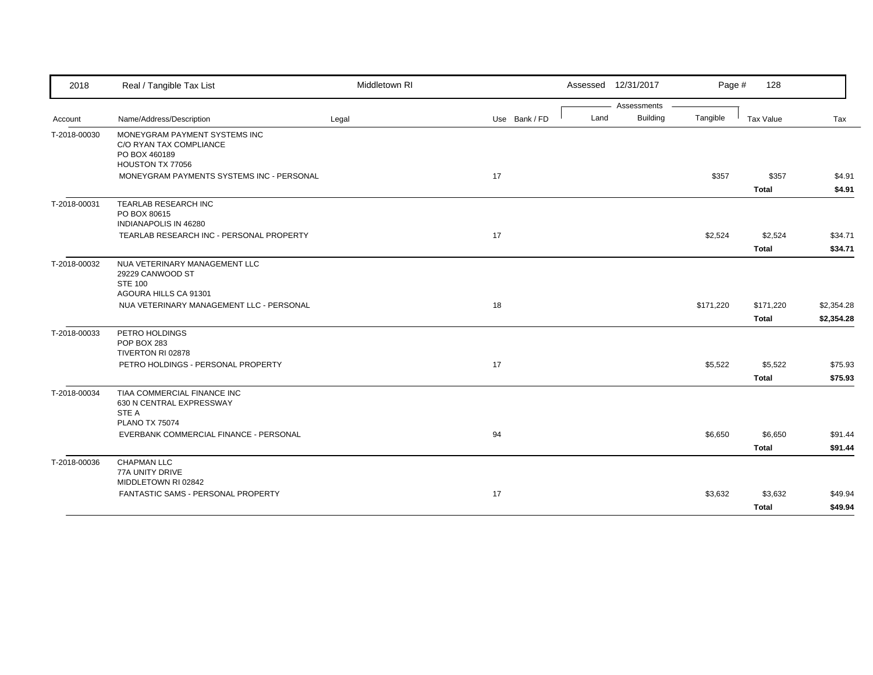| 2018         | Real / Tangible Tax List                                                  | Middletown RI |               |      | Assessed 12/31/2017 | Page #    | 128          |            |
|--------------|---------------------------------------------------------------------------|---------------|---------------|------|---------------------|-----------|--------------|------------|
|              |                                                                           |               |               |      | Assessments         |           |              |            |
| Account      | Name/Address/Description                                                  | Legal         | Use Bank / FD | Land | <b>Building</b>     | Tangible  | Tax Value    | Tax        |
| T-2018-00030 | MONEYGRAM PAYMENT SYSTEMS INC<br>C/O RYAN TAX COMPLIANCE<br>PO BOX 460189 |               |               |      |                     |           |              |            |
|              | HOUSTON TX 77056                                                          |               |               |      |                     |           |              |            |
|              | MONEYGRAM PAYMENTS SYSTEMS INC - PERSONAL                                 |               | 17            |      |                     | \$357     | \$357        | \$4.91     |
|              |                                                                           |               |               |      |                     |           | <b>Total</b> | \$4.91     |
| T-2018-00031 | TEARLAB RESEARCH INC<br>PO BOX 80615<br>INDIANAPOLIS IN 46280             |               |               |      |                     |           |              |            |
|              | TEARLAB RESEARCH INC - PERSONAL PROPERTY                                  |               | 17            |      |                     | \$2,524   | \$2,524      | \$34.71    |
|              |                                                                           |               |               |      |                     |           | <b>Total</b> | \$34.71    |
| T-2018-00032 | NUA VETERINARY MANAGEMENT LLC<br>29229 CANWOOD ST<br><b>STE 100</b>       |               |               |      |                     |           |              |            |
|              | AGOURA HILLS CA 91301                                                     |               |               |      |                     |           |              |            |
|              | NUA VETERINARY MANAGEMENT LLC - PERSONAL                                  |               | 18            |      |                     | \$171,220 | \$171,220    | \$2,354.28 |
|              |                                                                           |               |               |      |                     |           | <b>Total</b> | \$2,354.28 |
| T-2018-00033 | PETRO HOLDINGS<br>POP BOX 283                                             |               |               |      |                     |           |              |            |
|              | TIVERTON RI 02878<br>PETRO HOLDINGS - PERSONAL PROPERTY                   |               | 17            |      |                     | \$5,522   | \$5,522      | \$75.93    |
|              |                                                                           |               |               |      |                     |           | <b>Total</b> | \$75.93    |
| T-2018-00034 | TIAA COMMERCIAL FINANCE INC<br>630 N CENTRAL EXPRESSWAY<br>STE A          |               |               |      |                     |           |              |            |
|              | <b>PLANO TX 75074</b>                                                     |               |               |      |                     |           |              |            |
|              | EVERBANK COMMERCIAL FINANCE - PERSONAL                                    |               | 94            |      |                     | \$6,650   | \$6,650      | \$91.44    |
|              |                                                                           |               |               |      |                     |           | <b>Total</b> | \$91.44    |
| T-2018-00036 | <b>CHAPMAN LLC</b><br>77A UNITY DRIVE<br>MIDDLETOWN RI 02842              |               |               |      |                     |           |              |            |
|              | FANTASTIC SAMS - PERSONAL PROPERTY                                        |               | 17            |      |                     | \$3,632   | \$3,632      | \$49.94    |
|              |                                                                           |               |               |      |                     |           | <b>Total</b> | \$49.94    |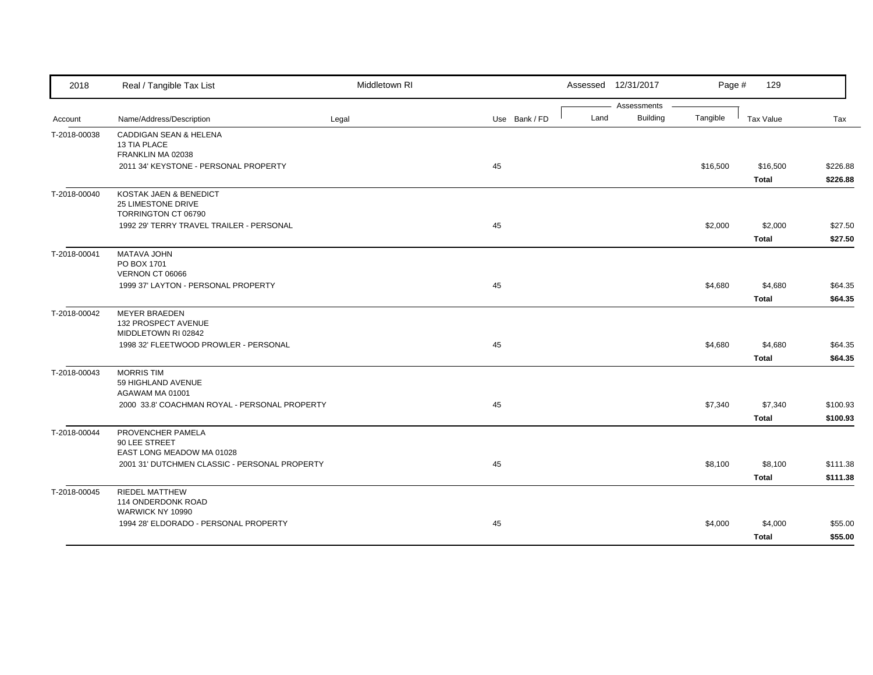| 2018         | Real / Tangible Tax List                      | Middletown RI |               |      | Assessed 12/31/2017     | Page #   | 129          |          |
|--------------|-----------------------------------------------|---------------|---------------|------|-------------------------|----------|--------------|----------|
| Account      | Name/Address/Description                      | Legal         | Use Bank / FD | Land | Assessments<br>Building | Tangible | Tax Value    | Tax      |
| T-2018-00038 | <b>CADDIGAN SEAN &amp; HELENA</b>             |               |               |      |                         |          |              |          |
|              | 13 TIA PLACE<br>FRANKLIN MA 02038             |               |               |      |                         |          |              |          |
|              | 2011 34' KEYSTONE - PERSONAL PROPERTY         |               | 45            |      |                         | \$16,500 | \$16,500     | \$226.88 |
|              |                                               |               |               |      |                         |          | <b>Total</b> | \$226.88 |
| T-2018-00040 | KOSTAK JAEN & BENEDICT                        |               |               |      |                         |          |              |          |
|              | 25 LIMESTONE DRIVE<br>TORRINGTON CT 06790     |               |               |      |                         |          |              |          |
|              | 1992 29' TERRY TRAVEL TRAILER - PERSONAL      |               | 45            |      |                         | \$2,000  | \$2,000      | \$27.50  |
|              |                                               |               |               |      |                         |          | <b>Total</b> | \$27.50  |
| T-2018-00041 | MATAVA JOHN                                   |               |               |      |                         |          |              |          |
|              | PO BOX 1701<br>VERNON CT 06066                |               |               |      |                         |          |              |          |
|              | 1999 37' LAYTON - PERSONAL PROPERTY           |               | 45            |      |                         | \$4,680  | \$4,680      | \$64.35  |
|              |                                               |               |               |      |                         |          | <b>Total</b> | \$64.35  |
| T-2018-00042 | <b>MEYER BRAEDEN</b>                          |               |               |      |                         |          |              |          |
|              | 132 PROSPECT AVENUE<br>MIDDLETOWN RI 02842    |               |               |      |                         |          |              |          |
|              | 1998 32' FLEETWOOD PROWLER - PERSONAL         |               | 45            |      |                         | \$4,680  | \$4,680      | \$64.35  |
|              |                                               |               |               |      |                         |          | <b>Total</b> | \$64.35  |
| T-2018-00043 | <b>MORRIS TIM</b>                             |               |               |      |                         |          |              |          |
|              | 59 HIGHLAND AVENUE<br>AGAWAM MA 01001         |               |               |      |                         |          |              |          |
|              | 2000 33.8' COACHMAN ROYAL - PERSONAL PROPERTY |               | 45            |      |                         | \$7,340  | \$7,340      | \$100.93 |
|              |                                               |               |               |      |                         |          | <b>Total</b> | \$100.93 |
| T-2018-00044 | PROVENCHER PAMELA                             |               |               |      |                         |          |              |          |
|              | 90 LEE STREET<br>EAST LONG MEADOW MA 01028    |               |               |      |                         |          |              |          |
|              | 2001 31' DUTCHMEN CLASSIC - PERSONAL PROPERTY |               | 45            |      |                         | \$8,100  | \$8,100      | \$111.38 |
|              |                                               |               |               |      |                         |          | <b>Total</b> | \$111.38 |
| T-2018-00045 | <b>RIEDEL MATTHEW</b>                         |               |               |      |                         |          |              |          |
|              | 114 ONDERDONK ROAD<br>WARWICK NY 10990        |               |               |      |                         |          |              |          |
|              | 1994 28' ELDORADO - PERSONAL PROPERTY         |               | 45            |      |                         | \$4,000  | \$4,000      | \$55.00  |
|              |                                               |               |               |      |                         |          | <b>Total</b> | \$55.00  |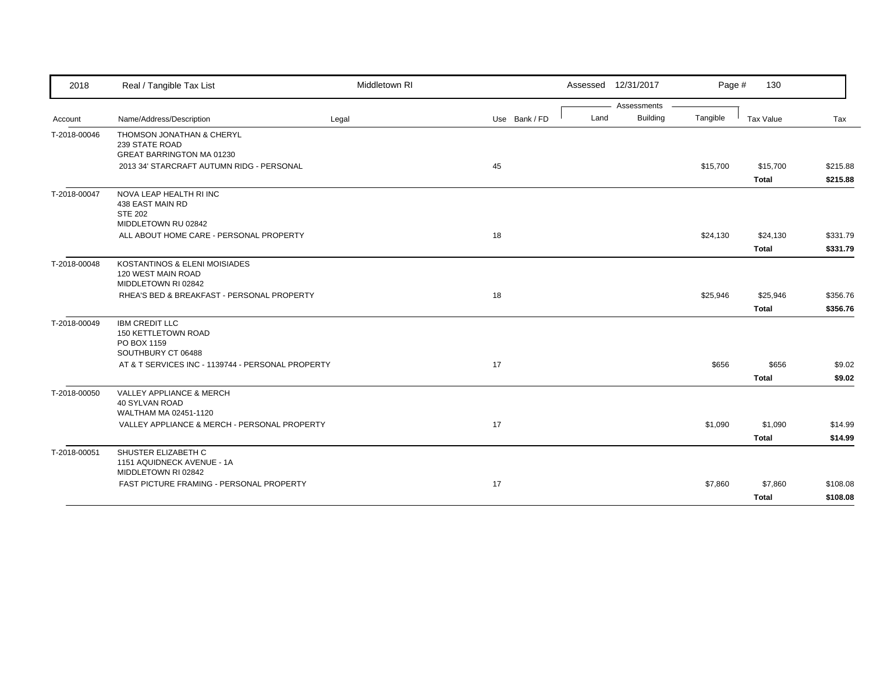| 2018         | Real / Tangible Tax List                          | Middletown RI |               |      | Assessed 12/31/2017            | Page #   | 130          |          |
|--------------|---------------------------------------------------|---------------|---------------|------|--------------------------------|----------|--------------|----------|
| Account      | Name/Address/Description                          | Legal         | Use Bank / FD | Land | Assessments<br><b>Building</b> | Tangible | Tax Value    | Tax      |
| T-2018-00046 | THOMSON JONATHAN & CHERYL                         |               |               |      |                                |          |              |          |
|              | 239 STATE ROAD                                    |               |               |      |                                |          |              |          |
|              | GREAT BARRINGTON MA 01230                         |               |               |      |                                |          |              |          |
|              | 2013 34' STARCRAFT AUTUMN RIDG - PERSONAL         |               | 45            |      |                                | \$15,700 | \$15,700     | \$215.88 |
|              |                                                   |               |               |      |                                |          | <b>Total</b> | \$215.88 |
| T-2018-00047 | NOVA LEAP HEALTH RI INC                           |               |               |      |                                |          |              |          |
|              | 438 EAST MAIN RD<br><b>STE 202</b>                |               |               |      |                                |          |              |          |
|              | MIDDLETOWN RU 02842                               |               |               |      |                                |          |              |          |
|              | ALL ABOUT HOME CARE - PERSONAL PROPERTY           |               | 18            |      |                                | \$24,130 | \$24,130     | \$331.79 |
|              |                                                   |               |               |      |                                |          | <b>Total</b> | \$331.79 |
| T-2018-00048 | KOSTANTINOS & ELENI MOISIADES                     |               |               |      |                                |          |              |          |
|              | 120 WEST MAIN ROAD                                |               |               |      |                                |          |              |          |
|              | MIDDLETOWN RI 02842                               |               |               |      |                                |          |              |          |
|              | RHEA'S BED & BREAKFAST - PERSONAL PROPERTY        |               | 18            |      |                                | \$25,946 | \$25,946     | \$356.76 |
|              |                                                   |               |               |      |                                |          | <b>Total</b> | \$356.76 |
| T-2018-00049 | <b>IBM CREDIT LLC</b>                             |               |               |      |                                |          |              |          |
|              | <b>150 KETTLETOWN ROAD</b><br>PO BOX 1159         |               |               |      |                                |          |              |          |
|              | SOUTHBURY CT 06488                                |               |               |      |                                |          |              |          |
|              | AT & T SERVICES INC - 1139744 - PERSONAL PROPERTY |               | 17            |      |                                | \$656    | \$656        | \$9.02   |
|              |                                                   |               |               |      |                                |          | <b>Total</b> | \$9.02   |
| T-2018-00050 | VALLEY APPLIANCE & MERCH                          |               |               |      |                                |          |              |          |
|              | <b>40 SYLVAN ROAD</b>                             |               |               |      |                                |          |              |          |
|              | WALTHAM MA 02451-1120                             |               |               |      |                                |          |              |          |
|              | VALLEY APPLIANCE & MERCH - PERSONAL PROPERTY      |               | 17            |      |                                | \$1,090  | \$1,090      | \$14.99  |
|              |                                                   |               |               |      |                                |          | <b>Total</b> | \$14.99  |
| T-2018-00051 | SHUSTER ELIZABETH C                               |               |               |      |                                |          |              |          |
|              | 1151 AQUIDNECK AVENUE - 1A<br>MIDDLETOWN RI 02842 |               |               |      |                                |          |              |          |
|              | <b>FAST PICTURE FRAMING - PERSONAL PROPERTY</b>   |               | 17            |      |                                | \$7,860  | \$7,860      | \$108.08 |
|              |                                                   |               |               |      |                                |          | <b>Total</b> | \$108.08 |
|              |                                                   |               |               |      |                                |          |              |          |